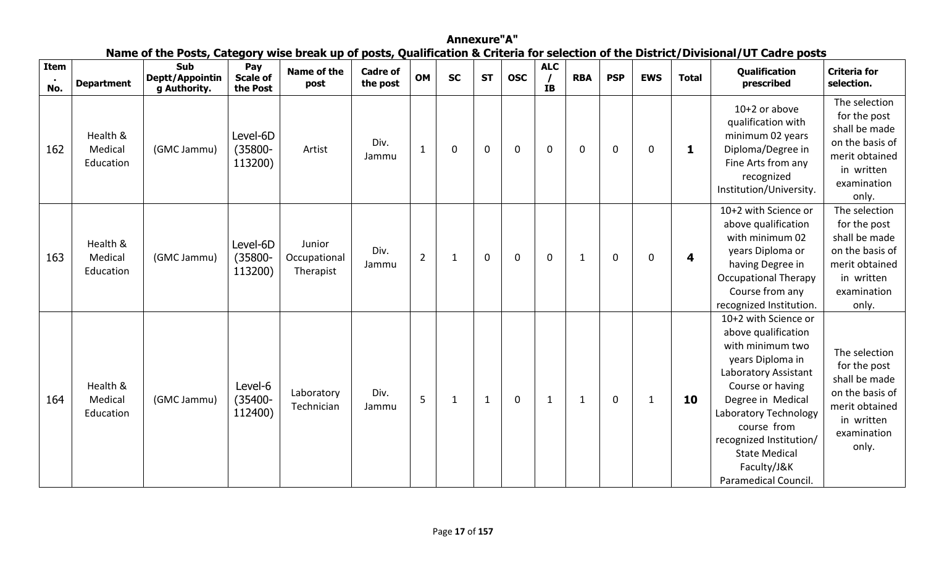|             |                                  |                                               |                                   |                                     |                             |                |              |              |             |                         |              |             |              |              | Name of the Posts, Category wise break up of posts, Qualification & Criteria for selection of the District/Divisional/UT Cadre posts                                                                                                                                                   |                                                                                                                           |
|-------------|----------------------------------|-----------------------------------------------|-----------------------------------|-------------------------------------|-----------------------------|----------------|--------------|--------------|-------------|-------------------------|--------------|-------------|--------------|--------------|----------------------------------------------------------------------------------------------------------------------------------------------------------------------------------------------------------------------------------------------------------------------------------------|---------------------------------------------------------------------------------------------------------------------------|
| Item<br>No. | <b>Department</b>                | <b>Sub</b><br>Deptt/Appointin<br>g Authority. | Pay<br>Scale of<br>the Post       | Name of the<br>post                 | <b>Cadre of</b><br>the post | <b>OM</b>      | <b>SC</b>    | <b>ST</b>    | <b>OSC</b>  | <b>ALC</b><br><b>IB</b> | <b>RBA</b>   | <b>PSP</b>  | <b>EWS</b>   | <b>Total</b> | <b>Qualification</b><br>prescribed                                                                                                                                                                                                                                                     | <b>Criteria for</b><br>selection.                                                                                         |
| 162         | Health &<br>Medical<br>Education | (GMC Jammu)                                   | Level-6D<br>$(35800 -$<br>113200) | Artist                              | Div.<br>Jammu               | $\mathbf{1}$   | $\Omega$     | $\mathbf 0$  | $\mathbf 0$ | $\mathbf 0$             | $\mathbf 0$  | $\mathbf 0$ | $\mathbf 0$  | 1            | $10+2$ or above<br>qualification with<br>minimum 02 years<br>Diploma/Degree in<br>Fine Arts from any<br>recognized<br>Institution/University.                                                                                                                                          | The selection<br>for the post<br>shall be made<br>on the basis of<br>merit obtained<br>in written<br>examination<br>only. |
| 163         | Health &<br>Medical<br>Education | (GMC Jammu)                                   | Level-6D<br>$(35800 -$<br>113200) | Junior<br>Occupational<br>Therapist | Div.<br>Jammu               | $\overline{2}$ | 1            | $\mathbf 0$  | $\mathbf 0$ | $\mathbf 0$             | 1            | 0           | 0            | 4            | 10+2 with Science or<br>above qualification<br>with minimum 02<br>years Diploma or<br>having Degree in<br><b>Occupational Therapy</b><br>Course from any<br>recognized Institution.                                                                                                    | The selection<br>for the post<br>shall be made<br>on the basis of<br>merit obtained<br>in written<br>examination<br>only. |
| 164         | Health &<br>Medical<br>Education | (GMC Jammu)                                   | Level-6<br>$(35400 -$<br>112400)  | Laboratory<br>Technician            | Div.<br>Jammu               | 5              | $\mathbf{1}$ | $\mathbf{1}$ | $\mathbf 0$ | $\mathbf 1$             | $\mathbf{1}$ | $\mathbf 0$ | $\mathbf{1}$ | 10           | 10+2 with Science or<br>above qualification<br>with minimum two<br>years Diploma in<br>Laboratory Assistant<br>Course or having<br>Degree in Medical<br>Laboratory Technology<br>course from<br>recognized Institution/<br><b>State Medical</b><br>Faculty/J&K<br>Paramedical Council. | The selection<br>for the post<br>shall be made<br>on the basis of<br>merit obtained<br>in written<br>examination<br>only. |

**Annexure"A" Name of the Posts, Category wise break up of posts, Qualification & Criteria for selection of the District/Divisional/UT Cadre posts**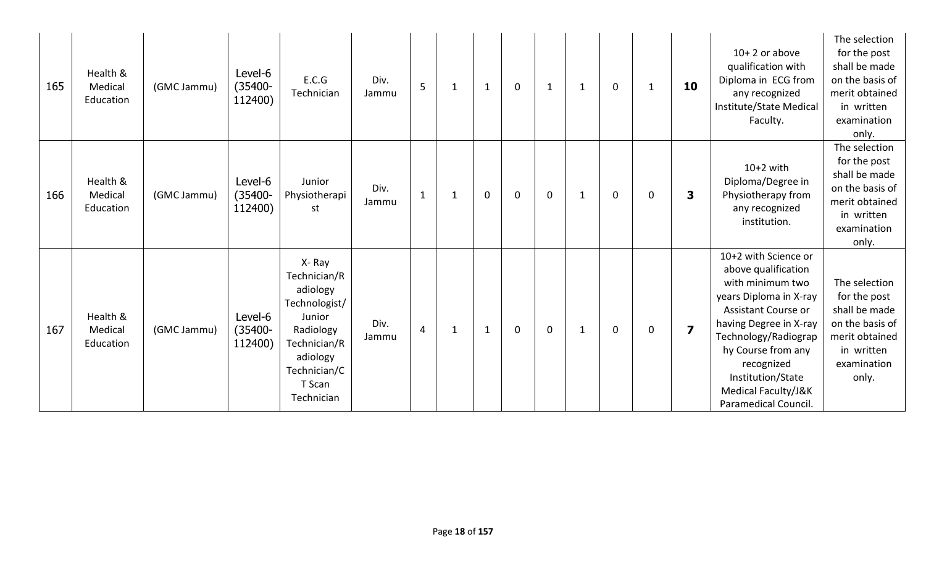| 165 | Health &<br>Medical<br>Education | (GMC Jammu) | Level-6<br>$(35400 -$<br>112400) | E.C.G<br>Technician                                                                                                                           | Div.<br>Jammu | 5              | 1            | $\mathbf{1}$ | $\mathbf 0$ | $\mathbf 1$ | $\mathbf{1}$ | $\mathbf 0$ | 1           | 10                      | $10+2$ or above<br>qualification with<br>Diploma in ECG from<br>any recognized<br>Institute/State Medical<br>Faculty.                                                                                                                                                      | The selection<br>for the post<br>shall be made<br>on the basis of<br>merit obtained<br>in written<br>examination<br>only. |
|-----|----------------------------------|-------------|----------------------------------|-----------------------------------------------------------------------------------------------------------------------------------------------|---------------|----------------|--------------|--------------|-------------|-------------|--------------|-------------|-------------|-------------------------|----------------------------------------------------------------------------------------------------------------------------------------------------------------------------------------------------------------------------------------------------------------------------|---------------------------------------------------------------------------------------------------------------------------|
| 166 | Health &<br>Medical<br>Education | (GMC Jammu) | Level-6<br>$(35400 -$<br>112400) | Junior<br>Physiotherapi<br>st                                                                                                                 | Div.<br>Jammu | $\mathbf{1}$   | 1            | $\mathbf 0$  | $\mathbf 0$ | $\mathbf 0$ | 1            | $\Omega$    | $\Omega$    | 3                       | $10+2$ with<br>Diploma/Degree in<br>Physiotherapy from<br>any recognized<br>institution.                                                                                                                                                                                   | The selection<br>for the post<br>shall be made<br>on the basis of<br>merit obtained<br>in written<br>examination<br>only. |
| 167 | Health &<br>Medical<br>Education | (GMC Jammu) | Level-6<br>$(35400 -$<br>112400) | X-Ray<br>Technician/R<br>adiology<br>Technologist/<br>Junior<br>Radiology<br>Technician/R<br>adiology<br>Technician/C<br>T Scan<br>Technician | Div.<br>Jammu | $\overline{4}$ | $\mathbf{1}$ | $\mathbf{1}$ | $\mathbf 0$ | $\mathbf 0$ | $\mathbf 1$  | 0           | $\mathbf 0$ | $\overline{\mathbf{z}}$ | 10+2 with Science or<br>above qualification<br>with minimum two<br>years Diploma in X-ray<br>Assistant Course or<br>having Degree in X-ray<br>Technology/Radiograp<br>hy Course from any<br>recognized<br>Institution/State<br>Medical Faculty/J&K<br>Paramedical Council. | The selection<br>for the post<br>shall be made<br>on the basis of<br>merit obtained<br>in written<br>examination<br>only. |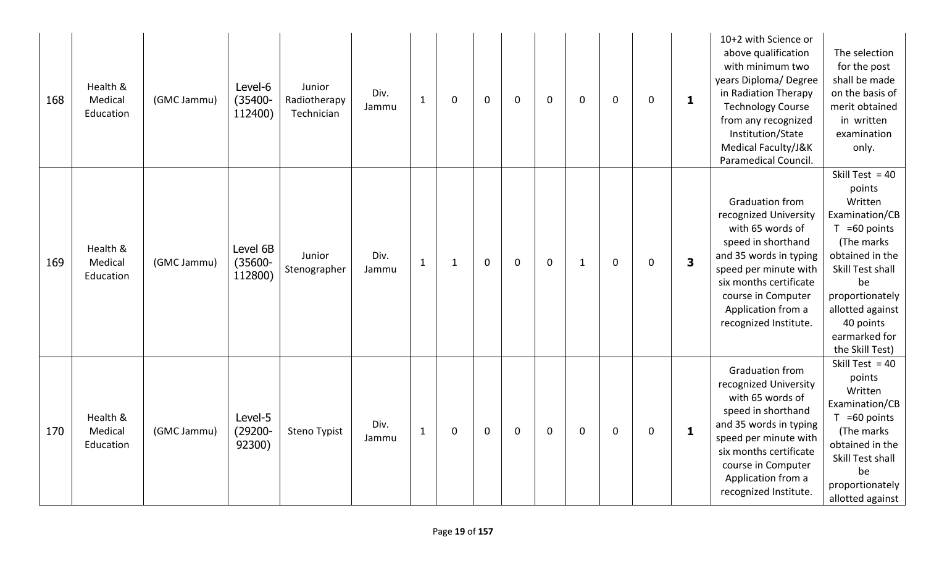| 168 | Health &<br>Medical<br>Education | (GMC Jammu) | Level-6<br>$(35400 -$<br>112400)  | Junior<br>Radiotherapy<br>Technician | Div.<br>Jammu | $\mathbf{1}$ | 0            | $\mathbf{0}$ | $\mathbf 0$ | $\mathbf 0$ | 0            | 0           | $\mathbf 0$ | $\mathbf{1}$ | 10+2 with Science or<br>above qualification<br>with minimum two<br>years Diploma/Degree<br>in Radiation Therapy<br><b>Technology Course</b><br>from any recognized<br>Institution/State<br>Medical Faculty/J&K<br>Paramedical Council.      | The selection<br>for the post<br>shall be made<br>on the basis of<br>merit obtained<br>in written<br>examination<br>only.                                                                                                      |
|-----|----------------------------------|-------------|-----------------------------------|--------------------------------------|---------------|--------------|--------------|--------------|-------------|-------------|--------------|-------------|-------------|--------------|---------------------------------------------------------------------------------------------------------------------------------------------------------------------------------------------------------------------------------------------|--------------------------------------------------------------------------------------------------------------------------------------------------------------------------------------------------------------------------------|
| 169 | Health &<br>Medical<br>Education | (GMC Jammu) | Level 6B<br>$(35600 -$<br>112800) | Junior<br>Stenographer               | Div.<br>Jammu | $\mathbf{1}$ | $\mathbf{1}$ | $\mathbf 0$  | $\mathbf 0$ | $\mathbf 0$ | $\mathbf{1}$ | $\mathbf 0$ | $\mathbf 0$ | 3            | <b>Graduation from</b><br>recognized University<br>with 65 words of<br>speed in shorthand<br>and 35 words in typing<br>speed per minute with<br>six months certificate<br>course in Computer<br>Application from a<br>recognized Institute. | Skill Test = $40$<br>points<br>Written<br>Examination/CB<br>$T = 60$ points<br>(The marks<br>obtained in the<br>Skill Test shall<br>be<br>proportionately<br>allotted against<br>40 points<br>earmarked for<br>the Skill Test) |
| 170 | Health &<br>Medical<br>Education | (GMC Jammu) | Level-5<br>$(29200 -$<br>92300)   | Steno Typist                         | Div.<br>Jammu | $\mathbf{1}$ | 0            | $\mathbf{0}$ | $\mathbf 0$ | $\mathbf 0$ | 0            | 0           | $\mathbf 0$ | $\mathbf{1}$ | Graduation from<br>recognized University<br>with 65 words of<br>speed in shorthand<br>and 35 words in typing<br>speed per minute with<br>six months certificate<br>course in Computer<br>Application from a<br>recognized Institute.        | Skill Test = $40$<br>points<br>Written<br>Examination/CB<br>$T = 60$ points<br>(The marks<br>obtained in the<br>Skill Test shall<br>be<br>proportionately<br>allotted against                                                  |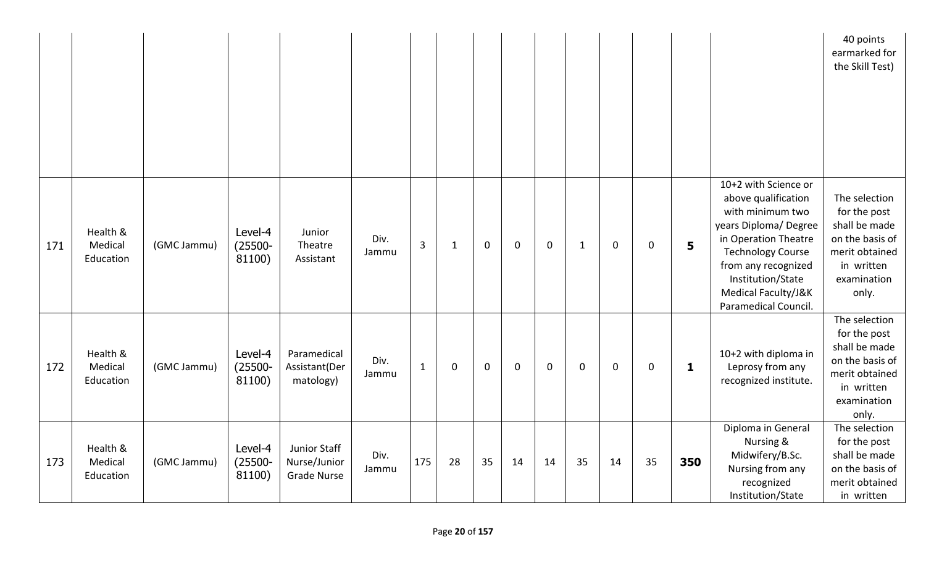|     |                                  |             |                                 |                                                    |               |                |              |             |             |             |              |             |             |              |                                                                                                                                                                                                                                        | 40 points<br>earmarked for<br>the Skill Test)                                                                             |
|-----|----------------------------------|-------------|---------------------------------|----------------------------------------------------|---------------|----------------|--------------|-------------|-------------|-------------|--------------|-------------|-------------|--------------|----------------------------------------------------------------------------------------------------------------------------------------------------------------------------------------------------------------------------------------|---------------------------------------------------------------------------------------------------------------------------|
| 171 | Health &<br>Medical<br>Education | (GMC Jammu) | Level-4<br>$(25500 -$<br>81100) | Junior<br>Theatre<br>Assistant                     | Div.<br>Jammu | $\overline{3}$ | $\mathbf{1}$ | $\mathbf 0$ | $\mathbf 0$ | $\mathbf 0$ | $\mathbf{1}$ | $\mathbf 0$ | $\mathbf 0$ | 5            | 10+2 with Science or<br>above qualification<br>with minimum two<br>years Diploma/Degree<br>in Operation Theatre<br><b>Technology Course</b><br>from any recognized<br>Institution/State<br>Medical Faculty/J&K<br>Paramedical Council. | The selection<br>for the post<br>shall be made<br>on the basis of<br>merit obtained<br>in written<br>examination<br>only. |
| 172 | Health &<br>Medical<br>Education | (GMC Jammu) | Level-4<br>$(25500 -$<br>81100) | Paramedical<br>Assistant(Der<br>matology)          | Div.<br>Jammu | $\mathbf{1}$   | 0            | $\mathbf 0$ | $\mathbf 0$ | $\mathbf 0$ | $\mathbf 0$  | $\mathbf 0$ | $\mathbf 0$ | $\mathbf{1}$ | 10+2 with diploma in<br>Leprosy from any<br>recognized institute.                                                                                                                                                                      | The selection<br>for the post<br>shall be made<br>on the basis of<br>merit obtained<br>in written<br>examination<br>only. |
| 173 | Health &<br>Medical<br>Education | (GMC Jammu) | Level-4<br>$(25500 -$<br>81100) | Junior Staff<br>Nurse/Junior<br><b>Grade Nurse</b> | Div.<br>Jammu | 175            | 28           | 35          | 14          | 14          | 35           | 14          | 35          | 350          | Diploma in General<br>Nursing &<br>Midwifery/B.Sc.<br>Nursing from any<br>recognized<br>Institution/State                                                                                                                              | The selection<br>for the post<br>shall be made<br>on the basis of<br>merit obtained<br>in written                         |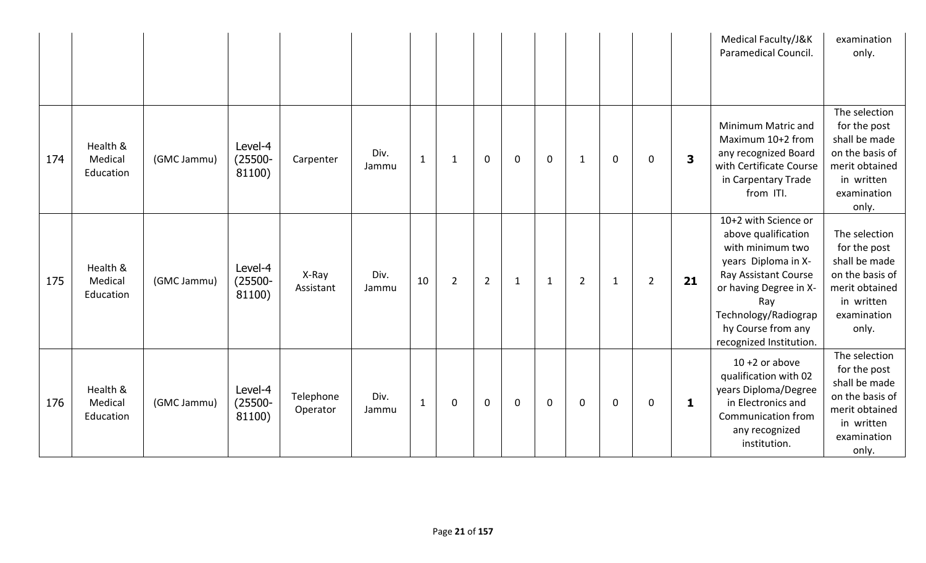|     |                                  |             |                                 |                       |               |              |                |                |              |              |                |              |                |                         | Medical Faculty/J&K<br>Paramedical Council.                                                                                                                                                                              | examination<br>only.                                                                                                      |
|-----|----------------------------------|-------------|---------------------------------|-----------------------|---------------|--------------|----------------|----------------|--------------|--------------|----------------|--------------|----------------|-------------------------|--------------------------------------------------------------------------------------------------------------------------------------------------------------------------------------------------------------------------|---------------------------------------------------------------------------------------------------------------------------|
| 174 | Health &<br>Medical<br>Education | (GMC Jammu) | Level-4<br>$(25500 -$<br>81100) | Carpenter             | Div.<br>Jammu | $\mathbf{1}$ | $\mathbf{1}$   | $\mathbf 0$    | $\mathbf 0$  | $\mathbf 0$  | $\mathbf{1}$   | $\mathbf 0$  | 0              | $\overline{\mathbf{3}}$ | Minimum Matric and<br>Maximum 10+2 from<br>any recognized Board<br>with Certificate Course<br>in Carpentary Trade<br>from ITI.                                                                                           | The selection<br>for the post<br>shall be made<br>on the basis of<br>merit obtained<br>in written<br>examination<br>only. |
| 175 | Health &<br>Medical<br>Education | (GMC Jammu) | Level-4<br>$(25500 -$<br>81100) | X-Ray<br>Assistant    | Div.<br>Jammu | 10           | $\overline{2}$ | $\overline{2}$ | $\mathbf{1}$ | $\mathbf{1}$ | $\overline{2}$ | $\mathbf{1}$ | $\overline{2}$ | 21                      | 10+2 with Science or<br>above qualification<br>with minimum two<br>years Diploma in X-<br>Ray Assistant Course<br>or having Degree in X-<br>Ray<br>Technology/Radiograp<br>hy Course from any<br>recognized Institution. | The selection<br>for the post<br>shall be made<br>on the basis of<br>merit obtained<br>in written<br>examination<br>only. |
| 176 | Health &<br>Medical<br>Education | (GMC Jammu) | Level-4<br>$(25500 -$<br>81100) | Telephone<br>Operator | Div.<br>Jammu | $\mathbf{1}$ | 0              | $\mathbf 0$    | $\mathbf 0$  | $\mathbf 0$  | 0              | $\mathbf 0$  | 0              | 1                       | $10 + 2$ or above<br>qualification with 02<br>years Diploma/Degree<br>in Electronics and<br>Communication from<br>any recognized<br>institution.                                                                         | The selection<br>for the post<br>shall be made<br>on the basis of<br>merit obtained<br>in written<br>examination<br>only. |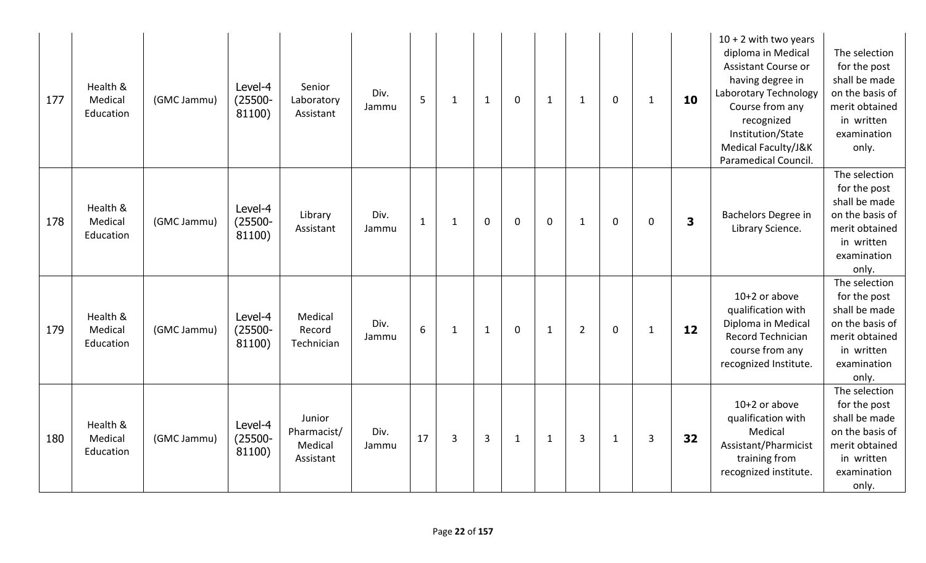| 177 | Health &<br>Medical<br>Education | (GMC Jammu) | Level-4<br>$(25500 -$<br>81100) | Senior<br>Laboratory<br>Assistant             | Div.<br>Jammu | 5            | 1            | $\mathbf{1}$   | $\mathbf 0$  | $\mathbf{1}$ | $\mathbf{1}$   | $\mathbf 0$  | $\mathbf{1}$ | 10 | $10 + 2$ with two years<br>diploma in Medical<br>Assistant Course or<br>having degree in<br>Laborotary Technology<br>Course from any<br>recognized<br>Institution/State<br>Medical Faculty/J&K<br>Paramedical Council. | The selection<br>for the post<br>shall be made<br>on the basis of<br>merit obtained<br>in written<br>examination<br>only. |
|-----|----------------------------------|-------------|---------------------------------|-----------------------------------------------|---------------|--------------|--------------|----------------|--------------|--------------|----------------|--------------|--------------|----|------------------------------------------------------------------------------------------------------------------------------------------------------------------------------------------------------------------------|---------------------------------------------------------------------------------------------------------------------------|
| 178 | Health &<br>Medical<br>Education | (GMC Jammu) | Level-4<br>$(25500 -$<br>81100) | Library<br>Assistant                          | Div.<br>Jammu | $\mathbf{1}$ | $\mathbf{1}$ | $\Omega$       | $\mathbf 0$  | $\mathbf 0$  | $\mathbf{1}$   | $\mathbf 0$  | $\mathbf 0$  | 3  | Bachelors Degree in<br>Library Science.                                                                                                                                                                                | The selection<br>for the post<br>shall be made<br>on the basis of<br>merit obtained<br>in written<br>examination<br>only. |
| 179 | Health &<br>Medical<br>Education | (GMC Jammu) | Level-4<br>$(25500 -$<br>81100) | Medical<br>Record<br>Technician               | Div.<br>Jammu | 6            | $\mathbf{1}$ | $\mathbf{1}$   | $\mathbf 0$  | $\mathbf{1}$ | $\overline{2}$ | $\mathbf 0$  | $\mathbf{1}$ | 12 | $10+2$ or above<br>qualification with<br>Diploma in Medical<br><b>Record Technician</b><br>course from any<br>recognized Institute.                                                                                    | The selection<br>for the post<br>shall be made<br>on the basis of<br>merit obtained<br>in written<br>examination<br>only. |
| 180 | Health &<br>Medical<br>Education | (GMC Jammu) | Level-4<br>$(25500 -$<br>81100) | Junior<br>Pharmacist/<br>Medical<br>Assistant | Div.<br>Jammu | 17           | 3            | $\overline{3}$ | $\mathbf{1}$ | $\mathbf{1}$ | 3              | $\mathbf{1}$ | 3            | 32 | 10+2 or above<br>qualification with<br>Medical<br>Assistant/Pharmicist<br>training from<br>recognized institute.                                                                                                       | The selection<br>for the post<br>shall be made<br>on the basis of<br>merit obtained<br>in written<br>examination<br>only. |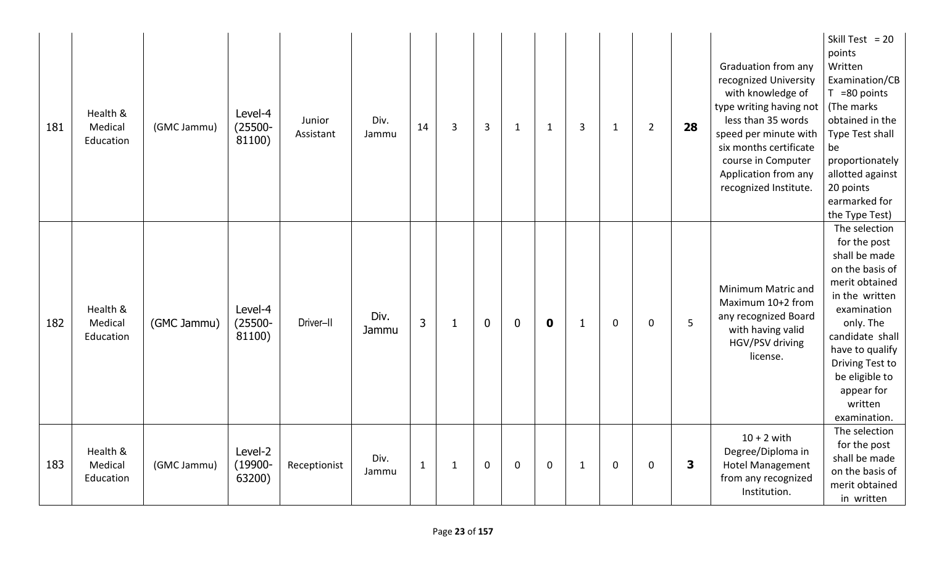| 181 | Health &<br>Medical<br>Education | (GMC Jammu) | Level-4<br>$(25500 -$<br>81100) | Junior<br>Assistant | Div.<br>Jammu | 14             | 3            | $\overline{3}$ | $\mathbf{1}$     | $\mathbf{1}$ | 3            | $\mathbf{1}$ | $\overline{2}$ | 28 | Graduation from any<br>recognized University<br>with knowledge of<br>type writing having not<br>less than 35 words<br>speed per minute with<br>six months certificate<br>course in Computer<br>Application from any<br>recognized Institute. | Skill Test = $20$<br>points<br>Written<br>Examination/CB<br>$T = 80$ points<br>(The marks<br>obtained in the<br>Type Test shall<br>be<br>proportionately<br>allotted against<br>20 points<br>earmarked for<br>the Type Test)                          |
|-----|----------------------------------|-------------|---------------------------------|---------------------|---------------|----------------|--------------|----------------|------------------|--------------|--------------|--------------|----------------|----|----------------------------------------------------------------------------------------------------------------------------------------------------------------------------------------------------------------------------------------------|-------------------------------------------------------------------------------------------------------------------------------------------------------------------------------------------------------------------------------------------------------|
| 182 | Health &<br>Medical<br>Education | (GMC Jammu) | Level-4<br>$(25500 -$<br>81100) | Driver-II           | Div.<br>Jammu | $\overline{3}$ | 1            | $\mathbf 0$    | $\boldsymbol{0}$ | $\mathbf 0$  | -1           | $\mathbf 0$  | $\mathbf 0$    | 5  | Minimum Matric and<br>Maximum 10+2 from<br>any recognized Board<br>with having valid<br>HGV/PSV driving<br>license.                                                                                                                          | The selection<br>for the post<br>shall be made<br>on the basis of<br>merit obtained<br>in the written<br>examination<br>only. The<br>candidate shall<br>have to qualify<br>Driving Test to<br>be eligible to<br>appear for<br>written<br>examination. |
| 183 | Health &<br>Medical<br>Education | (GMC Jammu) | Level-2<br>$(19900 -$<br>63200) | Receptionist        | Div.<br>Jammu | $\overline{1}$ | $\mathbf{1}$ | $\mathbf 0$    | $\mathbf 0$      | $\mathbf 0$  | $\mathbf{1}$ | $\mathbf 0$  | $\mathbf 0$    | 3  | $10 + 2$ with<br>Degree/Diploma in<br><b>Hotel Management</b><br>from any recognized<br>Institution.                                                                                                                                         | The selection<br>for the post<br>shall be made<br>on the basis of<br>merit obtained<br>in written                                                                                                                                                     |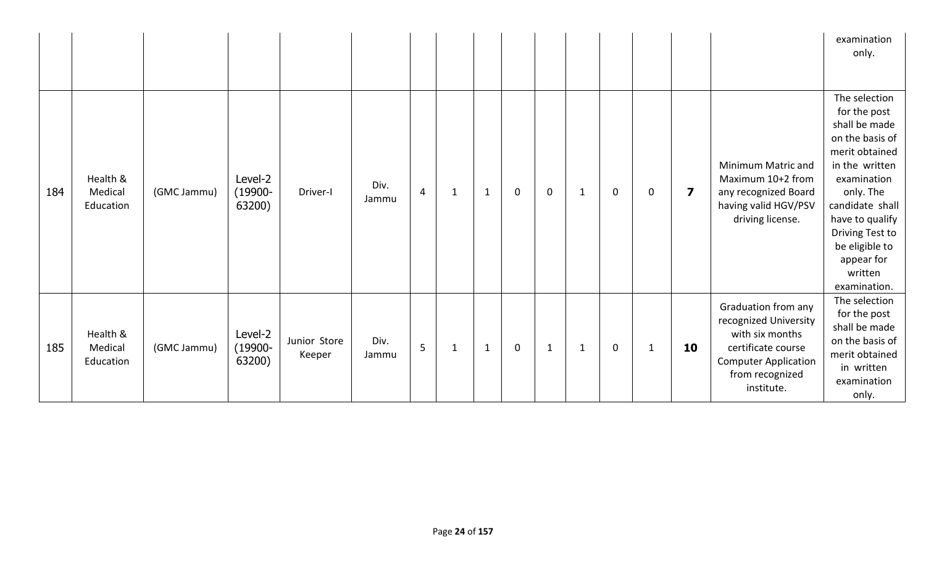|     |                                  |             |                                 |                        |               |                 |              |              |             |              |              |   |              |                         |                                                                                                                                                       | examination<br>only.                                                                                                                                                                                                                                  |
|-----|----------------------------------|-------------|---------------------------------|------------------------|---------------|-----------------|--------------|--------------|-------------|--------------|--------------|---|--------------|-------------------------|-------------------------------------------------------------------------------------------------------------------------------------------------------|-------------------------------------------------------------------------------------------------------------------------------------------------------------------------------------------------------------------------------------------------------|
| 184 | Health &<br>Medical<br>Education | (GMC Jammu) | Level-2<br>$(19900 -$<br>63200) | Driver-I               | Div.<br>Jammu | 4               | $\mathbf{1}$ | $\mathbf{1}$ | $\mathbf 0$ | $\mathbf 0$  | $\mathbf{1}$ | 0 | $\mathbf 0$  | $\overline{\mathbf{z}}$ | Minimum Matric and<br>Maximum 10+2 from<br>any recognized Board<br>having valid HGV/PSV<br>driving license.                                           | The selection<br>for the post<br>shall be made<br>on the basis of<br>merit obtained<br>in the written<br>examination<br>only. The<br>candidate shall<br>have to qualify<br>Driving Test to<br>be eligible to<br>appear for<br>written<br>examination. |
| 185 | Health &<br>Medical<br>Education | (GMC Jammu) | Level-2<br>$(19900 -$<br>63200) | Junior Store<br>Keeper | Div.<br>Jammu | $5\overline{)}$ | $\mathbf{1}$ | $\mathbf{1}$ | $\mathbf 0$ | $\mathbf{1}$ | $\mathbf{1}$ | 0 | $\mathbf{1}$ | 10                      | Graduation from any<br>recognized University<br>with six months<br>certificate course<br><b>Computer Application</b><br>from recognized<br>institute. | The selection<br>for the post<br>shall be made<br>on the basis of<br>merit obtained<br>in written<br>examination<br>only.                                                                                                                             |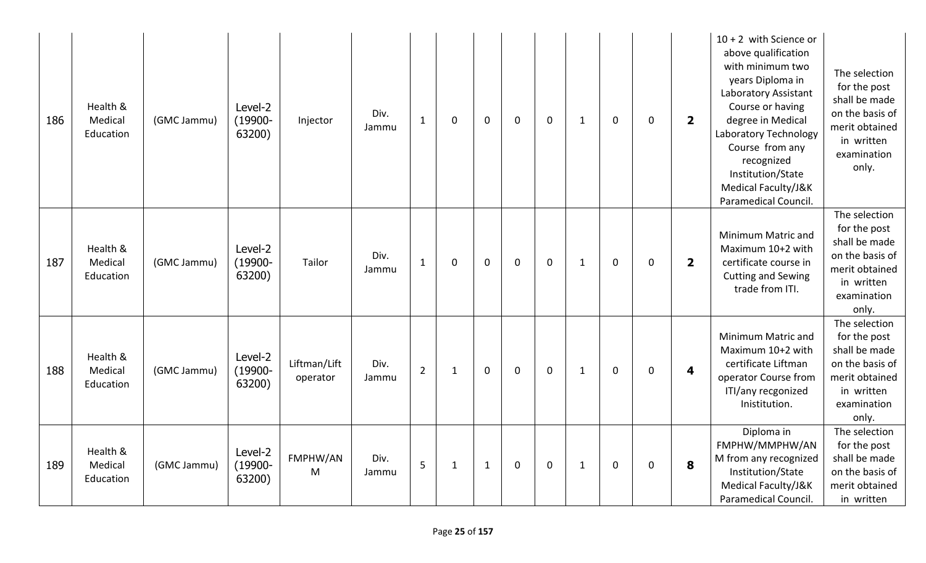| 186 | Health &<br>Medical<br>Education | (GMC Jammu) | Level-2<br>$(19900 -$<br>63200) | Injector                 | Div.<br>Jammu | $\mathbf{1}$   | 0            | $\mathbf 0$  | $\mathbf 0$ | $\mathbf 0$ | $\mathbf{1}$ | $\mathbf 0$ | $\mathbf{0}$ | $\overline{\mathbf{2}}$ | $10 + 2$ with Science or<br>above qualification<br>with minimum two<br>years Diploma in<br>Laboratory Assistant<br>Course or having<br>degree in Medical<br>Laboratory Technology<br>Course from any<br>recognized<br>Institution/State<br>Medical Faculty/J&K<br>Paramedical Council. | The selection<br>for the post<br>shall be made<br>on the basis of<br>merit obtained<br>in written<br>examination<br>only. |
|-----|----------------------------------|-------------|---------------------------------|--------------------------|---------------|----------------|--------------|--------------|-------------|-------------|--------------|-------------|--------------|-------------------------|----------------------------------------------------------------------------------------------------------------------------------------------------------------------------------------------------------------------------------------------------------------------------------------|---------------------------------------------------------------------------------------------------------------------------|
| 187 | Health &<br>Medical<br>Education | (GMC Jammu) | Level-2<br>$(19900 -$<br>63200) | Tailor                   | Div.<br>Jammu | $\mathbf{1}$   | $\mathbf{0}$ | $\mathbf 0$  | $\mathbf 0$ | $\mathbf 0$ | $\mathbf{1}$ | $\mathbf 0$ | $\mathbf 0$  | $\overline{\mathbf{2}}$ | Minimum Matric and<br>Maximum 10+2 with<br>certificate course in<br><b>Cutting and Sewing</b><br>trade from ITI.                                                                                                                                                                       | The selection<br>for the post<br>shall be made<br>on the basis of<br>merit obtained<br>in written<br>examination<br>only. |
| 188 | Health &<br>Medical<br>Education | (GMC Jammu) | Level-2<br>$(19900 -$<br>63200) | Liftman/Lift<br>operator | Div.<br>Jammu | $\overline{2}$ | $\mathbf{1}$ | $\mathbf 0$  | $\mathbf 0$ | $\mathbf 0$ | $\mathbf{1}$ | $\mathbf 0$ | 0            | 4                       | Minimum Matric and<br>Maximum 10+2 with<br>certificate Liftman<br>operator Course from<br>ITI/any recgonized<br>Inistitution.                                                                                                                                                          | The selection<br>for the post<br>shall be made<br>on the basis of<br>merit obtained<br>in written<br>examination<br>only. |
| 189 | Health &<br>Medical<br>Education | (GMC Jammu) | Level-2<br>$(19900 -$<br>63200) | FMPHW/AN<br>M            | Div.<br>Jammu | 5              | 1            | $\mathbf{1}$ | $\mathbf 0$ | $\mathbf 0$ | $\mathbf{1}$ | $\mathbf 0$ | $\mathbf 0$  | 8                       | Diploma in<br>FMPHW/MMPHW/AN<br>M from any recognized<br>Institution/State<br>Medical Faculty/J&K<br>Paramedical Council.                                                                                                                                                              | The selection<br>for the post<br>shall be made<br>on the basis of<br>merit obtained<br>in written                         |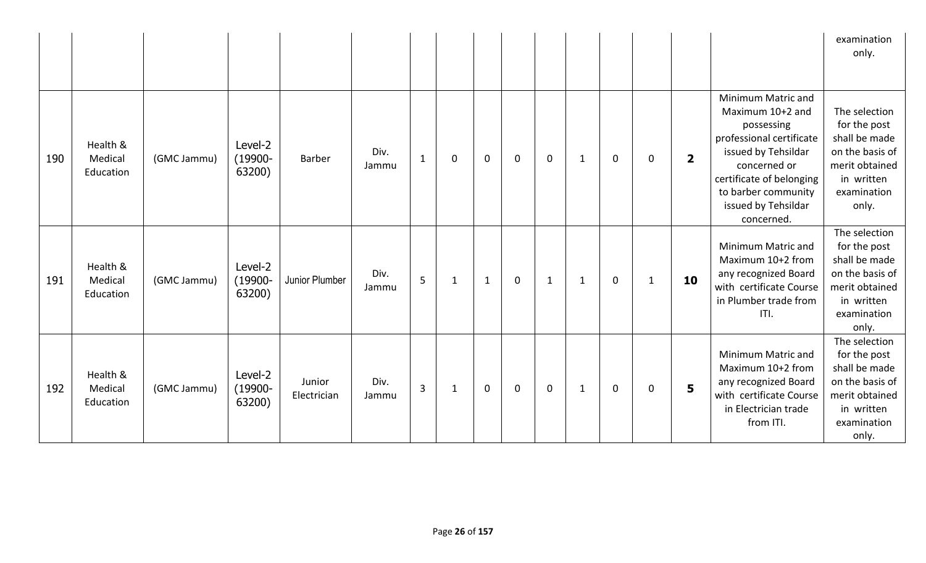|     |                                  |             |                                 |                       |               |                |              |              |              |              |              |             |              |                |                                                                                                                                                                                                                 | examination<br>only.                                                                                                      |
|-----|----------------------------------|-------------|---------------------------------|-----------------------|---------------|----------------|--------------|--------------|--------------|--------------|--------------|-------------|--------------|----------------|-----------------------------------------------------------------------------------------------------------------------------------------------------------------------------------------------------------------|---------------------------------------------------------------------------------------------------------------------------|
| 190 | Health &<br>Medical<br>Education | (GMC Jammu) | Level-2<br>$(19900 -$<br>63200) | Barber                | Div.<br>Jammu | $\mathbf{1}$   | 0            | $\mathbf 0$  | $\Omega$     | $\mathbf 0$  | 1            | 0           | 0            | $\overline{2}$ | Minimum Matric and<br>Maximum 10+2 and<br>possessing<br>professional certificate<br>issued by Tehsildar<br>concerned or<br>certificate of belonging<br>to barber community<br>issued by Tehsildar<br>concerned. | The selection<br>for the post<br>shall be made<br>on the basis of<br>merit obtained<br>in written<br>examination<br>only. |
| 191 | Health &<br>Medical<br>Education | (GMC Jammu) | Level-2<br>$(19900 -$<br>63200) | Junior Plumber        | Div.<br>Jammu | 5              | $\mathbf{1}$ | $\mathbf{1}$ | $\mathbf{0}$ | $\mathbf{1}$ | $\mathbf{1}$ | $\mathbf 0$ | $\mathbf{1}$ | 10             | Minimum Matric and<br>Maximum 10+2 from<br>any recognized Board<br>with certificate Course<br>in Plumber trade from<br>ITI.                                                                                     | The selection<br>for the post<br>shall be made<br>on the basis of<br>merit obtained<br>in written<br>examination<br>only. |
| 192 | Health &<br>Medical<br>Education | (GMC Jammu) | Level-2<br>$(19900 -$<br>63200) | Junior<br>Electrician | Div.<br>Jammu | $\overline{3}$ | $\mathbf{1}$ | $\mathbf 0$  | $\mathbf 0$  | $\mathbf 0$  | $\mathbf{1}$ | $\mathbf 0$ | 0            | 5              | Minimum Matric and<br>Maximum 10+2 from<br>any recognized Board<br>with certificate Course<br>in Electrician trade<br>from ITI.                                                                                 | The selection<br>for the post<br>shall be made<br>on the basis of<br>merit obtained<br>in written<br>examination<br>only. |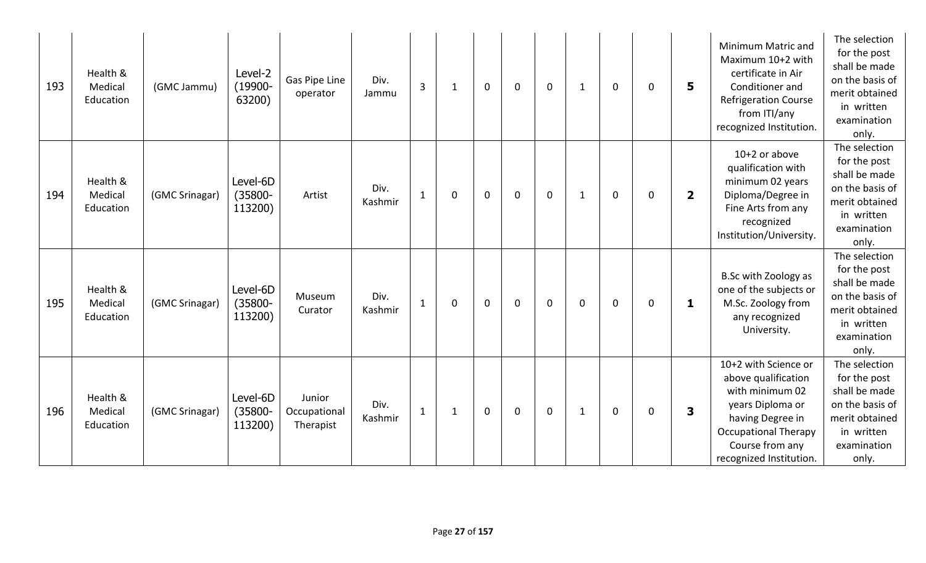| 193 | Health &<br>Medical<br>Education | (GMC Jammu)    | Level-2<br>$(19900 -$<br>63200)   | Gas Pipe Line<br>operator           | Div.<br>Jammu   | $\overline{3}$ | $\mathbf{1}$ | $\mathbf 0$ | $\mathbf 0$ | $\mathbf 0$ | $\mathbf{1}$ | 0           | 0           | 5                       | Minimum Matric and<br>Maximum 10+2 with<br>certificate in Air<br>Conditioner and<br><b>Refrigeration Course</b><br>from ITI/any<br>recognized Institution.                          | The selection<br>for the post<br>shall be made<br>on the basis of<br>merit obtained<br>in written<br>examination<br>only. |
|-----|----------------------------------|----------------|-----------------------------------|-------------------------------------|-----------------|----------------|--------------|-------------|-------------|-------------|--------------|-------------|-------------|-------------------------|-------------------------------------------------------------------------------------------------------------------------------------------------------------------------------------|---------------------------------------------------------------------------------------------------------------------------|
| 194 | Health &<br>Medical<br>Education | (GMC Srinagar) | Level-6D<br>(35800-<br>113200)    | Artist                              | Div.<br>Kashmir | $\mathbf{1}$   | $\mathbf 0$  | $\mathbf 0$ | $\mathbf 0$ | $\mathbf 0$ | $\mathbf{1}$ | $\mathbf 0$ | 0           | $\overline{\mathbf{2}}$ | $10+2$ or above<br>qualification with<br>minimum 02 years<br>Diploma/Degree in<br>Fine Arts from any<br>recognized<br>Institution/University.                                       | The selection<br>for the post<br>shall be made<br>on the basis of<br>merit obtained<br>in written<br>examination<br>only. |
| 195 | Health &<br>Medical<br>Education | (GMC Srinagar) | Level-6D<br>$(35800 -$<br>113200) | Museum<br>Curator                   | Div.<br>Kashmir | $\mathbf{1}$   | 0            | $\mathbf 0$ | $\mathbf 0$ | $\mathbf 0$ | 0            | $\mathbf 0$ | $\mathbf 0$ | $\mathbf{1}$            | <b>B.Sc with Zoology as</b><br>one of the subjects or<br>M.Sc. Zoology from<br>any recognized<br>University.                                                                        | The selection<br>for the post<br>shall be made<br>on the basis of<br>merit obtained<br>in written<br>examination<br>only. |
| 196 | Health &<br>Medical<br>Education | (GMC Srinagar) | Level-6D<br>$(35800 -$<br>113200) | Junior<br>Occupational<br>Therapist | Div.<br>Kashmir | $\mathbf{1}$   | 1            | $\mathbf 0$ | $\mathbf 0$ | $\mathbf 0$ | $\mathbf{1}$ | 0           | 0           | 3                       | 10+2 with Science or<br>above qualification<br>with minimum 02<br>years Diploma or<br>having Degree in<br><b>Occupational Therapy</b><br>Course from any<br>recognized Institution. | The selection<br>for the post<br>shall be made<br>on the basis of<br>merit obtained<br>in written<br>examination<br>only. |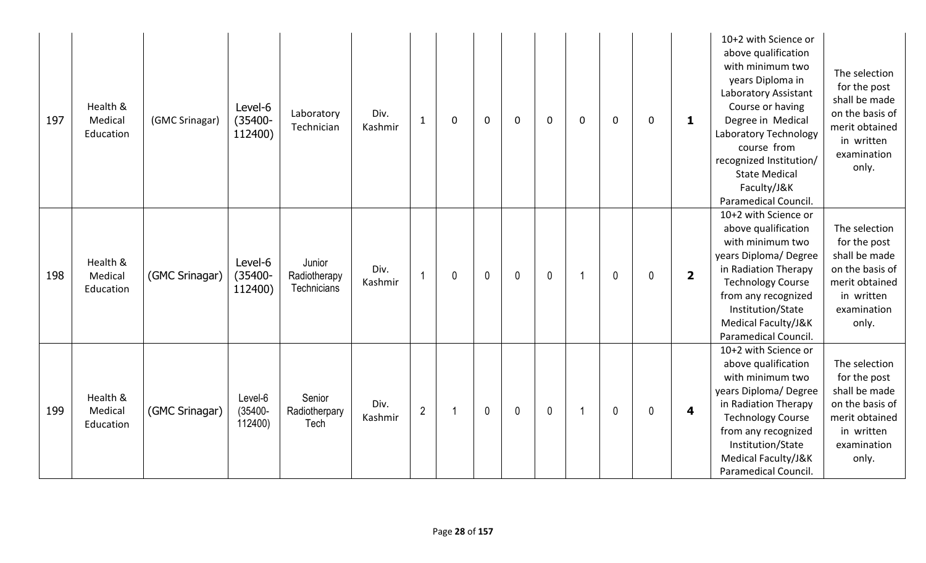| 197 | Health &<br>Medical<br>Education | (GMC Srinagar) | Level-6<br>$(35400 -$<br>112400) | Laboratory<br>Technician              | Div.<br>$\mathbf{1}$<br>Kashmir   | $\Omega$    | $\mathbf 0$ | $\mathbf 0$  | $\mathbf 0$ | $\mathbf 0$ | $\mathbf 0$  | $\mathbf 0$ | 1                       | 10+2 with Science or<br>above qualification<br>with minimum two<br>years Diploma in<br>Laboratory Assistant<br>Course or having<br>Degree in Medical<br>Laboratory Technology<br>course from<br>recognized Institution/<br><b>State Medical</b><br>Faculty/J&K<br>Paramedical Council | The selection<br>for the post<br>shall be made<br>on the basis of<br>merit obtained<br>in written<br>examination<br>only. |
|-----|----------------------------------|----------------|----------------------------------|---------------------------------------|-----------------------------------|-------------|-------------|--------------|-------------|-------------|--------------|-------------|-------------------------|---------------------------------------------------------------------------------------------------------------------------------------------------------------------------------------------------------------------------------------------------------------------------------------|---------------------------------------------------------------------------------------------------------------------------|
| 198 | Health &<br>Medical<br>Education | (GMC Srinagar) | Level-6<br>$(35400 -$<br>112400) | Junior<br>Radiotherapy<br>Technicians | Div.<br>Kashmir                   | $\mathbf 0$ | $\mathbf 0$ | $\mathbf 0$  | $\mathbf 0$ |             | $\mathbf{0}$ | $\mathbf 0$ | $\overline{\mathbf{2}}$ | 10+2 with Science or<br>above qualification<br>with minimum two<br>years Diploma/Degree<br>in Radiation Therapy<br><b>Technology Course</b><br>from any recognized<br>Institution/State<br>Medical Faculty/J&K<br>Paramedical Council.                                                | The selection<br>for the post<br>shall be made<br>on the basis of<br>merit obtained<br>in written<br>examination<br>only. |
| 199 | Health &<br>Medical<br>Education | (GMC Srinagar) | Level-6<br>$(35400 -$<br>112400) | Senior<br>Radiotherpary<br>Tech       | Div.<br>$\overline{2}$<br>Kashmir |             | $\mathbf 0$ | $\mathbf{0}$ | $\mathbf 0$ |             | $\mathbf{0}$ | 0           | $\overline{\mathbf{4}}$ | 10+2 with Science or<br>above qualification<br>with minimum two<br>years Diploma/Degree<br>in Radiation Therapy<br><b>Technology Course</b><br>from any recognized<br>Institution/State<br>Medical Faculty/J&K<br>Paramedical Council.                                                | The selection<br>for the post<br>shall be made<br>on the basis of<br>merit obtained<br>in written<br>examination<br>only. |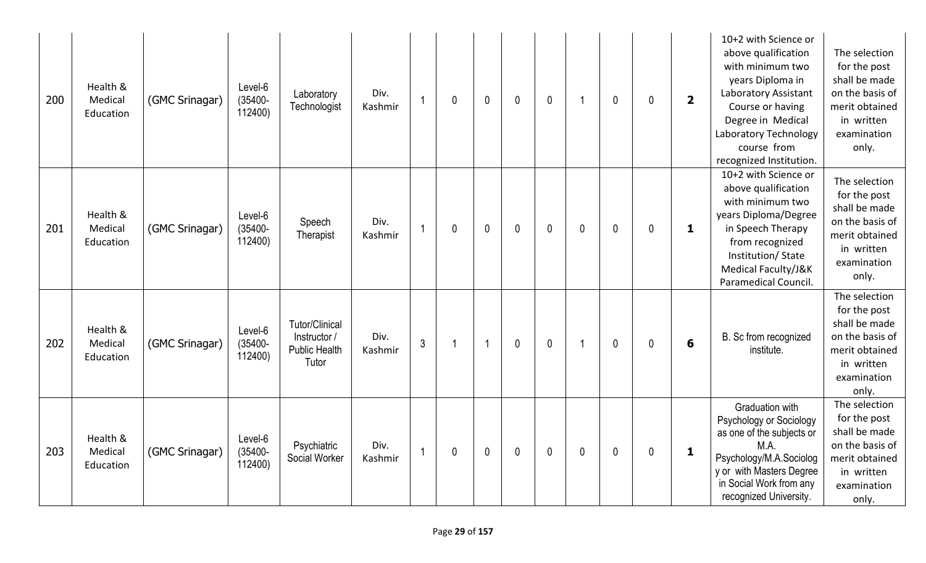| 200 | Health &<br>Medical<br>Education | (GMC Srinagar) | Level-6<br>$(35400 -$<br>112400) | Laboratory<br>Technologist                                             | Div.<br>Kashmir | 1              | 0           | $\mathbf{0}$            | $\mathbf{0}$ | $\mathbf{0}$ | 1              | $\mathbf{0}$ | 0 | $\overline{\mathbf{2}}$ | 10+2 with Science or<br>above qualification<br>with minimum two<br>years Diploma in<br>Laboratory Assistant<br>Course or having<br>Degree in Medical<br>Laboratory Technology<br>course from<br>recognized Institution. | The selection<br>for the post<br>shall be made<br>on the basis of<br>merit obtained<br>in written<br>examination<br>only. |
|-----|----------------------------------|----------------|----------------------------------|------------------------------------------------------------------------|-----------------|----------------|-------------|-------------------------|--------------|--------------|----------------|--------------|---|-------------------------|-------------------------------------------------------------------------------------------------------------------------------------------------------------------------------------------------------------------------|---------------------------------------------------------------------------------------------------------------------------|
| 201 | Health &<br>Medical<br>Education | (GMC Srinagar) | Level-6<br>$(35400 -$<br>112400) | Speech<br>Therapist                                                    | Div.<br>Kashmir | 1              | 0           | $\mathbf{0}$            | $\mathbf 0$  | $\mathbf 0$  | $\mathbf{0}$   | $\mathbf 0$  | 0 | 1                       | 10+2 with Science or<br>above qualification<br>with minimum two<br>years Diploma/Degree<br>in Speech Therapy<br>from recognized<br>Institution/State<br>Medical Faculty/J&K<br>Paramedical Council.                     | The selection<br>for the post<br>shall be made<br>on the basis of<br>merit obtained<br>in written<br>examination<br>only. |
| 202 | Health &<br>Medical<br>Education | (GMC Srinagar) | Level-6<br>$(35400 -$<br>112400) | <b>Tutor/Clinical</b><br>Instructor /<br><b>Public Health</b><br>Tutor | Div.<br>Kashmir | $\overline{3}$ |             | $\overline{\mathbf{1}}$ | $\mathbf{0}$ | $\mathbf 0$  | $\overline{1}$ | $\mathbf 0$  | 0 | $6\phantom{1}6$         | B. Sc from recognized<br>institute.                                                                                                                                                                                     | The selection<br>for the post<br>shall be made<br>on the basis of<br>merit obtained<br>in written<br>examination<br>only. |
| 203 | Health &<br>Medical<br>Education | (GMC Srinagar) | Level-6<br>$(35400 -$<br>112400) | Psychiatric<br>Social Worker                                           | Div.<br>Kashmir | $\overline{1}$ | $\mathbf 0$ | $\mathbf{0}$            | $\mathbf 0$  | $\mathbf 0$  | 0              | $\mathbf 0$  | 0 | 1                       | Graduation with<br>Psychology or Sociology<br>as one of the subjects or<br>M.A.<br>Psychology/M.A.Sociolog<br>y or with Masters Degree<br>in Social Work from any<br>recognized University.                             | The selection<br>for the post<br>shall be made<br>on the basis of<br>merit obtained<br>in written<br>examination<br>only. |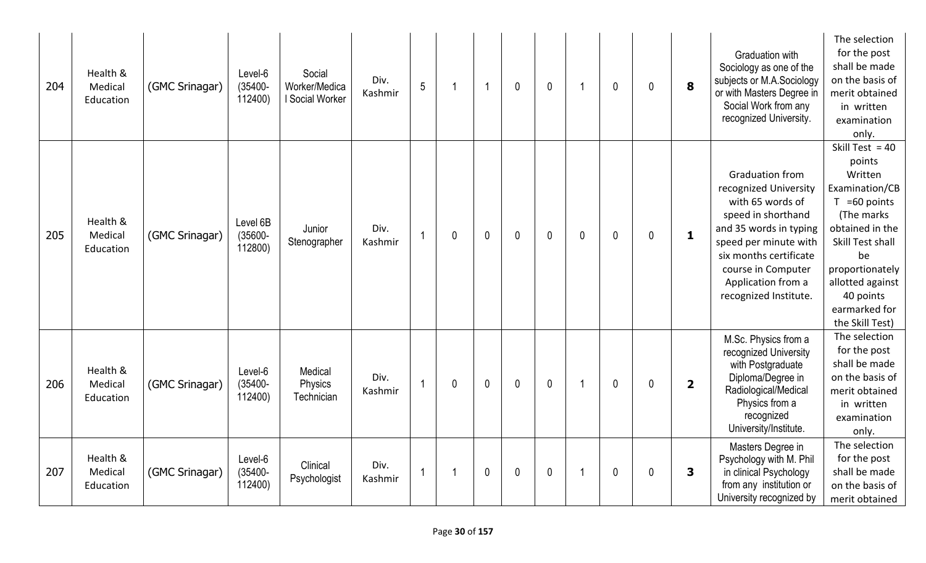| 204 | Health &<br>Medical<br>Education | (GMC Srinagar) | Level-6<br>$(35400 -$<br>112400)  | Social<br>Worker/Medica<br>I Social Worker | Div.<br>Kashmir | 5 |   | -1           | $\mathbf{0}$ | $\mathbf 0$  |              | 0            | 0 | 8              | <b>Graduation with</b><br>Sociology as one of the<br>subjects or M.A.Sociology<br>or with Masters Degree in<br>Social Work from any<br>recognized University.                                                                               | The selection<br>for the post<br>shall be made<br>on the basis of<br>merit obtained<br>in written<br>examination<br>only.                                                                                                      |
|-----|----------------------------------|----------------|-----------------------------------|--------------------------------------------|-----------------|---|---|--------------|--------------|--------------|--------------|--------------|---|----------------|---------------------------------------------------------------------------------------------------------------------------------------------------------------------------------------------------------------------------------------------|--------------------------------------------------------------------------------------------------------------------------------------------------------------------------------------------------------------------------------|
| 205 | Health &<br>Medical<br>Education | (GMC Srinagar) | Level 6B<br>$(35600 -$<br>112800) | Junior<br>Stenographer                     | Div.<br>Kashmir |   | 0 | $\mathbf{0}$ | $\mathbf{0}$ | $\mathbf{0}$ | $\mathbf{0}$ | $\mathbf{0}$ | 0 | $\mathbf{1}$   | <b>Graduation from</b><br>recognized University<br>with 65 words of<br>speed in shorthand<br>and 35 words in typing<br>speed per minute with<br>six months certificate<br>course in Computer<br>Application from a<br>recognized Institute. | Skill Test = $40$<br>points<br>Written<br>Examination/CB<br>$T = 60$ points<br>(The marks<br>obtained in the<br>Skill Test shall<br>be<br>proportionately<br>allotted against<br>40 points<br>earmarked for<br>the Skill Test) |
| 206 | Health &<br>Medical<br>Education | (GMC Srinagar) | Level-6<br>$(35400 -$<br>112400)  | Medical<br>Physics<br>Technician           | Div.<br>Kashmir |   | 0 | $\mathbf 0$  | $\mathbf{0}$ | $\mathbf 0$  |              | $\mathbf 0$  | 0 | $\overline{2}$ | M.Sc. Physics from a<br>recognized University<br>with Postgraduate<br>Diploma/Degree in<br>Radiological/Medical<br>Physics from a<br>recognized<br>University/Institute.                                                                    | The selection<br>for the post<br>shall be made<br>on the basis of<br>merit obtained<br>in written<br>examination<br>only.                                                                                                      |
| 207 | Health &<br>Medical<br>Education | (GMC Srinagar) | Level-6<br>$(35400 -$<br>112400)  | Clinical<br>Psychologist                   | Div.<br>Kashmir |   |   | $\mathbf 0$  | $\mathbf{0}$ | $\mathbf 0$  |              | $\mathbf 0$  | 0 | 3              | Masters Degree in<br>Psychology with M. Phil<br>in clinical Psychology<br>from any institution or<br>University recognized by                                                                                                               | The selection<br>for the post<br>shall be made<br>on the basis of<br>merit obtained                                                                                                                                            |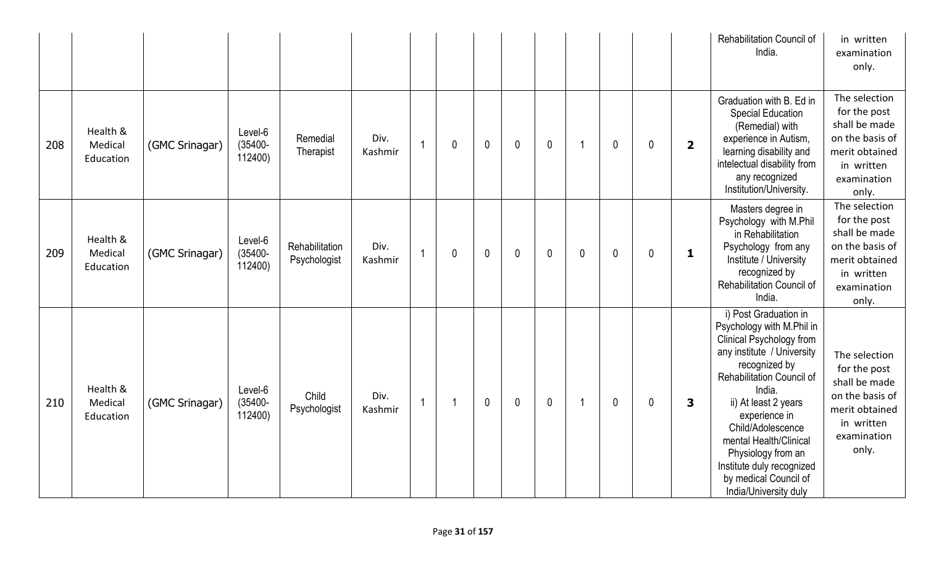|     |                                  |                |                                  |                                |                 |                |   |              |              |              |              |              |              |                         | Rehabilitation Council of<br>India.                                                                                                                                                                                                                                                                                                                               | in written<br>examination<br>only.                                                                                        |
|-----|----------------------------------|----------------|----------------------------------|--------------------------------|-----------------|----------------|---|--------------|--------------|--------------|--------------|--------------|--------------|-------------------------|-------------------------------------------------------------------------------------------------------------------------------------------------------------------------------------------------------------------------------------------------------------------------------------------------------------------------------------------------------------------|---------------------------------------------------------------------------------------------------------------------------|
| 208 | Health &<br>Medical<br>Education | (GMC Srinagar) | Level-6<br>$(35400 -$<br>112400) | Remedial<br>Therapist          | Div.<br>Kashmir | $\overline{1}$ | 0 | $\mathbf{0}$ | $\mathbf{0}$ | $\mathbf{0}$ | -1           | $\mathbf{0}$ | $\mathbf{0}$ | $\overline{\mathbf{2}}$ | Graduation with B. Ed in<br><b>Special Education</b><br>(Remedial) with<br>experience in Autism,<br>learning disability and<br>intelectual disability from<br>any recognized<br>Institution/University.                                                                                                                                                           | The selection<br>for the post<br>shall be made<br>on the basis of<br>merit obtained<br>in written<br>examination<br>only. |
| 209 | Health &<br>Medical<br>Education | (GMC Srinagar) | Level-6<br>$(35400 -$<br>112400) | Rehabilitation<br>Psychologist | Div.<br>Kashmir | $\mathbf{1}$   | 0 | $\mathbf 0$  | $\mathbf{0}$ | $\mathbf{0}$ | $\mathbf{0}$ | $\mathbf{0}$ | $\mathbf{0}$ | $\mathbf{1}$            | Masters degree in<br>Psychology with M.Phil<br>in Rehabilitation<br>Psychology from any<br>Institute / University<br>recognized by<br>Rehabilitation Council of<br>India.                                                                                                                                                                                         | The selection<br>for the post<br>shall be made<br>on the basis of<br>merit obtained<br>in written<br>examination<br>only. |
| 210 | Health &<br>Medical<br>Education | (GMC Srinagar) | Level-6<br>$(35400 -$<br>112400) | Child<br>Psychologist          | Div.<br>Kashmir | $\mathbf{1}$   | 1 | $\mathbf{0}$ | $\mathbf{0}$ | $\mathbf{0}$ | -1           | $\mathbf 0$  | $\mathbf 0$  | 3                       | i) Post Graduation in<br>Psychology with M.Phil in<br>Clinical Psychology from<br>any institute / University<br>recognized by<br>Rehabilitation Council of<br>India.<br>ii) At least 2 years<br>experience in<br>Child/Adolescence<br>mental Health/Clinical<br>Physiology from an<br>Institute duly recognized<br>by medical Council of<br>India/University duly | The selection<br>for the post<br>shall be made<br>on the basis of<br>merit obtained<br>in written<br>examination<br>only. |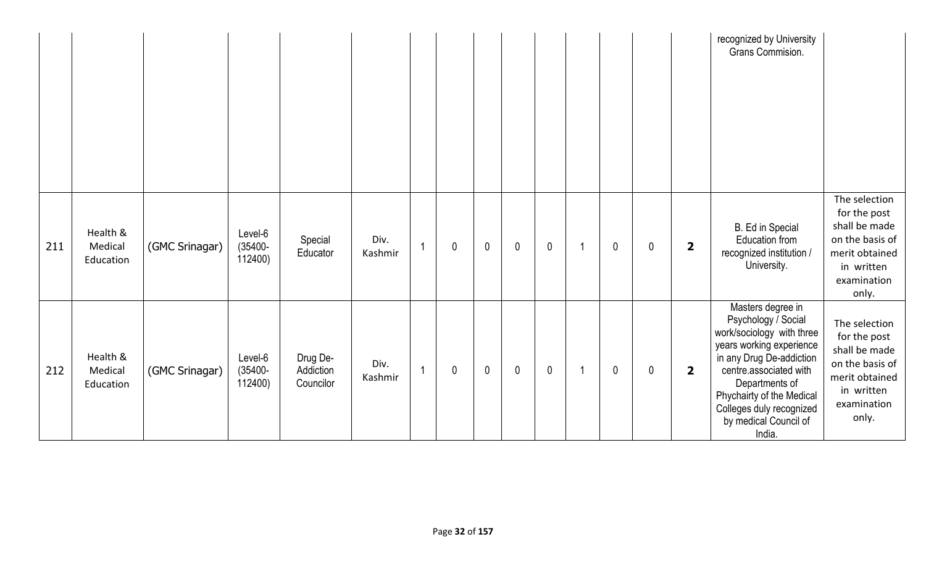|     |                                  |                |                                  |                                    |                 |                |              |             |                |              |             |             |                         | recognized by University<br>Grans Commision.                                                                                                                                                                                                                          |                                                                                                                           |
|-----|----------------------------------|----------------|----------------------------------|------------------------------------|-----------------|----------------|--------------|-------------|----------------|--------------|-------------|-------------|-------------------------|-----------------------------------------------------------------------------------------------------------------------------------------------------------------------------------------------------------------------------------------------------------------------|---------------------------------------------------------------------------------------------------------------------------|
| 211 | Health &<br>Medical<br>Education | (GMC Srinagar) | Level-6<br>$(35400 -$<br>112400) | Special<br>Educator                | Div.<br>Kashmir |                | $\mathbf 0$  | $\pmb{0}$   | $\mathbf 0$    | $\pmb{0}$    | $\mathbf 0$ | $\mathbf 0$ | $\overline{\mathbf{2}}$ | <b>B.</b> Ed in Special<br>Education from<br>recognized institution /<br>University.                                                                                                                                                                                  | The selection<br>for the post<br>shall be made<br>on the basis of<br>merit obtained<br>in written<br>examination<br>only. |
| 212 | Health &<br>Medical<br>Education | (GMC Srinagar) | Level-6<br>$(35400 -$<br>112400) | Drug De-<br>Addiction<br>Councilor | Div.<br>Kashmir | $\overline{1}$ | $\mathbf{0}$ | $\mathbf 0$ | $\overline{0}$ | $\mathbf{0}$ | $\mathbf 0$ | $\mathbf 0$ | $\overline{\mathbf{2}}$ | Masters degree in<br>Psychology / Social<br>work/sociology with three<br>years working experience<br>in any Drug De-addiction<br>centre associated with<br>Departments of<br>Phychairty of the Medical<br>Colleges duly recognized<br>by medical Council of<br>India. | The selection<br>for the post<br>shall be made<br>on the basis of<br>merit obtained<br>in written<br>examination<br>only. |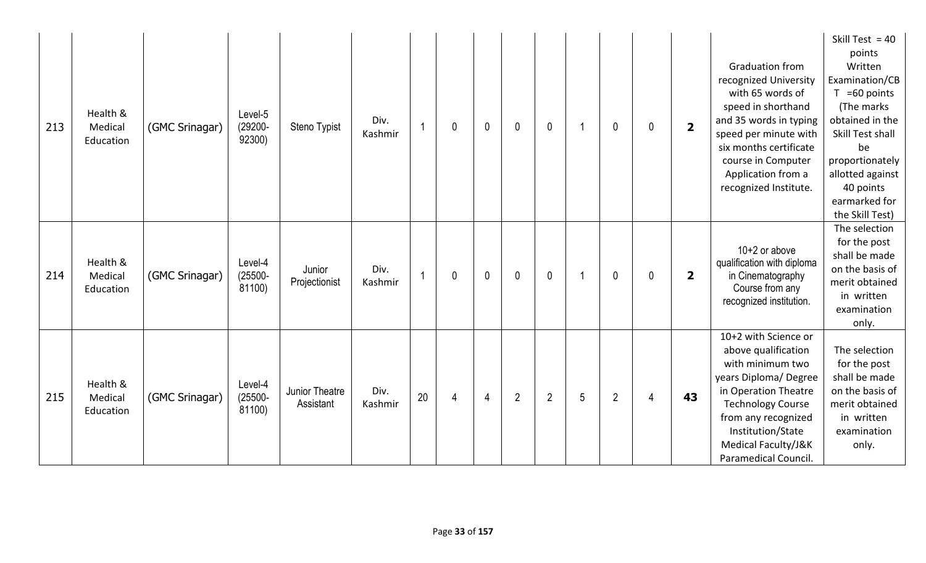| 213 | Health &<br>Medical<br>Education | (GMC Srinagar) | Level-5<br>$(29200 -$<br>92300) | Steno Typist                | Div.<br>Kashmir | $\overline{1}$ | 0 | $\mathbf{0}$ | $\mathbf{0}$   | $\mathbf 0$    |   | $\mathbf{0}$   | $\mathbf 0$  | $\overline{\mathbf{2}}$ | <b>Graduation from</b><br>recognized University<br>with 65 words of<br>speed in shorthand<br>and 35 words in typing<br>speed per minute with<br>six months certificate<br>course in Computer<br>Application from a<br>recognized Institute. | Skill Test = $40$<br>points<br>Written<br>Examination/CB<br>$T = 60$ points<br>(The marks<br>obtained in the<br>Skill Test shall<br>be<br>proportionately<br>allotted against<br>40 points<br>earmarked for<br>the Skill Test) |
|-----|----------------------------------|----------------|---------------------------------|-----------------------------|-----------------|----------------|---|--------------|----------------|----------------|---|----------------|--------------|-------------------------|---------------------------------------------------------------------------------------------------------------------------------------------------------------------------------------------------------------------------------------------|--------------------------------------------------------------------------------------------------------------------------------------------------------------------------------------------------------------------------------|
| 214 | Health &<br>Medical<br>Education | (GMC Srinagar) | Level-4<br>$(25500 -$<br>81100) | Junior<br>Projectionist     | Div.<br>Kashmir | $\overline{1}$ | 0 | $\mathbf{0}$ | $\mathbf{0}$   | $\mathbf{0}$   |   | $\mathbf{0}$   | $\mathbf{0}$ | $\overline{2}$          | $10+2$ or above<br>qualification with diploma<br>in Cinematography<br>Course from any<br>recognized institution.                                                                                                                            | The selection<br>for the post<br>shall be made<br>on the basis of<br>merit obtained<br>in written<br>examination<br>only.                                                                                                      |
| 215 | Health &<br>Medical<br>Education | (GMC Srinagar) | Level-4<br>$(25500 -$<br>81100) | Junior Theatre<br>Assistant | Div.<br>Kashmir | 20             | 4 | 4            | $\overline{2}$ | $\overline{2}$ | 5 | $\overline{2}$ | 4            | 43                      | 10+2 with Science or<br>above qualification<br>with minimum two<br>years Diploma/ Degree<br>in Operation Theatre<br><b>Technology Course</b><br>from any recognized<br>Institution/State<br>Medical Faculty/J&K<br>Paramedical Council.     | The selection<br>for the post<br>shall be made<br>on the basis of<br>merit obtained<br>in written<br>examination<br>only.                                                                                                      |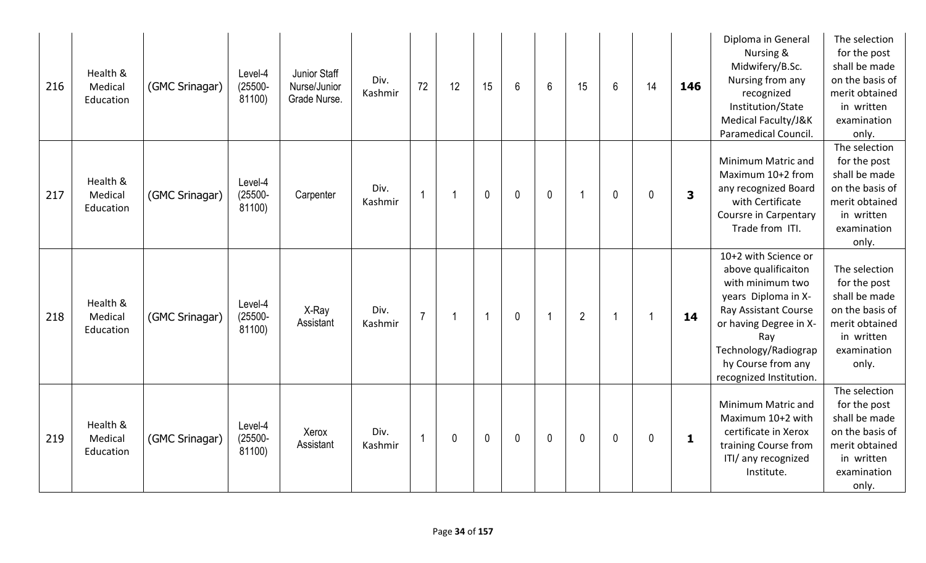| 216 | Health &<br>Medical<br>Education | (GMC Srinagar) | Level-4<br>$(25500 -$<br>81100) | Junior Staff<br>Nurse/Junior<br>Grade Nurse. | Div.<br>Kashmir | 72             | 12                      | 15                   | 6           | $6\phantom{a}$          | 15                       | $6\phantom{.}$ | 14             | 146          | Diploma in General<br>Nursing &<br>Midwifery/B.Sc.<br>Nursing from any<br>recognized<br>Institution/State<br>Medical Faculty/J&K<br>Paramedical Council.                                                                 | The selection<br>for the post<br>shall be made<br>on the basis of<br>merit obtained<br>in written<br>examination<br>only. |
|-----|----------------------------------|----------------|---------------------------------|----------------------------------------------|-----------------|----------------|-------------------------|----------------------|-------------|-------------------------|--------------------------|----------------|----------------|--------------|--------------------------------------------------------------------------------------------------------------------------------------------------------------------------------------------------------------------------|---------------------------------------------------------------------------------------------------------------------------|
| 217 | Health &<br>Medical<br>Education | (GMC Srinagar) | Level-4<br>$(25500 -$<br>81100) | Carpenter                                    | Div.<br>Kashmir | $\overline{1}$ |                         | $\mathbf 0$          | $\mathbf 0$ | $\mathbf 0$             | $\overline{\phantom{a}}$ | $\mathbf 0$    | $\mathbf{0}$   | 3            | Minimum Matric and<br>Maximum 10+2 from<br>any recognized Board<br>with Certificate<br>Coursre in Carpentary<br>Trade from ITI.                                                                                          | The selection<br>for the post<br>shall be made<br>on the basis of<br>merit obtained<br>in written<br>examination<br>only. |
| 218 | Health &<br>Medical<br>Education | (GMC Srinagar) | Level-4<br>$(25500 -$<br>81100) | X-Ray<br>Assistant                           | Div.<br>Kashmir | $\overline{7}$ | $\overline{\mathbf{1}}$ | $\blacktriangleleft$ | $\mathbf 0$ | $\overline{\mathbf{1}}$ | $\overline{2}$           |                | $\overline{1}$ | 14           | 10+2 with Science or<br>above qualificaiton<br>with minimum two<br>years Diploma in X-<br>Ray Assistant Course<br>or having Degree in X-<br>Ray<br>Technology/Radiograp<br>hy Course from any<br>recognized Institution. | The selection<br>for the post<br>shall be made<br>on the basis of<br>merit obtained<br>in written<br>examination<br>only. |
| 219 | Health &<br>Medical<br>Education | (GMC Srinagar) | Level-4<br>$(25500 -$<br>81100) | Xerox<br>Assistant                           | Div.<br>Kashmir | $\overline{1}$ | 0                       | $\mathbf 0$          | $\mathbf 0$ | $\mathbf 0$             | $\mathbf 0$              | $\mathbf 0$    | 0              | $\mathbf{1}$ | Minimum Matric and<br>Maximum 10+2 with<br>certificate in Xerox<br>training Course from<br>ITI/ any recognized<br>Institute.                                                                                             | The selection<br>for the post<br>shall be made<br>on the basis of<br>merit obtained<br>in written<br>examination<br>only. |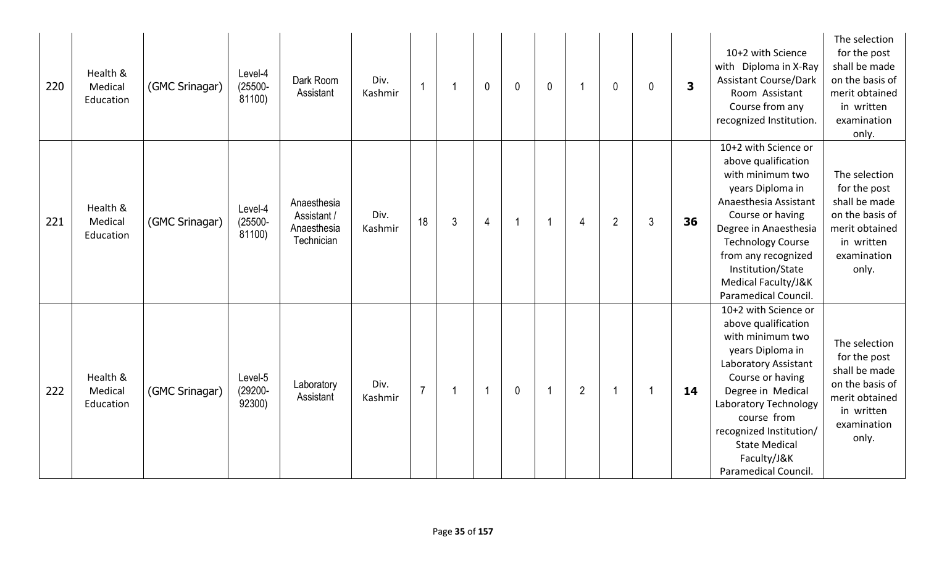| 220 | Health &<br>Medical<br>Education | (GMC Srinagar) | Level-4<br>$(25500 -$<br>81100) | Dark Room<br>Assistant                                  | Div.<br>Kashmir |                |                | $\mathbf 0$             | $\mathbf{0}$   | $\mathbf 0$ |                | $\mathbf{0}$   | $\mathbf{0}$   | $\overline{\mathbf{3}}$ | 10+2 with Science<br>with Diploma in X-Ray<br><b>Assistant Course/Dark</b><br>Room Assistant<br>Course from any<br>recognized Institution.                                                                                                                                             | The selection<br>for the post<br>shall be made<br>on the basis of<br>merit obtained<br>in written<br>examination<br>only. |
|-----|----------------------------------|----------------|---------------------------------|---------------------------------------------------------|-----------------|----------------|----------------|-------------------------|----------------|-------------|----------------|----------------|----------------|-------------------------|----------------------------------------------------------------------------------------------------------------------------------------------------------------------------------------------------------------------------------------------------------------------------------------|---------------------------------------------------------------------------------------------------------------------------|
| 221 | Health &<br>Medical<br>Education | (GMC Srinagar) | Level-4<br>$(25500 -$<br>81100) | Anaesthesia<br>Assistant /<br>Anaesthesia<br>Technician | Div.<br>Kashmir | 18             | $\mathfrak{Z}$ | $\overline{4}$          | $\overline{1}$ | -1          | $\overline{4}$ | $\overline{2}$ | $\mathfrak{Z}$ | 36                      | 10+2 with Science or<br>above qualification<br>with minimum two<br>years Diploma in<br>Anaesthesia Assistant<br>Course or having<br>Degree in Anaesthesia<br><b>Technology Course</b><br>from any recognized<br>Institution/State<br>Medical Faculty/J&K<br>Paramedical Council.       | The selection<br>for the post<br>shall be made<br>on the basis of<br>merit obtained<br>in written<br>examination<br>only. |
| 222 | Health &<br>Medical<br>Education | (GMC Srinagar) | Level-5<br>$(29200 -$<br>92300) | Laboratory<br>Assistant                                 | Div.<br>Kashmir | $\overline{7}$ |                | $\overline{\mathbf{1}}$ | $\mathbf{0}$   |             | $\overline{2}$ |                |                | 14                      | 10+2 with Science or<br>above qualification<br>with minimum two<br>years Diploma in<br>Laboratory Assistant<br>Course or having<br>Degree in Medical<br>Laboratory Technology<br>course from<br>recognized Institution/<br><b>State Medical</b><br>Faculty/J&K<br>Paramedical Council. | The selection<br>for the post<br>shall be made<br>on the basis of<br>merit obtained<br>in written<br>examination<br>only. |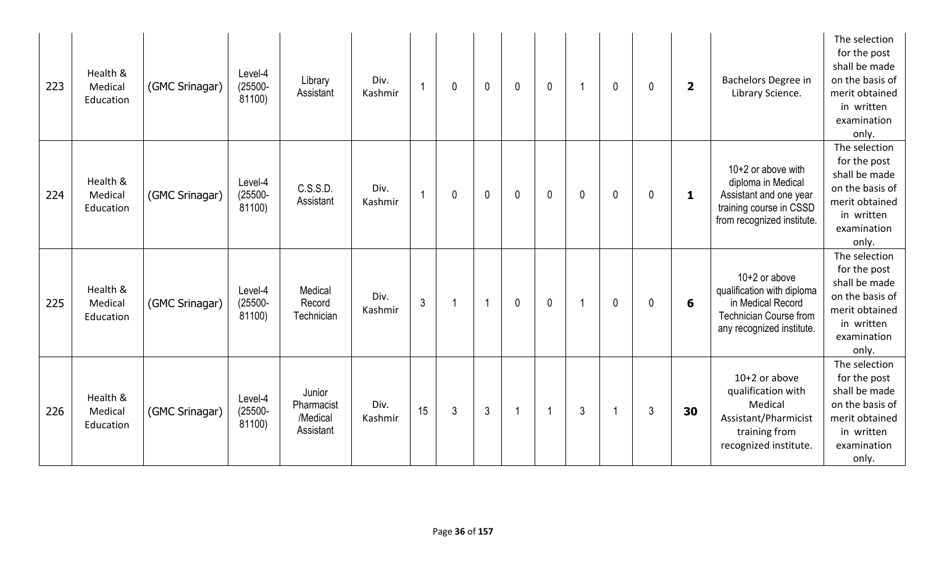| 223 | Health &<br>Medical<br>Education | (GMC Srinagar) | Level-4<br>$(25500 -$<br>81100) | Library<br>Assistant                          | Div.<br>Kashmir |                | 0 | $\mathbf 0$    | $\mathbf 0$ | $\mathbf 0$    |             | $\mathbf 0$ | $\mathbf 0$    | $\overline{\mathbf{2}}$ | Bachelors Degree in<br>Library Science.                                                                                          | The selection<br>for the post<br>shall be made<br>on the basis of<br>merit obtained<br>in written<br>examination<br>only. |
|-----|----------------------------------|----------------|---------------------------------|-----------------------------------------------|-----------------|----------------|---|----------------|-------------|----------------|-------------|-------------|----------------|-------------------------|----------------------------------------------------------------------------------------------------------------------------------|---------------------------------------------------------------------------------------------------------------------------|
| 224 | Health &<br>Medical<br>Education | (GMC Srinagar) | Level-4<br>$(25500 -$<br>81100) | C.S.S.D.<br>Assistant                         | Div.<br>Kashmir | 1              | 0 | $\mathbf 0$    | $\mathbf 0$ | $\mathbf{0}$   | $\mathbf 0$ | $\mathbf 0$ | $\mathbf{0}$   | 1                       | 10+2 or above with<br>diploma in Medical<br>Assistant and one year<br>training course in CSSD<br>from recognized institute.      | The selection<br>for the post<br>shall be made<br>on the basis of<br>merit obtained<br>in written<br>examination<br>only. |
| 225 | Health &<br>Medical<br>Education | (GMC Srinagar) | Level-4<br>$(25500 -$<br>81100) | Medical<br>Record<br>Technician               | Div.<br>Kashmir | $\mathfrak{Z}$ | 1 | -1             | $\mathbf 0$ | $\mathbf 0$    |             | $\mathbf 0$ | $\mathbf 0$    | 6                       | $10+2$ or above<br>qualification with diploma<br>in Medical Record<br><b>Technician Course from</b><br>any recognized institute. | The selection<br>for the post<br>shall be made<br>on the basis of<br>merit obtained<br>in written<br>examination<br>only. |
| 226 | Health &<br>Medical<br>Education | (GMC Srinagar) | Level-4<br>$(25500 -$<br>81100) | Junior<br>Pharmacist<br>/Medical<br>Assistant | Div.<br>Kashmir | 15             | 3 | $\mathfrak{Z}$ |             | $\overline{1}$ | 3           |             | $\mathfrak{Z}$ | 30                      | $10+2$ or above<br>qualification with<br>Medical<br>Assistant/Pharmicist<br>training from<br>recognized institute.               | The selection<br>for the post<br>shall be made<br>on the basis of<br>merit obtained<br>in written<br>examination<br>only. |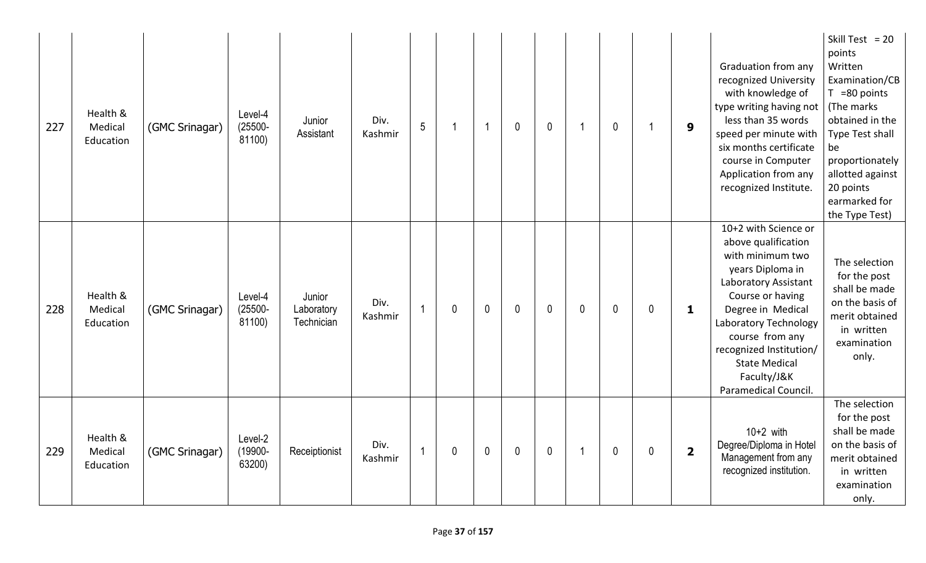| 227 | Health &<br>Medical<br>Education | (GMC Srinagar) | Level-4<br>$(25500 -$<br>81100) | Junior<br>Assistant                | Div.<br>Kashmir | 5              | 1            | $\overline{\mathbf{1}}$ | $\mathbf{0}$ | $\mathbf 0$ | -1          | $\mathbf 0$ | 1 | 9                       | Graduation from any<br>recognized University<br>with knowledge of<br>type writing having not<br>less than 35 words<br>speed per minute with<br>six months certificate<br>course in Computer<br>Application from any<br>recognized Institute.                                               | Skill Test = $20$<br>points<br>Written<br>Examination/CB<br>$T = 80$ points<br>(The marks<br>obtained in the<br>Type Test shall<br>be<br>proportionately<br>allotted against<br>20 points<br>earmarked for<br>the Type Test) |
|-----|----------------------------------|----------------|---------------------------------|------------------------------------|-----------------|----------------|--------------|-------------------------|--------------|-------------|-------------|-------------|---|-------------------------|--------------------------------------------------------------------------------------------------------------------------------------------------------------------------------------------------------------------------------------------------------------------------------------------|------------------------------------------------------------------------------------------------------------------------------------------------------------------------------------------------------------------------------|
| 228 | Health &<br>Medical<br>Education | (GMC Srinagar) | Level-4<br>$(25500 -$<br>81100) | Junior<br>Laboratory<br>Technician | Div.<br>Kashmir | $\overline{1}$ | $\mathbf{0}$ | $\mathbf 0$             | $\mathbf{0}$ | $\mathbf 0$ | $\mathbf 0$ | $\mathbf 0$ | 0 | 1                       | 10+2 with Science or<br>above qualification<br>with minimum two<br>years Diploma in<br>Laboratory Assistant<br>Course or having<br>Degree in Medical<br>Laboratory Technology<br>course from any<br>recognized Institution/<br><b>State Medical</b><br>Faculty/J&K<br>Paramedical Council. | The selection<br>for the post<br>shall be made<br>on the basis of<br>merit obtained<br>in written<br>examination<br>only.                                                                                                    |
| 229 | Health &<br>Medical<br>Education | (GMC Srinagar) | Level-2<br>(19900-<br>63200)    | Receiptionist                      | Div.<br>Kashmir | $\overline{1}$ | 0            | $\mathbf 0$             | $\mathbf 0$  | $\mathbf 0$ | -1          | $\mathbf 0$ | 0 | $\overline{\mathbf{2}}$ | $10+2$ with<br>Degree/Diploma in Hotel<br>Management from any<br>recognized institution.                                                                                                                                                                                                   | The selection<br>for the post<br>shall be made<br>on the basis of<br>merit obtained<br>in written<br>examination<br>only.                                                                                                    |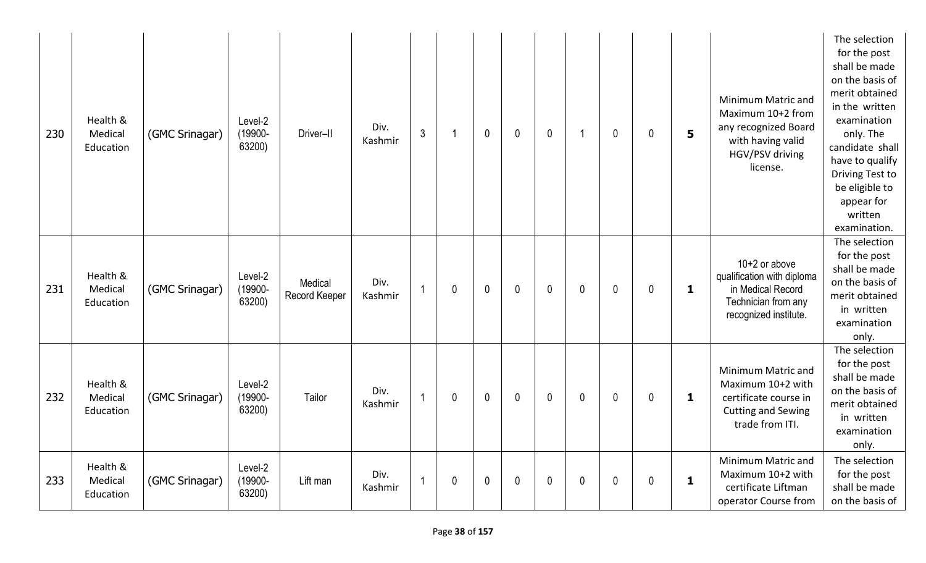| 230 | Health &<br>Medical<br>Education | (GMC Srinagar) | Level-2<br>(19900-<br>63200) | Driver-II                | Div.<br>Kashmir | $\mathfrak{Z}$          | -1 | $\mathbf{0}$ | $\pmb{0}$   | $\pmb{0}$    | -1 | $\mathbf 0$ | $\mathbf 0$ | 5            | Minimum Matric and<br>Maximum 10+2 from<br>any recognized Board<br>with having valid<br>HGV/PSV driving<br>license. | The selection<br>for the post<br>shall be made<br>on the basis of<br>merit obtained<br>in the written<br>examination<br>only. The<br>candidate shall<br>have to qualify<br>Driving Test to<br>be eligible to<br>appear for<br>written<br>examination. |
|-----|----------------------------------|----------------|------------------------------|--------------------------|-----------------|-------------------------|----|--------------|-------------|--------------|----|-------------|-------------|--------------|---------------------------------------------------------------------------------------------------------------------|-------------------------------------------------------------------------------------------------------------------------------------------------------------------------------------------------------------------------------------------------------|
| 231 | Health &<br>Medical<br>Education | (GMC Srinagar) | Level-2<br>(19900-<br>63200) | Medical<br>Record Keeper | Div.<br>Kashmir | $\overline{1}$          | 0  | $\mathbf{0}$ | $\mathbf 0$ | $\mathbf{0}$ | 0  | $\mathbf 0$ | $\mathbf 0$ | $\mathbf{1}$ | $10+2$ or above<br>qualification with diploma<br>in Medical Record<br>Technician from any<br>recognized institute.  | The selection<br>for the post<br>shall be made<br>on the basis of<br>merit obtained<br>in written<br>examination<br>only.                                                                                                                             |
| 232 | Health &<br>Medical<br>Education | (GMC Srinagar) | Level-2<br>(19900-<br>63200) | Tailor                   | Div.<br>Kashmir | $\overline{1}$          | 0  | $\mathbf{0}$ | $\mathbf 0$ | $\mathbf{0}$ | 0  | $\mathbf 0$ | $\mathbf 0$ | 1            | Minimum Matric and<br>Maximum 10+2 with<br>certificate course in<br><b>Cutting and Sewing</b><br>trade from ITI.    | The selection<br>for the post<br>shall be made<br>on the basis of<br>merit obtained<br>in written<br>examination<br>only.                                                                                                                             |
| 233 | Health &<br>Medical<br>Education | (GMC Srinagar) | Level-2<br>(19900-<br>63200) | Lift man                 | Div.<br>Kashmir | $\overline{\mathbf{1}}$ | 0  | $\mathbf 0$  | 0           | $\mathbf 0$  | 0  | 0           | 0           | 1            | Minimum Matric and<br>Maximum 10+2 with<br>certificate Liftman<br>operator Course from                              | The selection<br>for the post<br>shall be made<br>on the basis of                                                                                                                                                                                     |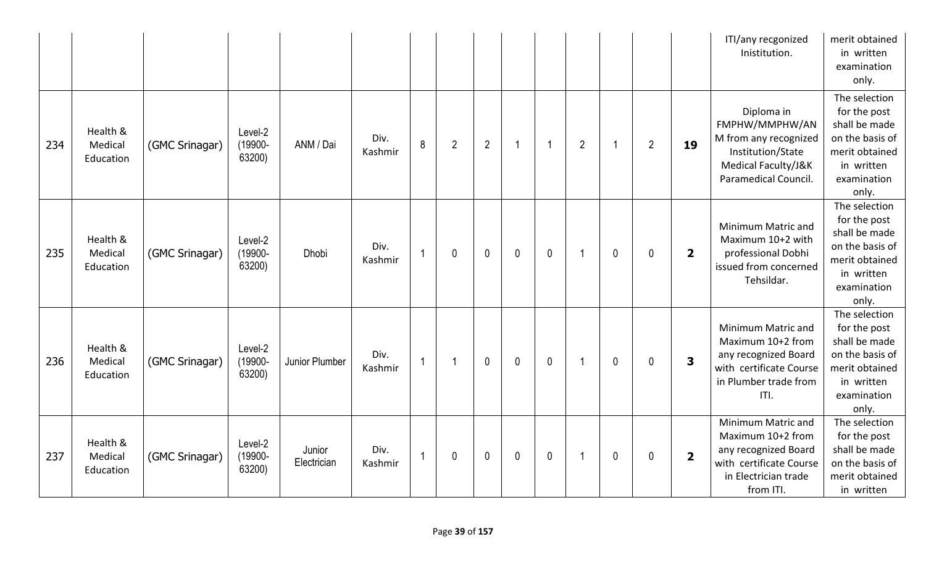|     |                                  |                |                              |                       |                 |                |                |                |              |             |                |              |                |                         | ITI/any recgonized<br>Inistitution.                                                                                             | merit obtained<br>in written<br>examination<br>only.                                                                      |
|-----|----------------------------------|----------------|------------------------------|-----------------------|-----------------|----------------|----------------|----------------|--------------|-------------|----------------|--------------|----------------|-------------------------|---------------------------------------------------------------------------------------------------------------------------------|---------------------------------------------------------------------------------------------------------------------------|
| 234 | Health &<br>Medical<br>Education | (GMC Srinagar) | Level-2<br>(19900-<br>63200) | ANM / Dai             | Div.<br>Kashmir | 8              | $\overline{2}$ | $\overline{2}$ | -1           | -1          | $\overline{2}$ |              | $\overline{2}$ | 19                      | Diploma in<br>FMPHW/MMPHW/AN<br>M from any recognized<br>Institution/State<br>Medical Faculty/J&K<br>Paramedical Council.       | The selection<br>for the post<br>shall be made<br>on the basis of<br>merit obtained<br>in written<br>examination<br>only. |
| 235 | Health &<br>Medical<br>Education | (GMC Srinagar) | Level-2<br>(19900-<br>63200) | <b>Dhobi</b>          | Div.<br>Kashmir | $\overline{1}$ | $\mathbf 0$    | $\mathbf 0$    | $\mathbf{0}$ | $\mathbf 0$ | -1             | $\mathbf{0}$ | 0              | $\overline{2}$          | Minimum Matric and<br>Maximum 10+2 with<br>professional Dobhi<br>issued from concerned<br>Tehsildar.                            | The selection<br>for the post<br>shall be made<br>on the basis of<br>merit obtained<br>in written<br>examination<br>only. |
| 236 | Health &<br>Medical<br>Education | (GMC Srinagar) | Level-2<br>(19900-<br>63200) | Junior Plumber        | Div.<br>Kashmir | $\overline{1}$ |                | $\mathbf 0$    | $\mathbf 0$  | $\pmb{0}$   |                | $\mathbf 0$  | 0              | $\overline{\mathbf{3}}$ | Minimum Matric and<br>Maximum 10+2 from<br>any recognized Board<br>with certificate Course<br>in Plumber trade from<br>ITI.     | The selection<br>for the post<br>shall be made<br>on the basis of<br>merit obtained<br>in written<br>examination<br>only. |
| 237 | Health &<br>Medical<br>Education | (GMC Srinagar) | Level-2<br>(19900-<br>63200) | Junior<br>Electrician | Div.<br>Kashmir | $\overline{1}$ | $\mathbf 0$    | $\mathbf 0$    | $\mathbf 0$  | $\mathbf 0$ | -1             | $\mathbf 0$  | 0              | $\overline{\mathbf{2}}$ | Minimum Matric and<br>Maximum 10+2 from<br>any recognized Board<br>with certificate Course<br>in Electrician trade<br>from ITI. | The selection<br>for the post<br>shall be made<br>on the basis of<br>merit obtained<br>in written                         |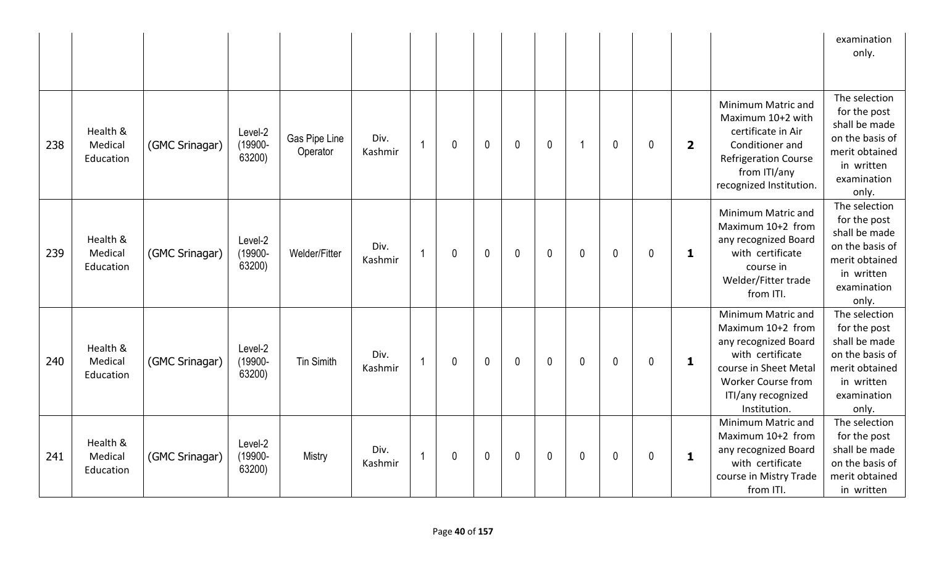|     |                                  |                |                              |                           |                 |                |              |             |              |              |              |              |              |                         |                                                                                                                                                                                 | examination<br>only.                                                                                                      |
|-----|----------------------------------|----------------|------------------------------|---------------------------|-----------------|----------------|--------------|-------------|--------------|--------------|--------------|--------------|--------------|-------------------------|---------------------------------------------------------------------------------------------------------------------------------------------------------------------------------|---------------------------------------------------------------------------------------------------------------------------|
| 238 | Health &<br>Medical<br>Education | (GMC Srinagar) | Level-2<br>(19900-<br>63200) | Gas Pipe Line<br>Operator | Div.<br>Kashmir | $\overline{1}$ | $\mathbf 0$  | $\mathbf 0$ | $\mathbf{0}$ | $\mathbf 0$  | -1           | $\mathbf{0}$ | $\mathbf{0}$ | $\overline{\mathbf{2}}$ | Minimum Matric and<br>Maximum 10+2 with<br>certificate in Air<br>Conditioner and<br><b>Refrigeration Course</b><br>from ITI/any<br>recognized Institution.                      | The selection<br>for the post<br>shall be made<br>on the basis of<br>merit obtained<br>in written<br>examination<br>only. |
| 239 | Health &<br>Medical<br>Education | (GMC Srinagar) | Level-2<br>(19900-<br>63200) | Welder/Fitter             | Div.<br>Kashmir | $\overline{1}$ | $\mathbf{0}$ | $\mathbf 0$ | $\mathbf{0}$ | $\mathbf 0$  | $\mathbf{0}$ | $\mathbf 0$  | $\mathbf{0}$ | $\mathbf 1$             | Minimum Matric and<br>Maximum 10+2 from<br>any recognized Board<br>with certificate<br>course in<br>Welder/Fitter trade<br>from ITI.                                            | The selection<br>for the post<br>shall be made<br>on the basis of<br>merit obtained<br>in written<br>examination<br>only. |
| 240 | Health &<br>Medical<br>Education | (GMC Srinagar) | Level-2<br>(19900-<br>63200) | <b>Tin Simith</b>         | Div.<br>Kashmir |                | $\mathbf{0}$ | $\mathbf 0$ | $\mathbf{0}$ | $\mathbf{0}$ | $\mathbf{0}$ | $\mathbf 0$  | $\mathbf 0$  | $\mathbf{1}$            | Minimum Matric and<br>Maximum 10+2 from<br>any recognized Board<br>with certificate<br>course in Sheet Metal<br><b>Worker Course from</b><br>ITI/any recognized<br>Institution. | The selection<br>for the post<br>shall be made<br>on the basis of<br>merit obtained<br>in written<br>examination<br>only. |
| 241 | Health &<br>Medical<br>Education | (GMC Srinagar) | Level-2<br>(19900-<br>63200) | Mistry                    | Div.<br>Kashmir | $\overline{1}$ | $\mathbf{0}$ | $\mathbf 0$ | $\mathbf{0}$ | $\mathbf 0$  | $\mathbf{0}$ | $\mathbf 0$  | $\mathbf{0}$ | $\mathbf 1$             | Minimum Matric and<br>Maximum 10+2 from<br>any recognized Board<br>with certificate<br>course in Mistry Trade<br>from ITI.                                                      | The selection<br>for the post<br>shall be made<br>on the basis of<br>merit obtained<br>in written                         |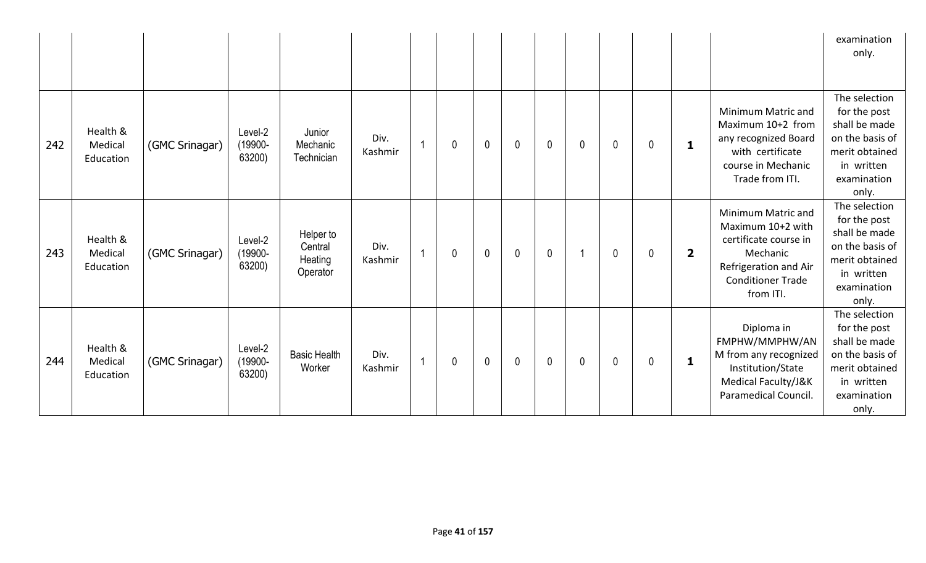|     |                                  |                |                              |                                             |                 |                |   |                |              |              |              |              |              |                         |                                                                                                                                                | examination<br>only.                                                                                                      |
|-----|----------------------------------|----------------|------------------------------|---------------------------------------------|-----------------|----------------|---|----------------|--------------|--------------|--------------|--------------|--------------|-------------------------|------------------------------------------------------------------------------------------------------------------------------------------------|---------------------------------------------------------------------------------------------------------------------------|
| 242 | Health &<br>Medical<br>Education | (GMC Srinagar) | Level-2<br>(19900-<br>63200) | Junior<br>Mechanic<br>Technician            | Div.<br>Kashmir | $\overline{1}$ | 0 | $\mathbf 0$    | $\mathbf{0}$ | $\mathbf{0}$ | $\mathbf{0}$ | $\mathbf{0}$ | $\mathbf{0}$ | $\mathbf{1}$            | Minimum Matric and<br>Maximum 10+2 from<br>any recognized Board<br>with certificate<br>course in Mechanic<br>Trade from ITI.                   | The selection<br>for the post<br>shall be made<br>on the basis of<br>merit obtained<br>in written<br>examination<br>only. |
| 243 | Health &<br>Medical<br>Education | (GMC Srinagar) | Level-2<br>(19900-<br>63200) | Helper to<br>Central<br>Heating<br>Operator | Div.<br>Kashmir | $\overline{1}$ | 0 | $\mathbf 0$    | $\mathbf 0$  | $\mathbf{0}$ | -1           | $\mathbf 0$  | $\mathbf{0}$ | $\overline{\mathbf{2}}$ | Minimum Matric and<br>Maximum 10+2 with<br>certificate course in<br>Mechanic<br>Refrigeration and Air<br><b>Conditioner Trade</b><br>from ITI. | The selection<br>for the post<br>shall be made<br>on the basis of<br>merit obtained<br>in written<br>examination<br>only. |
| 244 | Health &<br>Medical<br>Education | (GMC Srinagar) | Level-2<br>(19900-<br>63200) | <b>Basic Health</b><br>Worker               | Div.<br>Kashmir | $\overline{1}$ | 0 | $\overline{0}$ | $\mathbf 0$  | $\mathbf{0}$ | $\mathbf{0}$ | $\mathbf 0$  | $\mathbf{0}$ | $\mathbf{1}$            | Diploma in<br>FMPHW/MMPHW/AN<br>M from any recognized<br>Institution/State<br>Medical Faculty/J&K<br>Paramedical Council.                      | The selection<br>for the post<br>shall be made<br>on the basis of<br>merit obtained<br>in written<br>examination<br>only. |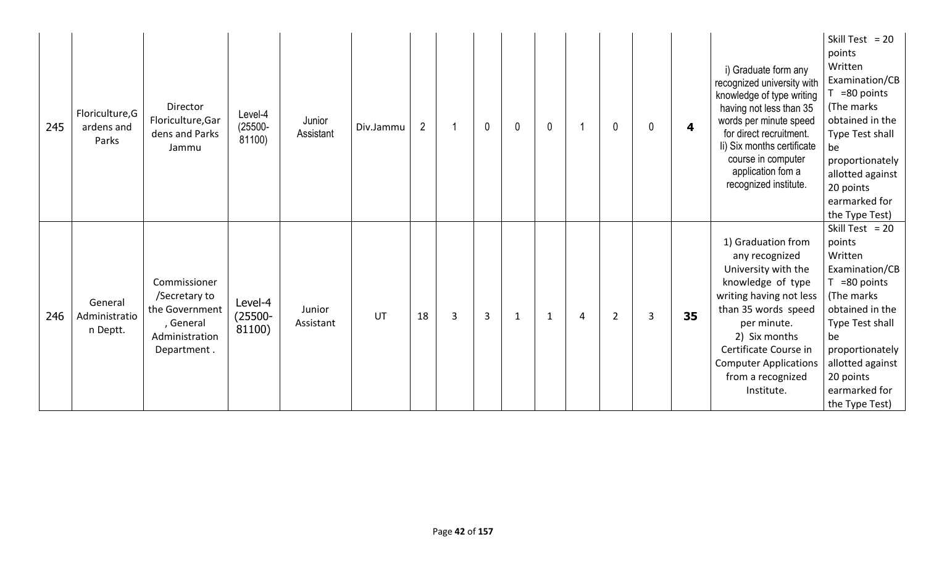| 245 | Floriculture, G<br>ardens and<br>Parks | Director<br>Floriculture, Gar<br>dens and Parks<br>Jammu                                      | Level-4<br>$(25500 -$<br>81100) | Junior<br>Assistant | Div.Jammu | $\overline{2}$ |   | $\mathbf 0$    | $\mathbf{0}$ | $\mathbf 0$  |   | 0              | 0 | 4  | i) Graduate form any<br>recognized university with<br>knowledge of type writing<br>having not less than 35<br>words per minute speed<br>for direct recruitment.<br>li) Six months certificate<br>course in computer<br>application fom a<br>recognized institute. | Skill Test = $20$<br>points<br>Written<br>Examination/CB<br>=80 points<br>(The marks<br>obtained in the<br>Type Test shall<br>be<br>proportionately<br>allotted against<br>20 points<br>earmarked for<br>the Type Test)       |
|-----|----------------------------------------|-----------------------------------------------------------------------------------------------|---------------------------------|---------------------|-----------|----------------|---|----------------|--------------|--------------|---|----------------|---|----|-------------------------------------------------------------------------------------------------------------------------------------------------------------------------------------------------------------------------------------------------------------------|-------------------------------------------------------------------------------------------------------------------------------------------------------------------------------------------------------------------------------|
| 246 | General<br>Administratio<br>n Deptt.   | Commissioner<br>/Secretary to<br>the Government<br>, General<br>Administration<br>Department. | Level-4<br>$(25500 -$<br>81100) | Junior<br>Assistant | UT        | 18             | 3 | $\overline{3}$ | 1            | $\mathbf{1}$ | 4 | $\overline{2}$ | 3 | 35 | 1) Graduation from<br>any recognized<br>University with the<br>knowledge of type<br>writing having not less<br>than 35 words speed<br>per minute.<br>2) Six months<br>Certificate Course in<br><b>Computer Applications</b><br>from a recognized<br>Institute.    | Skill Test = $20$<br>points<br>Written<br>Examination/CB<br>$T = 80$ points<br>(The marks)<br>obtained in the<br>Type Test shall<br>be<br>proportionately<br>allotted against<br>20 points<br>earmarked for<br>the Type Test) |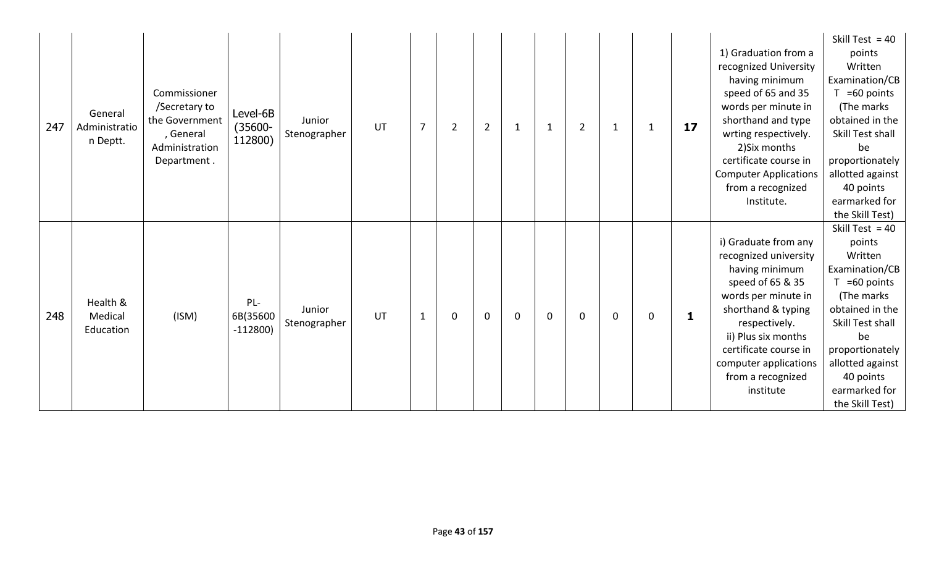| General<br>247<br>Administratio<br>n Deptt. | Commissioner<br>/Secretary to<br>the Government<br>, General<br>Administration<br>Department. | Level-6B<br>$(35600 -$<br>112800) | Junior<br>Stenographer | UT | $\overline{7}$ | $\overline{2}$ | $\overline{2}$ | $\mathbf{1}$ | $\mathbf{1}$ | $\overline{2}$ | $\mathbf{1}$ | $\mathbf{1}$ | 17 | 1) Graduation from a<br>recognized University<br>having minimum<br>speed of 65 and 35<br>words per minute in<br>shorthand and type<br>wrting respectively.<br>2) Six months<br>certificate course in<br><b>Computer Applications</b><br>from a recognized<br>Institute. | Skill Test = $40$<br>points<br>Written<br>Examination/CB<br>$T = 60$ points<br>(The marks)<br>obtained in the<br>Skill Test shall<br>be<br>proportionately<br>allotted against<br>40 points<br>earmarked for<br>the Skill Test) |
|---------------------------------------------|-----------------------------------------------------------------------------------------------|-----------------------------------|------------------------|----|----------------|----------------|----------------|--------------|--------------|----------------|--------------|--------------|----|-------------------------------------------------------------------------------------------------------------------------------------------------------------------------------------------------------------------------------------------------------------------------|---------------------------------------------------------------------------------------------------------------------------------------------------------------------------------------------------------------------------------|
| Health &<br>248<br>Medical<br>Education     | (ISM)                                                                                         | $PL -$<br>6B(35600<br>$-112800$   | Junior<br>Stenographer | UT | $\mathbf 1$    | $\mathbf 0$    | $\mathbf 0$    | $\mathbf 0$  | $\mathbf 0$  | 0              | $\mathbf 0$  | 0            | 1  | i) Graduate from any<br>recognized university<br>having minimum<br>speed of 65 & 35<br>words per minute in<br>shorthand & typing<br>respectively.<br>ii) Plus six months<br>certificate course in<br>computer applications<br>from a recognized<br>institute            | Skill Test = $40$<br>points<br>Written<br>Examination/CB<br>$T = 60$ points<br>(The marks)<br>obtained in the<br>Skill Test shall<br>be<br>proportionately<br>allotted against<br>40 points<br>earmarked for<br>the Skill Test) |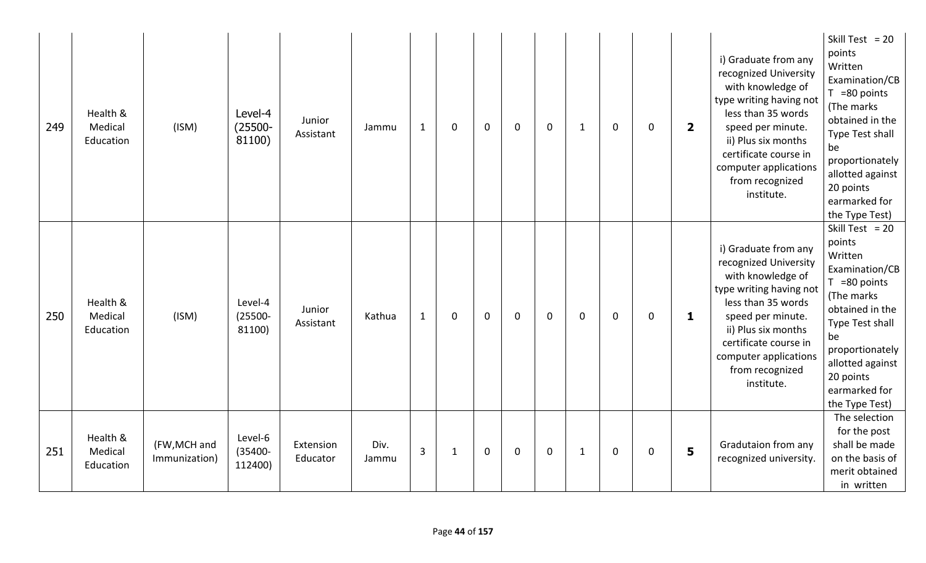| 249 | Health &<br>Medical<br>Education | (ISM)                         | Level-4<br>$(25500 -$<br>81100)  | Junior<br>Assistant   | Jammu         | $\mathbf{1}$ | 0            | $\mathbf 0$ | $\mathbf 0$ | $\mathbf 0$ | $\mathbf{1}$ | $\mathbf 0$ | 0 | $\overline{2}$ | i) Graduate from any<br>recognized University<br>with knowledge of<br>type writing having not<br>less than 35 words<br>speed per minute.<br>ii) Plus six months<br>certificate course in<br>computer applications<br>from recognized<br>institute. | Skill Test = $20$<br>points<br>Written<br>Examination/CB<br>$T = 80$ points<br>(The marks<br>obtained in the<br>Type Test shall<br>be<br>proportionately<br>allotted against<br>20 points<br>earmarked for<br>the Type Test) |
|-----|----------------------------------|-------------------------------|----------------------------------|-----------------------|---------------|--------------|--------------|-------------|-------------|-------------|--------------|-------------|---|----------------|----------------------------------------------------------------------------------------------------------------------------------------------------------------------------------------------------------------------------------------------------|------------------------------------------------------------------------------------------------------------------------------------------------------------------------------------------------------------------------------|
| 250 | Health &<br>Medical<br>Education | (ISM)                         | Level-4<br>$(25500 -$<br>81100)  | Junior<br>Assistant   | Kathua        | $\mathbf{1}$ | $\mathbf 0$  | $\mathbf 0$ | $\mathbf 0$ | $\mathbf 0$ | 0            | $\mathbf 0$ | 0 | 1              | i) Graduate from any<br>recognized University<br>with knowledge of<br>type writing having not<br>less than 35 words<br>speed per minute.<br>ii) Plus six months<br>certificate course in<br>computer applications<br>from recognized<br>institute. | Skill Test = $20$<br>points<br>Written<br>Examination/CB<br>$T = 80$ points<br>(The marks<br>obtained in the<br>Type Test shall<br>be<br>proportionately<br>allotted against<br>20 points<br>earmarked for<br>the Type Test) |
| 251 | Health &<br>Medical<br>Education | (FW, MCH and<br>Immunization) | Level-6<br>$(35400 -$<br>112400) | Extension<br>Educator | Div.<br>Jammu | 3            | $\mathbf{1}$ | $\mathbf 0$ | $\mathbf 0$ | $\mathbf 0$ | $\mathbf{1}$ | $\mathbf 0$ | 0 | 5              | Gradutaion from any<br>recognized university.                                                                                                                                                                                                      | The selection<br>for the post<br>shall be made<br>on the basis of<br>merit obtained<br>in written                                                                                                                            |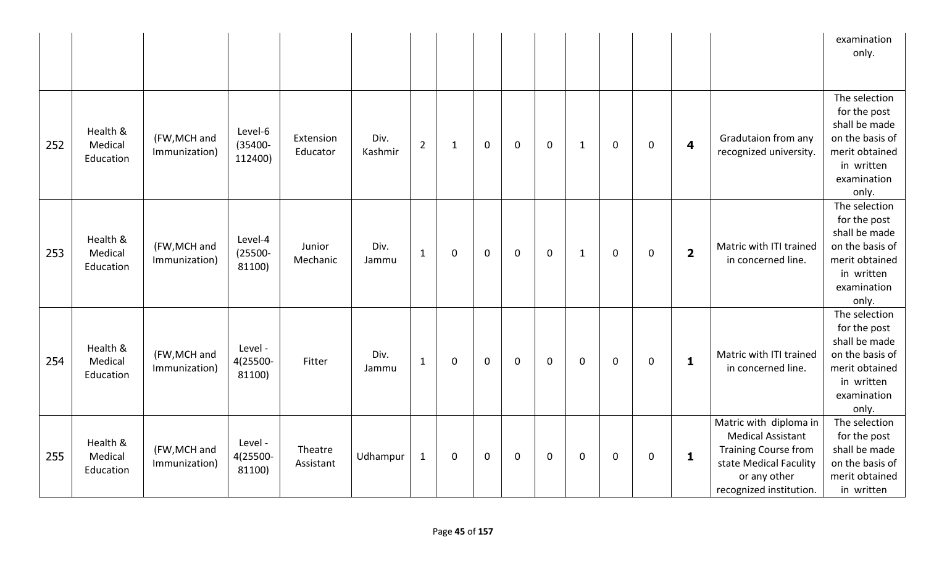|     |                                  |                               |                                  |                       |                 |                |              |             |             |             |              |             |             |                         |                                                                                                                                                        | examination<br>only.                                                                                                      |
|-----|----------------------------------|-------------------------------|----------------------------------|-----------------------|-----------------|----------------|--------------|-------------|-------------|-------------|--------------|-------------|-------------|-------------------------|--------------------------------------------------------------------------------------------------------------------------------------------------------|---------------------------------------------------------------------------------------------------------------------------|
| 252 | Health &<br>Medical<br>Education | (FW, MCH and<br>Immunization) | Level-6<br>$(35400 -$<br>112400) | Extension<br>Educator | Div.<br>Kashmir | $\overline{2}$ | $\mathbf{1}$ | $\mathbf 0$ | $\mathbf 0$ | $\mathbf 0$ | $\mathbf{1}$ | 0           | $\mathbf 0$ | $\overline{\mathbf{4}}$ | Gradutaion from any<br>recognized university.                                                                                                          | The selection<br>for the post<br>shall be made<br>on the basis of<br>merit obtained<br>in written<br>examination<br>only. |
| 253 | Health &<br>Medical<br>Education | (FW, MCH and<br>Immunization) | Level-4<br>$(25500 -$<br>81100)  | Junior<br>Mechanic    | Div.<br>Jammu   | $\mathbf{1}$   | 0            | $\mathbf 0$ | $\mathbf 0$ | $\mathbf 0$ | $\mathbf{1}$ | $\mathbf 0$ | $\mathbf 0$ | $\overline{\mathbf{2}}$ | Matric with ITI trained<br>in concerned line.                                                                                                          | The selection<br>for the post<br>shall be made<br>on the basis of<br>merit obtained<br>in written<br>examination<br>only. |
| 254 | Health &<br>Medical<br>Education | (FW, MCH and<br>Immunization) | Level -<br>4(25500-<br>81100)    | Fitter                | Div.<br>Jammu   | $\mathbf{1}$   | 0            | $\mathbf 0$ | $\mathbf 0$ | $\mathbf 0$ | $\mathbf 0$  | $\mathbf 0$ | $\mathbf 0$ | $\mathbf{1}$            | Matric with ITI trained<br>in concerned line.                                                                                                          | The selection<br>for the post<br>shall be made<br>on the basis of<br>merit obtained<br>in written<br>examination<br>only. |
| 255 | Health &<br>Medical<br>Education | (FW, MCH and<br>Immunization) | Level -<br>4(25500-<br>81100)    | Theatre<br>Assistant  | Udhampur        | $\mathbf 1$    | 0            | $\mathbf 0$ | $\mathbf 0$ | $\mathbf 0$ | $\mathbf 0$  | $\mathbf 0$ | $\mathbf 0$ | $\mathbf 1$             | Matric with diploma in<br><b>Medical Assistant</b><br><b>Training Course from</b><br>state Medical Faculity<br>or any other<br>recognized institution. | The selection<br>for the post<br>shall be made<br>on the basis of<br>merit obtained<br>in written                         |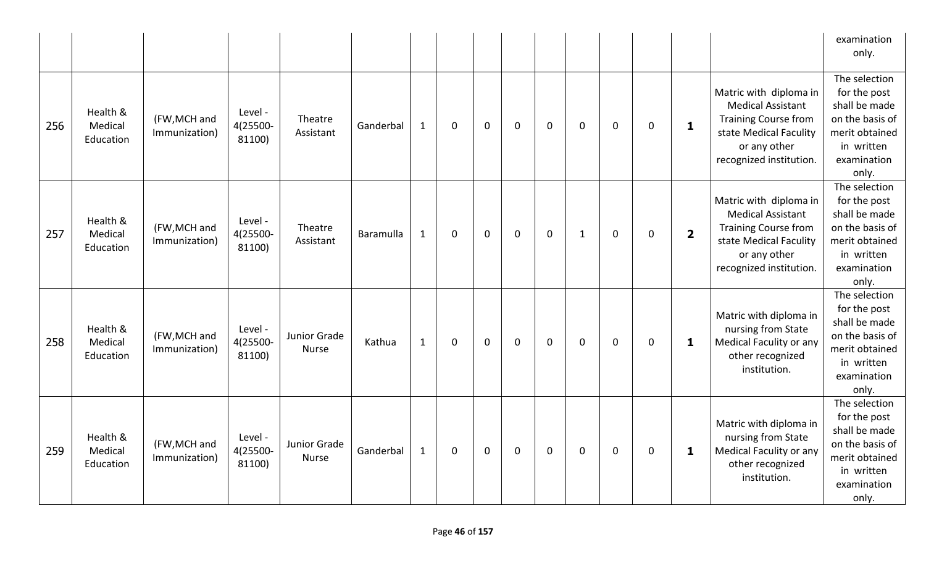|     |                                  |                               |                               |                              |           |              |   |              |             |             |              |             |             |                         |                                                                                                                                                        | examination<br>only.                                                                                                      |
|-----|----------------------------------|-------------------------------|-------------------------------|------------------------------|-----------|--------------|---|--------------|-------------|-------------|--------------|-------------|-------------|-------------------------|--------------------------------------------------------------------------------------------------------------------------------------------------------|---------------------------------------------------------------------------------------------------------------------------|
| 256 | Health &<br>Medical<br>Education | (FW, MCH and<br>Immunization) | Level -<br>4(25500-<br>81100) | Theatre<br>Assistant         | Ganderbal | $\mathbf{1}$ | 0 | $\mathbf 0$  | $\mathbf 0$ | $\mathbf 0$ | $\mathbf 0$  | $\mathbf 0$ | $\mathbf 0$ | $\mathbf{1}$            | Matric with diploma in<br><b>Medical Assistant</b><br><b>Training Course from</b><br>state Medical Faculity<br>or any other<br>recognized institution. | The selection<br>for the post<br>shall be made<br>on the basis of<br>merit obtained<br>in written<br>examination<br>only. |
| 257 | Health &<br>Medical<br>Education | (FW, MCH and<br>Immunization) | Level -<br>4(25500-<br>81100) | Theatre<br>Assistant         | Baramulla | $\mathbf{1}$ | 0 | $\mathbf 0$  | $\mathbf 0$ | $\mathbf 0$ | $\mathbf{1}$ | $\mathbf 0$ | $\mathbf 0$ | $\overline{\mathbf{2}}$ | Matric with diploma in<br><b>Medical Assistant</b><br><b>Training Course from</b><br>state Medical Faculity<br>or any other<br>recognized institution. | The selection<br>for the post<br>shall be made<br>on the basis of<br>merit obtained<br>in written<br>examination<br>only. |
| 258 | Health &<br>Medical<br>Education | (FW, MCH and<br>Immunization) | Level -<br>4(25500-<br>81100) | Junior Grade<br><b>Nurse</b> | Kathua    | $\mathbf{1}$ | 0 | $\mathbf{0}$ | $\Omega$    | 0           | $\mathbf 0$  | $\mathbf 0$ | $\mathbf 0$ | 1                       | Matric with diploma in<br>nursing from State<br>Medical Faculity or any<br>other recognized<br>institution.                                            | The selection<br>for the post<br>shall be made<br>on the basis of<br>merit obtained<br>in written<br>examination<br>only. |
| 259 | Health &<br>Medical<br>Education | (FW, MCH and<br>Immunization) | Level -<br>4(25500-<br>81100) | Junior Grade<br><b>Nurse</b> | Ganderbal | $\mathbf{1}$ | 0 | $\mathbf 0$  | $\mathbf 0$ | $\mathbf 0$ | $\mathbf 0$  | $\mathbf 0$ | 0           | 1                       | Matric with diploma in<br>nursing from State<br>Medical Faculity or any<br>other recognized<br>institution.                                            | The selection<br>for the post<br>shall be made<br>on the basis of<br>merit obtained<br>in written<br>examination<br>only. |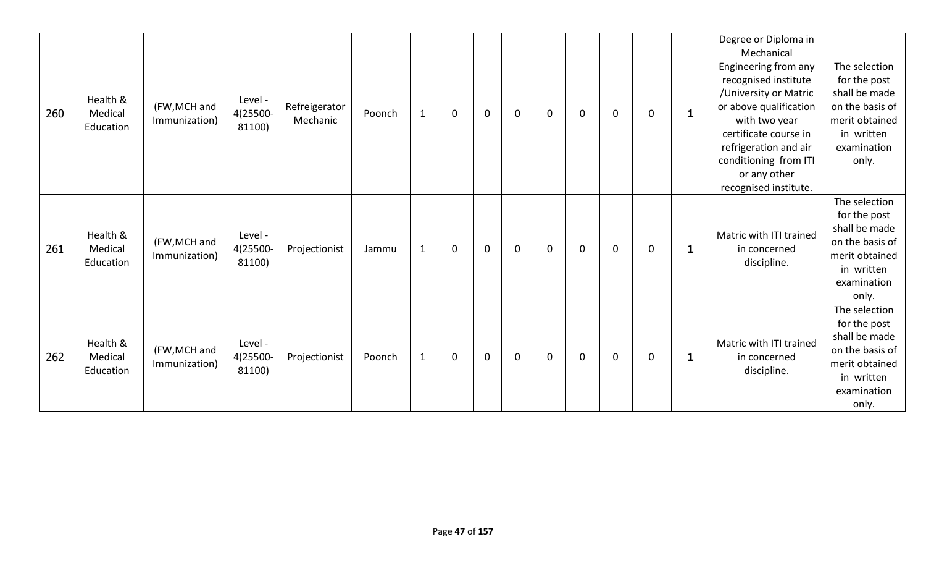| 260 | Health &<br>Medical<br>Education | (FW, MCH and<br>Immunization) | Level -<br>4(25500-<br>81100) | Refreigerator<br>Mechanic | Poonch | $\mathbf{1}$ | 0           | $\mathbf 0$ | $\mathbf 0$ | $\mathbf 0$ | 0           | $\mathbf 0$ | 0 | $\mathbf{1}$ | Degree or Diploma in<br>Mechanical<br>Engineering from any<br>recognised institute<br>/University or Matric<br>or above qualification<br>with two year<br>certificate course in<br>refrigeration and air<br>conditioning from ITI<br>or any other<br>recognised institute. | The selection<br>for the post<br>shall be made<br>on the basis of<br>merit obtained<br>in written<br>examination<br>only. |
|-----|----------------------------------|-------------------------------|-------------------------------|---------------------------|--------|--------------|-------------|-------------|-------------|-------------|-------------|-------------|---|--------------|----------------------------------------------------------------------------------------------------------------------------------------------------------------------------------------------------------------------------------------------------------------------------|---------------------------------------------------------------------------------------------------------------------------|
| 261 | Health &<br>Medical<br>Education | (FW, MCH and<br>Immunization) | Level -<br>4(25500-<br>81100) | Projectionist             | Jammu  | $\mathbf{1}$ | $\mathbf 0$ | $\mathbf 0$ | $\mathbf 0$ | $\mathbf 0$ | $\mathbf 0$ | $\mathbf 0$ | 0 | 1            | Matric with ITI trained<br>in concerned<br>discipline.                                                                                                                                                                                                                     | The selection<br>for the post<br>shall be made<br>on the basis of<br>merit obtained<br>in written<br>examination<br>only. |
| 262 | Health &<br>Medical<br>Education | (FW, MCH and<br>Immunization) | Level -<br>4(25500-<br>81100) | Projectionist             | Poonch | $\mathbf{1}$ | $\mathbf 0$ | $\mathbf 0$ | $\mathbf 0$ | $\mathbf 0$ | 0           | $\mathbf 0$ | 0 | 1            | Matric with ITI trained<br>in concerned<br>discipline.                                                                                                                                                                                                                     | The selection<br>for the post<br>shall be made<br>on the basis of<br>merit obtained<br>in written<br>examination<br>only. |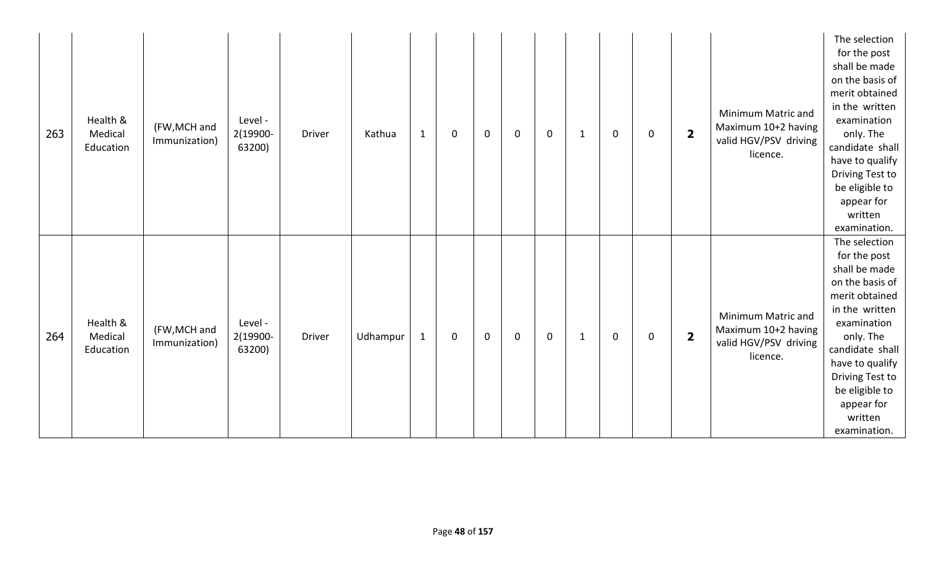| 263 | Health &<br>Medical<br>Education | (FW, MCH and<br>Immunization) | Level -<br>2(19900-<br>63200) | Driver        | Kathua   | $\mathbf{1}$ | $\pmb{0}$   | $\mathbf 0$ | $\mathbf 0$ | $\mathbf 0$ | $\mathbf{1}$ | $\mathbf 0$ | $\pmb{0}$           | $\overline{\mathbf{2}}$ | Minimum Matric and<br>Maximum 10+2 having<br>valid HGV/PSV driving<br>licence. | The selection<br>for the post<br>shall be made<br>on the basis of<br>merit obtained<br>in the written<br>examination<br>only. The<br>candidate shall<br>have to qualify<br>Driving Test to<br>be eligible to<br>appear for<br>written<br>examination. |
|-----|----------------------------------|-------------------------------|-------------------------------|---------------|----------|--------------|-------------|-------------|-------------|-------------|--------------|-------------|---------------------|-------------------------|--------------------------------------------------------------------------------|-------------------------------------------------------------------------------------------------------------------------------------------------------------------------------------------------------------------------------------------------------|
| 264 | Health &<br>Medical<br>Education | (FW, MCH and<br>Immunization) | Level -<br>2(19900-<br>63200) | <b>Driver</b> | Udhampur | $\mathbf{1}$ | $\mathbf 0$ | $\mathbf 0$ | $\mathbf 0$ | $\mathbf 0$ | $\mathbf{1}$ | $\mathbf 0$ | $\mathsf{O}\xspace$ | $\overline{\mathbf{2}}$ | Minimum Matric and<br>Maximum 10+2 having<br>valid HGV/PSV driving<br>licence. | The selection<br>for the post<br>shall be made<br>on the basis of<br>merit obtained<br>in the written<br>examination<br>only. The<br>candidate shall<br>have to qualify<br>Driving Test to<br>be eligible to<br>appear for<br>written<br>examination. |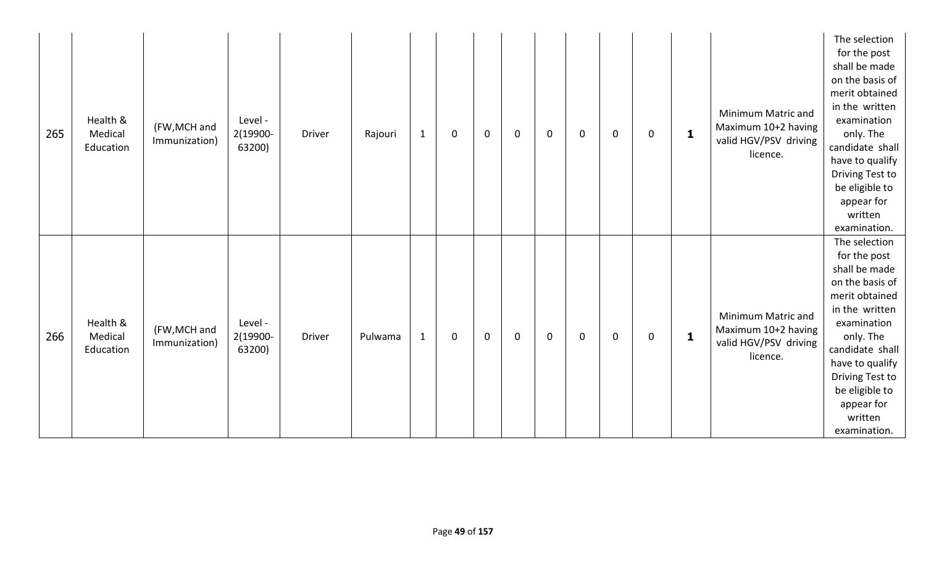| 265 | Health &<br>Medical<br>Education | (FW, MCH and<br>Immunization) | Level -<br>2(19900-<br>63200) | Driver | Rajouri | $\mathbf{1}$ | $\mathbf 0$ | $\mathbf 0$ | $\mathbf 0$ | $\mathbf 0$ | $\mathbf 0$ | 0           | $\mathbf 0$ | $\mathbf{1}$ | Minimum Matric and<br>Maximum 10+2 having<br>valid HGV/PSV driving<br>licence. | The selection<br>for the post<br>shall be made<br>on the basis of<br>merit obtained<br>in the written<br>examination<br>only. The<br>candidate shall<br>have to qualify<br>Driving Test to<br>be eligible to<br>appear for<br>written<br>examination. |
|-----|----------------------------------|-------------------------------|-------------------------------|--------|---------|--------------|-------------|-------------|-------------|-------------|-------------|-------------|-------------|--------------|--------------------------------------------------------------------------------|-------------------------------------------------------------------------------------------------------------------------------------------------------------------------------------------------------------------------------------------------------|
| 266 | Health &<br>Medical<br>Education | (FW, MCH and<br>Immunization) | Level -<br>2(19900-<br>63200) | Driver | Pulwama | $\mathbf{1}$ | $\mathbf 0$ | $\mathbf 0$ | $\mathbf 0$ | $\mathbf 0$ | $\mathbf 0$ | $\mathbf 0$ | $\mathbf 0$ | $\mathbf{1}$ | Minimum Matric and<br>Maximum 10+2 having<br>valid HGV/PSV driving<br>licence. | The selection<br>for the post<br>shall be made<br>on the basis of<br>merit obtained<br>in the written<br>examination<br>only. The<br>candidate shall<br>have to qualify<br>Driving Test to<br>be eligible to<br>appear for<br>written<br>examination. |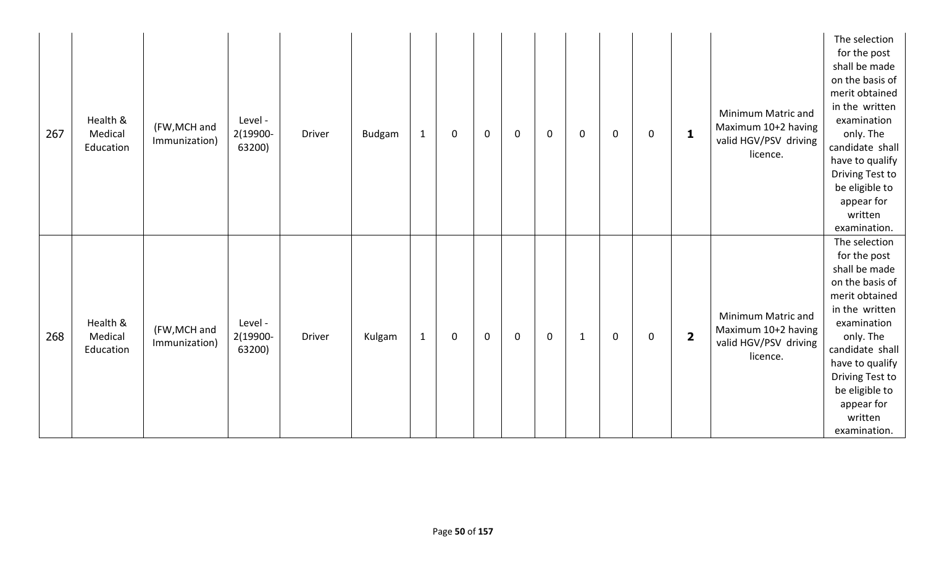| 267 | Health &<br>Medical<br>Education | (FW, MCH and<br>Immunization) | Level -<br>2(19900-<br>63200) | <b>Driver</b> | Budgam | $\mathbf{1}$ | $\pmb{0}$ | $\mathbf 0$ | $\mathbf 0$ | $\mathbf 0$ | $\mathbf 0$  | $\mathbf 0$ | $\mathsf{O}\xspace$ | $\mathbf{1}$            | Minimum Matric and<br>Maximum 10+2 having<br>valid HGV/PSV driving<br>licence. | The selection<br>for the post<br>shall be made<br>on the basis of<br>merit obtained<br>in the written<br>examination<br>only. The<br>candidate shall<br>have to qualify<br>Driving Test to<br>be eligible to<br>appear for<br>written<br>examination. |
|-----|----------------------------------|-------------------------------|-------------------------------|---------------|--------|--------------|-----------|-------------|-------------|-------------|--------------|-------------|---------------------|-------------------------|--------------------------------------------------------------------------------|-------------------------------------------------------------------------------------------------------------------------------------------------------------------------------------------------------------------------------------------------------|
| 268 | Health &<br>Medical<br>Education | (FW, MCH and<br>Immunization) | Level -<br>2(19900-<br>63200) | Driver        | Kulgam | $\mathbf{1}$ | $\pmb{0}$ | $\mathbf 0$ | $\mathbf 0$ | $\mathbf 0$ | $\mathbf{1}$ | $\mathbf 0$ | $\mathsf{O}\xspace$ | $\overline{\mathbf{2}}$ | Minimum Matric and<br>Maximum 10+2 having<br>valid HGV/PSV driving<br>licence. | The selection<br>for the post<br>shall be made<br>on the basis of<br>merit obtained<br>in the written<br>examination<br>only. The<br>candidate shall<br>have to qualify<br>Driving Test to<br>be eligible to<br>appear for<br>written<br>examination. |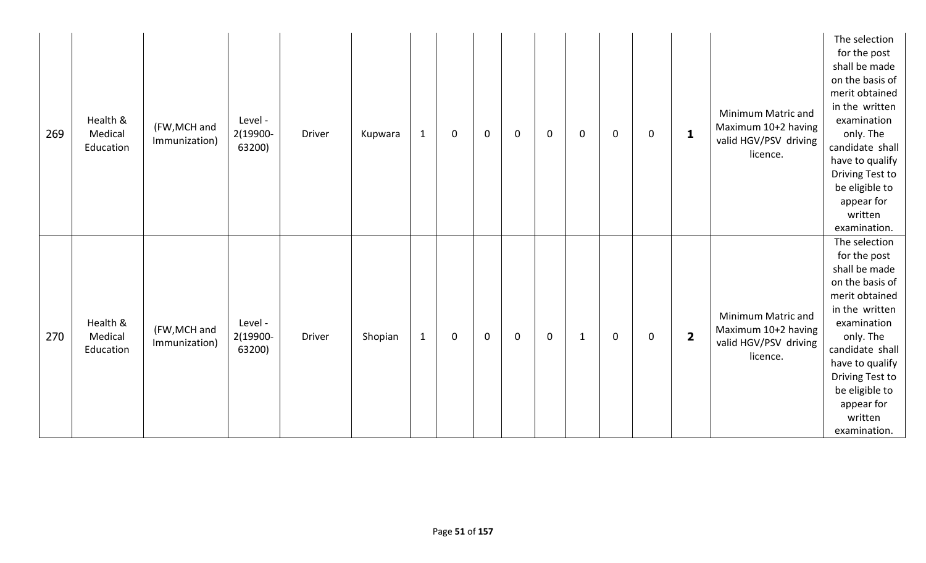| 269 | Health &<br>Medical<br>Education | (FW, MCH and<br>Immunization) | Level -<br>2(19900-<br>63200) | Driver        | Kupwara | $\mathbf{1}$ | $\mathbf 0$ | $\mathbf 0$ | $\overline{0}$ | $\mathbf 0$ | $\mathbf 0$  | $\mathbf 0$ | $\mathsf{O}\xspace$ | $\mathbf{1}$            | Minimum Matric and<br>Maximum 10+2 having<br>valid HGV/PSV driving<br>licence. | The selection<br>for the post<br>shall be made<br>on the basis of<br>merit obtained<br>in the written<br>examination<br>only. The<br>candidate shall<br>have to qualify<br>Driving Test to<br>be eligible to<br>appear for<br>written<br>examination. |
|-----|----------------------------------|-------------------------------|-------------------------------|---------------|---------|--------------|-------------|-------------|----------------|-------------|--------------|-------------|---------------------|-------------------------|--------------------------------------------------------------------------------|-------------------------------------------------------------------------------------------------------------------------------------------------------------------------------------------------------------------------------------------------------|
| 270 | Health &<br>Medical<br>Education | (FW, MCH and<br>Immunization) | Level -<br>2(19900-<br>63200) | <b>Driver</b> | Shopian | $\mathbf{1}$ | $\mathbf 0$ | $\mathbf 0$ | $\overline{0}$ | $\mathbf 0$ | $\mathbf{1}$ | $\mathbf 0$ | $\mathsf{O}\xspace$ | $\overline{\mathbf{2}}$ | Minimum Matric and<br>Maximum 10+2 having<br>valid HGV/PSV driving<br>licence. | The selection<br>for the post<br>shall be made<br>on the basis of<br>merit obtained<br>in the written<br>examination<br>only. The<br>candidate shall<br>have to qualify<br>Driving Test to<br>be eligible to<br>appear for<br>written<br>examination. |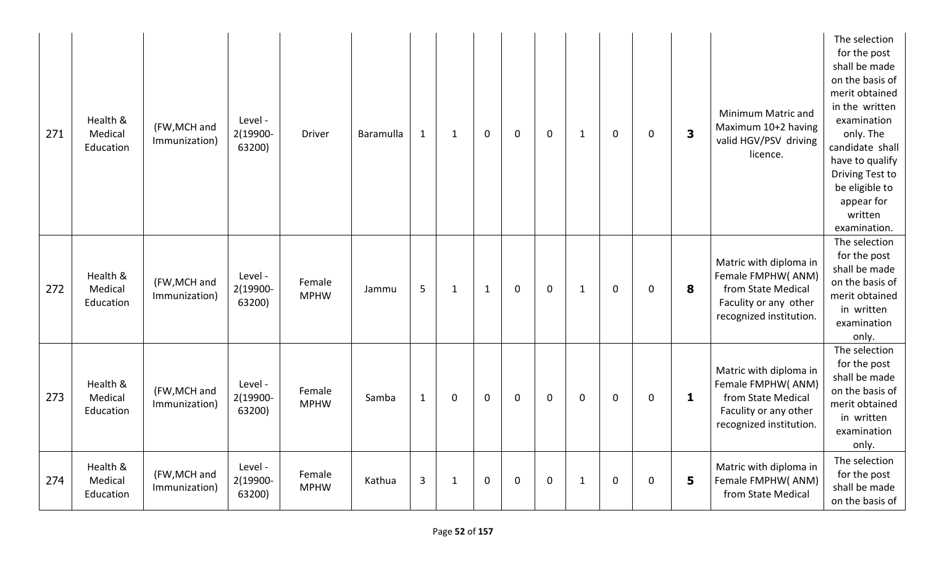| 271 | Health &<br>Medical<br>Education | (FW, MCH and<br>Immunization) | Level -<br>2(19900-<br>63200) | <b>Driver</b>         | Baramulla | $\mathbf{1}$ | $\mathbf{1}$ | $\mathbf 0$  | $\mathbf 0$ | $\mathbf 0$ | $\mathbf{1}$ | $\mathbf 0$ | $\mathbf 0$ | $\overline{\mathbf{3}}$ | Minimum Matric and<br>Maximum 10+2 having<br>valid HGV/PSV driving<br>licence.                                        | The selection<br>for the post<br>shall be made<br>on the basis of<br>merit obtained<br>in the written<br>examination<br>only. The<br>candidate shall<br>have to qualify<br><b>Driving Test to</b><br>be eligible to<br>appear for<br>written<br>examination. |
|-----|----------------------------------|-------------------------------|-------------------------------|-----------------------|-----------|--------------|--------------|--------------|-------------|-------------|--------------|-------------|-------------|-------------------------|-----------------------------------------------------------------------------------------------------------------------|--------------------------------------------------------------------------------------------------------------------------------------------------------------------------------------------------------------------------------------------------------------|
| 272 | Health &<br>Medical<br>Education | (FW, MCH and<br>Immunization) | Level -<br>2(19900-<br>63200) | Female<br><b>MPHW</b> | Jammu     | 5            | $\mathbf{1}$ | $\mathbf{1}$ | $\mathbf 0$ | $\mathbf 0$ | $\mathbf{1}$ | $\mathbf 0$ | $\mathbf 0$ | 8                       | Matric with diploma in<br>Female FMPHW(ANM)<br>from State Medical<br>Faculity or any other<br>recognized institution. | The selection<br>for the post<br>shall be made<br>on the basis of<br>merit obtained<br>in written<br>examination<br>only.                                                                                                                                    |
| 273 | Health &<br>Medical<br>Education | (FW, MCH and<br>Immunization) | Level -<br>2(19900-<br>63200) | Female<br><b>MPHW</b> | Samba     | $\mathbf{1}$ | $\mathbf 0$  | $\mathbf 0$  | $\mathbf 0$ | $\mathbf 0$ | $\mathbf 0$  | $\mathbf 0$ | $\mathbf 0$ | 1                       | Matric with diploma in<br>Female FMPHW(ANM)<br>from State Medical<br>Faculity or any other<br>recognized institution. | The selection<br>for the post<br>shall be made<br>on the basis of<br>merit obtained<br>in written<br>examination<br>only.                                                                                                                                    |
| 274 | Health &<br>Medical<br>Education | (FW, MCH and<br>Immunization) | Level -<br>2(19900-<br>63200) | Female<br><b>MPHW</b> | Kathua    | 3            | $\mathbf{1}$ | $\mathbf 0$  | $\mathbf 0$ | $\mathbf 0$ | $\mathbf{1}$ | $\mathbf 0$ | $\mathbf 0$ | 5                       | Matric with diploma in<br>Female FMPHW(ANM)<br>from State Medical                                                     | The selection<br>for the post<br>shall be made<br>on the basis of                                                                                                                                                                                            |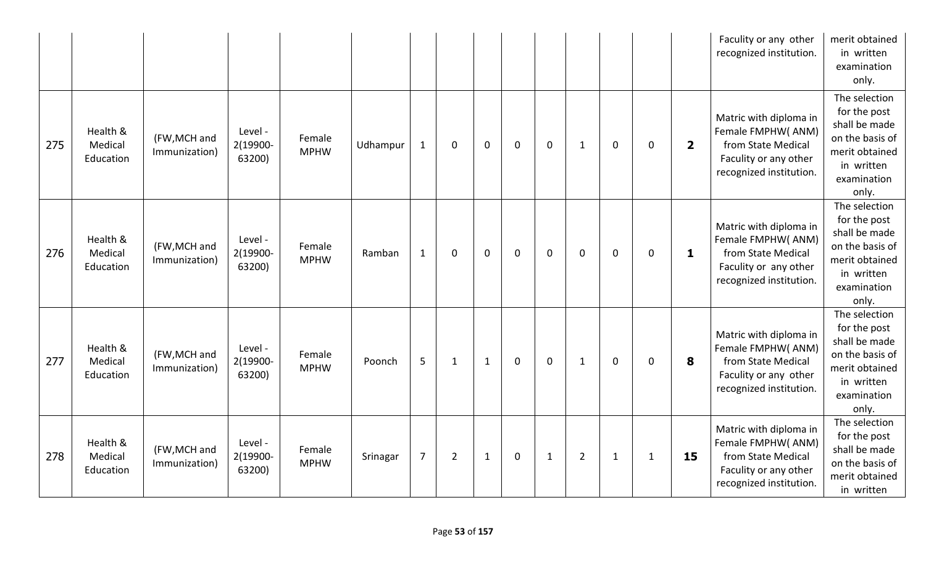|     |                                  |                               |                               |                       |          |                |                |              |             |              |                |              |              |                         | Faculity or any other<br>recognized institution.                                                                      | merit obtained<br>in written<br>examination<br>only.                                                                      |
|-----|----------------------------------|-------------------------------|-------------------------------|-----------------------|----------|----------------|----------------|--------------|-------------|--------------|----------------|--------------|--------------|-------------------------|-----------------------------------------------------------------------------------------------------------------------|---------------------------------------------------------------------------------------------------------------------------|
| 275 | Health &<br>Medical<br>Education | (FW, MCH and<br>Immunization) | Level -<br>2(19900-<br>63200) | Female<br><b>MPHW</b> | Udhampur | $\mathbf{1}$   | $\mathbf 0$    | $\mathbf 0$  | $\mathbf 0$ | $\mathbf 0$  | $\mathbf{1}$   | $\mathbf 0$  | 0            | $\overline{\mathbf{2}}$ | Matric with diploma in<br>Female FMPHW(ANM)<br>from State Medical<br>Faculity or any other<br>recognized institution. | The selection<br>for the post<br>shall be made<br>on the basis of<br>merit obtained<br>in written<br>examination<br>only. |
| 276 | Health &<br>Medical<br>Education | (FW, MCH and<br>Immunization) | Level -<br>2(19900-<br>63200) | Female<br><b>MPHW</b> | Ramban   | $\mathbf{1}$   | $\mathbf 0$    | $\mathbf 0$  | $\mathbf 0$ | $\mathbf 0$  | $\mathbf 0$    | $\mathbf 0$  | 0            | 1                       | Matric with diploma in<br>Female FMPHW(ANM)<br>from State Medical<br>Faculity or any other<br>recognized institution. | The selection<br>for the post<br>shall be made<br>on the basis of<br>merit obtained<br>in written<br>examination<br>only. |
| 277 | Health &<br>Medical<br>Education | (FW, MCH and<br>Immunization) | Level -<br>2(19900-<br>63200) | Female<br><b>MPHW</b> | Poonch   | 5              | $\mathbf{1}$   | $\mathbf{1}$ | $\mathbf 0$ | $\mathbf 0$  | $\mathbf{1}$   | $\mathbf 0$  | 0            | 8                       | Matric with diploma in<br>Female FMPHW(ANM)<br>from State Medical<br>Faculity or any other<br>recognized institution. | The selection<br>for the post<br>shall be made<br>on the basis of<br>merit obtained<br>in written<br>examination<br>only. |
| 278 | Health &<br>Medical<br>Education | (FW, MCH and<br>Immunization) | Level -<br>2(19900-<br>63200) | Female<br><b>MPHW</b> | Srinagar | $\overline{7}$ | $\overline{2}$ | $\mathbf{1}$ | $\mathbf 0$ | $\mathbf{1}$ | $\overline{2}$ | $\mathbf{1}$ | $\mathbf{1}$ | 15                      | Matric with diploma in<br>Female FMPHW(ANM)<br>from State Medical<br>Faculity or any other<br>recognized institution. | The selection<br>for the post<br>shall be made<br>on the basis of<br>merit obtained<br>in written                         |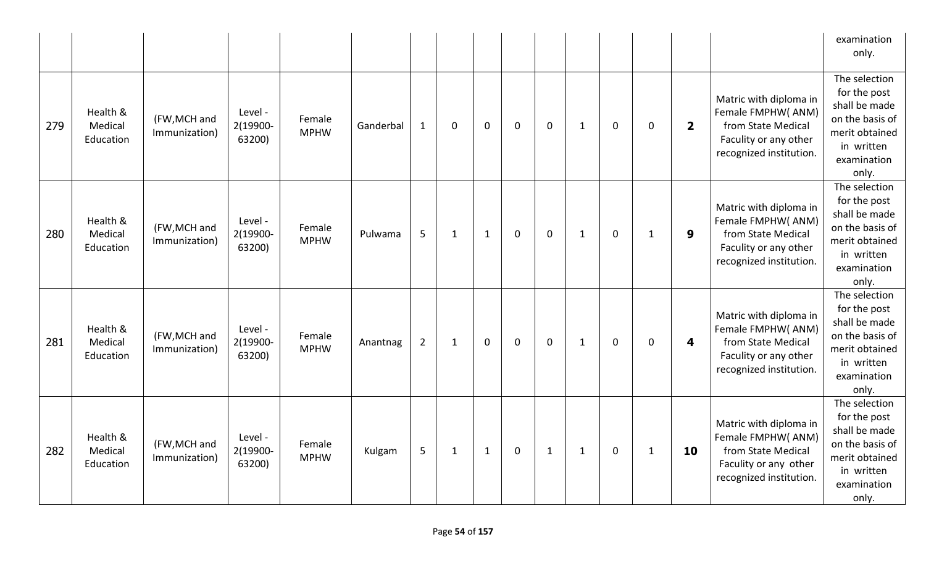|     |                                  |                               |                               |                       |           |              |              |              |              |              |              |             |              |                         |                                                                                                                       | examination<br>only.                                                                                                      |
|-----|----------------------------------|-------------------------------|-------------------------------|-----------------------|-----------|--------------|--------------|--------------|--------------|--------------|--------------|-------------|--------------|-------------------------|-----------------------------------------------------------------------------------------------------------------------|---------------------------------------------------------------------------------------------------------------------------|
| 279 | Health &<br>Medical<br>Education | (FW, MCH and<br>Immunization) | Level -<br>2(19900-<br>63200) | Female<br><b>MPHW</b> | Ganderbal | $\mathbf{1}$ | $\mathbf 0$  | $\mathbf 0$  | $\mathbf{0}$ | $\mathbf{0}$ | $\mathbf{1}$ | 0           | $\mathbf 0$  | $\overline{\mathbf{2}}$ | Matric with diploma in<br>Female FMPHW(ANM)<br>from State Medical<br>Faculity or any other<br>recognized institution. | The selection<br>for the post<br>shall be made<br>on the basis of<br>merit obtained<br>in written<br>examination<br>only. |
| 280 | Health &<br>Medical<br>Education | (FW, MCH and<br>Immunization) | Level -<br>2(19900-<br>63200) | Female<br><b>MPHW</b> | Pulwama   | 5            | $\mathbf{1}$ | $\mathbf{1}$ | $\mathbf 0$  | $\mathbf 0$  | $\mathbf{1}$ | $\mathbf 0$ | $\mathbf{1}$ | 9                       | Matric with diploma in<br>Female FMPHW(ANM)<br>from State Medical<br>Faculity or any other<br>recognized institution. | The selection<br>for the post<br>shall be made<br>on the basis of<br>merit obtained<br>in written<br>examination<br>only. |
| 281 | Health &<br>Medical<br>Education | (FW, MCH and<br>Immunization) | Level -<br>2(19900-<br>63200) | Female<br><b>MPHW</b> | Anantnag  | $2^{1}$      | $\mathbf{1}$ | $\mathbf 0$  | $\mathbf 0$  | $\mathbf 0$  | $\mathbf{1}$ | $\mathbf 0$ | $\mathbf 0$  | 4                       | Matric with diploma in<br>Female FMPHW(ANM)<br>from State Medical<br>Faculity or any other<br>recognized institution. | The selection<br>for the post<br>shall be made<br>on the basis of<br>merit obtained<br>in written<br>examination<br>only. |
| 282 | Health &<br>Medical<br>Education | (FW, MCH and<br>Immunization) | Level -<br>2(19900-<br>63200) | Female<br><b>MPHW</b> | Kulgam    | 5            | $\mathbf{1}$ | $\mathbf{1}$ | $\mathbf 0$  | $\mathbf{1}$ | $\mathbf{1}$ | $\mathbf 0$ | $\mathbf{1}$ | 10                      | Matric with diploma in<br>Female FMPHW(ANM)<br>from State Medical<br>Faculity or any other<br>recognized institution. | The selection<br>for the post<br>shall be made<br>on the basis of<br>merit obtained<br>in written<br>examination<br>only. |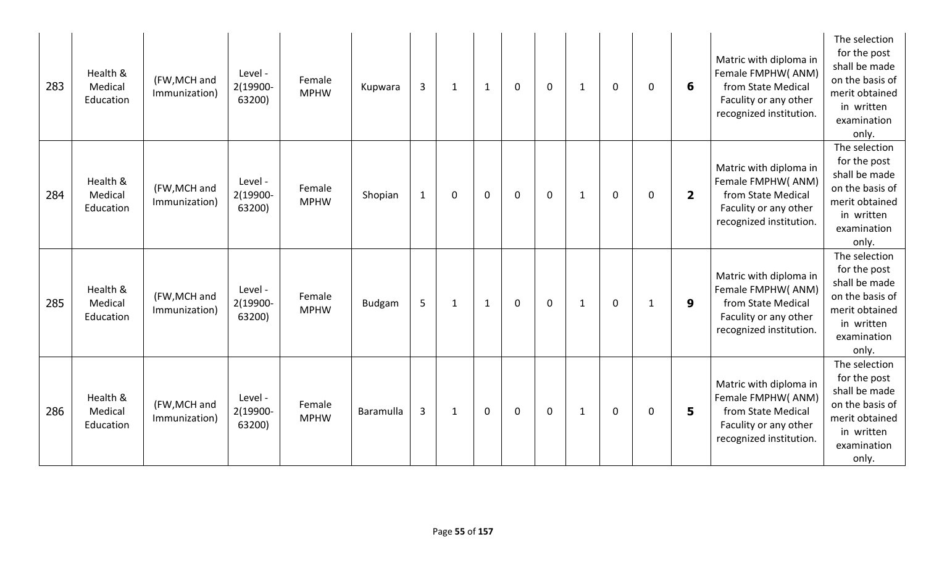| 283 | Health &<br>Medical<br>Education | (FW, MCH and<br>Immunization) | Level -<br>2(19900-<br>63200) | Female<br><b>MPHW</b> | Kupwara          | $\overline{3}$ | 1            | 1            | $\mathbf 0$ | $\mathbf 0$ | 1            | $\mathbf 0$ | $\mathbf 0$  | 6                       | Matric with diploma in<br>Female FMPHW(ANM)<br>from State Medical<br>Faculity or any other<br>recognized institution. | The selection<br>for the post<br>shall be made<br>on the basis of<br>merit obtained<br>in written<br>examination<br>only. |
|-----|----------------------------------|-------------------------------|-------------------------------|-----------------------|------------------|----------------|--------------|--------------|-------------|-------------|--------------|-------------|--------------|-------------------------|-----------------------------------------------------------------------------------------------------------------------|---------------------------------------------------------------------------------------------------------------------------|
| 284 | Health &<br>Medical<br>Education | (FW, MCH and<br>Immunization) | Level -<br>2(19900-<br>63200) | Female<br><b>MPHW</b> | Shopian          | $\mathbf{1}$   | 0            | $\mathbf 0$  | $\mathbf 0$ | $\mathbf 0$ | $\mathbf{1}$ | $\mathbf 0$ | $\mathbf 0$  | $\overline{\mathbf{2}}$ | Matric with diploma in<br>Female FMPHW(ANM)<br>from State Medical<br>Faculity or any other<br>recognized institution. | The selection<br>for the post<br>shall be made<br>on the basis of<br>merit obtained<br>in written<br>examination<br>only. |
| 285 | Health &<br>Medical<br>Education | (FW, MCH and<br>Immunization) | Level -<br>2(19900-<br>63200) | Female<br><b>MPHW</b> | <b>Budgam</b>    | 5              | $\mathbf{1}$ | $\mathbf{1}$ | $\mathbf 0$ | $\mathbf 0$ | $\mathbf{1}$ | $\mathbf 0$ | $\mathbf{1}$ | $\boldsymbol{9}$        | Matric with diploma in<br>Female FMPHW(ANM)<br>from State Medical<br>Faculity or any other<br>recognized institution. | The selection<br>for the post<br>shall be made<br>on the basis of<br>merit obtained<br>in written<br>examination<br>only. |
| 286 | Health &<br>Medical<br>Education | (FW, MCH and<br>Immunization) | Level -<br>2(19900-<br>63200) | Female<br><b>MPHW</b> | <b>Baramulla</b> | 3              | $\mathbf{1}$ | $\mathbf 0$  | $\mathbf 0$ | $\mathbf 0$ | $\mathbf{1}$ | 0           | $\mathbf 0$  | 5                       | Matric with diploma in<br>Female FMPHW(ANM)<br>from State Medical<br>Faculity or any other<br>recognized institution. | The selection<br>for the post<br>shall be made<br>on the basis of<br>merit obtained<br>in written<br>examination<br>only. |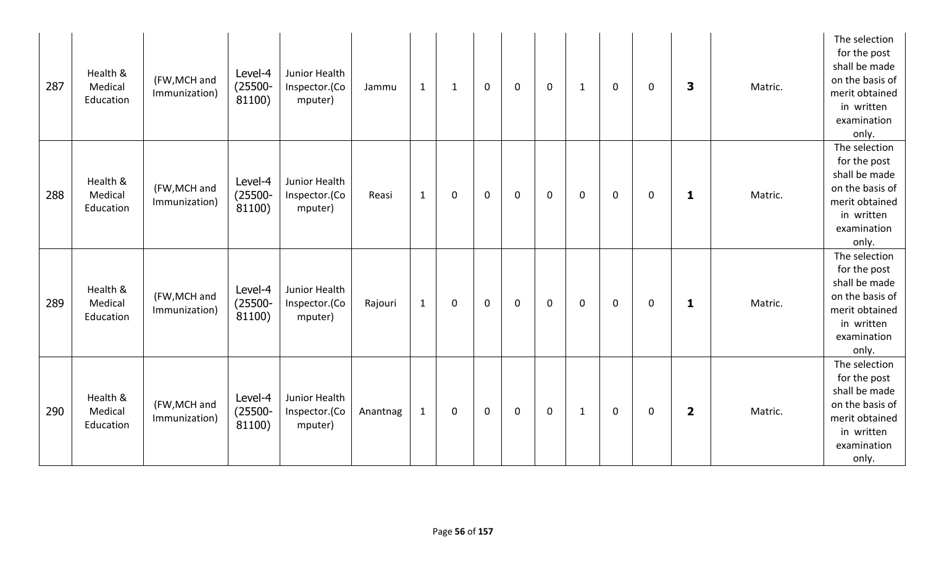| 287 | Health &<br>Medical<br>Education | (FW, MCH and<br>Immunization) | Level-4<br>$(25500 -$<br>81100) | Junior Health<br>Inspector.(Co<br>mputer) | Jammu    | $\mathbf{1}$ | $\mathbf{1}$ | $\mathbf 0$ | $\mathbf 0$ | $\mathbf 0$ | $\mathbf{1}$ | 0           | 0           | 3                       | Matric. | The selection<br>for the post<br>shall be made<br>on the basis of<br>merit obtained<br>in written<br>examination<br>only. |
|-----|----------------------------------|-------------------------------|---------------------------------|-------------------------------------------|----------|--------------|--------------|-------------|-------------|-------------|--------------|-------------|-------------|-------------------------|---------|---------------------------------------------------------------------------------------------------------------------------|
| 288 | Health &<br>Medical<br>Education | (FW, MCH and<br>Immunization) | Level-4<br>$(25500 -$<br>81100) | Junior Health<br>Inspector.(Co<br>mputer) | Reasi    | $\mathbf{1}$ | 0            | $\mathbf 0$ | $\mathbf 0$ | $\mathbf 0$ | 0            | $\mathbf 0$ | 0           | 1                       | Matric. | The selection<br>for the post<br>shall be made<br>on the basis of<br>merit obtained<br>in written<br>examination<br>only. |
| 289 | Health &<br>Medical<br>Education | (FW, MCH and<br>Immunization) | Level-4<br>$(25500 -$<br>81100) | Junior Health<br>Inspector.(Co<br>mputer) | Rajouri  | $\mathbf{1}$ | 0            | $\mathbf 0$ | $\mathbf 0$ | $\mathbf 0$ | 0            | $\mathbf 0$ | $\mathbf 0$ | $\mathbf{1}$            | Matric. | The selection<br>for the post<br>shall be made<br>on the basis of<br>merit obtained<br>in written<br>examination<br>only. |
| 290 | Health &<br>Medical<br>Education | (FW, MCH and<br>Immunization) | Level-4<br>$(25500 -$<br>81100) | Junior Health<br>Inspector.(Co<br>mputer) | Anantnag | $\mathbf{1}$ | 0            | $\mathbf 0$ | $\mathbf 0$ | $\mathbf 0$ | $\mathbf{1}$ | 0           | 0           | $\overline{\mathbf{2}}$ | Matric. | The selection<br>for the post<br>shall be made<br>on the basis of<br>merit obtained<br>in written<br>examination<br>only. |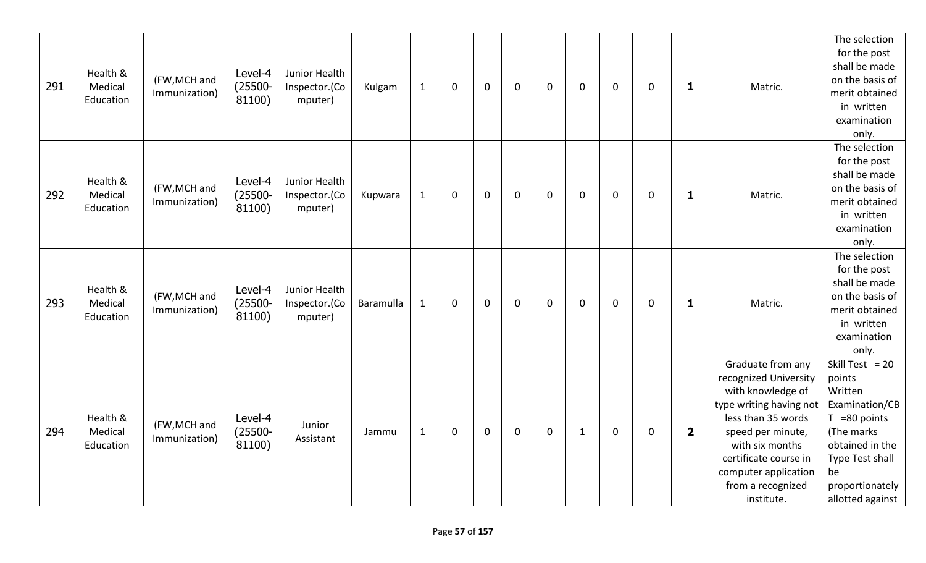| 291 | Health &<br>Medical<br>Education | (FW, MCH and<br>Immunization) | Level-4<br>$(25500 -$<br>81100) | Junior Health<br>Inspector.(Co<br>mputer) | $\mathbf{1}$<br>Kulgam    | 0           | $\mathbf 0$ | $\mathbf 0$ | $\mathbf 0$ | 0            | $\mathbf 0$ | 0 | 1                       | Matric.                                                                                                                                                                                                                                      | The selection<br>for the post<br>shall be made<br>on the basis of<br>merit obtained<br>in written<br>examination<br>only.                                                    |
|-----|----------------------------------|-------------------------------|---------------------------------|-------------------------------------------|---------------------------|-------------|-------------|-------------|-------------|--------------|-------------|---|-------------------------|----------------------------------------------------------------------------------------------------------------------------------------------------------------------------------------------------------------------------------------------|------------------------------------------------------------------------------------------------------------------------------------------------------------------------------|
| 292 | Health &<br>Medical<br>Education | (FW, MCH and<br>Immunization) | Level-4<br>$(25500 -$<br>81100) | Junior Health<br>Inspector.(Co<br>mputer) | $\mathbf{1}$<br>Kupwara   | 0           | $\mathbf 0$ | $\mathbf 0$ | $\mathbf 0$ | 0            | $\mathbf 0$ | 0 | $\mathbf{1}$            | Matric.                                                                                                                                                                                                                                      | The selection<br>for the post<br>shall be made<br>on the basis of<br>merit obtained<br>in written<br>examination<br>only.                                                    |
| 293 | Health &<br>Medical<br>Education | (FW, MCH and<br>Immunization) | Level-4<br>$(25500 -$<br>81100) | Junior Health<br>Inspector.(Co<br>mputer) | $\mathbf{1}$<br>Baramulla | $\mathbf 0$ | $\mathbf 0$ | $\mathbf 0$ | $\mathbf 0$ | 0            | $\mathbf 0$ | 0 | $\mathbf{1}$            | Matric.                                                                                                                                                                                                                                      | The selection<br>for the post<br>shall be made<br>on the basis of<br>merit obtained<br>in written<br>examination<br>only.                                                    |
| 294 | Health &<br>Medical<br>Education | (FW, MCH and<br>Immunization) | Level-4<br>$(25500 -$<br>81100) | Junior<br>Assistant                       | $\mathbf{1}$<br>Jammu     | 0           | $\mathbf 0$ | $\mathbf 0$ | $\mathbf 0$ | $\mathbf{1}$ | $\mathbf 0$ | 0 | $\overline{\mathbf{2}}$ | Graduate from any<br>recognized University<br>with knowledge of<br>type writing having not<br>less than 35 words<br>speed per minute,<br>with six months<br>certificate course in<br>computer application<br>from a recognized<br>institute. | Skill Test = $20$<br>points<br>Written<br>Examination/CB<br>$T = 80$ points<br>(The marks<br>obtained in the<br>Type Test shall<br>be<br>proportionately<br>allotted against |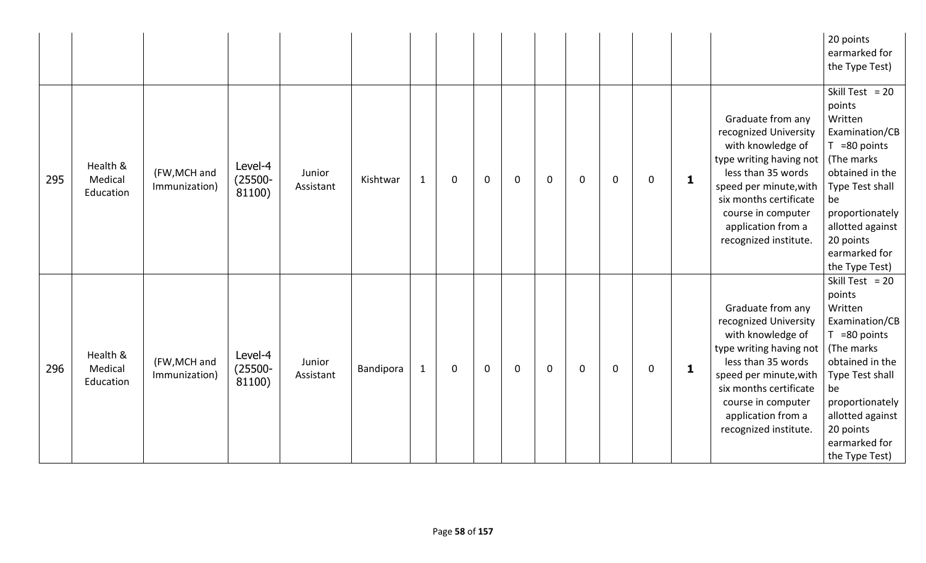|     |                                  |                               |                                 |                     |           |              |             |              |             |             |   |             |   |              |                                                                                                                                                                                                                                           | 20 points<br>earmarked for<br>the Type Test)                                                                                                                                                                                 |
|-----|----------------------------------|-------------------------------|---------------------------------|---------------------|-----------|--------------|-------------|--------------|-------------|-------------|---|-------------|---|--------------|-------------------------------------------------------------------------------------------------------------------------------------------------------------------------------------------------------------------------------------------|------------------------------------------------------------------------------------------------------------------------------------------------------------------------------------------------------------------------------|
| 295 | Health &<br>Medical<br>Education | (FW, MCH and<br>Immunization) | Level-4<br>$(25500 -$<br>81100) | Junior<br>Assistant | Kishtwar  | $\mathbf{1}$ | $\mathbf 0$ | $\mathbf 0$  | $\mathbf 0$ | $\mathbf 0$ | 0 | $\mathbf 0$ | 0 | $\mathbf{1}$ | Graduate from any<br>recognized University<br>with knowledge of<br>type writing having not<br>less than 35 words<br>speed per minute, with<br>six months certificate<br>course in computer<br>application from a<br>recognized institute. | Skill Test = $20$<br>points<br>Written<br>Examination/CB<br>$T = 80$ points<br>(The marks<br>obtained in the<br>Type Test shall<br>be<br>proportionately<br>allotted against<br>20 points<br>earmarked for<br>the Type Test) |
| 296 | Health &<br>Medical<br>Education | (FW, MCH and<br>Immunization) | Level-4<br>$(25500 -$<br>81100) | Junior<br>Assistant | Bandipora | $\mathbf{1}$ | $\mathbf 0$ | $\mathbf{0}$ | $\mathbf 0$ | $\mathbf 0$ | 0 | $\mathbf 0$ | 0 | 1            | Graduate from any<br>recognized University<br>with knowledge of<br>type writing having not<br>less than 35 words<br>speed per minute, with<br>six months certificate<br>course in computer<br>application from a<br>recognized institute. | Skill Test = $20$<br>points<br>Written<br>Examination/CB<br>$T = 80$ points<br>(The marks<br>obtained in the<br>Type Test shall<br>be<br>proportionately<br>allotted against<br>20 points<br>earmarked for<br>the Type Test) |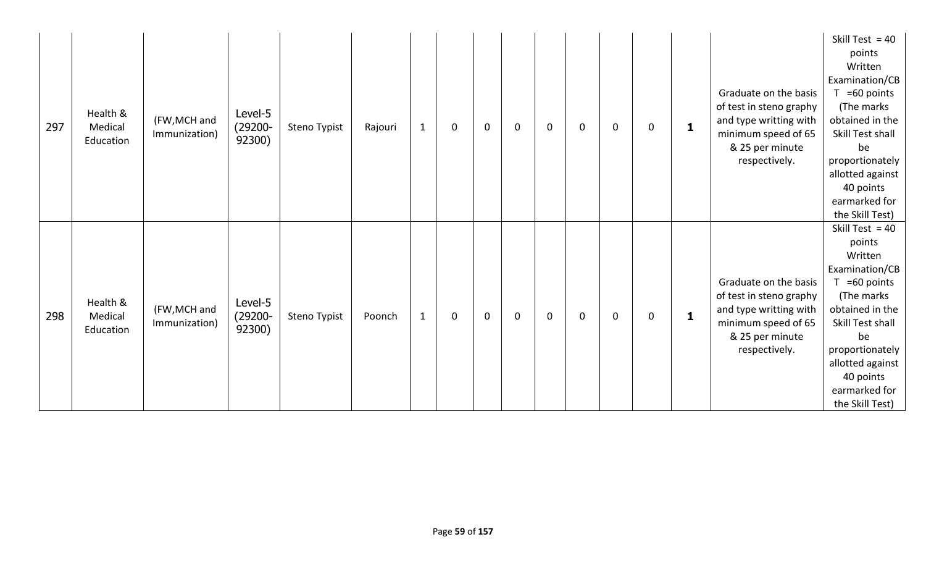| 297 | Health &<br>Medical<br>Education | (FW, MCH and<br>Immunization) | Level-5<br>$(29200 -$<br>92300) | Steno Typist | Rajouri | $\mathbf{1}$ | 0           | $\mathbf 0$ | $\mathbf 0$ | $\mathbf 0$ | 0 | 0           | 0 | $\mathbf{1}$ | Graduate on the basis<br>of test in steno graphy<br>and type writting with<br>minimum speed of 65<br>& 25 per minute<br>respectively. | Skill Test = $40$<br>points<br>Written<br>Examination/CB<br>$T = 60$ points<br>(The marks)<br>obtained in the<br>Skill Test shall<br>be<br>proportionately<br>allotted against<br>40 points<br>earmarked for<br>the Skill Test) |
|-----|----------------------------------|-------------------------------|---------------------------------|--------------|---------|--------------|-------------|-------------|-------------|-------------|---|-------------|---|--------------|---------------------------------------------------------------------------------------------------------------------------------------|---------------------------------------------------------------------------------------------------------------------------------------------------------------------------------------------------------------------------------|
| 298 | Health &<br>Medical<br>Education | (FW, MCH and<br>Immunization) | Level-5<br>$(29200 -$<br>92300) | Steno Typist | Poonch  | $\mathbf{1}$ | $\mathbf 0$ | $\mathbf 0$ | $\mathbf 0$ | $\mathbf 0$ | 0 | $\mathbf 0$ | 0 | $\mathbf{1}$ | Graduate on the basis<br>of test in steno graphy<br>and type writting with<br>minimum speed of 65<br>& 25 per minute<br>respectively. | Skill Test = $40$<br>points<br>Written<br>Examination/CB<br>$T = 60$ points<br>(The marks)<br>obtained in the<br>Skill Test shall<br>be<br>proportionately<br>allotted against<br>40 points<br>earmarked for<br>the Skill Test) |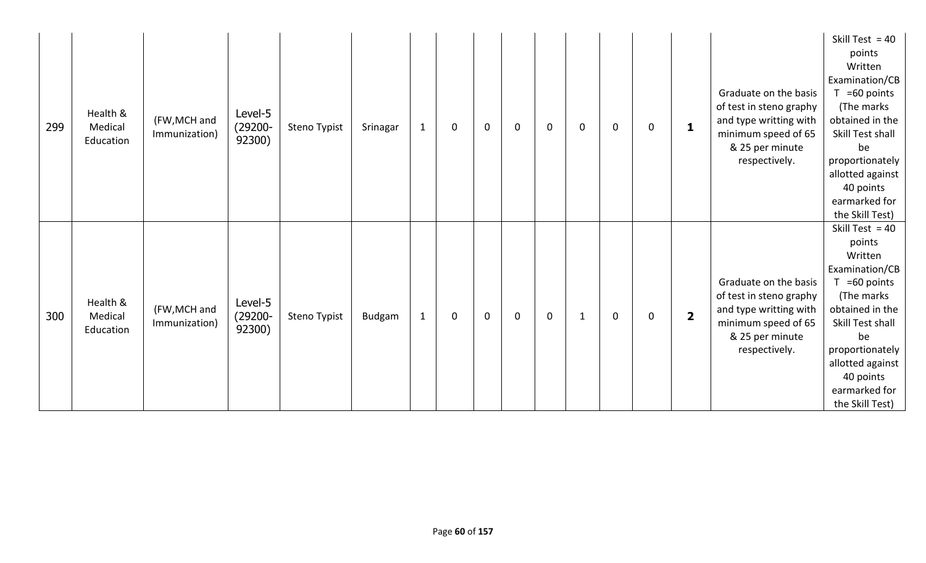| 299 | Health &<br>Medical<br>Education | (FW, MCH and<br>Immunization) | Level-5<br>$(29200 -$<br>92300) | Steno Typist | Srinagar | $\mathbf{1}$ | $\mathbf 0$ | $\mathbf 0$ | $\mathbf 0$ | $\mathbf 0$ | 0 | $\mathbf 0$ | 0 | $\mathbf{1}$            | Graduate on the basis<br>of test in steno graphy<br>and type writting with<br>minimum speed of 65<br>& 25 per minute<br>respectively. | Skill Test = $40$<br>points<br>Written<br>Examination/CB<br>$T = 60$ points<br>(The marks<br>obtained in the<br>Skill Test shall<br>be<br>proportionately<br>allotted against<br>40 points<br>earmarked for<br>the Skill Test)  |
|-----|----------------------------------|-------------------------------|---------------------------------|--------------|----------|--------------|-------------|-------------|-------------|-------------|---|-------------|---|-------------------------|---------------------------------------------------------------------------------------------------------------------------------------|---------------------------------------------------------------------------------------------------------------------------------------------------------------------------------------------------------------------------------|
| 300 | Health &<br>Medical<br>Education | (FW, MCH and<br>Immunization) | Level-5<br>$(29200 -$<br>92300) | Steno Typist | Budgam   | $\mathbf{1}$ | $\mathbf 0$ | $\mathbf 0$ | $\mathbf 0$ | $\mathbf 0$ | 1 | $\mathbf 0$ | 0 | $\overline{\mathbf{2}}$ | Graduate on the basis<br>of test in steno graphy<br>and type writting with<br>minimum speed of 65<br>& 25 per minute<br>respectively. | Skill Test = $40$<br>points<br>Written<br>Examination/CB<br>$T = 60$ points<br>(The marks)<br>obtained in the<br>Skill Test shall<br>be<br>proportionately<br>allotted against<br>40 points<br>earmarked for<br>the Skill Test) |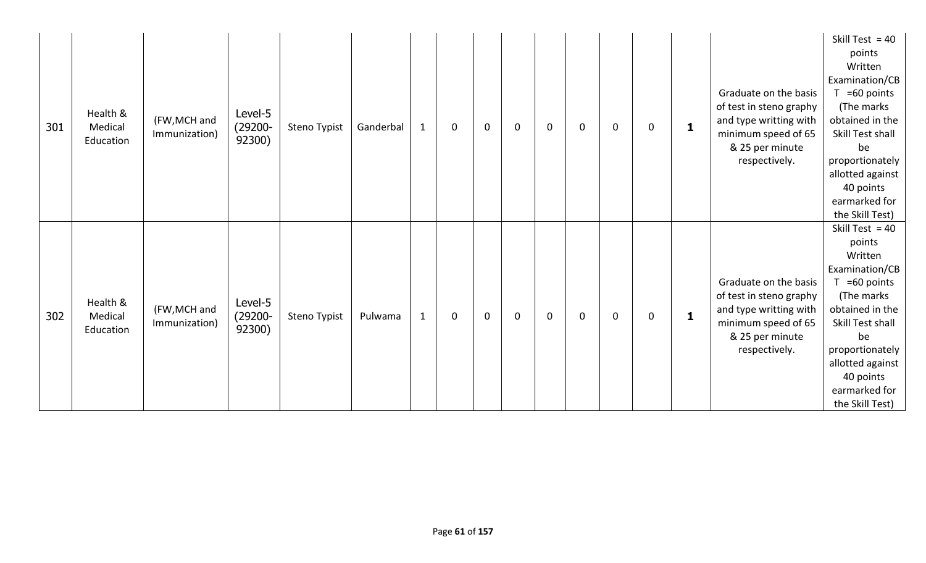| 301 | Health &<br>Medical<br>Education | (FW, MCH and<br>Immunization) | Level-5<br>$(29200 -$<br>92300) | Steno Typist | Ganderbal | $\mathbf{1}$ | $\mathbf 0$ | $\mathbf 0$ | $\mathbf 0$ | $\mathbf 0$ | $\mathbf{0}$ | $\mathbf 0$  | 0 | $\mathbf{1}$ | Graduate on the basis<br>of test in steno graphy<br>and type writting with<br>minimum speed of 65<br>& 25 per minute<br>respectively. | Skill Test = $40$<br>points<br>Written<br>Examination/CB<br>=60 points<br>(The marks)<br>obtained in the<br>Skill Test shall<br>be<br>proportionately<br>allotted against<br>40 points<br>earmarked for<br>the Skill Test)      |
|-----|----------------------------------|-------------------------------|---------------------------------|--------------|-----------|--------------|-------------|-------------|-------------|-------------|--------------|--------------|---|--------------|---------------------------------------------------------------------------------------------------------------------------------------|---------------------------------------------------------------------------------------------------------------------------------------------------------------------------------------------------------------------------------|
| 302 | Health &<br>Medical<br>Education | (FW, MCH and<br>Immunization) | Level-5<br>$(29200 -$<br>92300) | Steno Typist | Pulwama   | $\mathbf{1}$ | 0           | $\mathbf 0$ | $\mathbf 0$ | $\mathbf 0$ | 0            | $\mathbf{0}$ | 0 | $\mathbf{1}$ | Graduate on the basis<br>of test in steno graphy<br>and type writting with<br>minimum speed of 65<br>& 25 per minute<br>respectively. | Skill Test = $40$<br>points<br>Written<br>Examination/CB<br>$T = 60$ points<br>(The marks)<br>obtained in the<br>Skill Test shall<br>be<br>proportionately<br>allotted against<br>40 points<br>earmarked for<br>the Skill Test) |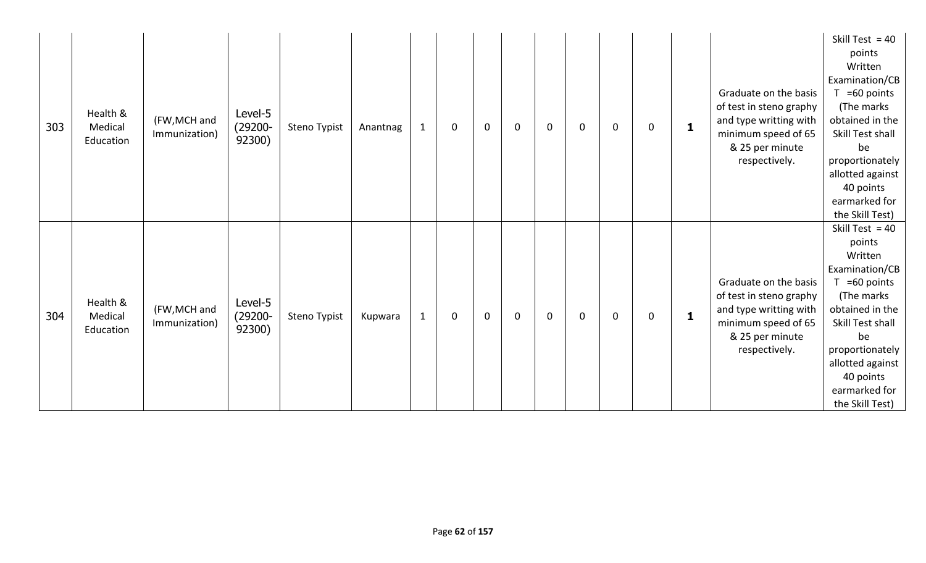| 303 | Health &<br>Medical<br>Education | (FW, MCH and<br>Immunization) | Level-5<br>(29200-<br>92300)    | Steno Typist | Anantnag | $\mathbf{1}$ | $\mathbf 0$ | $\mathbf 0$ | $\mathbf 0$ | $\mathbf 0$ | $\mathbf{0}$ | $\mathbf{0}$ | 0 | $\mathbf{1}$ | Graduate on the basis<br>of test in steno graphy<br>and type writting with<br>minimum speed of 65<br>& 25 per minute<br>respectively. | Skill Test = $40$<br>points<br>Written<br>Examination/CB<br>$T = 60$ points<br>(The marks)<br>obtained in the<br>Skill Test shall<br>be<br>proportionately<br>allotted against<br>40 points<br>earmarked for<br>the Skill Test) |
|-----|----------------------------------|-------------------------------|---------------------------------|--------------|----------|--------------|-------------|-------------|-------------|-------------|--------------|--------------|---|--------------|---------------------------------------------------------------------------------------------------------------------------------------|---------------------------------------------------------------------------------------------------------------------------------------------------------------------------------------------------------------------------------|
| 304 | Health &<br>Medical<br>Education | (FW, MCH and<br>Immunization) | Level-5<br>$(29200 -$<br>92300) | Steno Typist | Kupwara  | $\mathbf{1}$ | $\mathbf 0$ | $\mathbf 0$ | $\mathbf 0$ | $\mathbf 0$ | 0            | $\mathbf 0$  | 0 | $\mathbf{1}$ | Graduate on the basis<br>of test in steno graphy<br>and type writting with<br>minimum speed of 65<br>& 25 per minute<br>respectively. | Skill Test = $40$<br>points<br>Written<br>Examination/CB<br>$T = 60$ points<br>(The marks)<br>obtained in the<br>Skill Test shall<br>be<br>proportionately<br>allotted against<br>40 points<br>earmarked for<br>the Skill Test) |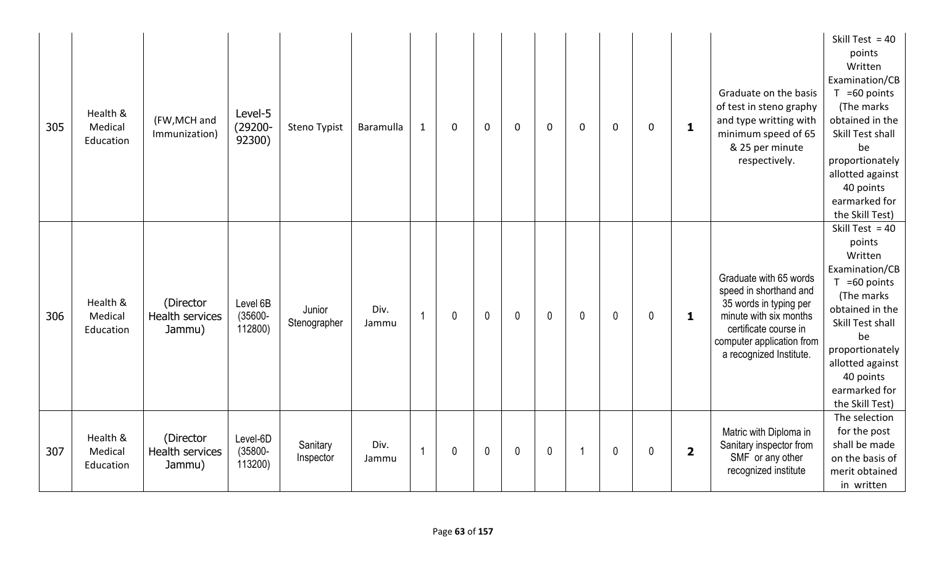| 305 | Health &<br>Medical<br>Education | (FW, MCH and<br>Immunization)          | Level-5<br>$(29200 -$<br>92300)   | Steno Typist           | Baramulla     | $\mathbf{1}$ | $\mathbf 0$ | $\mathbf 0$  | $\mathbf 0$  | $\mathbf 0$  | 0            | $\mathbf 0$  | 0 | 1                       | Graduate on the basis<br>of test in steno graphy<br>and type writting with<br>minimum speed of 65<br>& 25 per minute<br>respectively.                                                 | Skill Test = $40$<br>points<br>Written<br>Examination/CB<br>$T = 60$ points<br>(The marks<br>obtained in the<br>Skill Test shall<br>be<br>proportionately<br>allotted against<br>40 points<br>earmarked for<br>the Skill Test) |
|-----|----------------------------------|----------------------------------------|-----------------------------------|------------------------|---------------|--------------|-------------|--------------|--------------|--------------|--------------|--------------|---|-------------------------|---------------------------------------------------------------------------------------------------------------------------------------------------------------------------------------|--------------------------------------------------------------------------------------------------------------------------------------------------------------------------------------------------------------------------------|
| 306 | Health &<br>Medical<br>Education | (Director<br>Health services<br>Jammu) | Level 6B<br>$(35600 -$<br>112800) | Junior<br>Stenographer | Div.<br>Jammu | 1            | 0           | $\mathbf{0}$ | $\mathbf{0}$ | $\mathbf{0}$ | $\mathbf{0}$ | $\mathbf{0}$ | 0 | 1                       | Graduate with 65 words<br>speed in shorthand and<br>35 words in typing per<br>minute with six months<br>certificate course in<br>computer application from<br>a recognized Institute. | Skill Test = $40$<br>points<br>Written<br>Examination/CB<br>$T = 60$ points<br>(The marks<br>obtained in the<br>Skill Test shall<br>be<br>proportionately<br>allotted against<br>40 points<br>earmarked for<br>the Skill Test) |
| 307 | Health &<br>Medical<br>Education | (Director<br>Health services<br>Jammu) | Level-6D<br>$(35800 -$<br>113200) | Sanitary<br>Inspector  | Div.<br>Jammu | $\mathbf{1}$ | 0           | $\mathbf 0$  | $\mathbf 0$  | $\mathbf 0$  | -1           | $\mathbf 0$  | 0 | $\overline{\mathbf{2}}$ | Matric with Diploma in<br>Sanitary inspector from<br>SMF or any other<br>recognized institute                                                                                         | The selection<br>for the post<br>shall be made<br>on the basis of<br>merit obtained<br>in written                                                                                                                              |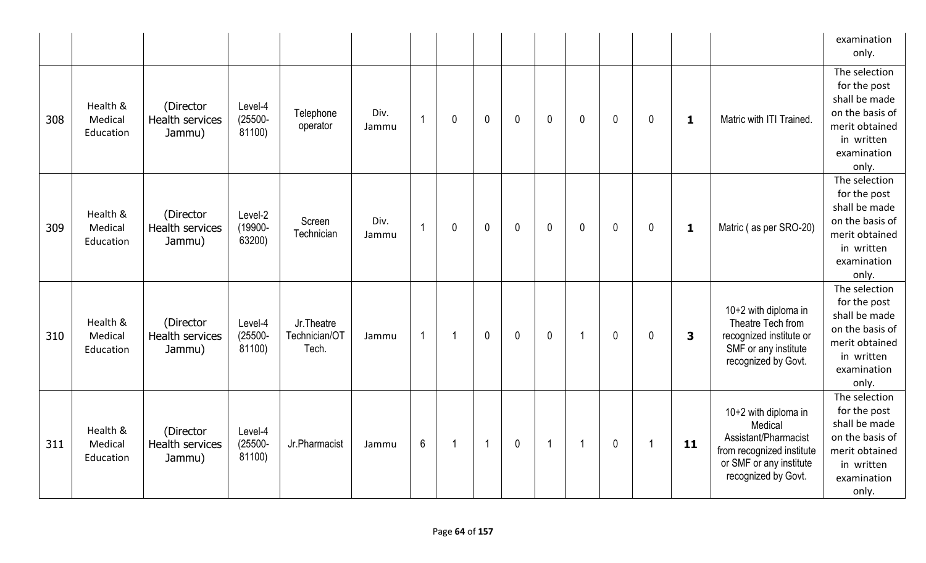|     |                                  |                                               |                                 |                                       |               |                |             |                |              |                |                      |              |                |                         |                                                                                                                                        | examination<br>only.                                                                                                      |
|-----|----------------------------------|-----------------------------------------------|---------------------------------|---------------------------------------|---------------|----------------|-------------|----------------|--------------|----------------|----------------------|--------------|----------------|-------------------------|----------------------------------------------------------------------------------------------------------------------------------------|---------------------------------------------------------------------------------------------------------------------------|
| 308 | Health &<br>Medical<br>Education | (Director<br>Health services<br>Jammu)        | Level-4<br>$(25500 -$<br>81100) | Telephone<br>operator                 | Div.<br>Jammu | $\overline{1}$ | $\mathbf 0$ | $\overline{0}$ | $\mathbf{0}$ | $\mathbf{0}$   | $\mathbf{0}$         | $\mathbf 0$  | $\mathbf 0$    | 1                       | Matric with ITI Trained.                                                                                                               | The selection<br>for the post<br>shall be made<br>on the basis of<br>merit obtained<br>in written<br>examination<br>only. |
| 309 | Health &<br>Medical<br>Education | (Director<br>Health services<br>Jammu)        | Level-2<br>(19900-<br>63200)    | Screen<br>Technician                  | Div.<br>Jammu | $\overline{1}$ | 0           | $\mathbf 0$    | $\mathbf 0$  | $\mathbf 0$    | $\mathbf{0}$         | $\mathbf 0$  | $\mathbf 0$    | 1                       | Matric (as per SRO-20)                                                                                                                 | The selection<br>for the post<br>shall be made<br>on the basis of<br>merit obtained<br>in written<br>examination<br>only. |
| 310 | Health &<br>Medical<br>Education | (Director<br>Health services<br>Jammu)        | Level-4<br>$(25500 -$<br>81100) | Jr. Theatre<br>Technician/OT<br>Tech. | Jammu         | $\overline{1}$ | -1          | $\overline{0}$ | $\mathbf 0$  | $\mathbf 0$    | $\blacktriangleleft$ | $\mathbf 0$  | $\mathbf 0$    | $\overline{\mathbf{3}}$ | 10+2 with diploma in<br>Theatre Tech from<br>recognized institute or<br>SMF or any institute<br>recognized by Govt.                    | The selection<br>for the post<br>shall be made<br>on the basis of<br>merit obtained<br>in written<br>examination<br>only. |
| 311 | Health &<br>Medical<br>Education | (Director<br><b>Health services</b><br>Jammu) | Level-4<br>$(25500 -$<br>81100) | Jr.Pharmacist                         | Jammu         | $6\phantom{1}$ | $\mathbf 1$ | $\overline{1}$ | $\mathbf 0$  | $\overline{1}$ | $\blacktriangleleft$ | $\mathbf{0}$ | $\overline{1}$ | 11                      | 10+2 with diploma in<br>Medical<br>Assistant/Pharmacist<br>from recognized institute<br>or SMF or any institute<br>recognized by Govt. | The selection<br>for the post<br>shall be made<br>on the basis of<br>merit obtained<br>in written<br>examination<br>only. |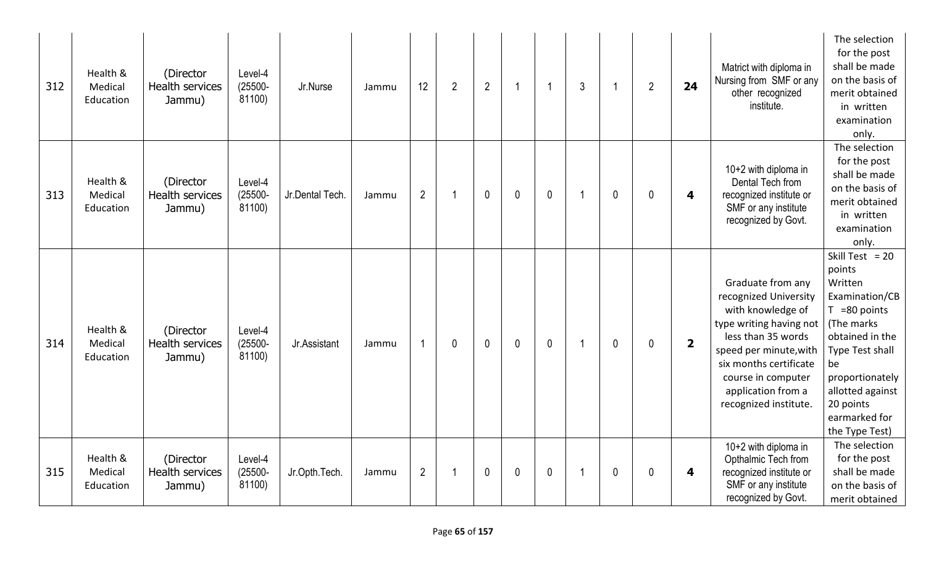| 312 | Health &<br>Medical<br>Education | (Director<br><b>Health services</b><br>Jammu) | Level-4<br>$(25500 -$<br>81100) | Jr.Nurse        | Jammu | 12             | $\overline{2}$ | $2^{\circ}$  | -1          | $\overline{1}$ | $\mathfrak{Z}$ |              | $\overline{2}$ | 24                      | Matrict with diploma in<br>Nursing from SMF or any<br>other recognized<br>institute.                                                                                                                                                      | The selection<br>for the post<br>shall be made<br>on the basis of<br>merit obtained<br>in written<br>examination<br>only.                                                                                                    |
|-----|----------------------------------|-----------------------------------------------|---------------------------------|-----------------|-------|----------------|----------------|--------------|-------------|----------------|----------------|--------------|----------------|-------------------------|-------------------------------------------------------------------------------------------------------------------------------------------------------------------------------------------------------------------------------------------|------------------------------------------------------------------------------------------------------------------------------------------------------------------------------------------------------------------------------|
| 313 | Health &<br>Medical<br>Education | (Director<br>Health services<br>Jammu)        | Level-4<br>$(25500 -$<br>81100) | Jr.Dental Tech. | Jammu | $\overline{2}$ | -1             | $\mathbf{0}$ | $\mathbf 0$ | $\mathbf 0$    | -1             | $\mathbf 0$  | $\mathbf{0}$   | 4                       | 10+2 with diploma in<br>Dental Tech from<br>recognized institute or<br>SMF or any institute<br>recognized by Govt.                                                                                                                        | The selection<br>for the post<br>shall be made<br>on the basis of<br>merit obtained<br>in written<br>examination<br>only.                                                                                                    |
| 314 | Health &<br>Medical<br>Education | (Director<br><b>Health services</b><br>Jammu) | Level-4<br>$(25500 -$<br>81100) | Jr.Assistant    | Jammu | -1             | 0              | $\mathbf{0}$ | $\mathbf 0$ | $\mathbf 0$    | -1             | $\mathbf{0}$ | $\mathbf{0}$   | $\overline{\mathbf{2}}$ | Graduate from any<br>recognized University<br>with knowledge of<br>type writing having not<br>less than 35 words<br>speed per minute, with<br>six months certificate<br>course in computer<br>application from a<br>recognized institute. | Skill Test = $20$<br>points<br>Written<br>Examination/CB<br>$T = 80$ points<br>(The marks<br>obtained in the<br>Type Test shall<br>be<br>proportionately<br>allotted against<br>20 points<br>earmarked for<br>the Type Test) |
| 315 | Health &<br>Medical<br>Education | (Director<br>Health services<br>Jammu)        | Level-4<br>$(25500 -$<br>81100) | Jr.Opth.Tech.   | Jammu | $\overline{2}$ | 1              | $\mathbf 0$  | $\mathbf 0$ | $\pmb{0}$      |                | $\mathbf 0$  | $\mathbf 0$    | 4                       | 10+2 with diploma in<br>Opthalmic Tech from<br>recognized institute or<br>SMF or any institute<br>recognized by Govt.                                                                                                                     | The selection<br>for the post<br>shall be made<br>on the basis of<br>merit obtained                                                                                                                                          |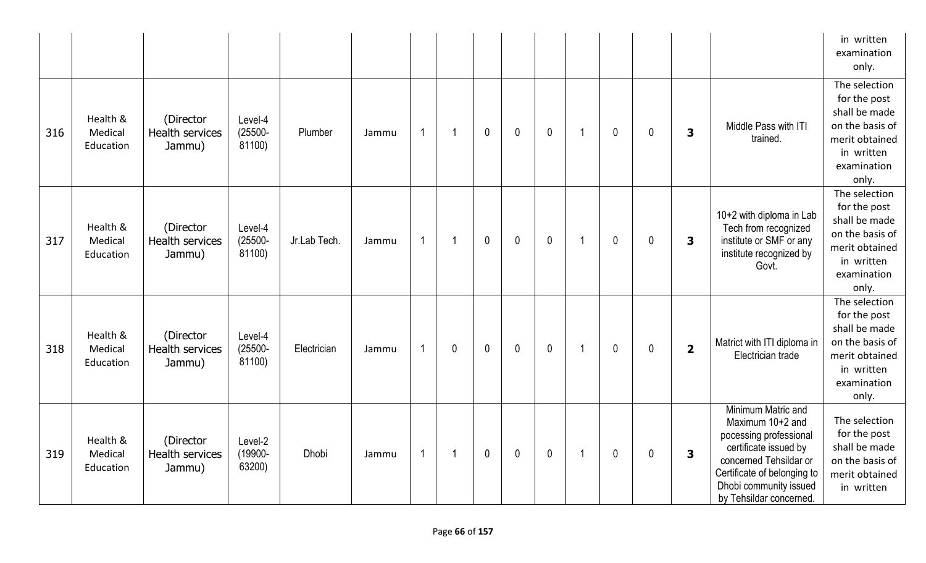|     |                                  |                                        |                                 |              |       |                |              |              |              |              |                         |             |              |                         |                                                                                                                                                                                                         | in written<br>examination<br>only.                                                                                        |
|-----|----------------------------------|----------------------------------------|---------------------------------|--------------|-------|----------------|--------------|--------------|--------------|--------------|-------------------------|-------------|--------------|-------------------------|---------------------------------------------------------------------------------------------------------------------------------------------------------------------------------------------------------|---------------------------------------------------------------------------------------------------------------------------|
| 316 | Health &<br>Medical<br>Education | (Director<br>Health services<br>Jammu) | Level-4<br>$(25500 -$<br>81100) | Plumber      | Jammu | 1              | 1            | $\mathbf 0$  | $\mathbf 0$  | $\mathbf 0$  | $\overline{1}$          | $\mathbf 0$ | $\mathbf 0$  | $\overline{\mathbf{3}}$ | Middle Pass with ITI<br>trained.                                                                                                                                                                        | The selection<br>for the post<br>shall be made<br>on the basis of<br>merit obtained<br>in written<br>examination<br>only. |
| 317 | Health &<br>Medical<br>Education | (Director<br>Health services<br>Jammu) | Level-4<br>$(25500 -$<br>81100) | Jr.Lab Tech. | Jammu | $\overline{1}$ | -1           | $\mathbf 0$  | $\mathbf{0}$ | $\mathbf 0$  | $\overline{\mathbf{1}}$ | $\mathbf 0$ | $\mathbf 0$  | 3                       | 10+2 with diploma in Lab<br>Tech from recognized<br>institute or SMF or any<br>institute recognized by<br>Govt.                                                                                         | The selection<br>for the post<br>shall be made<br>on the basis of<br>merit obtained<br>in written<br>examination<br>only. |
| 318 | Health &<br>Medical<br>Education | (Director<br>Health services<br>Jammu) | Level-4<br>$(25500 -$<br>81100) | Electrician  | Jammu | 1              | $\mathbf{0}$ | $\mathbf 0$  | $\mathbf 0$  | $\mathbf{0}$ | $\overline{1}$          | $\mathbf 0$ | $\mathbf 0$  | $\overline{\mathbf{2}}$ | Matrict with ITI diploma in<br>Electrician trade                                                                                                                                                        | The selection<br>for the post<br>shall be made<br>on the basis of<br>merit obtained<br>in written<br>examination<br>only. |
| 319 | Health &<br>Medical<br>Education | (Director<br>Health services<br>Jammu) | Level-2<br>(19900-<br>63200)    | <b>Dhobi</b> | Jammu | $\overline{1}$ | -1           | $\mathbf{0}$ | $\mathbf{0}$ | $\mathbf{0}$ | $\overline{\mathbf{1}}$ | $\mathbf 0$ | $\mathbf{0}$ | $\overline{\mathbf{3}}$ | Minimum Matric and<br>Maximum 10+2 and<br>pocessing professional<br>certificate issued by<br>concerned Tehsildar or<br>Certificate of belonging to<br>Dhobi community issued<br>by Tehsildar concerned. | The selection<br>for the post<br>shall be made<br>on the basis of<br>merit obtained<br>in written                         |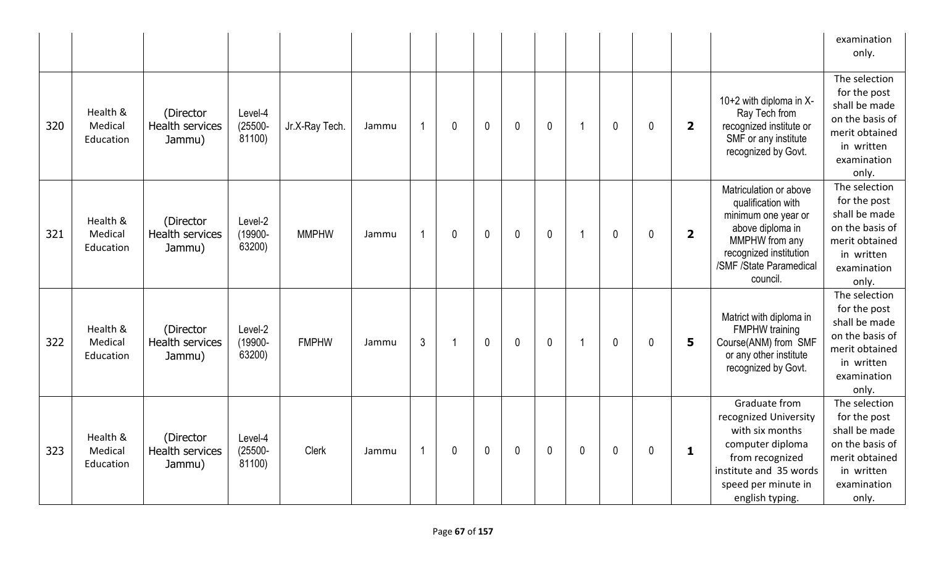|     |                                  |                                               |                                 |                |                         |             |             |             |             |                |   |              |                         |                                                                                                                                                                            | examination<br>only.                                                                                                      |
|-----|----------------------------------|-----------------------------------------------|---------------------------------|----------------|-------------------------|-------------|-------------|-------------|-------------|----------------|---|--------------|-------------------------|----------------------------------------------------------------------------------------------------------------------------------------------------------------------------|---------------------------------------------------------------------------------------------------------------------------|
| 320 | Health &<br>Medical<br>Education | (Director<br>Health services<br>Jammu)        | Level-4<br>$(25500 -$<br>81100) | Jr.X-Ray Tech. | $\overline{1}$<br>Jammu | $\mathbf 0$ | $\mathbf 0$ | 0           | $\mathbf 0$ | $\overline{1}$ | 0 | $\mathbf{0}$ | $\overline{\mathbf{2}}$ | 10+2 with diploma in X-<br>Ray Tech from<br>recognized institute or<br>SMF or any institute<br>recognized by Govt.                                                         | The selection<br>for the post<br>shall be made<br>on the basis of<br>merit obtained<br>in written<br>examination<br>only. |
| 321 | Health &<br>Medical<br>Education | (Director<br>Health services<br>Jammu)        | Level-2<br>(19900-<br>63200)    | <b>MMPHW</b>   | $\overline{1}$<br>Jammu | $\mathbf 0$ | $\mathbf 0$ | $\mathbf 0$ | $\mathbf 0$ | $\overline{1}$ | 0 | $\mathbf{0}$ | $\overline{\mathbf{2}}$ | Matriculation or above<br>qualification with<br>minimum one year or<br>above diploma in<br>MMPHW from any<br>recognized institution<br>/SMF /State Paramedical<br>council. | The selection<br>for the post<br>shall be made<br>on the basis of<br>merit obtained<br>in written<br>examination<br>only. |
| 322 | Health &<br>Medical<br>Education | (Director<br><b>Health services</b><br>Jammu) | Level-2<br>(19900-<br>63200)    | <b>FMPHW</b>   | $\mathfrak{Z}$<br>Jammu |             | $\mathbf 0$ | 0           | $\mathbf 0$ | $\overline{1}$ | 0 | $\mathbf{0}$ | 5                       | Matrict with diploma in<br><b>FMPHW</b> training<br>Course(ANM) from SMF<br>or any other institute<br>recognized by Govt.                                                  | The selection<br>for the post<br>shall be made<br>on the basis of<br>merit obtained<br>in written<br>examination<br>only. |
| 323 | Health &<br>Medical<br>Education | (Director<br>Health services<br>Jammu)        | Level-4<br>$(25500 -$<br>81100) | Clerk          | $\overline{1}$<br>Jammu | $\mathbf 0$ | $\mathbf 0$ | $\mathbf 0$ | $\mathbf 0$ | $\mathbf 0$    | 0 | $\mathbf 0$  | $\mathbf{1}$            | Graduate from<br>recognized University<br>with six months<br>computer diploma<br>from recognized<br>institute and 35 words<br>speed per minute in<br>english typing.       | The selection<br>for the post<br>shall be made<br>on the basis of<br>merit obtained<br>in written<br>examination<br>only. |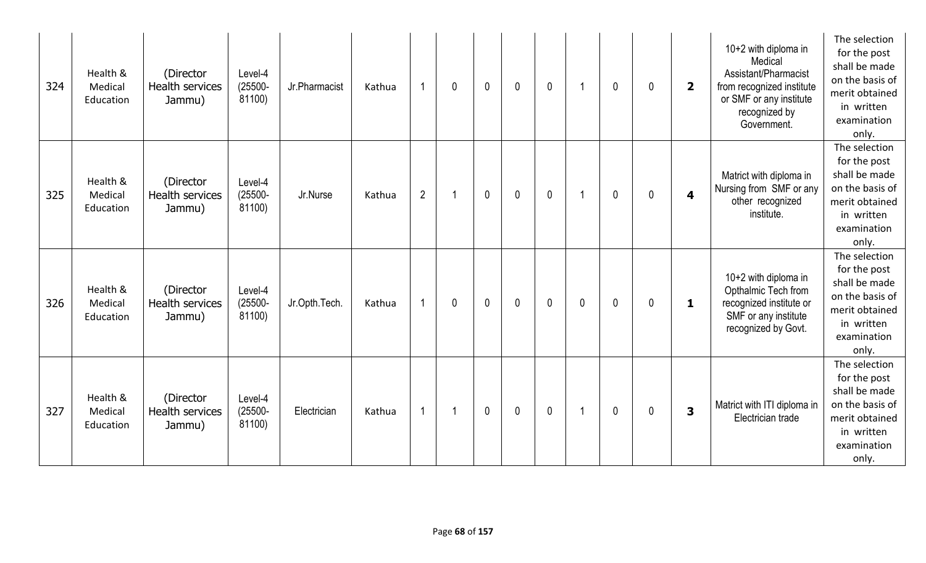| 324 | Health &<br>Medical<br>Education | (Director<br>Health services<br>Jammu)        | Level-4<br>$(25500 -$<br>81100) | Jr.Pharmacist | Kathua | $\overline{\mathbf{1}}$ | $\mathbf 0$ | $\mathbf{0}$ | $\mathbf{0}$ | $\mathbf 0$  |              | $\mathbf{0}$ | $\mathbf 0$  | $\overline{2}$          | 10+2 with diploma in<br>Medical<br>Assistant/Pharmacist<br>from recognized institute<br>or SMF or any institute<br>recognized by<br>Government. | The selection<br>for the post<br>shall be made<br>on the basis of<br>merit obtained<br>in written<br>examination<br>only. |
|-----|----------------------------------|-----------------------------------------------|---------------------------------|---------------|--------|-------------------------|-------------|--------------|--------------|--------------|--------------|--------------|--------------|-------------------------|-------------------------------------------------------------------------------------------------------------------------------------------------|---------------------------------------------------------------------------------------------------------------------------|
| 325 | Health &<br>Medical<br>Education | (Director<br><b>Health services</b><br>Jammu) | Level-4<br>$(25500 -$<br>81100) | Jr.Nurse      | Kathua | $\overline{2}$          |             | $\mathbf 0$  | $\mathbf{0}$ | $\mathbf 0$  |              | $\mathbf{0}$ | $\mathbf 0$  | $\overline{\mathbf{4}}$ | Matrict with diploma in<br>Nursing from SMF or any<br>other recognized<br>institute.                                                            | The selection<br>for the post<br>shall be made<br>on the basis of<br>merit obtained<br>in written<br>examination<br>only. |
| 326 | Health &<br>Medical<br>Education | (Director<br>Health services<br>Jammu)        | Level-4<br>$(25500 -$<br>81100) | Jr.Opth.Tech. | Kathua | $\overline{1}$          | $\mathbf 0$ | $\mathbf 0$  | $\mathbf{0}$ | $\mathbf{0}$ | $\mathbf{0}$ | $\mathbf{0}$ | $\mathbf{0}$ | $\mathbf{1}$            | 10+2 with diploma in<br>Opthalmic Tech from<br>recognized institute or<br>SMF or any institute<br>recognized by Govt.                           | The selection<br>for the post<br>shall be made<br>on the basis of<br>merit obtained<br>in written<br>examination<br>only. |
| 327 | Health &<br>Medical<br>Education | (Director<br><b>Health services</b><br>Jammu) | Level-4<br>$(25500 -$<br>81100) | Electrician   | Kathua | $\mathbf{1}$            |             | 0            | $\mathbf 0$  | $\mathbf 0$  |              | $\mathbf 0$  | 0            | 3                       | Matrict with ITI diploma in<br>Electrician trade                                                                                                | The selection<br>for the post<br>shall be made<br>on the basis of<br>merit obtained<br>in written<br>examination<br>only. |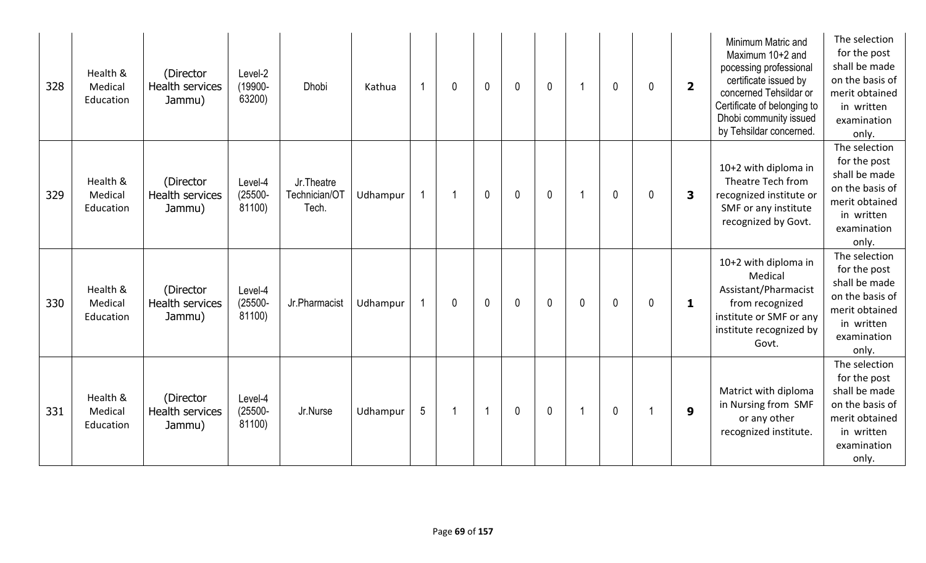| 328 | Health &<br>Medical<br>Education | (Director<br><b>Health services</b><br>Jammu) | Level-2<br>(19900-<br>63200)    | <b>Dhobi</b>                         | Kathua   |                 | $\mathbf 0$  | $\mathbf{0}$ | $\mathbf{0}$ | $\mathbf{0}$ |   | $\mathbf{0}$ | 0 | $\overline{2}$ | Minimum Matric and<br>Maximum 10+2 and<br>pocessing professional<br>certificate issued by<br>concerned Tehsildar or<br>Certificate of belonging to<br>Dhobi community issued<br>by Tehsildar concerned. | The selection<br>for the post<br>shall be made<br>on the basis of<br>merit obtained<br>in written<br>examination<br>only. |
|-----|----------------------------------|-----------------------------------------------|---------------------------------|--------------------------------------|----------|-----------------|--------------|--------------|--------------|--------------|---|--------------|---|----------------|---------------------------------------------------------------------------------------------------------------------------------------------------------------------------------------------------------|---------------------------------------------------------------------------------------------------------------------------|
| 329 | Health &<br>Medical<br>Education | (Director<br><b>Health services</b><br>Jammu) | Level-4<br>$(25500 -$<br>81100) | Jr.Theatre<br>Technician/OT<br>Tech. | Udhampur |                 |              | $\mathbf 0$  | $\mathbf 0$  | $\mathbf 0$  |   | $\mathbf{0}$ | 0 | 3              | 10+2 with diploma in<br>Theatre Tech from<br>recognized institute or<br>SMF or any institute<br>recognized by Govt.                                                                                     | The selection<br>for the post<br>shall be made<br>on the basis of<br>merit obtained<br>in written<br>examination<br>only. |
| 330 | Health &<br>Medical<br>Education | (Director<br><b>Health services</b><br>Jammu) | Level-4<br>$(25500 -$<br>81100) | Jr.Pharmacist                        | Udhampur |                 | $\mathbf{0}$ | $\mathbf{0}$ | $\mathbf{0}$ | $\mathbf 0$  | 0 | $\mathbf{0}$ | 0 | $\mathbf{1}$   | 10+2 with diploma in<br>Medical<br>Assistant/Pharmacist<br>from recognized<br>institute or SMF or any<br>institute recognized by<br>Govt.                                                               | The selection<br>for the post<br>shall be made<br>on the basis of<br>merit obtained<br>in written<br>examination<br>only. |
| 331 | Health &<br>Medical<br>Education | (Director<br><b>Health services</b><br>Jammu) | Level-4<br>$(25500 -$<br>81100) | Jr.Nurse                             | Udhampur | $5\phantom{.0}$ |              | 1            | $\mathbf 0$  | $\mathbf 0$  |   | 0            |   | 9              | Matrict with diploma<br>in Nursing from SMF<br>or any other<br>recognized institute.                                                                                                                    | The selection<br>for the post<br>shall be made<br>on the basis of<br>merit obtained<br>in written<br>examination<br>only. |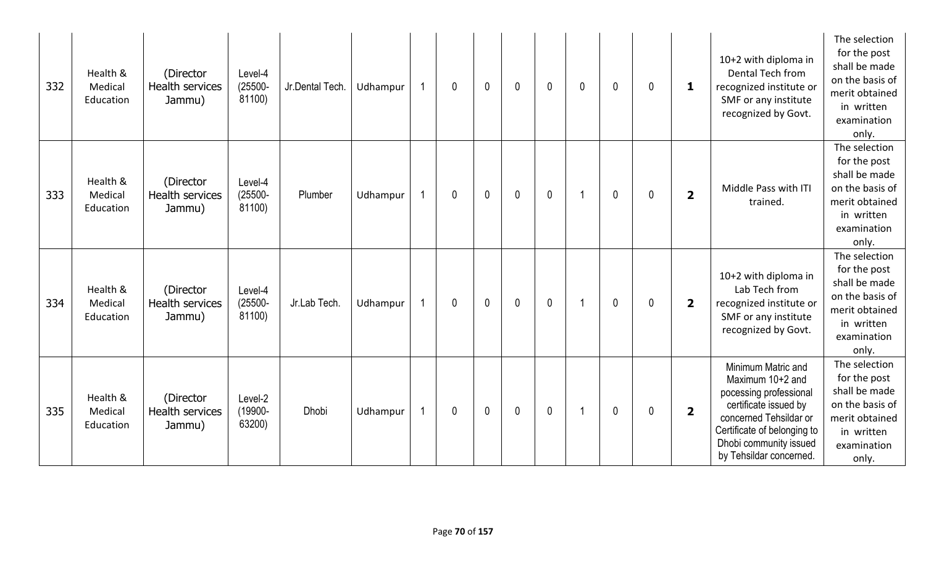| 332 | Health &<br>Medical<br>Education | (Director<br><b>Health services</b><br>Jammu) | Level-4<br>$(25500 -$<br>81100) | Jr.Dental Tech. | Udhampur | $\mathbf 0$ | $\mathbf{0}$ | $\mathbf 0$  | $\mathbf 0$ | 0              | $\mathbf{0}$ | 0 | 1                       | 10+2 with diploma in<br>Dental Tech from<br>recognized institute or<br>SMF or any institute<br>recognized by Govt.                                                                                      | The selection<br>for the post<br>shall be made<br>on the basis of<br>merit obtained<br>in written<br>examination<br>only. |
|-----|----------------------------------|-----------------------------------------------|---------------------------------|-----------------|----------|-------------|--------------|--------------|-------------|----------------|--------------|---|-------------------------|---------------------------------------------------------------------------------------------------------------------------------------------------------------------------------------------------------|---------------------------------------------------------------------------------------------------------------------------|
| 333 | Health &<br>Medical<br>Education | (Director<br><b>Health services</b><br>Jammu) | Level-4<br>$(25500 -$<br>81100) | Plumber         | Udhampur | $\mathbf 0$ | $\mathbf{0}$ | $\mathbf{0}$ | $\mathbf 0$ | $\overline{1}$ | $\mathbf{0}$ | 0 | $\overline{\mathbf{2}}$ | Middle Pass with ITI<br>trained.                                                                                                                                                                        | The selection<br>for the post<br>shall be made<br>on the basis of<br>merit obtained<br>in written<br>examination<br>only. |
| 334 | Health &<br>Medical<br>Education | (Director<br><b>Health services</b><br>Jammu) | Level-4<br>$(25500 -$<br>81100) | Jr.Lab Tech.    | Udhampur | 0           | $\mathbf 0$  | $\mathbf 0$  | $\mathbf 0$ | -1             | $\mathbf 0$  | 0 | $\overline{\mathbf{2}}$ | 10+2 with diploma in<br>Lab Tech from<br>recognized institute or<br>SMF or any institute<br>recognized by Govt.                                                                                         | The selection<br>for the post<br>shall be made<br>on the basis of<br>merit obtained<br>in written<br>examination<br>only. |
| 335 | Health &<br>Medical<br>Education | (Director<br>Health services<br>Jammu)        | Level-2<br>$(19900 -$<br>63200) | <b>Dhobi</b>    | Udhampur | $\mathbf 0$ | $\mathbf 0$  | $\mathbf 0$  | $\mathbf 0$ | 1              | $\mathbf{0}$ | 0 | $\overline{\mathbf{2}}$ | Minimum Matric and<br>Maximum 10+2 and<br>pocessing professional<br>certificate issued by<br>concerned Tehsildar or<br>Certificate of belonging to<br>Dhobi community issued<br>by Tehsildar concerned. | The selection<br>for the post<br>shall be made<br>on the basis of<br>merit obtained<br>in written<br>examination<br>only. |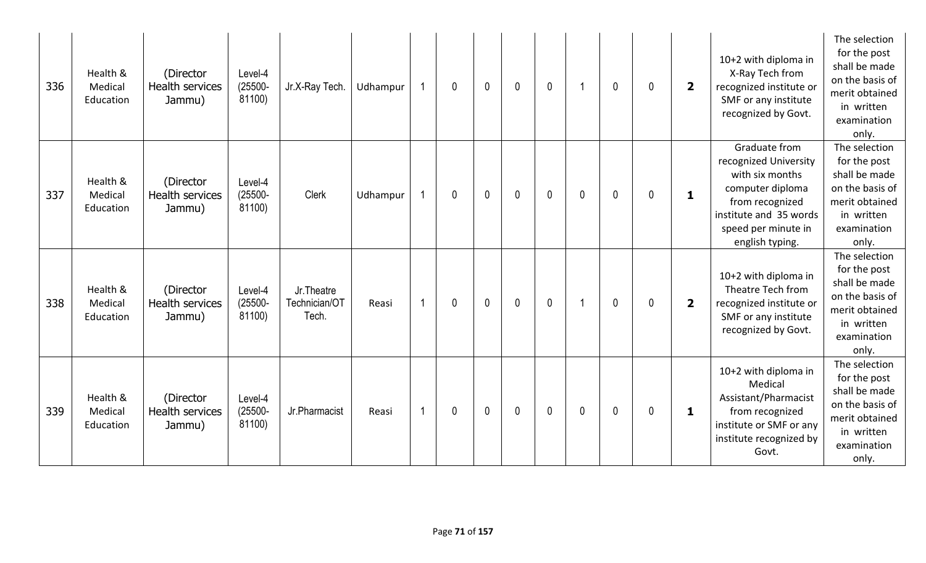| 336 | Health &<br>Medical<br>Education | (Director<br><b>Health services</b><br>Jammu) | Level-4<br>$(25500 -$<br>81100) | Jr.X-Ray Tech.                       | Udhampur |    | 0 | $\overline{0}$ | $\mathbf 0$  | $\mathbf 0$ |              | $\mathbf 0$  | $\mathbf 0$ | $\overline{\mathbf{2}}$ | 10+2 with diploma in<br>X-Ray Tech from<br>recognized institute or<br>SMF or any institute<br>recognized by Govt.                                                    | The selection<br>for the post<br>shall be made<br>on the basis of<br>merit obtained<br>in written<br>examination<br>only. |
|-----|----------------------------------|-----------------------------------------------|---------------------------------|--------------------------------------|----------|----|---|----------------|--------------|-------------|--------------|--------------|-------------|-------------------------|----------------------------------------------------------------------------------------------------------------------------------------------------------------------|---------------------------------------------------------------------------------------------------------------------------|
| 337 | Health &<br>Medical<br>Education | (Director<br><b>Health services</b><br>Jammu) | Level-4<br>$(25500 -$<br>81100) | Clerk                                | Udhampur |    | 0 | $\mathbf{0}$   | $\mathbf{0}$ | $\mathbf 0$ | $\mathbf{0}$ | $\mathbf{0}$ | $\mathbf 0$ | $\mathbf{1}$            | Graduate from<br>recognized University<br>with six months<br>computer diploma<br>from recognized<br>institute and 35 words<br>speed per minute in<br>english typing. | The selection<br>for the post<br>shall be made<br>on the basis of<br>merit obtained<br>in written<br>examination<br>only. |
| 338 | Health &<br>Medical<br>Education | (Director<br><b>Health services</b><br>Jammu) | Level-4<br>$(25500 -$<br>81100) | Jr.Theatre<br>Technician/OT<br>Tech. | Reasi    | -1 | 0 | $\mathbf 0$    | $\mathbf 0$  | $\mathbf 0$ | -1           | $\mathbf 0$  | 0           | $\overline{\mathbf{2}}$ | 10+2 with diploma in<br>Theatre Tech from<br>recognized institute or<br>SMF or any institute<br>recognized by Govt.                                                  | The selection<br>for the post<br>shall be made<br>on the basis of<br>merit obtained<br>in written<br>examination<br>only. |
| 339 | Health &<br>Medical<br>Education | (Director<br>Health services<br>Jammu)        | Level-4<br>$(25500 -$<br>81100) | Jr.Pharmacist                        | Reasi    | 1  | 0 | $\mathbf 0$    | $\mathbf 0$  | $\mathbf 0$ | $\mathbf{0}$ | $\mathbf 0$  | 0           | 1                       | 10+2 with diploma in<br>Medical<br>Assistant/Pharmacist<br>from recognized<br>institute or SMF or any<br>institute recognized by<br>Govt.                            | The selection<br>for the post<br>shall be made<br>on the basis of<br>merit obtained<br>in written<br>examination<br>only. |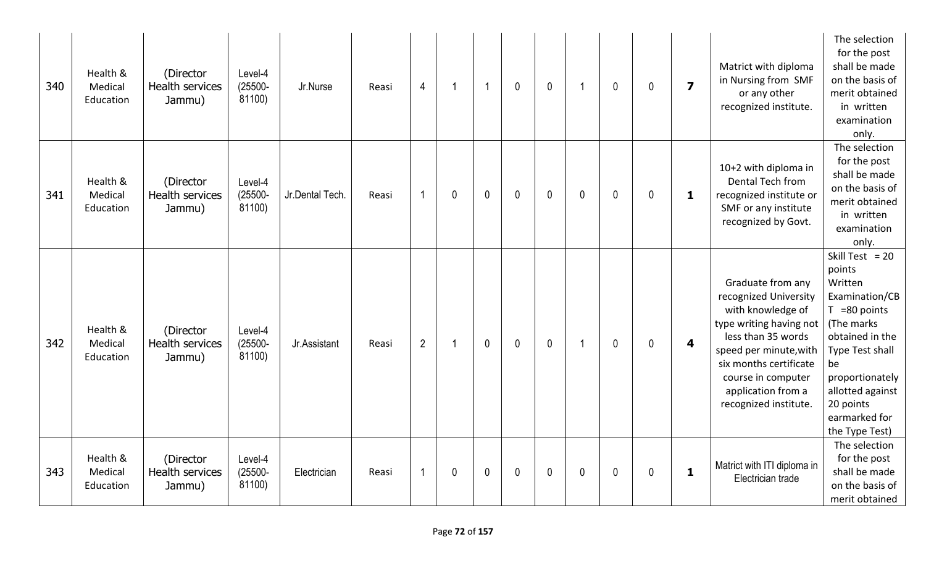| 340 | Health &<br>Medical<br>Education | (Director<br><b>Health services</b><br>Jammu) | Level-4<br>$(25500 -$<br>81100) | Jr.Nurse        | Reasi | $\overline{4}$           | -1 | $\mathbf{1}$ | $\mathbf{0}$ | $\mathbf 0$ | -1          | $\mathbf{0}$ | $\mathbf{0}$ | $\overline{\mathbf{z}}$ | Matrict with diploma<br>in Nursing from SMF<br>or any other<br>recognized institute.                                                                                                                                                      | The selection<br>for the post<br>shall be made<br>on the basis of<br>merit obtained<br>in written<br>examination<br>only.                                                                                                    |
|-----|----------------------------------|-----------------------------------------------|---------------------------------|-----------------|-------|--------------------------|----|--------------|--------------|-------------|-------------|--------------|--------------|-------------------------|-------------------------------------------------------------------------------------------------------------------------------------------------------------------------------------------------------------------------------------------|------------------------------------------------------------------------------------------------------------------------------------------------------------------------------------------------------------------------------|
| 341 | Health &<br>Medical<br>Education | (Director<br><b>Health services</b><br>Jammu) | Level-4<br>$(25500 -$<br>81100) | Jr.Dental Tech. | Reasi | -1                       | 0  | $\mathbf{0}$ | $\mathbf 0$  | $\mathbf 0$ | $\mathbf 0$ | $\mathbf 0$  | $\mathbf{0}$ | 1                       | 10+2 with diploma in<br>Dental Tech from<br>recognized institute or<br>SMF or any institute<br>recognized by Govt.                                                                                                                        | The selection<br>for the post<br>shall be made<br>on the basis of<br>merit obtained<br>in written<br>examination<br>only.                                                                                                    |
| 342 | Health &<br>Medical<br>Education | (Director<br><b>Health services</b><br>Jammu) | Level-4<br>$(25500 -$<br>81100) | Jr.Assistant    | Reasi | $\overline{2}$           | -1 | $\mathbf 0$  | $\mathbf{0}$ | $\mathbf 0$ | -1          | $\mathbf{0}$ | $\mathbf 0$  | $\overline{\mathbf{4}}$ | Graduate from any<br>recognized University<br>with knowledge of<br>type writing having not<br>less than 35 words<br>speed per minute, with<br>six months certificate<br>course in computer<br>application from a<br>recognized institute. | Skill Test = $20$<br>points<br>Written<br>Examination/CB<br>$T = 80$ points<br>(The marks<br>obtained in the<br>Type Test shall<br>be<br>proportionately<br>allotted against<br>20 points<br>earmarked for<br>the Type Test) |
| 343 | Health &<br>Medical<br>Education | (Director<br>Health services<br>Jammu)        | Level-4<br>$(25500 -$<br>81100) | Electrician     | Reasi | $\overline{\phantom{a}}$ | 0  | $\mathbf 0$  | 0            | $\pmb{0}$   | $\mathbf 0$ | 0            | $\mathbf 0$  | $\mathbf{1}$            | Matrict with ITI diploma in<br>Electrician trade                                                                                                                                                                                          | The selection<br>for the post<br>shall be made<br>on the basis of<br>merit obtained                                                                                                                                          |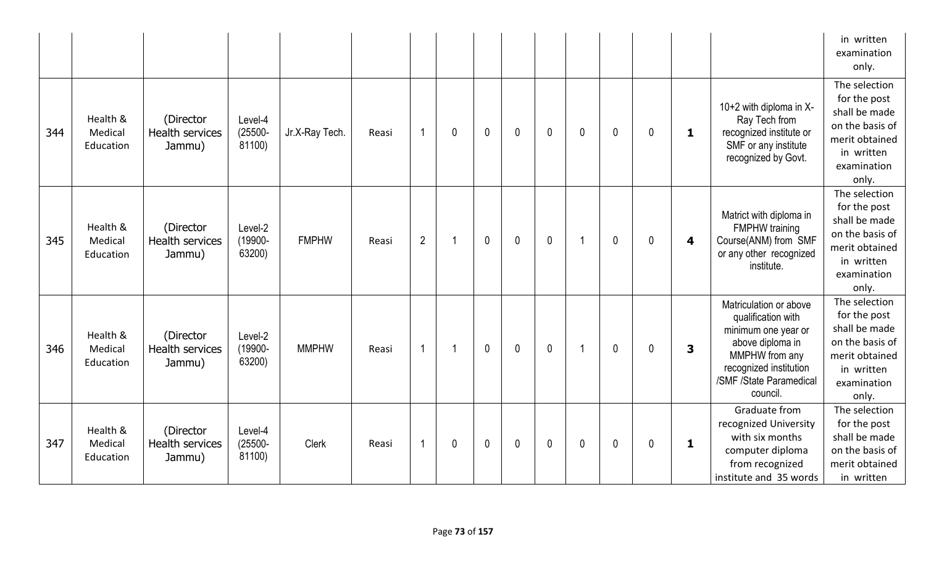|     |                                  |                                               |                                 |                |       |                |             |              |             |              |              |   |             |                         |                                                                                                                                                                            | in written<br>examination<br>only.                                                                                        |
|-----|----------------------------------|-----------------------------------------------|---------------------------------|----------------|-------|----------------|-------------|--------------|-------------|--------------|--------------|---|-------------|-------------------------|----------------------------------------------------------------------------------------------------------------------------------------------------------------------------|---------------------------------------------------------------------------------------------------------------------------|
| 344 | Health &<br>Medical<br>Education | (Director<br><b>Health services</b><br>Jammu) | Level-4<br>$(25500 -$<br>81100) | Jr.X-Ray Tech. | Reasi | $\overline{1}$ | 0           | $\mathbf 0$  | $\mathbf 0$ | $\mathbf{0}$ | $\mathbf{0}$ | 0 | $\mathbf 0$ | 1                       | 10+2 with diploma in X-<br>Ray Tech from<br>recognized institute or<br>SMF or any institute<br>recognized by Govt.                                                         | The selection<br>for the post<br>shall be made<br>on the basis of<br>merit obtained<br>in written<br>examination<br>only. |
| 345 | Health &<br>Medical<br>Education | (Director<br><b>Health services</b><br>Jammu) | Level-2<br>(19900-<br>63200)    | <b>FMPHW</b>   | Reasi | $\overline{2}$ |             | $\mathbf 0$  | $\mathbf 0$ | $\mathbf 0$  | -1           | 0 | $\mathbf 0$ | $\overline{\mathbf{4}}$ | Matrict with diploma in<br><b>FMPHW</b> training<br>Course(ANM) from SMF<br>or any other recognized<br>institute.                                                          | The selection<br>for the post<br>shall be made<br>on the basis of<br>merit obtained<br>in written<br>examination<br>only. |
| 346 | Health &<br>Medical<br>Education | (Director<br>Health services<br>Jammu)        | Level-2<br>(19900-<br>63200)    | <b>MMPHW</b>   | Reasi | $\overline{1}$ |             | $\mathbf 0$  | $\mathbf 0$ | $\mathbf 0$  |              | 0 | $\mathbf 0$ | 3                       | Matriculation or above<br>qualification with<br>minimum one year or<br>above diploma in<br>MMPHW from any<br>recognized institution<br>/SMF /State Paramedical<br>council. | The selection<br>for the post<br>shall be made<br>on the basis of<br>merit obtained<br>in written<br>examination<br>only. |
| 347 | Health &<br>Medical<br>Education | (Director<br>Health services<br>Jammu)        | Level-4<br>$(25500 -$<br>81100) | <b>Clerk</b>   | Reasi | $\overline{1}$ | $\mathbf 0$ | $\mathbf{0}$ | $\mathbf 0$ | $\mathbf{0}$ | $\mathbf 0$  | 0 | $\mathbf 0$ | 1                       | Graduate from<br>recognized University<br>with six months<br>computer diploma<br>from recognized<br>institute and 35 words                                                 | The selection<br>for the post<br>shall be made<br>on the basis of<br>merit obtained<br>in written                         |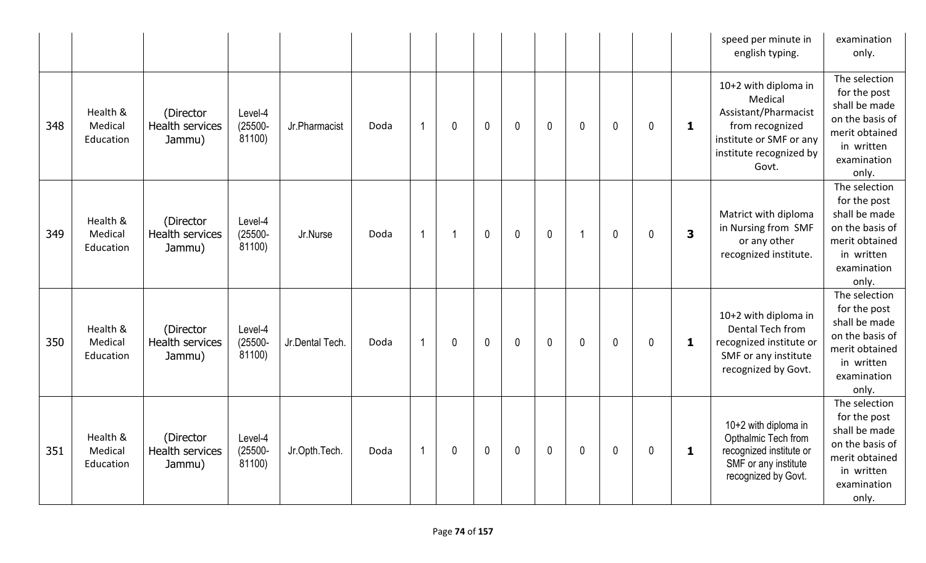|     |                                  |                                               |                                 |                 |      |                |             |                |             |             |                |              |              |                         | speed per minute in<br>english typing.                                                                                                    | examination<br>only.                                                                                                      |
|-----|----------------------------------|-----------------------------------------------|---------------------------------|-----------------|------|----------------|-------------|----------------|-------------|-------------|----------------|--------------|--------------|-------------------------|-------------------------------------------------------------------------------------------------------------------------------------------|---------------------------------------------------------------------------------------------------------------------------|
| 348 | Health &<br>Medical<br>Education | (Director<br>Health services<br>Jammu)        | Level-4<br>$(25500 -$<br>81100) | Jr.Pharmacist   | Doda | $\overline{1}$ | $\mathbf 0$ | $\mathbf{0}$   | 0           | $\mathbf 0$ | $\mathbf{0}$   | 0            | $\mathbf 0$  | $\mathbf{1}$            | 10+2 with diploma in<br>Medical<br>Assistant/Pharmacist<br>from recognized<br>institute or SMF or any<br>institute recognized by<br>Govt. | The selection<br>for the post<br>shall be made<br>on the basis of<br>merit obtained<br>in written<br>examination<br>only. |
| 349 | Health &<br>Medical<br>Education | (Director<br>Health services<br>Jammu)        | Level-4<br>$(25500 -$<br>81100) | Jr.Nurse        | Doda | $\overline{1}$ | -1          | $\overline{0}$ | $\mathbf 0$ | $\mathbf 0$ | $\overline{1}$ | $\mathbf{0}$ | $\mathbf{0}$ | $\overline{\mathbf{3}}$ | Matrict with diploma<br>in Nursing from SMF<br>or any other<br>recognized institute.                                                      | The selection<br>for the post<br>shall be made<br>on the basis of<br>merit obtained<br>in written<br>examination<br>only. |
| 350 | Health &<br>Medical<br>Education | (Director<br><b>Health services</b><br>Jammu) | Level-4<br>$(25500 -$<br>81100) | Jr.Dental Tech. | Doda | $\overline{1}$ | $\mathbf 0$ | $\mathbf 0$    | $\mathbf 0$ | $\mathbf 0$ | $\mathbf{0}$   | 0            | $\mathbf{0}$ | 1                       | 10+2 with diploma in<br>Dental Tech from<br>recognized institute or<br>SMF or any institute<br>recognized by Govt.                        | The selection<br>for the post<br>shall be made<br>on the basis of<br>merit obtained<br>in written<br>examination<br>only. |
| 351 | Health &<br>Medical<br>Education | (Director<br>Health services<br>Jammu)        | Level-4<br>$(25500 -$<br>81100) | Jr.Opth.Tech.   | Doda | $\overline{1}$ | $\mathbf 0$ | $\mathbf 0$    | $\mathbf 0$ | $\mathbf 0$ | $\mathbf{0}$   | 0            | $\mathbf 0$  | 1                       | 10+2 with diploma in<br>Opthalmic Tech from<br>recognized institute or<br>SMF or any institute<br>recognized by Govt.                     | The selection<br>for the post<br>shall be made<br>on the basis of<br>merit obtained<br>in written<br>examination<br>only. |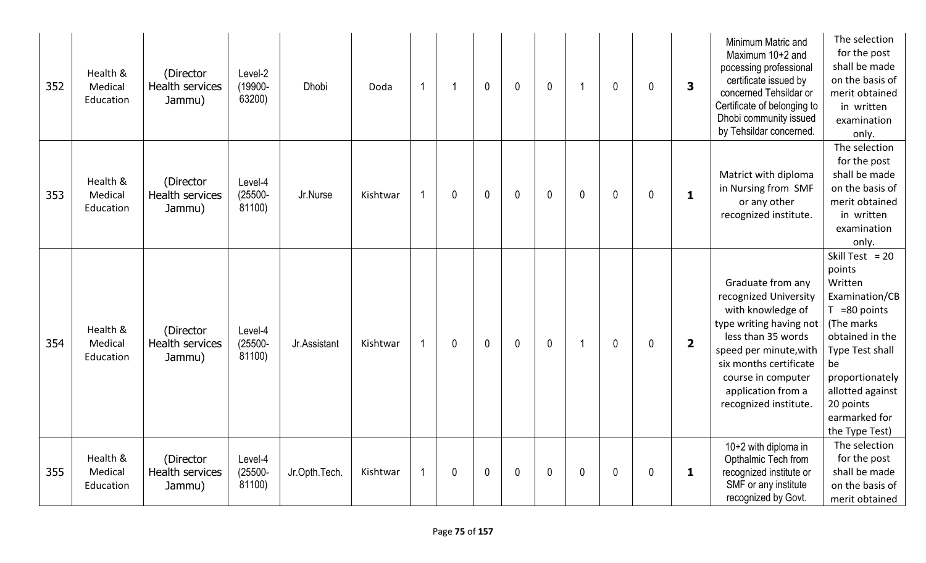| 352 | Health &<br>Medical<br>Education | (Director<br>Health services<br>Jammu)        | Level-2<br>(19900-<br>63200)    | <b>Dhobi</b>  | Doda     | $\overline{1}$ |             | $\mathbf 0$ | $\mathbf{0}$ | $\mathbf{0}$ |              | $\mathbf 0$ | 0 | 3                       | Minimum Matric and<br>Maximum 10+2 and<br>pocessing professional<br>certificate issued by<br>concerned Tehsildar or<br>Certificate of belonging to<br>Dhobi community issued<br>by Tehsildar concerned.                                   | The selection<br>for the post<br>shall be made<br>on the basis of<br>merit obtained<br>in written<br>examination<br>only.                                                                                                    |
|-----|----------------------------------|-----------------------------------------------|---------------------------------|---------------|----------|----------------|-------------|-------------|--------------|--------------|--------------|-------------|---|-------------------------|-------------------------------------------------------------------------------------------------------------------------------------------------------------------------------------------------------------------------------------------|------------------------------------------------------------------------------------------------------------------------------------------------------------------------------------------------------------------------------|
| 353 | Health &<br>Medical<br>Education | (Director<br><b>Health services</b><br>Jammu) | Level-4<br>$(25500 -$<br>81100) | Jr.Nurse      | Kishtwar |                | $\mathbf 0$ | $\mathbf 0$ | $\mathbf{0}$ | $\mathbf 0$  | $\mathbf{0}$ | $\mathbf 0$ | 0 | $\mathbf{1}$            | Matrict with diploma<br>in Nursing from SMF<br>or any other<br>recognized institute.                                                                                                                                                      | The selection<br>for the post<br>shall be made<br>on the basis of<br>merit obtained<br>in written<br>examination<br>only.                                                                                                    |
| 354 | Health &<br>Medical<br>Education | (Director<br><b>Health services</b><br>Jammu) | Level-4<br>$(25500 -$<br>81100) | Jr.Assistant  | Kishtwar |                | 0           | $\mathbf 0$ | $\mathbf{0}$ | $\mathbf 0$  |              | $\mathbf 0$ | 0 | $\overline{\mathbf{2}}$ | Graduate from any<br>recognized University<br>with knowledge of<br>type writing having not<br>less than 35 words<br>speed per minute, with<br>six months certificate<br>course in computer<br>application from a<br>recognized institute. | Skill Test = $20$<br>points<br>Written<br>Examination/CB<br>$T = 80$ points<br>(The marks<br>obtained in the<br>Type Test shall<br>be<br>proportionately<br>allotted against<br>20 points<br>earmarked for<br>the Type Test) |
| 355 | Health &<br>Medical<br>Education | (Director<br><b>Health services</b><br>Jammu) | Level-4<br>$(25500 -$<br>81100) | Jr.Opth.Tech. | Kishtwar | -1             | $\mathbf 0$ | 0           | $\mathbf{0}$ | $\mathbf 0$  | $\theta$     | $\mathbf 0$ | 0 | 1                       | 10+2 with diploma in<br>Opthalmic Tech from<br>recognized institute or<br>SMF or any institute<br>recognized by Govt.                                                                                                                     | The selection<br>for the post<br>shall be made<br>on the basis of<br>merit obtained                                                                                                                                          |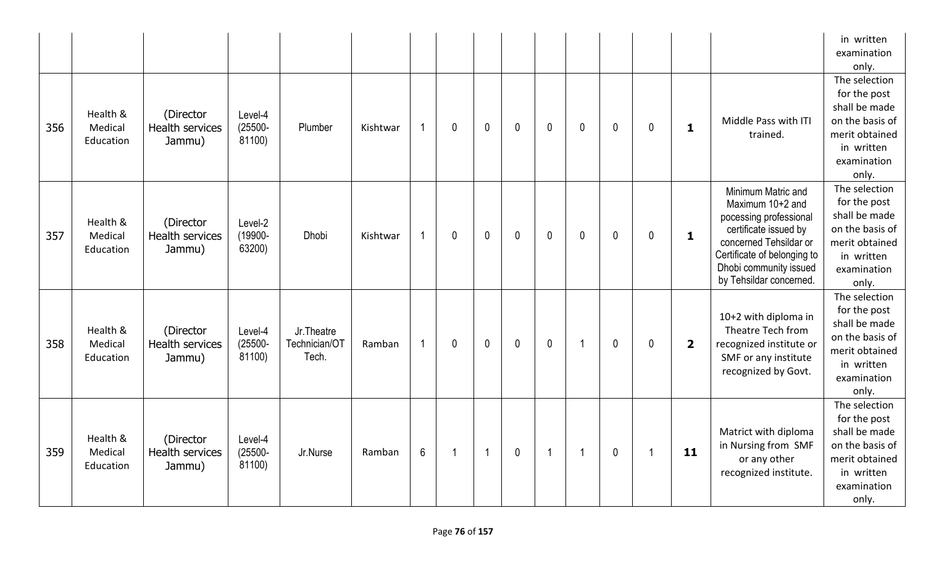|     |                                  |                                               |                                 |                                       |          |                |                |                |              |              |                      |              |              |                         |                                                                                                                                                                                                         | in written<br>examination<br>only.                                                                                        |
|-----|----------------------------------|-----------------------------------------------|---------------------------------|---------------------------------------|----------|----------------|----------------|----------------|--------------|--------------|----------------------|--------------|--------------|-------------------------|---------------------------------------------------------------------------------------------------------------------------------------------------------------------------------------------------------|---------------------------------------------------------------------------------------------------------------------------|
| 356 | Health &<br>Medical<br>Education | (Director<br><b>Health services</b><br>Jammu) | Level-4<br>$(25500 -$<br>81100) | Plumber                               | Kishtwar | $\overline{1}$ | $\mathbf 0$    | $\mathbf 0$    | $\mathbf{0}$ | $\mathbf 0$  | $\mathbf 0$          | $\mathbf{0}$ | $\mathbf{0}$ | $\mathbf 1$             | Middle Pass with ITI<br>trained.                                                                                                                                                                        | The selection<br>for the post<br>shall be made<br>on the basis of<br>merit obtained<br>in written<br>examination<br>only. |
| 357 | Health &<br>Medical<br>Education | (Director<br><b>Health services</b><br>Jammu) | Level-2<br>(19900-<br>63200)    | Dhobi                                 | Kishtwar | $\overline{1}$ | $\mathbf{0}$   | $\mathbf 0$    | $\mathbf{0}$ | $\mathbf 0$  | $\mathbf 0$          | $\mathbf 0$  | $\mathbf 0$  | $\mathbf{1}$            | Minimum Matric and<br>Maximum 10+2 and<br>pocessing professional<br>certificate issued by<br>concerned Tehsildar or<br>Certificate of belonging to<br>Dhobi community issued<br>by Tehsildar concerned. | The selection<br>for the post<br>shall be made<br>on the basis of<br>merit obtained<br>in written<br>examination<br>only. |
| 358 | Health &<br>Medical<br>Education | (Director<br><b>Health services</b><br>Jammu) | Level-4<br>$(25500 -$<br>81100) | Jr. Theatre<br>Technician/OT<br>Tech. | Ramban   | $\overline{1}$ | $\mathbf{0}$   | $\mathbf{0}$   | $\mathbf{0}$ | $\mathbf{0}$ | $\blacktriangleleft$ | $\mathbf 0$  | $\mathbf{0}$ | $\overline{\mathbf{2}}$ | 10+2 with diploma in<br>Theatre Tech from<br>recognized institute or<br>SMF or any institute<br>recognized by Govt.                                                                                     | The selection<br>for the post<br>shall be made<br>on the basis of<br>merit obtained<br>in written<br>examination<br>only. |
| 359 | Health &<br>Medical<br>Education | (Director<br>Health services<br>Jammu)        | Level-4<br>$(25500 -$<br>81100) | Jr.Nurse                              | Ramban   | $6\phantom{1}$ | $\overline{1}$ | $\overline{1}$ | $\mathbf{0}$ | $\mathbf{1}$ | $\overline{1}$       | $\mathbf 0$  | -1           | 11                      | Matrict with diploma<br>in Nursing from SMF<br>or any other<br>recognized institute.                                                                                                                    | The selection<br>for the post<br>shall be made<br>on the basis of<br>merit obtained<br>in written<br>examination<br>only. |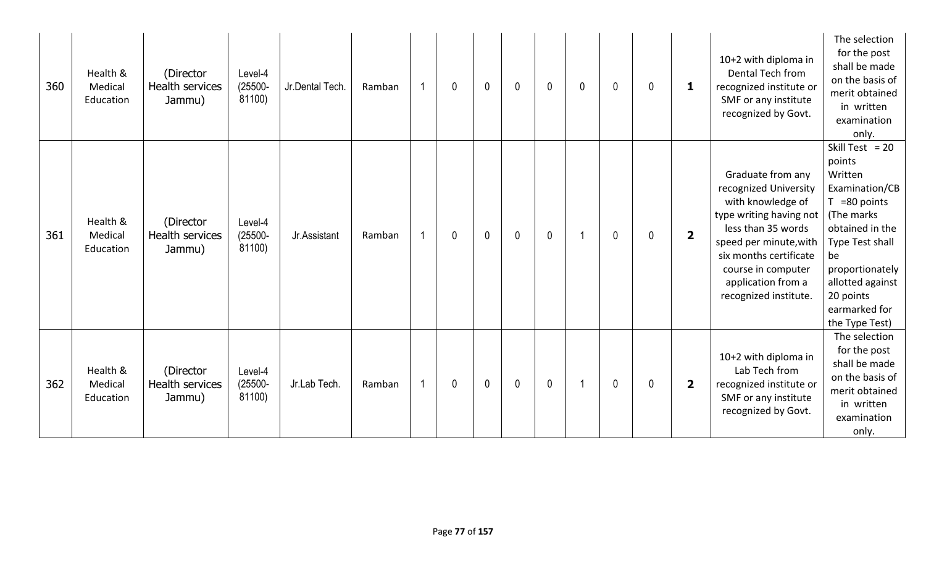| 360 | Health &<br>Medical<br>Education | (Director<br>Health services<br>Jammu)        | Level-4<br>$(25500 -$<br>81100) | Jr.Dental Tech. | Ramban | 1  | $\mathbf 0$ | $\mathbf 0$  | $\mathbf 0$      | $\mathbf 0$ | 0 | $\mathbf{0}$ | 0 | 1                       | 10+2 with diploma in<br>Dental Tech from<br>recognized institute or<br>SMF or any institute<br>recognized by Govt.                                                                                                                        | The selection<br>for the post<br>shall be made<br>on the basis of<br>merit obtained<br>in written<br>examination<br>only.                                                                                                     |
|-----|----------------------------------|-----------------------------------------------|---------------------------------|-----------------|--------|----|-------------|--------------|------------------|-------------|---|--------------|---|-------------------------|-------------------------------------------------------------------------------------------------------------------------------------------------------------------------------------------------------------------------------------------|-------------------------------------------------------------------------------------------------------------------------------------------------------------------------------------------------------------------------------|
| 361 | Health &<br>Medical<br>Education | (Director<br><b>Health services</b><br>Jammu) | Level-4<br>$(25500 -$<br>81100) | Jr.Assistant    | Ramban |    | 0           | $\mathbf 0$  | $\mathbf 0$      | $\mathbf 0$ |   | $\mathbf 0$  | 0 | $\overline{\mathbf{2}}$ | Graduate from any<br>recognized University<br>with knowledge of<br>type writing having not<br>less than 35 words<br>speed per minute, with<br>six months certificate<br>course in computer<br>application from a<br>recognized institute. | Skill Test = $20$<br>points<br>Written<br>Examination/CB<br>$T = 80$ points<br>(The marks)<br>obtained in the<br>Type Test shall<br>be<br>proportionately<br>allotted against<br>20 points<br>earmarked for<br>the Type Test) |
| 362 | Health &<br>Medical<br>Education | (Director<br>Health services<br>Jammu)        | Level-4<br>$(25500 -$<br>81100) | Jr.Lab Tech.    | Ramban | -1 | 0           | $\mathbf{0}$ | $\boldsymbol{0}$ | $\mathbf 0$ |   | $\mathbf 0$  | 0 | $\overline{2}$          | 10+2 with diploma in<br>Lab Tech from<br>recognized institute or<br>SMF or any institute<br>recognized by Govt.                                                                                                                           | The selection<br>for the post<br>shall be made<br>on the basis of<br>merit obtained<br>in written<br>examination<br>only.                                                                                                     |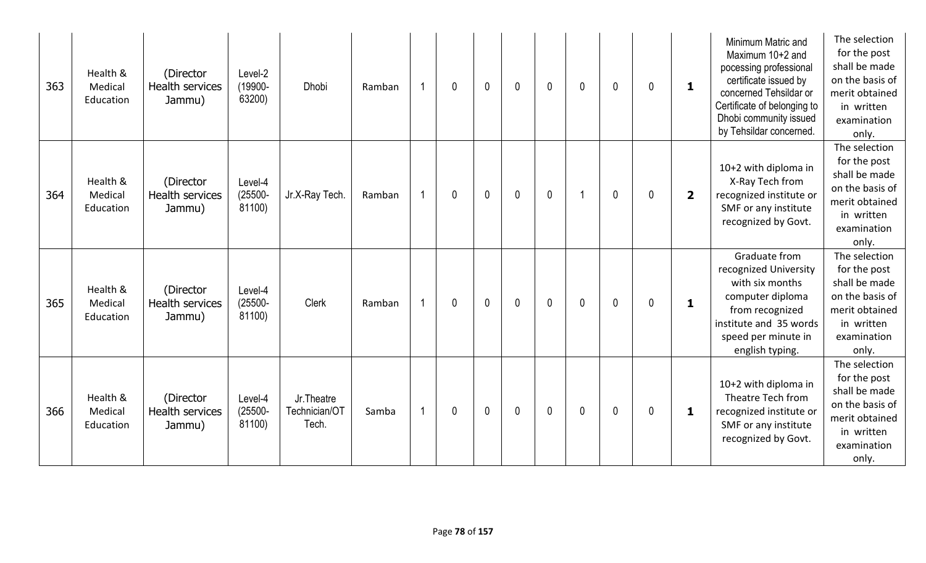| 363 | Health &<br>Medical<br>Education | (Director<br>Health services<br>Jammu)        | Level-2<br>(19900-<br>63200)    | <b>Dhobi</b>                         | Ramban | $\mathbf 0$ | $\mathbf{0}$ | $\mathbf{0}$ | $\mathbf 0$ | 0 | $\mathbf{0}$ | 0 | $\mathbf{1}$            | Minimum Matric and<br>Maximum 10+2 and<br>pocessing professional<br>certificate issued by<br>concerned Tehsildar or<br>Certificate of belonging to<br>Dhobi community issued<br>by Tehsildar concerned. | The selection<br>for the post<br>shall be made<br>on the basis of<br>merit obtained<br>in written<br>examination<br>only. |
|-----|----------------------------------|-----------------------------------------------|---------------------------------|--------------------------------------|--------|-------------|--------------|--------------|-------------|---|--------------|---|-------------------------|---------------------------------------------------------------------------------------------------------------------------------------------------------------------------------------------------------|---------------------------------------------------------------------------------------------------------------------------|
| 364 | Health &<br>Medical<br>Education | (Director<br><b>Health services</b><br>Jammu) | Level-4<br>$(25500 -$<br>81100) | Jr.X-Ray Tech.                       | Ramban | 0           | $\mathbf{0}$ | $\mathbf{0}$ | $\mathbf 0$ |   | $\mathbf{0}$ | 0 | $\overline{\mathbf{2}}$ | 10+2 with diploma in<br>X-Ray Tech from<br>recognized institute or<br>SMF or any institute<br>recognized by Govt.                                                                                       | The selection<br>for the post<br>shall be made<br>on the basis of<br>merit obtained<br>in written<br>examination<br>only. |
| 365 | Health &<br>Medical<br>Education | (Director<br><b>Health services</b><br>Jammu) | Level-4<br>$(25500 -$<br>81100) | Clerk                                | Ramban | 0           | $\mathbf{0}$ | $\mathbf{0}$ | $\mathbf 0$ | 0 | $\mathbf 0$  | 0 | $\mathbf{1}$            | Graduate from<br>recognized University<br>with six months<br>computer diploma<br>from recognized<br>institute and 35 words<br>speed per minute in<br>english typing.                                    | The selection<br>for the post<br>shall be made<br>on the basis of<br>merit obtained<br>in written<br>examination<br>only. |
| 366 | Health &<br>Medical<br>Education | (Director<br><b>Health services</b><br>Jammu) | Level-4<br>$(25500 -$<br>81100) | Jr.Theatre<br>Technician/OT<br>Tech. | Samba  | 0           | $\mathbf{0}$ | $\mathbf 0$  | $\mathbf 0$ | 0 | $\mathbf 0$  | 0 | 1                       | 10+2 with diploma in<br>Theatre Tech from<br>recognized institute or<br>SMF or any institute<br>recognized by Govt.                                                                                     | The selection<br>for the post<br>shall be made<br>on the basis of<br>merit obtained<br>in written<br>examination<br>only. |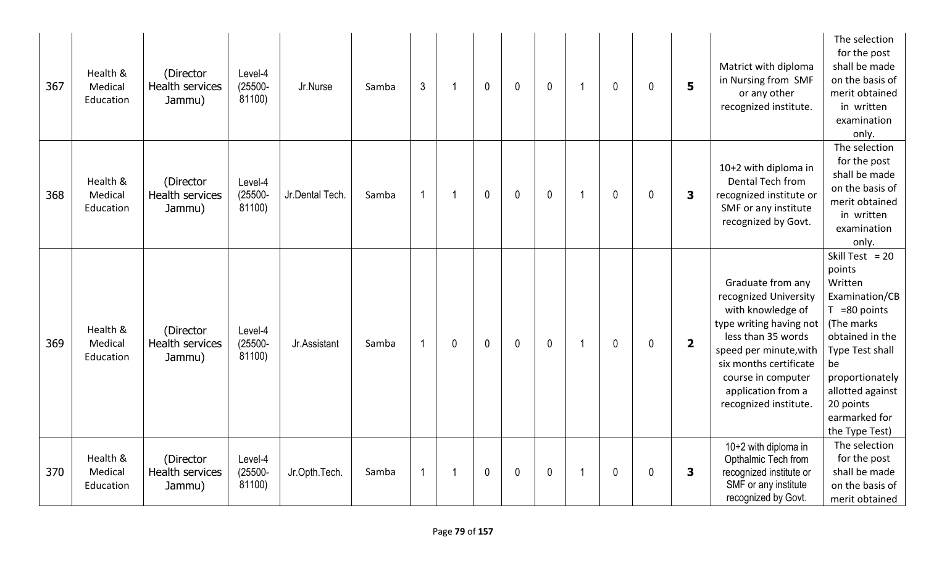| 367 | Health &<br>Medical<br>Education | (Director<br><b>Health services</b><br>Jammu) | Level-4<br>$(25500 -$<br>81100) | Jr.Nurse        | Samba | $\mathfrak{Z}$ | 1 | $\mathbf{0}$ | $\mathbf{0}$ | $\mathbf{0}$ | 1 | $\mathbf 0$  | 0 | 5                       | Matrict with diploma<br>in Nursing from SMF<br>or any other<br>recognized institute.                                                                                                                                                      | The selection<br>for the post<br>shall be made<br>on the basis of<br>merit obtained<br>in written<br>examination<br>only.                                                                                                    |
|-----|----------------------------------|-----------------------------------------------|---------------------------------|-----------------|-------|----------------|---|--------------|--------------|--------------|---|--------------|---|-------------------------|-------------------------------------------------------------------------------------------------------------------------------------------------------------------------------------------------------------------------------------------|------------------------------------------------------------------------------------------------------------------------------------------------------------------------------------------------------------------------------|
| 368 | Health &<br>Medical<br>Education | (Director<br>Health services<br>Jammu)        | Level-4<br>$(25500 -$<br>81100) | Jr.Dental Tech. | Samba | $\mathbf 1$    | 1 | $\mathbf 0$  | $\mathbf{0}$ | $\mathbf 0$  | 1 | $\mathbf 0$  | 0 | 3                       | 10+2 with diploma in<br>Dental Tech from<br>recognized institute or<br>SMF or any institute<br>recognized by Govt.                                                                                                                        | The selection<br>for the post<br>shall be made<br>on the basis of<br>merit obtained<br>in written<br>examination<br>only.                                                                                                    |
| 369 | Health &<br>Medical<br>Education | (Director<br><b>Health services</b><br>Jammu) | Level-4<br>$(25500 -$<br>81100) | Jr.Assistant    | Samba | 1              | 0 | $\mathbf{0}$ | $\mathbf{0}$ | $\mathbf 0$  | 1 | $\mathbf{0}$ | 0 | $\overline{\mathbf{2}}$ | Graduate from any<br>recognized University<br>with knowledge of<br>type writing having not<br>less than 35 words<br>speed per minute, with<br>six months certificate<br>course in computer<br>application from a<br>recognized institute. | Skill Test = $20$<br>points<br>Written<br>Examination/CB<br>$T = 80$ points<br>(The marks<br>obtained in the<br>Type Test shall<br>be<br>proportionately<br>allotted against<br>20 points<br>earmarked for<br>the Type Test) |
| 370 | Health &<br>Medical<br>Education | (Director<br><b>Health services</b><br>Jammu) | Level-4<br>$(25500 -$<br>81100) | Jr.Opth.Tech.   | Samba | 1              |   | $\mathbf 0$  | $\mathbf 0$  | $\mathbf 0$  |   | $\mathbf 0$  | 0 | 3                       | 10+2 with diploma in<br>Opthalmic Tech from<br>recognized institute or<br>SMF or any institute<br>recognized by Govt.                                                                                                                     | The selection<br>for the post<br>shall be made<br>on the basis of<br>merit obtained                                                                                                                                          |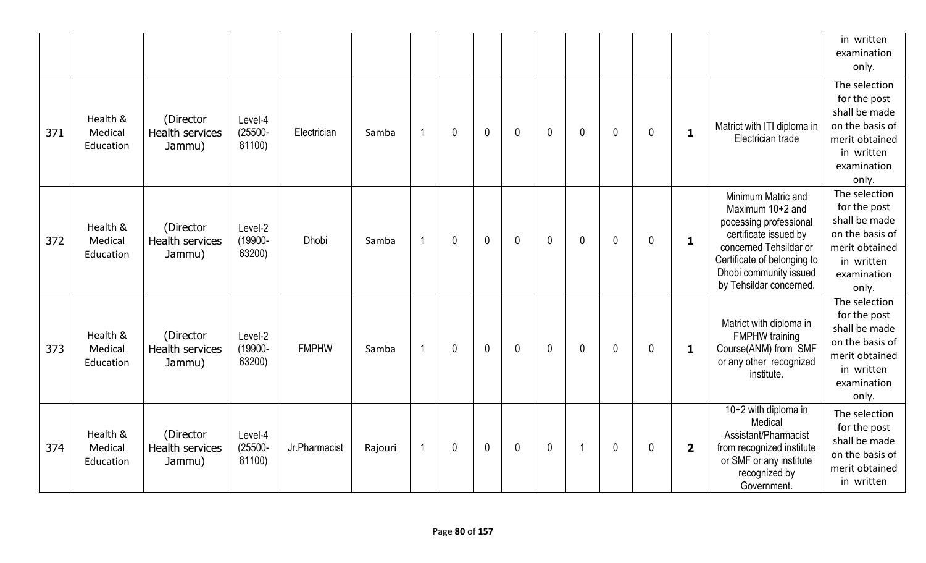|     |                                  |                                               |                                 |               |         |                |             |             |              |             |             |             |             |                         |                                                                                                                                                                                                         | in written<br>examination<br>only.                                                                                        |
|-----|----------------------------------|-----------------------------------------------|---------------------------------|---------------|---------|----------------|-------------|-------------|--------------|-------------|-------------|-------------|-------------|-------------------------|---------------------------------------------------------------------------------------------------------------------------------------------------------------------------------------------------------|---------------------------------------------------------------------------------------------------------------------------|
| 371 | Health &<br>Medical<br>Education | (Director<br><b>Health services</b><br>Jammu) | Level-4<br>$(25500 -$<br>81100) | Electrician   | Samba   | $\overline{1}$ | $\mathbf 0$ | $\mathbf 0$ | $\mathbf 0$  | $\mathbf 0$ | $\mathbf 0$ | 0           | $\mathbf 0$ | $\mathbf{1}$            | Matrict with ITI diploma in<br>Electrician trade                                                                                                                                                        | The selection<br>for the post<br>shall be made<br>on the basis of<br>merit obtained<br>in written<br>examination<br>only. |
| 372 | Health &<br>Medical<br>Education | (Director<br><b>Health services</b><br>Jammu) | Level-2<br>(19900-<br>63200)    | <b>Dhobi</b>  | Samba   | $\overline{1}$ | $\mathbf 0$ | $\mathbf 0$ | $\mathbf 0$  | $\mathbf 0$ | $\mathbf 0$ | $\mathbf 0$ | $\mathbf 0$ | $\mathbf{1}$            | Minimum Matric and<br>Maximum 10+2 and<br>pocessing professional<br>certificate issued by<br>concerned Tehsildar or<br>Certificate of belonging to<br>Dhobi community issued<br>by Tehsildar concerned. | The selection<br>for the post<br>shall be made<br>on the basis of<br>merit obtained<br>in written<br>examination<br>only. |
| 373 | Health &<br>Medical<br>Education | (Director<br><b>Health services</b><br>Jammu) | Level-2<br>(19900-<br>63200)    | <b>FMPHW</b>  | Samba   | $\overline{1}$ | $\mathbf 0$ | $\mathbf 0$ | $\mathbf 0$  | $\mathbf 0$ | $\mathbf 0$ | 0           | $\mathbf 0$ | $\mathbf{1}$            | Matrict with diploma in<br><b>FMPHW</b> training<br>Course(ANM) from SMF<br>or any other recognized<br>institute.                                                                                       | The selection<br>for the post<br>shall be made<br>on the basis of<br>merit obtained<br>in written<br>examination<br>only. |
| 374 | Health &<br>Medical<br>Education | (Director<br>Health services<br>Jammu)        | Level-4<br>$(25500 -$<br>81100) | Jr.Pharmacist | Rajouri | $\overline{1}$ | $\mathbf 0$ | $\pmb{0}$   | $\mathbf{0}$ | $\mathbf 0$ | -1          | 0           | $\mathbf 0$ | $\overline{\mathbf{2}}$ | 10+2 with diploma in<br>Medical<br>Assistant/Pharmacist<br>from recognized institute<br>or SMF or any institute<br>recognized by<br>Government.                                                         | The selection<br>for the post<br>shall be made<br>on the basis of<br>merit obtained<br>in written                         |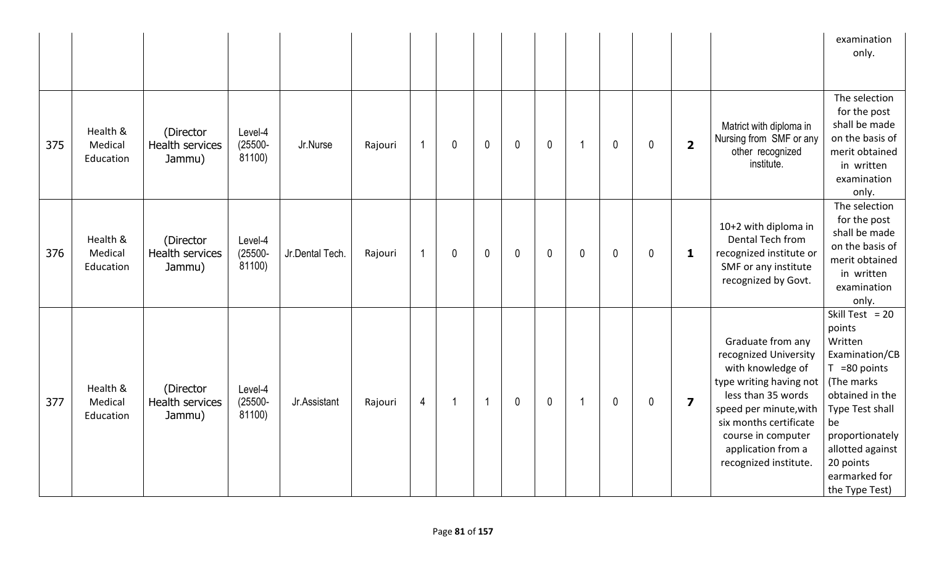|     |                                  |                                               |                                 |                 |         |                |             |                |             |             |                |   |             |                         |                                                                                                                                                                                                                                           | examination<br>only.                                                                                                                                                                                                         |
|-----|----------------------------------|-----------------------------------------------|---------------------------------|-----------------|---------|----------------|-------------|----------------|-------------|-------------|----------------|---|-------------|-------------------------|-------------------------------------------------------------------------------------------------------------------------------------------------------------------------------------------------------------------------------------------|------------------------------------------------------------------------------------------------------------------------------------------------------------------------------------------------------------------------------|
| 375 | Health &<br>Medical<br>Education | (Director<br>Health services<br>Jammu)        | Level-4<br>$(25500 -$<br>81100) | Jr.Nurse        | Rajouri | $\overline{1}$ | 0           | $\mathbf 0$    | $\mathbf 0$ | $\mathbf 0$ | -1             | 0 | $\mathbf 0$ | $\overline{\mathbf{2}}$ | Matrict with diploma in<br>Nursing from SMF or any<br>other recognized<br>institute.                                                                                                                                                      | The selection<br>for the post<br>shall be made<br>on the basis of<br>merit obtained<br>in written<br>examination<br>only.                                                                                                    |
| 376 | Health &<br>Medical<br>Education | (Director<br><b>Health services</b><br>Jammu) | Level-4<br>$(25500 -$<br>81100) | Jr.Dental Tech. | Rajouri | $\mathbf{1}$   | $\mathbf 0$ | $\mathbf 0$    | $\mathbf 0$ | $\mathbf 0$ | $\mathbf 0$    | 0 | $\mathbf 0$ | 1                       | 10+2 with diploma in<br>Dental Tech from<br>recognized institute or<br>SMF or any institute<br>recognized by Govt.                                                                                                                        | The selection<br>for the post<br>shall be made<br>on the basis of<br>merit obtained<br>in written<br>examination<br>only.                                                                                                    |
| 377 | Health &<br>Medical<br>Education | (Director<br><b>Health services</b><br>Jammu) | Level-4<br>$(25500 -$<br>81100) | Jr.Assistant    | Rajouri | $\overline{4}$ | 1           | $\overline{1}$ | $\mathbf 0$ | $\mathbf 0$ | $\overline{1}$ | 0 | $\mathbf 0$ | $\overline{\mathbf{z}}$ | Graduate from any<br>recognized University<br>with knowledge of<br>type writing having not<br>less than 35 words<br>speed per minute, with<br>six months certificate<br>course in computer<br>application from a<br>recognized institute. | Skill Test = $20$<br>points<br>Written<br>Examination/CB<br>$T = 80$ points<br>(The marks<br>obtained in the<br>Type Test shall<br>be<br>proportionately<br>allotted against<br>20 points<br>earmarked for<br>the Type Test) |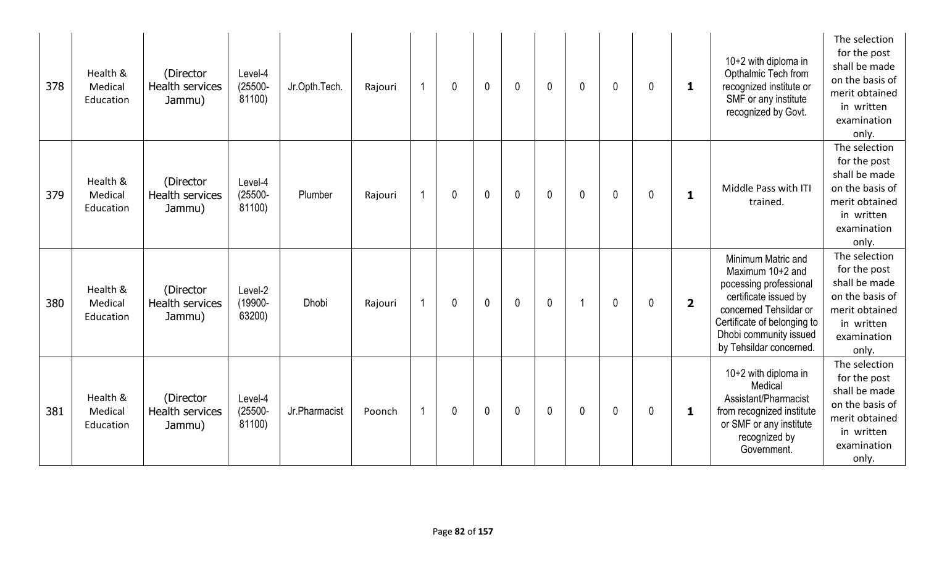| 378 | Health &<br>Medical<br>Education | (Director<br><b>Health services</b><br>Jammu) | Level-4<br>$(25500 -$<br>81100) | Jr.Opth.Tech. | Rajouri |    | 0           | $\mathbf{0}$ | $\mathbf 0$  | $\mathbf{0}$ | 0 | $\mathbf{0}$ | 0 | 1              | $10+2$ with diploma in<br>Opthalmic Tech from<br>recognized institute or<br>SMF or any institute<br>recognized by Govt.                                                                                 | The selection<br>for the post<br>shall be made<br>on the basis of<br>merit obtained<br>in written<br>examination<br>only. |
|-----|----------------------------------|-----------------------------------------------|---------------------------------|---------------|---------|----|-------------|--------------|--------------|--------------|---|--------------|---|----------------|---------------------------------------------------------------------------------------------------------------------------------------------------------------------------------------------------------|---------------------------------------------------------------------------------------------------------------------------|
| 379 | Health &<br>Medical<br>Education | (Director<br><b>Health services</b><br>Jammu) | Level-4<br>$(25500 -$<br>81100) | Plumber       | Rajouri | -1 | $\mathbf 0$ | $\mathbf 0$  | $\mathbf{0}$ | $\mathbf 0$  | 0 | $\mathbf{0}$ | 0 | 1              | Middle Pass with ITI<br>trained.                                                                                                                                                                        | The selection<br>for the post<br>shall be made<br>on the basis of<br>merit obtained<br>in written<br>examination<br>only. |
| 380 | Health &<br>Medical<br>Education | (Director<br>Health services<br>Jammu)        | Level-2<br>(19900-<br>63200)    | <b>Dhobi</b>  | Rajouri | 1  | $\mathbf 0$ | $\mathbf{0}$ | $\mathbf 0$  | $\mathbf 0$  |   | $\mathbf{0}$ | 0 | $\overline{2}$ | Minimum Matric and<br>Maximum 10+2 and<br>pocessing professional<br>certificate issued by<br>concerned Tehsildar or<br>Certificate of belonging to<br>Dhobi community issued<br>by Tehsildar concerned. | The selection<br>for the post<br>shall be made<br>on the basis of<br>merit obtained<br>in written<br>examination<br>only. |
| 381 | Health &<br>Medical<br>Education | (Director<br><b>Health services</b><br>Jammu) | Level-4<br>$(25500 -$<br>81100) | Jr.Pharmacist | Poonch  | 1  | 0           | $\mathbf{0}$ | $\mathbf 0$  | $\mathbf 0$  | 0 | $\mathbf{0}$ | 0 | 1              | 10+2 with diploma in<br>Medical<br>Assistant/Pharmacist<br>from recognized institute<br>or SMF or any institute<br>recognized by<br>Government.                                                         | The selection<br>for the post<br>shall be made<br>on the basis of<br>merit obtained<br>in written<br>examination<br>only. |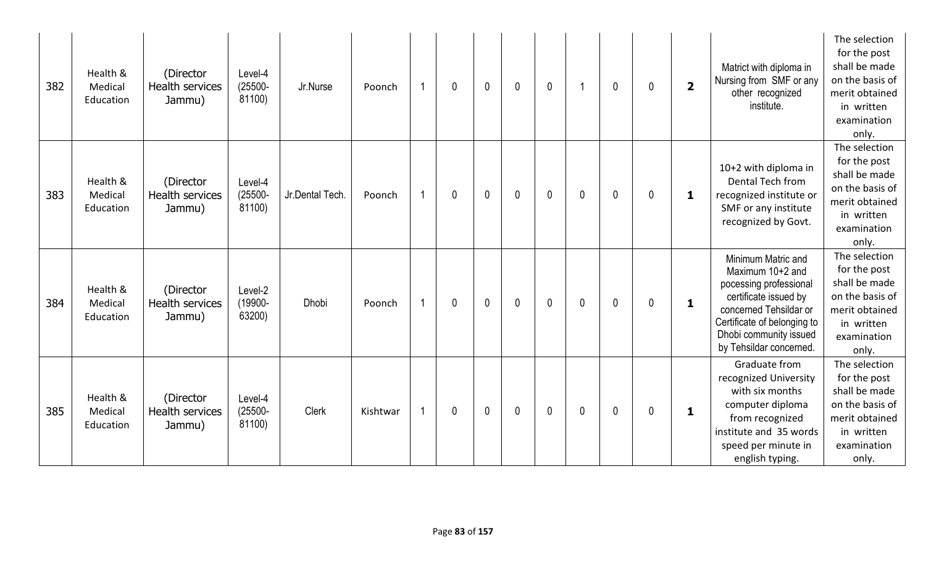| 382 | Health &<br>Medical<br>Education | (Director<br>Health services<br>Jammu)        | Level-4<br>$(25500 -$<br>81100) | Jr.Nurse        | Poonch   |   | $\mathbf{0}$ | $\mathbf{0}$ | $\mathbf 0$ | $\mathbf 0$    |              | $\mathbf 0$ | $\mathbf 0$ | $\overline{\mathbf{2}}$ | Matrict with diploma in<br>Nursing from SMF or any<br>other recognized<br>institute.                                                                                                                    | The selection<br>for the post<br>shall be made<br>on the basis of<br>merit obtained<br>in written<br>examination<br>only. |
|-----|----------------------------------|-----------------------------------------------|---------------------------------|-----------------|----------|---|--------------|--------------|-------------|----------------|--------------|-------------|-------------|-------------------------|---------------------------------------------------------------------------------------------------------------------------------------------------------------------------------------------------------|---------------------------------------------------------------------------------------------------------------------------|
| 383 | Health &<br>Medical<br>Education | (Director<br><b>Health services</b><br>Jammu) | Level-4<br>$(25500 -$<br>81100) | Jr.Dental Tech. | Poonch   | 1 | 0            | $\mathbf 0$  | $\mathbf 0$ | $\mathbf 0$    | $\mathbf{0}$ | $\mathbf 0$ | $\mathbf 0$ | 1                       | 10+2 with diploma in<br>Dental Tech from<br>recognized institute or<br>SMF or any institute<br>recognized by Govt.                                                                                      | The selection<br>for the post<br>shall be made<br>on the basis of<br>merit obtained<br>in written<br>examination<br>only. |
| 384 | Health &<br>Medical<br>Education | (Director<br><b>Health services</b><br>Jammu) | Level-2<br>(19900-<br>63200)    | Dhobi           | Poonch   | 1 | 0            | $\mathbf{0}$ | $\mathbf 0$ | $\overline{0}$ | 0            | $\mathbf 0$ | 0           | $\mathbf{1}$            | Minimum Matric and<br>Maximum 10+2 and<br>pocessing professional<br>certificate issued by<br>concerned Tehsildar or<br>Certificate of belonging to<br>Dhobi community issued<br>by Tehsildar concerned. | The selection<br>for the post<br>shall be made<br>on the basis of<br>merit obtained<br>in written<br>examination<br>only. |
| 385 | Health &<br>Medical<br>Education | (Director<br><b>Health services</b><br>Jammu) | Level-4<br>$(25500 -$<br>81100) | Clerk           | Kishtwar |   | 0            | $\mathbf 0$  | $\pmb{0}$   | $\mathbf 0$    | 0            | $\mathbf 0$ | 0           | 1                       | Graduate from<br>recognized University<br>with six months<br>computer diploma<br>from recognized<br>institute and 35 words<br>speed per minute in<br>english typing.                                    | The selection<br>for the post<br>shall be made<br>on the basis of<br>merit obtained<br>in written<br>examination<br>only. |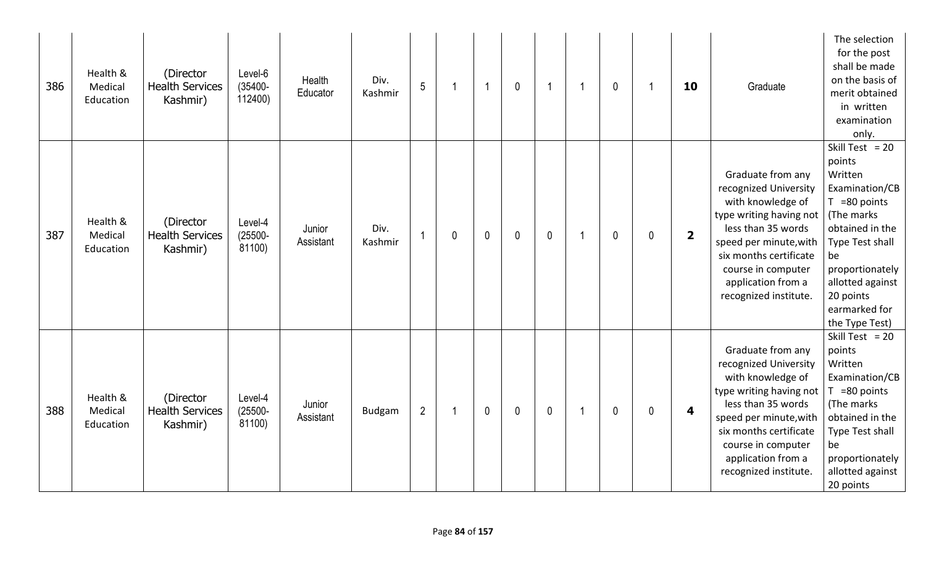| 386 | Health &<br>Medical<br>Education | (Director<br><b>Health Services</b><br>Kashmir) | Level-6<br>$(35400 -$<br>112400) | Health<br>Educator  | Div.<br>Kashmir | 5              |             | -1          | $\mathbf{0}$ | -1          | $\mathbf 0$  |   | 10                      | Graduate                                                                                                                                                                                                                                  | The selection<br>for the post<br>shall be made<br>on the basis of<br>merit obtained<br>in written<br>examination<br>only.                                                                                                    |
|-----|----------------------------------|-------------------------------------------------|----------------------------------|---------------------|-----------------|----------------|-------------|-------------|--------------|-------------|--------------|---|-------------------------|-------------------------------------------------------------------------------------------------------------------------------------------------------------------------------------------------------------------------------------------|------------------------------------------------------------------------------------------------------------------------------------------------------------------------------------------------------------------------------|
| 387 | Health &<br>Medical<br>Education | (Director<br><b>Health Services</b><br>Kashmir) | Level-4<br>$(25500 -$<br>81100)  | Junior<br>Assistant | Div.<br>Kashmir |                | $\mathbf 0$ | $\mathbf 0$ | $\mathbf{0}$ | $\mathbf 0$ | $\mathbf{0}$ | 0 | $\overline{\mathbf{2}}$ | Graduate from any<br>recognized University<br>with knowledge of<br>type writing having not<br>less than 35 words<br>speed per minute, with<br>six months certificate<br>course in computer<br>application from a<br>recognized institute. | Skill Test = $20$<br>points<br>Written<br>Examination/CB<br>$T = 80$ points<br>(The marks<br>obtained in the<br>Type Test shall<br>be<br>proportionately<br>allotted against<br>20 points<br>earmarked for<br>the Type Test) |
| 388 | Health &<br>Medical<br>Education | (Director<br><b>Health Services</b><br>Kashmir) | Level-4<br>$(25500 -$<br>81100)  | Junior<br>Assistant | <b>Budgam</b>   | $\overline{2}$ |             | $\mathbf 0$ | $\mathbf{0}$ | $\mathbf 0$ | $\mathbf 0$  | 0 | 4                       | Graduate from any<br>recognized University<br>with knowledge of<br>type writing having not<br>less than 35 words<br>speed per minute, with<br>six months certificate<br>course in computer<br>application from a<br>recognized institute. | Skill Test = $20$<br>points<br>Written<br>Examination/CB<br>$T = 80$ points<br>(The marks<br>obtained in the<br>Type Test shall<br>be<br>proportionately<br>allotted against<br>20 points                                    |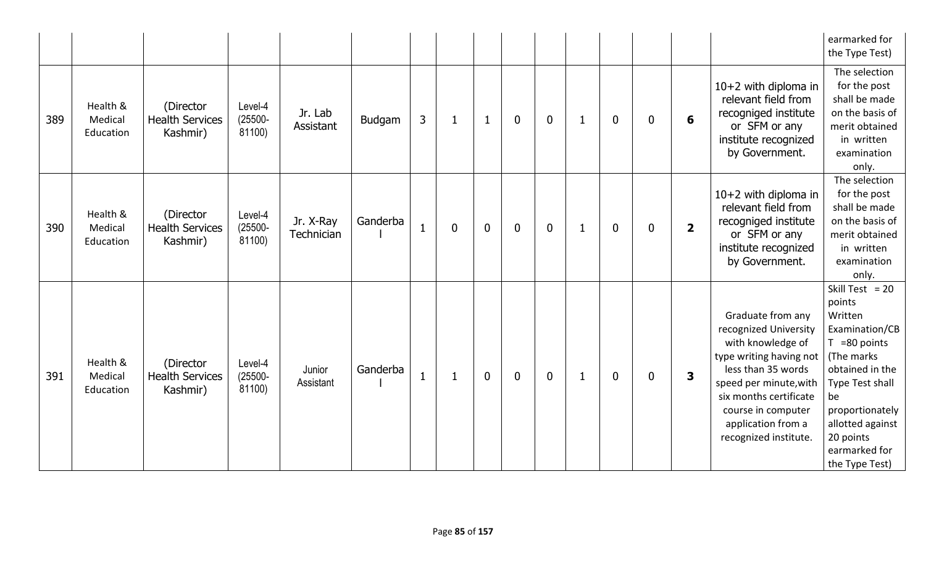|     |                                  |                                                 |                                 |                         |          |              |   |              |                |             |              |                  |              |                         |                                                                                                                                                                                                                                           | earmarked for<br>the Type Test)                                                                                                                                                                                              |
|-----|----------------------------------|-------------------------------------------------|---------------------------------|-------------------------|----------|--------------|---|--------------|----------------|-------------|--------------|------------------|--------------|-------------------------|-------------------------------------------------------------------------------------------------------------------------------------------------------------------------------------------------------------------------------------------|------------------------------------------------------------------------------------------------------------------------------------------------------------------------------------------------------------------------------|
| 389 | Health &<br>Medical<br>Education | (Director<br><b>Health Services</b><br>Kashmir) | Level-4<br>$(25500 -$<br>81100) | Jr. Lab<br>Assistant    | Budgam   | 3            | 1 | $\mathbf{1}$ | $\overline{0}$ | $\mathbf 0$ | 1            | $\mathbf 0$      | $\mathbf{0}$ | 6                       | 10+2 with diploma in<br>relevant field from<br>recogniged institute<br>or SFM or any<br>institute recognized<br>by Government.                                                                                                            | The selection<br>for the post<br>shall be made<br>on the basis of<br>merit obtained<br>in written<br>examination<br>only.                                                                                                    |
| 390 | Health &<br>Medical<br>Education | (Director<br><b>Health Services</b><br>Kashmir) | Level-4<br>$(25500 -$<br>81100) | Jr. X-Ray<br>Technician | Ganderba | $\mathbf{1}$ | 0 | $\mathbf 0$  | $\mathbf 0$    | $\mathbf 0$ | $\mathbf{1}$ | $\boldsymbol{0}$ | 0            | $\overline{\mathbf{2}}$ | 10+2 with diploma in<br>relevant field from<br>recogniged institute<br>or SFM or any<br>institute recognized<br>by Government.                                                                                                            | The selection<br>for the post<br>shall be made<br>on the basis of<br>merit obtained<br>in written<br>examination<br>only.                                                                                                    |
| 391 | Health &<br>Medical<br>Education | (Director<br><b>Health Services</b><br>Kashmir) | Level-4<br>$(25500 -$<br>81100) | Junior<br>Assistant     | Ganderba | $\mathbf{1}$ | 1 | $\mathbf{0}$ | $\mathbf 0$    | $\mathbf 0$ | $\mathbf 1$  | $\mathbf 0$      | $\mathbf{0}$ | 3                       | Graduate from any<br>recognized University<br>with knowledge of<br>type writing having not<br>less than 35 words<br>speed per minute, with<br>six months certificate<br>course in computer<br>application from a<br>recognized institute. | Skill Test = $20$<br>points<br>Written<br>Examination/CB<br>$T = 80$ points<br>(The marks<br>obtained in the<br>Type Test shall<br>be<br>proportionately<br>allotted against<br>20 points<br>earmarked for<br>the Type Test) |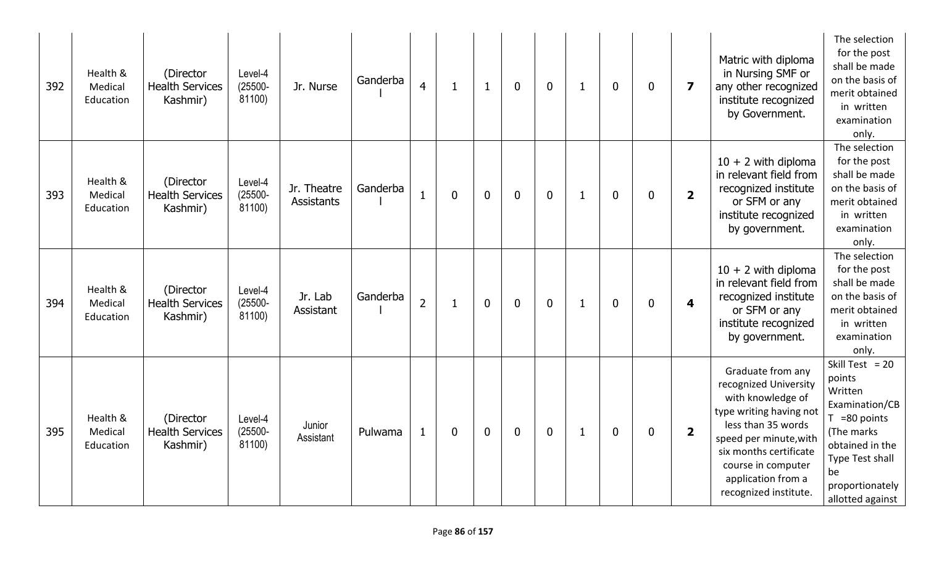| 392 | Health &<br>Medical<br>Education | (Director<br><b>Health Services</b><br>Kashmir) | Level-4<br>$(25500 -$<br>81100) | Jr. Nurse                 | Ganderba | $\overline{4}$ | 1           | $\mathbf{1}$   | $\mathbf 0$      | $\mathbf 0$ | 1            | $\mathbf 0$      | $\mathbf 0$  | $\overline{\mathbf{z}}$ | Matric with diploma<br>in Nursing SMF or<br>any other recognized<br>institute recognized<br>by Government.                                                                                                                                | The selection<br>for the post<br>shall be made<br>on the basis of<br>merit obtained<br>in written<br>examination<br>only.                                                    |
|-----|----------------------------------|-------------------------------------------------|---------------------------------|---------------------------|----------|----------------|-------------|----------------|------------------|-------------|--------------|------------------|--------------|-------------------------|-------------------------------------------------------------------------------------------------------------------------------------------------------------------------------------------------------------------------------------------|------------------------------------------------------------------------------------------------------------------------------------------------------------------------------|
| 393 | Health &<br>Medical<br>Education | (Director<br><b>Health Services</b><br>Kashmir) | Level-4<br>$(25500 -$<br>81100) | Jr. Theatre<br>Assistants | Ganderba | $\mathbf{1}$   | $\bf{0}$    | $\overline{0}$ | $\boldsymbol{0}$ | $\mathbf 0$ | $\mathbf{1}$ | $\mathbf 0$      | $\mathbf{0}$ | $\overline{\mathbf{2}}$ | $10 + 2$ with diploma<br>in relevant field from<br>recognized institute<br>or SFM or any<br>institute recognized<br>by government.                                                                                                        | The selection<br>for the post<br>shall be made<br>on the basis of<br>merit obtained<br>in written<br>examination<br>only.                                                    |
| 394 | Health &<br>Medical<br>Education | (Director<br><b>Health Services</b><br>Kashmir) | Level-4<br>$(25500 -$<br>81100) | Jr. Lab<br>Assistant      | Ganderba | $\overline{2}$ |             | $\overline{0}$ | $\overline{0}$   | $\mathbf 0$ | 1            | $\boldsymbol{0}$ | $\mathbf 0$  | $\overline{\mathbf{4}}$ | $10 + 2$ with diploma<br>in relevant field from<br>recognized institute<br>or SFM or any<br>institute recognized<br>by government.                                                                                                        | The selection<br>for the post<br>shall be made<br>on the basis of<br>merit obtained<br>in written<br>examination<br>only.                                                    |
| 395 | Health &<br>Medical<br>Education | (Director<br><b>Health Services</b><br>Kashmir) | Level-4<br>$(25500 -$<br>81100) | Junior<br>Assistant       | Pulwama  | $\mathbf{1}$   | $\mathbf 0$ | $\mathbf{0}$   | $\mathbf 0$      | $\mathbf 0$ | $\mathbf{1}$ | $\mathbf 0$      | $\mathbf{0}$ | $\overline{\mathbf{2}}$ | Graduate from any<br>recognized University<br>with knowledge of<br>type writing having not<br>less than 35 words<br>speed per minute, with<br>six months certificate<br>course in computer<br>application from a<br>recognized institute. | Skill Test = $20$<br>points<br>Written<br>Examination/CB<br>$T = 80$ points<br>(The marks<br>obtained in the<br>Type Test shall<br>be<br>proportionately<br>allotted against |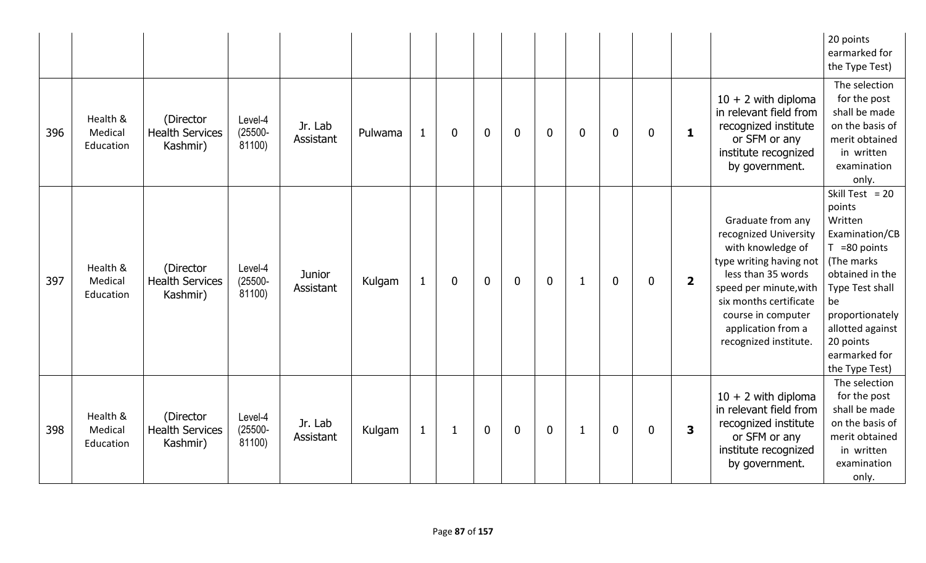|     |                                  |                                                 |                                 |                            |         |              |              |                |             |                |              |             |             |                |                                                                                                                                                                                                                                           | 20 points<br>earmarked for<br>the Type Test)                                                                                                                                                                                        |
|-----|----------------------------------|-------------------------------------------------|---------------------------------|----------------------------|---------|--------------|--------------|----------------|-------------|----------------|--------------|-------------|-------------|----------------|-------------------------------------------------------------------------------------------------------------------------------------------------------------------------------------------------------------------------------------------|-------------------------------------------------------------------------------------------------------------------------------------------------------------------------------------------------------------------------------------|
| 396 | Health &<br>Medical<br>Education | (Director<br><b>Health Services</b><br>Kashmir) | Level-4<br>$(25500 -$<br>81100) | Jr. Lab<br>Assistant       | Pulwama | $\mathbf{1}$ | $\mathbf 0$  | $\mathbf 0$    | $\mathbf 0$ | $\overline{0}$ | $\mathbf 0$  | $\bf{0}$    | $\mathbf 0$ | $\mathbf{1}$   | $10 + 2$ with diploma<br>in relevant field from<br>recognized institute<br>or SFM or any<br>institute recognized<br>by government.                                                                                                        | The selection<br>for the post<br>shall be made<br>on the basis of<br>merit obtained<br>in written<br>examination<br>only.                                                                                                           |
| 397 | Health &<br>Medical<br>Education | (Director<br><b>Health Services</b><br>Kashmir) | Level-4<br>$(25500 -$<br>81100) | <b>Junior</b><br>Assistant | Kulgam  | $\mathbf{1}$ | $\mathbf 0$  | $\overline{0}$ | $\mathbf 0$ | $\overline{0}$ | $\mathbf{1}$ | $\mathbf 0$ | $\mathbf 0$ | $\overline{2}$ | Graduate from any<br>recognized University<br>with knowledge of<br>type writing having not<br>less than 35 words<br>speed per minute, with<br>six months certificate<br>course in computer<br>application from a<br>recognized institute. | Skill Test = $20$<br>points<br>Written<br>Examination/CB<br>$T = 80$ points<br>(The marks<br>obtained in the<br><b>Type Test shall</b><br>be<br>proportionately<br>allotted against<br>20 points<br>earmarked for<br>the Type Test) |
| 398 | Health &<br>Medical<br>Education | (Director<br><b>Health Services</b><br>Kashmir) | Level-4<br>$(25500 -$<br>81100) | Jr. Lab<br>Assistant       | Kulgam  | $\mathbf{1}$ | $\mathbf{1}$ | $\mathbf 0$    | $\mathbf 0$ | $\mathbf 0$    | $\mathbf{1}$ | $\bf{0}$    | $\mathbf 0$ | 3              | $10 + 2$ with diploma<br>in relevant field from<br>recognized institute<br>or SFM or any<br>institute recognized<br>by government.                                                                                                        | The selection<br>for the post<br>shall be made<br>on the basis of<br>merit obtained<br>in written<br>examination<br>only.                                                                                                           |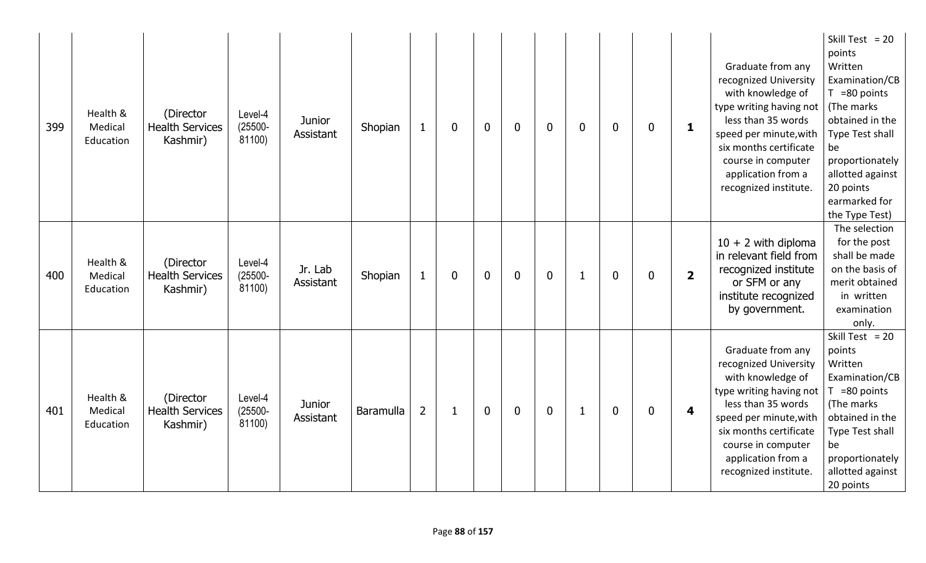| 399 | Health &<br>Medical<br>Education | (Director<br><b>Health Services</b><br>Kashmir) | Level-4<br>$(25500 -$<br>81100) | <b>Junior</b><br>Assistant | Shopian<br>$\mathbf{1}$            | 0           | $\mathbf 0$  | $\mathbf 0$ | $\boldsymbol{0}$ | 0 | $\mathbf 0$ | $\mathbf 0$  | $\mathbf{1}$            | Graduate from any<br>recognized University<br>with knowledge of<br>type writing having not<br>less than 35 words<br>speed per minute, with<br>six months certificate<br>course in computer<br>application from a<br>recognized institute. | Skill Test = $20$<br>points<br>Written<br>Examination/CB<br>$T = 80$ points<br>(The marks<br>obtained in the<br>Type Test shall<br>be<br>proportionately<br>allotted against<br>20 points<br>earmarked for<br>the Type Test) |
|-----|----------------------------------|-------------------------------------------------|---------------------------------|----------------------------|------------------------------------|-------------|--------------|-------------|------------------|---|-------------|--------------|-------------------------|-------------------------------------------------------------------------------------------------------------------------------------------------------------------------------------------------------------------------------------------|------------------------------------------------------------------------------------------------------------------------------------------------------------------------------------------------------------------------------|
| 400 | Health &<br>Medical<br>Education | (Director<br><b>Health Services</b><br>Kashmir) | Level-4<br>$(25500 -$<br>81100) | Jr. Lab<br>Assistant       | Shopian<br>$\mathbf{1}$            | $\mathbf 0$ | $\mathbf{0}$ | $\mathbf 0$ | $\mathbf 0$      | 1 | $\mathbf 0$ | $\mathbf{0}$ | $\overline{\mathbf{2}}$ | $10 + 2$ with diploma<br>in relevant field from<br>recognized institute<br>or SFM or any<br>institute recognized<br>by government.                                                                                                        | The selection<br>for the post<br>shall be made<br>on the basis of<br>merit obtained<br>in written<br>examination<br>only.                                                                                                    |
| 401 | Health &<br>Medical<br>Education | (Director<br><b>Health Services</b><br>Kashmir) | Level-4<br>$(25500 -$<br>81100) | <b>Junior</b><br>Assistant | $\overline{2}$<br><b>Baramulla</b> |             | $\mathbf 0$  | $\mathbf 0$ | $\mathbf 0$      | 1 | $\mathbf 0$ | $\mathbf 0$  | 4                       | Graduate from any<br>recognized University<br>with knowledge of<br>type writing having not<br>less than 35 words<br>speed per minute, with<br>six months certificate<br>course in computer<br>application from a<br>recognized institute. | Skill Test = $20$<br>points<br>Written<br>Examination/CB<br>$T = 80$ points<br>(The marks<br>obtained in the<br>Type Test shall<br>be<br>proportionately<br>allotted against<br>20 points                                    |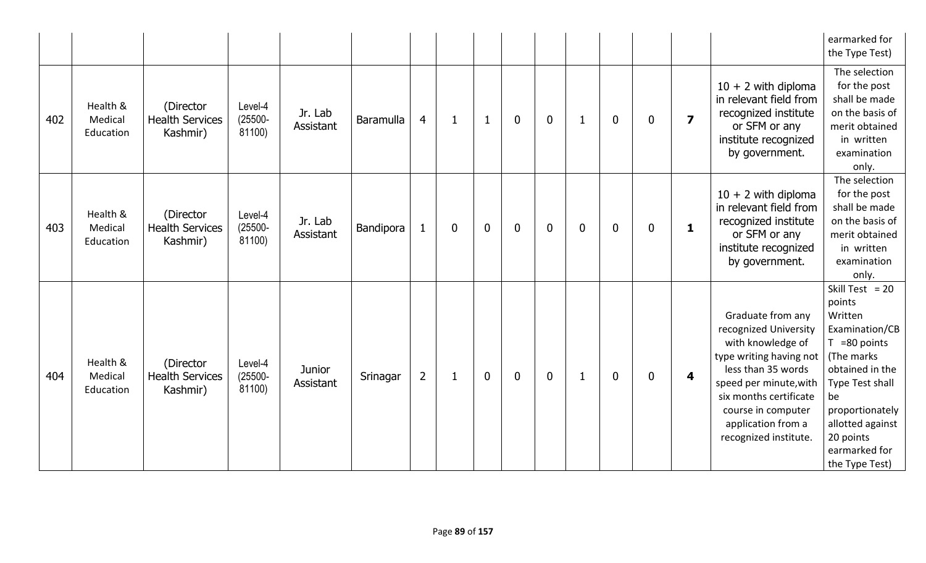|     |                                  |                                                 |                                 |                            |                  |                |              |              |                  |             |              |             |             |                         |                                                                                                                                                                                                                                           | earmarked for<br>the Type Test)                                                                                                                                                                                              |
|-----|----------------------------------|-------------------------------------------------|---------------------------------|----------------------------|------------------|----------------|--------------|--------------|------------------|-------------|--------------|-------------|-------------|-------------------------|-------------------------------------------------------------------------------------------------------------------------------------------------------------------------------------------------------------------------------------------|------------------------------------------------------------------------------------------------------------------------------------------------------------------------------------------------------------------------------|
| 402 | Health &<br>Medical<br>Education | (Director<br><b>Health Services</b><br>Kashmir) | Level-4<br>$(25500 -$<br>81100) | Jr. Lab<br>Assistant       | <b>Baramulla</b> | 4              | $\mathbf{1}$ | $\mathbf{1}$ | $\mathbf{0}$     | $\mathbf 0$ | $\mathbf{1}$ | $\mathbf 0$ | $\mathbf 0$ | $\overline{\mathbf{z}}$ | $10 + 2$ with diploma<br>in relevant field from<br>recognized institute<br>or SFM or any<br>institute recognized<br>by government.                                                                                                        | The selection<br>for the post<br>shall be made<br>on the basis of<br>merit obtained<br>in written<br>examination<br>only.                                                                                                    |
| 403 | Health &<br>Medical<br>Education | (Director<br><b>Health Services</b><br>Kashmir) | Level-4<br>$(25500 -$<br>81100) | Jr. Lab<br>Assistant       | Bandipora        | $\mathbf{1}$   | 0            | $\mathbf{0}$ | $\boldsymbol{0}$ | $\mathbf 0$ | $\mathbf 0$  | $\mathbf 0$ | 0           | $\mathbf{1}$            | $10 + 2$ with diploma<br>in relevant field from<br>recognized institute<br>or SFM or any<br>institute recognized<br>by government.                                                                                                        | The selection<br>for the post<br>shall be made<br>on the basis of<br>merit obtained<br>in written<br>examination<br>only.                                                                                                    |
| 404 | Health &<br>Medical<br>Education | (Director<br><b>Health Services</b><br>Kashmir) | Level-4<br>$(25500 -$<br>81100) | <b>Junior</b><br>Assistant | Srinagar         | $\overline{2}$ | 1            | $\mathbf{0}$ | $\mathbf 0$      | $\mathbf 0$ | -1           | $\mathbf 0$ | $\mathbf 0$ | $\overline{\mathbf{4}}$ | Graduate from any<br>recognized University<br>with knowledge of<br>type writing having not<br>less than 35 words<br>speed per minute, with<br>six months certificate<br>course in computer<br>application from a<br>recognized institute. | Skill Test = $20$<br>points<br>Written<br>Examination/CB<br>$T = 80$ points<br>(The marks<br>obtained in the<br>Type Test shall<br>be<br>proportionately<br>allotted against<br>20 points<br>earmarked for<br>the Type Test) |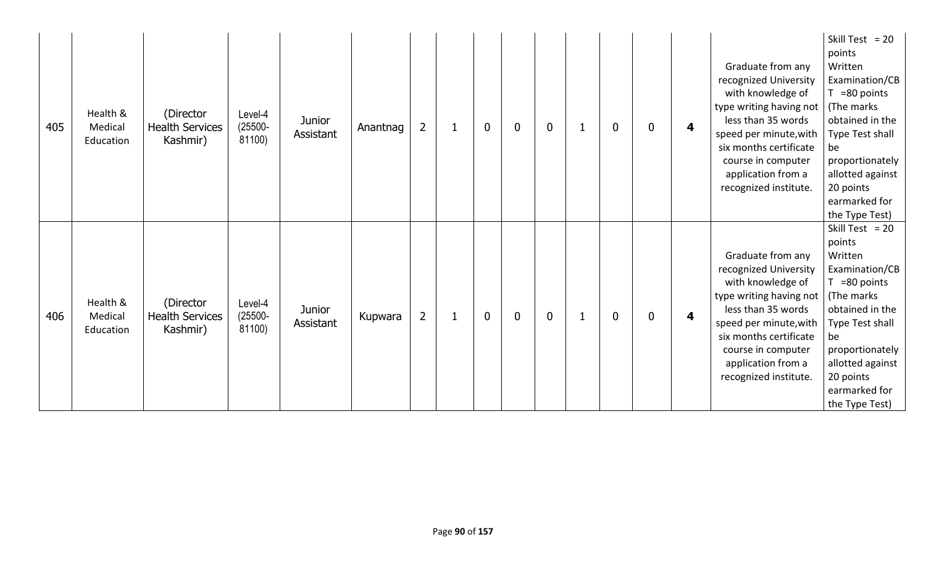| 405 | Health &<br>Medical<br>Education | (Director<br><b>Health Services</b><br>Kashmir) | Level-4<br>$(25500 -$<br>81100) | <b>Junior</b><br>Assistant | Anantnag | $\overline{2}$ | 1 | $\mathbf 0$    | $\bf{0}$    | $\mathbf 0$ | 1 | 0           | 0 | 4 | Graduate from any<br>recognized University<br>with knowledge of<br>type writing having not<br>less than 35 words<br>speed per minute, with<br>six months certificate<br>course in computer<br>application from a<br>recognized institute. | Skill Test = $20$<br>points<br>Written<br>Examination/CB<br>$T = 80$ points<br>(The marks<br>obtained in the<br>Type Test shall<br>be<br>proportionately<br>allotted against<br>20 points<br>earmarked for<br>the Type Test)  |
|-----|----------------------------------|-------------------------------------------------|---------------------------------|----------------------------|----------|----------------|---|----------------|-------------|-------------|---|-------------|---|---|-------------------------------------------------------------------------------------------------------------------------------------------------------------------------------------------------------------------------------------------|-------------------------------------------------------------------------------------------------------------------------------------------------------------------------------------------------------------------------------|
| 406 | Health &<br>Medical<br>Education | (Director<br><b>Health Services</b><br>Kashmir) | Level-4<br>$(25500 -$<br>81100) | <b>Junior</b><br>Assistant | Kupwara  | $\overline{2}$ | 1 | $\overline{0}$ | $\mathbf 0$ | $\mathbf 0$ | 1 | $\mathbf 0$ | 0 | 4 | Graduate from any<br>recognized University<br>with knowledge of<br>type writing having not<br>less than 35 words<br>speed per minute, with<br>six months certificate<br>course in computer<br>application from a<br>recognized institute. | Skill Test = $20$<br>points<br>Written<br>Examination/CB<br>$T = 80$ points<br>(The marks)<br>obtained in the<br>Type Test shall<br>be<br>proportionately<br>allotted against<br>20 points<br>earmarked for<br>the Type Test) |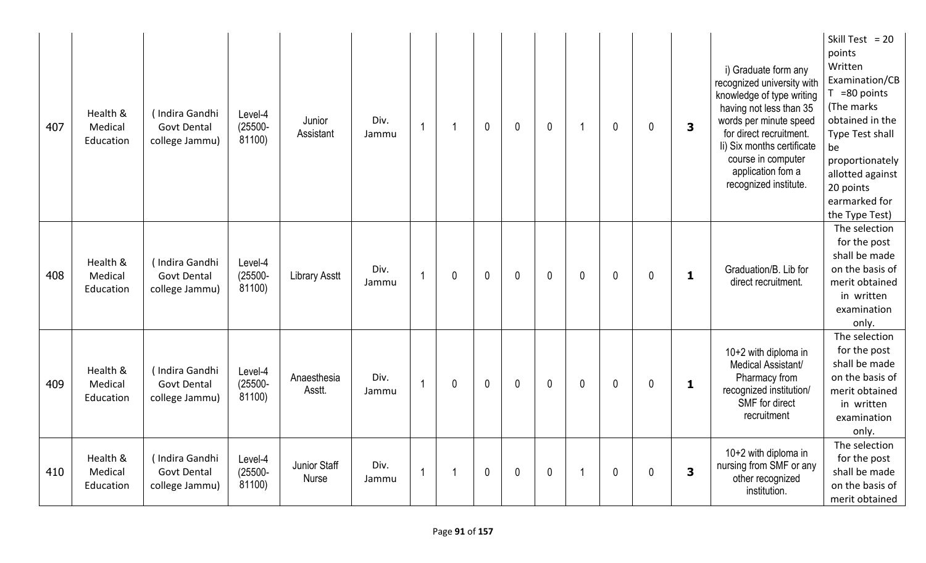| 407 | Health &<br>Medical<br>Education | (Indira Gandhi<br><b>Govt Dental</b><br>college Jammu) | Level-4<br>$(25500 -$<br>81100) | Junior<br>Assistant          | Div.<br>Jammu | $\overline{1}$ |             | $\mathbf{0}$ | $\mathbf{0}$ | $\mathbf{0}$ |   | $\mathbf 0$  | 0 | 3            | i) Graduate form any<br>recognized university with<br>knowledge of type writing<br>having not less than 35<br>words per minute speed<br>for direct recruitment.<br>Ii) Six months certificate<br>course in computer<br>application fom a<br>recognized institute. | Skill Test = $20$<br>points<br>Written<br>Examination/CB<br>$T = 80$ points<br>(The marks<br>obtained in the<br>Type Test shall<br>be<br>proportionately<br>allotted against<br>20 points<br>earmarked for<br>the Type Test) |
|-----|----------------------------------|--------------------------------------------------------|---------------------------------|------------------------------|---------------|----------------|-------------|--------------|--------------|--------------|---|--------------|---|--------------|-------------------------------------------------------------------------------------------------------------------------------------------------------------------------------------------------------------------------------------------------------------------|------------------------------------------------------------------------------------------------------------------------------------------------------------------------------------------------------------------------------|
| 408 | Health &<br>Medical<br>Education | (Indira Gandhi<br><b>Govt Dental</b><br>college Jammu) | Level-4<br>$(25500 -$<br>81100) | <b>Library Asstt</b>         | Div.<br>Jammu | 1              | $\mathbf 0$ | $\mathbf 0$  | $\mathbf{0}$ | $\mathbf 0$  | 0 | $\mathbf{0}$ | 0 | $\mathbf{1}$ | Graduation/B. Lib for<br>direct recruitment.                                                                                                                                                                                                                      | The selection<br>for the post<br>shall be made<br>on the basis of<br>merit obtained<br>in written<br>examination<br>only.                                                                                                    |
| 409 | Health &<br>Medical<br>Education | (Indira Gandhi<br><b>Govt Dental</b><br>college Jammu) | Level-4<br>$(25500 -$<br>81100) | Anaesthesia<br>Asstt.        | Div.<br>Jammu | 1              | 0           | $\mathbf 0$  | $\mathbf 0$  | $\mathbf 0$  | 0 | $\mathbf 0$  | 0 | $\mathbf{1}$ | 10+2 with diploma in<br>Medical Assistant/<br>Pharmacy from<br>recognized institution/<br>SMF for direct<br>recruitment                                                                                                                                           | The selection<br>for the post<br>shall be made<br>on the basis of<br>merit obtained<br>in written<br>examination<br>only.                                                                                                    |
| 410 | Health &<br>Medical<br>Education | (Indira Gandhi<br><b>Govt Dental</b><br>college Jammu) | Level-4<br>$(25500 -$<br>81100) | Junior Staff<br><b>Nurse</b> | Div.<br>Jammu | $\overline{1}$ |             | $\mathbf{0}$ | $\mathbf 0$  | $\mathbf 0$  |   | $\mathbf 0$  | 0 | 3            | 10+2 with diploma in<br>nursing from SMF or any<br>other recognized<br>institution.                                                                                                                                                                               | The selection<br>for the post<br>shall be made<br>on the basis of<br>merit obtained                                                                                                                                          |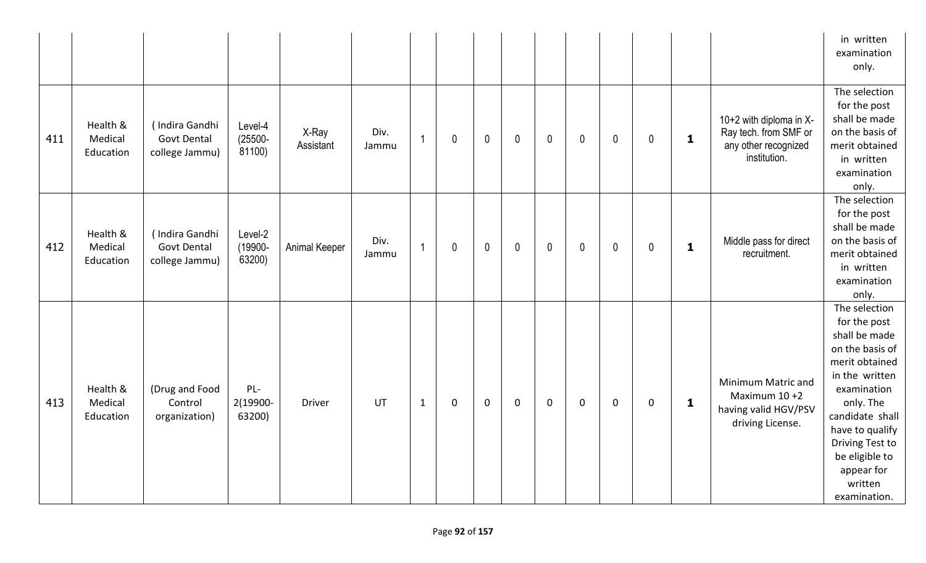|     |                                  |                                                        |                                 |                    |               |                |              |             |                |              |              |             |             |              |                                                                                          | in written<br>examination<br>only.                                                                                                                                                                                                                    |
|-----|----------------------------------|--------------------------------------------------------|---------------------------------|--------------------|---------------|----------------|--------------|-------------|----------------|--------------|--------------|-------------|-------------|--------------|------------------------------------------------------------------------------------------|-------------------------------------------------------------------------------------------------------------------------------------------------------------------------------------------------------------------------------------------------------|
| 411 | Health &<br>Medical<br>Education | (Indira Gandhi<br><b>Govt Dental</b><br>college Jammu) | Level-4<br>$(25500 -$<br>81100) | X-Ray<br>Assistant | Div.<br>Jammu | $\overline{1}$ | $\mathbf 0$  | $\mathbf 0$ | $\overline{0}$ | $\mathbf 0$  | $\mathbf 0$  | $\mathbf 0$ | $\mathbf 0$ | $\mathbf{1}$ | 10+2 with diploma in X-<br>Ray tech. from SMF or<br>any other recognized<br>institution. | The selection<br>for the post<br>shall be made<br>on the basis of<br>merit obtained<br>in written<br>examination<br>only.                                                                                                                             |
| 412 | Health &<br>Medical<br>Education | (Indira Gandhi<br><b>Govt Dental</b><br>college Jammu) | Level-2<br>(19900-<br>63200)    | Animal Keeper      | Div.<br>Jammu | $\overline{1}$ | $\mathbf{0}$ | $\mathbf 0$ | $\mathbf 0$    | $\mathbf{0}$ | $\mathbf{0}$ | $\mathbf 0$ | $\mathbf 0$ | $\mathbf{1}$ | Middle pass for direct<br>recruitment.                                                   | The selection<br>for the post<br>shall be made<br>on the basis of<br>merit obtained<br>in written<br>examination<br>only.                                                                                                                             |
| 413 | Health &<br>Medical<br>Education | (Drug and Food<br>Control<br>organization)             | $PL-$<br>2(19900-<br>63200)     | <b>Driver</b>      | <b>UT</b>     | $\mathbf{1}$   | $\mathbf 0$  | $\mathbf 0$ | $\mathbf 0$    | $\mathbf 0$  | $\mathbf 0$  | 0           | $\mathbf 0$ | $\mathbf{1}$ | Minimum Matric and<br>Maximum $10+2$<br>having valid HGV/PSV<br>driving License.         | The selection<br>for the post<br>shall be made<br>on the basis of<br>merit obtained<br>in the written<br>examination<br>only. The<br>candidate shall<br>have to qualify<br>Driving Test to<br>be eligible to<br>appear for<br>written<br>examination. |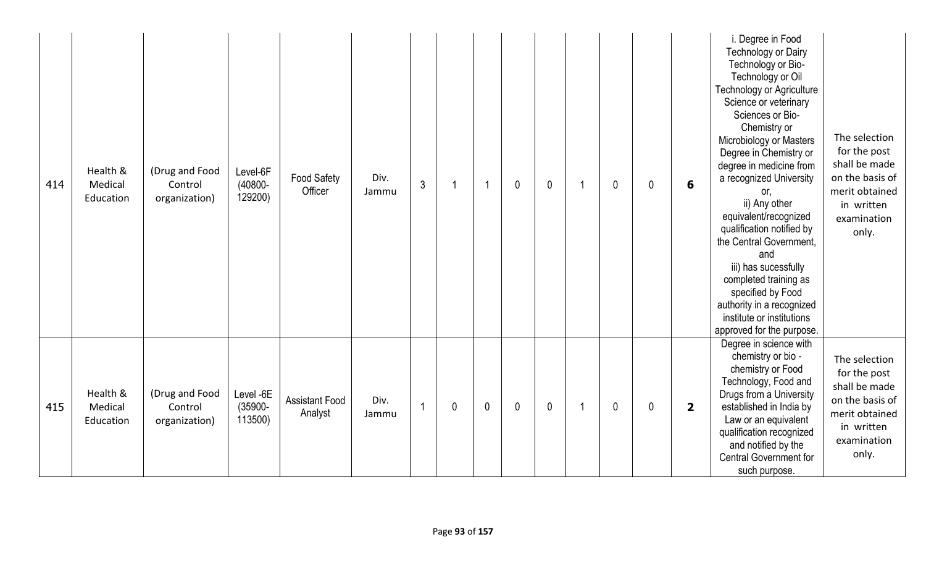| 414 | Health &<br>Medical<br>Education | (Drug and Food<br>Control<br>organization) | Level-6F<br>$(40800 -$<br>129200)  | <b>Food Safety</b><br>Officer    | Div.<br>Jammu | $\mathfrak{Z}$ |              | -1           | $\mathbf{0}$ | $\mathbf 0$  | -1 | $\mathbf{0}$ | 0            | 6                       | i. Degree in Food<br><b>Technology or Dairy</b><br>Technology or Bio-<br>Technology or Oil<br><b>Technology or Agriculture</b><br>Science or veterinary<br>Sciences or Bio-<br>Chemistry or<br>Microbiology or Masters<br>Degree in Chemistry or<br>degree in medicine from<br>a recognized University<br>or,<br>ii) Any other<br>equivalent/recognized<br>qualification notified by<br>the Central Government,<br>and<br>iii) has sucessfully<br>completed training as<br>specified by Food<br>authority in a recognized<br>institute or institutions<br>approved for the purpose. | The selection<br>for the post<br>shall be made<br>on the basis of<br>merit obtained<br>in written<br>examination<br>only. |
|-----|----------------------------------|--------------------------------------------|------------------------------------|----------------------------------|---------------|----------------|--------------|--------------|--------------|--------------|----|--------------|--------------|-------------------------|-------------------------------------------------------------------------------------------------------------------------------------------------------------------------------------------------------------------------------------------------------------------------------------------------------------------------------------------------------------------------------------------------------------------------------------------------------------------------------------------------------------------------------------------------------------------------------------|---------------------------------------------------------------------------------------------------------------------------|
| 415 | Health &<br>Medical<br>Education | (Drug and Food<br>Control<br>organization) | Level -6E<br>$(35900 -$<br>113500) | <b>Assistant Food</b><br>Analyst | Div.<br>Jammu |                | $\mathbf{0}$ | $\mathbf{0}$ | $\mathbf{0}$ | $\mathbf{0}$ | -1 | $\mathbf{0}$ | $\mathbf{0}$ | $\overline{\mathbf{2}}$ | Degree in science with<br>chemistry or bio -<br>chemistry or Food<br>Technology, Food and<br>Drugs from a University<br>established in India by<br>Law or an equivalent<br>qualification recognized<br>and notified by the<br><b>Central Government for</b><br>such purpose.                                                                                                                                                                                                                                                                                                        | The selection<br>for the post<br>shall be made<br>on the basis of<br>merit obtained<br>in written<br>examination<br>only. |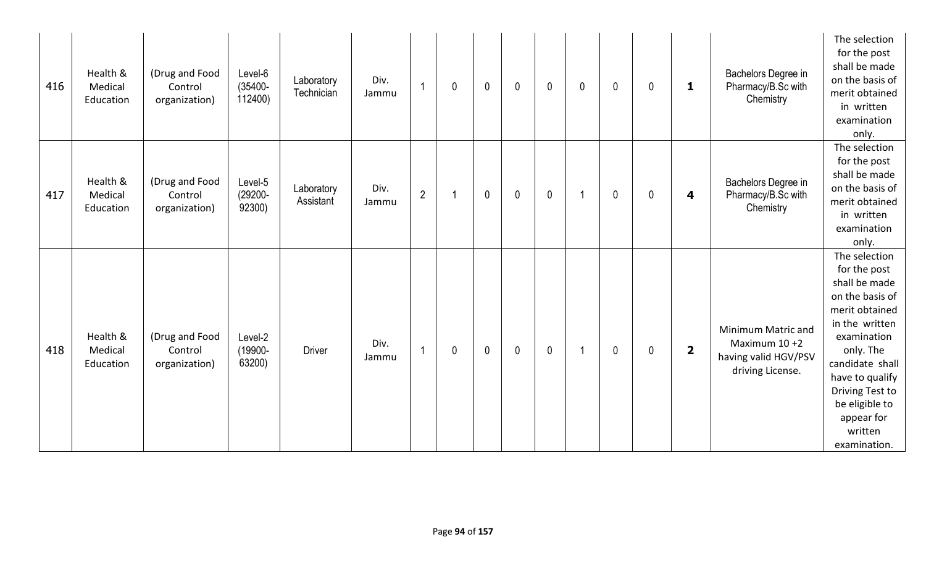| 416 | Health &<br>Medical<br>Education | (Drug and Food<br>Control<br>organization) | Level-6<br>$(35400 -$<br>112400) | Laboratory<br>Technician | Div.<br>Jammu | 1              | $\mathbf 0$ | $\mathbf 0$ | $\mathbf 0$  | $\mathbf 0$ | 0  | $\mathbf 0$  | 0 | 1                       | Bachelors Degree in<br>Pharmacy/B.Sc with<br>Chemistry                           | The selection<br>for the post<br>shall be made<br>on the basis of<br>merit obtained<br>in written<br>examination<br>only.                                                                                                                             |
|-----|----------------------------------|--------------------------------------------|----------------------------------|--------------------------|---------------|----------------|-------------|-------------|--------------|-------------|----|--------------|---|-------------------------|----------------------------------------------------------------------------------|-------------------------------------------------------------------------------------------------------------------------------------------------------------------------------------------------------------------------------------------------------|
| 417 | Health &<br>Medical<br>Education | (Drug and Food<br>Control<br>organization) | Level-5<br>$(29200 -$<br>92300)  | Laboratory<br>Assistant  | Div.<br>Jammu | $\overline{2}$ |             | $\mathbf 0$ | $\mathbf{0}$ | $\mathbf 0$ | 1  | $\mathbf{0}$ | 0 | 4                       | Bachelors Degree in<br>Pharmacy/B.Sc with<br>Chemistry                           | The selection<br>for the post<br>shall be made<br>on the basis of<br>merit obtained<br>in written<br>examination<br>only.                                                                                                                             |
| 418 | Health &<br>Medical<br>Education | (Drug and Food<br>Control<br>organization) | Level-2<br>(19900-<br>63200)     | <b>Driver</b>            | Div.<br>Jammu | $\overline{1}$ | 0           | $\mathbf 0$ | $\mathbf 0$  | $\mathbf 0$ | -1 | $\mathbf 0$  | 0 | $\overline{\mathbf{2}}$ | Minimum Matric and<br>Maximum $10+2$<br>having valid HGV/PSV<br>driving License. | The selection<br>for the post<br>shall be made<br>on the basis of<br>merit obtained<br>in the written<br>examination<br>only. The<br>candidate shall<br>have to qualify<br>Driving Test to<br>be eligible to<br>appear for<br>written<br>examination. |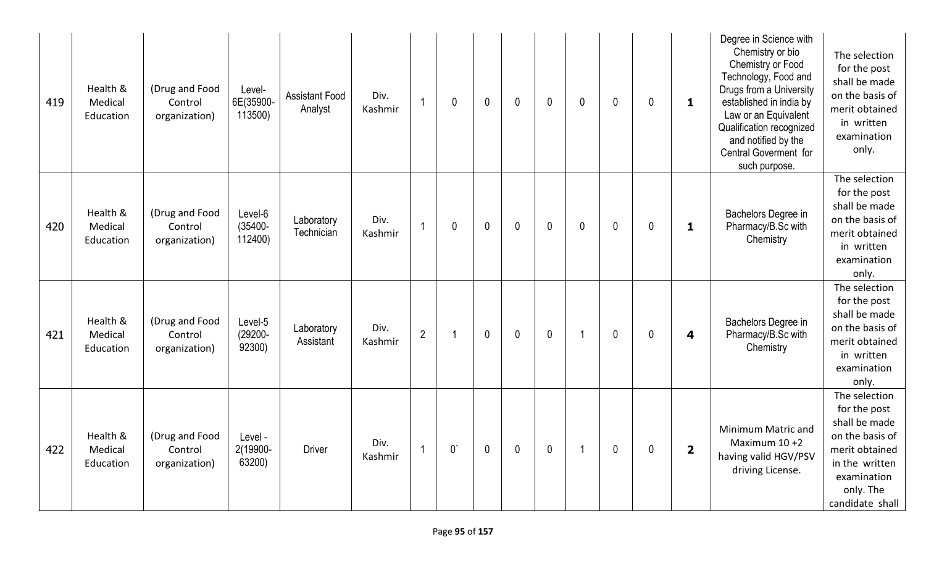| 419 | Health &<br>Medical<br>Education | (Drug and Food<br>Control<br>organization) | Level-<br>6E(35900-<br>113500)   | <b>Assistant Food</b><br>Analyst | Div.<br>Kashmir | $\overline{1}$ | 0            | $\mathbf{0}$ | $\mathbf{0}$ | $\mathbf 0$ | 0 | $\mathbf{0}$ | 0 | 1                       | Degree in Science with<br>Chemistry or bio<br>Chemistry or Food<br>Technology, Food and<br>Drugs from a University<br>established in india by<br>Law or an Equivalent<br>Qualification recognized<br>and notified by the<br>Central Goverment for<br>such purpose. | The selection<br>for the post<br>shall be made<br>on the basis of<br>merit obtained<br>in written<br>examination<br>only.                            |
|-----|----------------------------------|--------------------------------------------|----------------------------------|----------------------------------|-----------------|----------------|--------------|--------------|--------------|-------------|---|--------------|---|-------------------------|--------------------------------------------------------------------------------------------------------------------------------------------------------------------------------------------------------------------------------------------------------------------|------------------------------------------------------------------------------------------------------------------------------------------------------|
| 420 | Health &<br>Medical<br>Education | (Drug and Food<br>Control<br>organization) | Level-6<br>$(35400 -$<br>112400) | Laboratory<br>Technician         | Div.<br>Kashmir | 1              | 0            | $\mathbf 0$  | $\mathbf{0}$ | $\mathbf 0$ | 0 | $\mathbf{0}$ | 0 | $\mathbf{1}$            | Bachelors Degree in<br>Pharmacy/B.Sc with<br>Chemistry                                                                                                                                                                                                             | The selection<br>for the post<br>shall be made<br>on the basis of<br>merit obtained<br>in written<br>examination<br>only.                            |
| 421 | Health &<br>Medical<br>Education | (Drug and Food<br>Control<br>organization) | Level-5<br>$(29200 -$<br>92300)  | Laboratory<br>Assistant          | Div.<br>Kashmir | $\overline{2}$ |              | $\mathbf 0$  | $\mathbf 0$  | $\mathbf 0$ | 1 | $\mathbf 0$  | 0 | 4                       | Bachelors Degree in<br>Pharmacy/B.Sc with<br>Chemistry                                                                                                                                                                                                             | The selection<br>for the post<br>shall be made<br>on the basis of<br>merit obtained<br>in written<br>examination<br>only.                            |
| 422 | Health &<br>Medical<br>Education | (Drug and Food<br>Control<br>organization) | Level -<br>2(19900-<br>63200)    | <b>Driver</b>                    | Div.<br>Kashmir | $\overline{1}$ | $0^{\prime}$ | $\mathbf{0}$ | $\mathbf{0}$ | $\mathbf 0$ | 1 | $\mathbf{0}$ | 0 | $\overline{\mathbf{2}}$ | Minimum Matric and<br>Maximum 10 +2<br>having valid HGV/PSV<br>driving License.                                                                                                                                                                                    | The selection<br>for the post<br>shall be made<br>on the basis of<br>merit obtained<br>in the written<br>examination<br>only. The<br>candidate shall |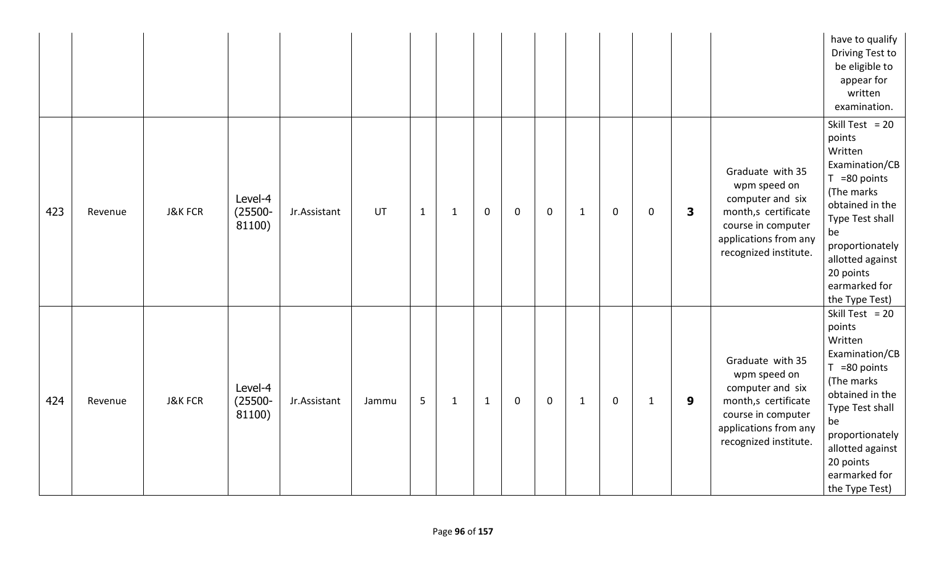|     |         |                    |                                 |              |       |       |              |              |             |             |              |             |              |   |                                                                                                                                                     | have to qualify<br>Driving Test to<br>be eligible to<br>appear for<br>written<br>examination.                                                                                                                                |
|-----|---------|--------------------|---------------------------------|--------------|-------|-------|--------------|--------------|-------------|-------------|--------------|-------------|--------------|---|-----------------------------------------------------------------------------------------------------------------------------------------------------|------------------------------------------------------------------------------------------------------------------------------------------------------------------------------------------------------------------------------|
| 423 | Revenue | <b>J&amp;K FCR</b> | Level-4<br>$(25500 -$<br>81100) | Jr.Assistant | UT    | $1\,$ | $\mathbf{1}$ | $\mathbf 0$  | $\mathbf 0$ | $\mathbf 0$ | $\mathbf{1}$ | $\mathbf 0$ | $\mathbf 0$  | 3 | Graduate with 35<br>wpm speed on<br>computer and six<br>month,s certificate<br>course in computer<br>applications from any<br>recognized institute. | Skill Test = $20$<br>points<br>Written<br>Examination/CB<br>$T = 80$ points<br>(The marks<br>obtained in the<br>Type Test shall<br>be<br>proportionately<br>allotted against<br>20 points<br>earmarked for<br>the Type Test) |
| 424 | Revenue | <b>J&amp;K FCR</b> | Level-4<br>$(25500 -$<br>81100) | Jr.Assistant | Jammu | 5     | $\mathbf{1}$ | $\mathbf{1}$ | $\mathbf 0$ | $\mathbf 0$ | $\mathbf{1}$ | $\mathbf 0$ | $\mathbf{1}$ | 9 | Graduate with 35<br>wpm speed on<br>computer and six<br>month,s certificate<br>course in computer<br>applications from any<br>recognized institute. | Skill Test = $20$<br>points<br>Written<br>Examination/CB<br>$T = 80$ points<br>(The marks<br>obtained in the<br>Type Test shall<br>be<br>proportionately<br>allotted against<br>20 points<br>earmarked for<br>the Type Test) |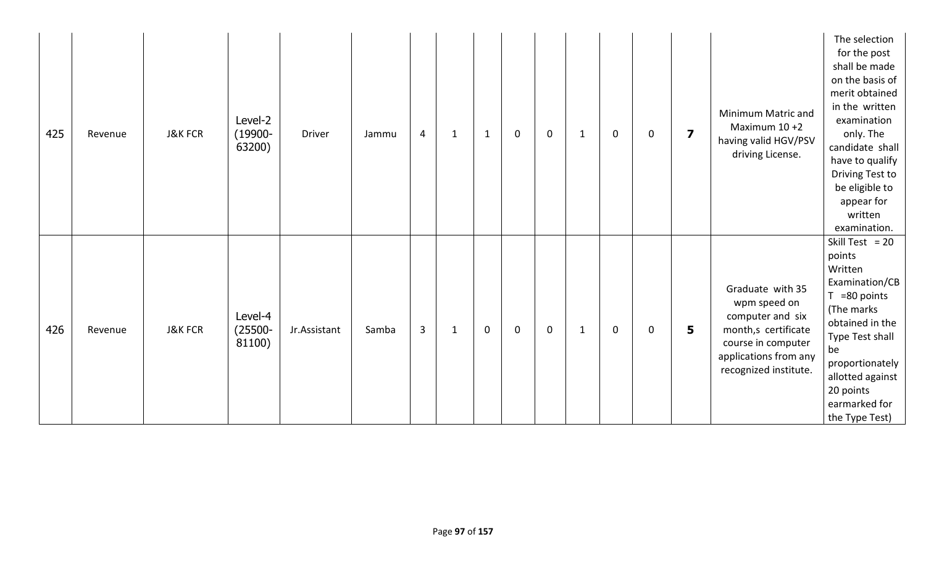| 425 | Revenue | <b>J&amp;K FCR</b> | Level-2<br>$(19900 -$<br>63200) | <b>Driver</b> | Jammu | $\overline{4}$ | $\mathbf 1$ | $\mathbf{1}$ | $\mathbf 0$ | $\mathbf 0$ | 1 | $\mathbf 0$ | $\mathbf 0$ | $\overline{\mathbf{z}}$ | Minimum Matric and<br>Maximum 10 +2<br>having valid HGV/PSV<br>driving License.                                                                     | The selection<br>for the post<br>shall be made<br>on the basis of<br>merit obtained<br>in the written<br>examination<br>only. The<br>candidate shall<br>have to qualify<br>Driving Test to<br>be eligible to<br>appear for<br>written<br>examination. |
|-----|---------|--------------------|---------------------------------|---------------|-------|----------------|-------------|--------------|-------------|-------------|---|-------------|-------------|-------------------------|-----------------------------------------------------------------------------------------------------------------------------------------------------|-------------------------------------------------------------------------------------------------------------------------------------------------------------------------------------------------------------------------------------------------------|
| 426 | Revenue | <b>J&amp;K FCR</b> | Level-4<br>$(25500 -$<br>81100) | Jr.Assistant  | Samba | $\overline{3}$ | $\mathbf 1$ | $\mathbf 0$  | $\mathbf 0$ | $\mathbf 0$ | 1 | $\mathbf 0$ | $\mathbf 0$ | 5                       | Graduate with 35<br>wpm speed on<br>computer and six<br>month,s certificate<br>course in computer<br>applications from any<br>recognized institute. | Skill Test = $20$<br>points<br>Written<br>Examination/CB<br>=80 points<br>T.<br>(The marks)<br>obtained in the<br>Type Test shall<br>be<br>proportionately<br>allotted against<br>20 points<br>earmarked for<br>the Type Test)                        |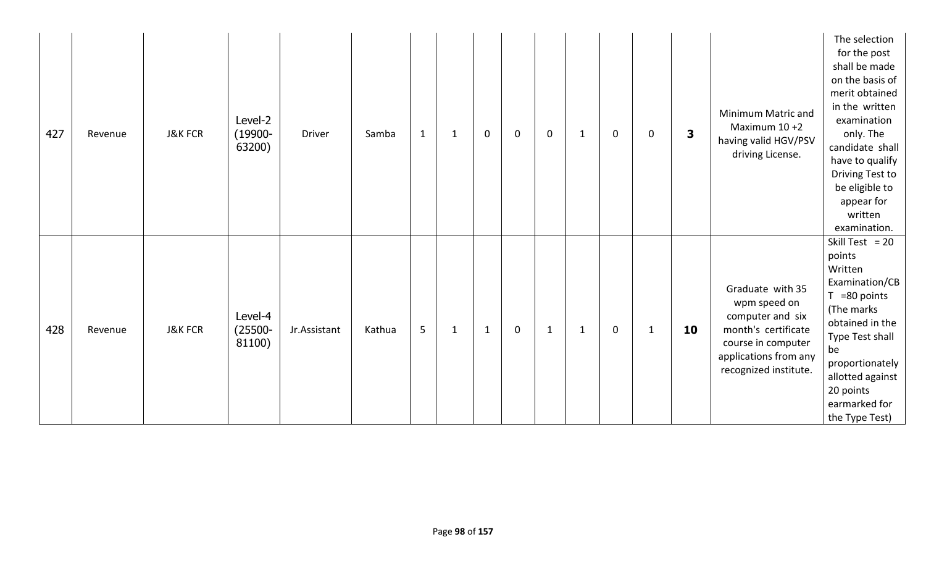| 427 | Revenue | <b>J&amp;K FCR</b> | Level-2<br>$(19900 -$<br>63200) | <b>Driver</b> | $\mathbf{1}$<br>Samba | $\mathbf{1}$ | $\mathbf 0$  | $\mathbf 0$ | $\mathbf 0$  | $\mathbf{1}$ | 0           | $\mathbf 0$  | $\overline{\mathbf{3}}$ | Minimum Matric and<br>Maximum 10 +2<br>having valid HGV/PSV<br>driving License.                                                                     | The selection<br>for the post<br>shall be made<br>on the basis of<br>merit obtained<br>in the written<br>examination<br>only. The<br>candidate shall<br>have to qualify<br>Driving Test to<br>be eligible to<br>appear for<br>written<br>examination. |
|-----|---------|--------------------|---------------------------------|---------------|-----------------------|--------------|--------------|-------------|--------------|--------------|-------------|--------------|-------------------------|-----------------------------------------------------------------------------------------------------------------------------------------------------|-------------------------------------------------------------------------------------------------------------------------------------------------------------------------------------------------------------------------------------------------------|
| 428 | Revenue | <b>J&amp;K FCR</b> | Level-4<br>$(25500 -$<br>81100) | Jr.Assistant  | 5<br>Kathua           | $\mathbf{1}$ | $\mathbf{1}$ | $\mathbf 0$ | $\mathbf{1}$ | $\mathbf{1}$ | $\mathbf 0$ | $\mathbf{1}$ | 10                      | Graduate with 35<br>wpm speed on<br>computer and six<br>month's certificate<br>course in computer<br>applications from any<br>recognized institute. | Skill Test = $20$<br>points<br>Written<br>Examination/CB<br>=80 points<br>T.<br>(The marks)<br>obtained in the<br>Type Test shall<br>be<br>proportionately<br>allotted against<br>20 points<br>earmarked for<br>the Type Test)                        |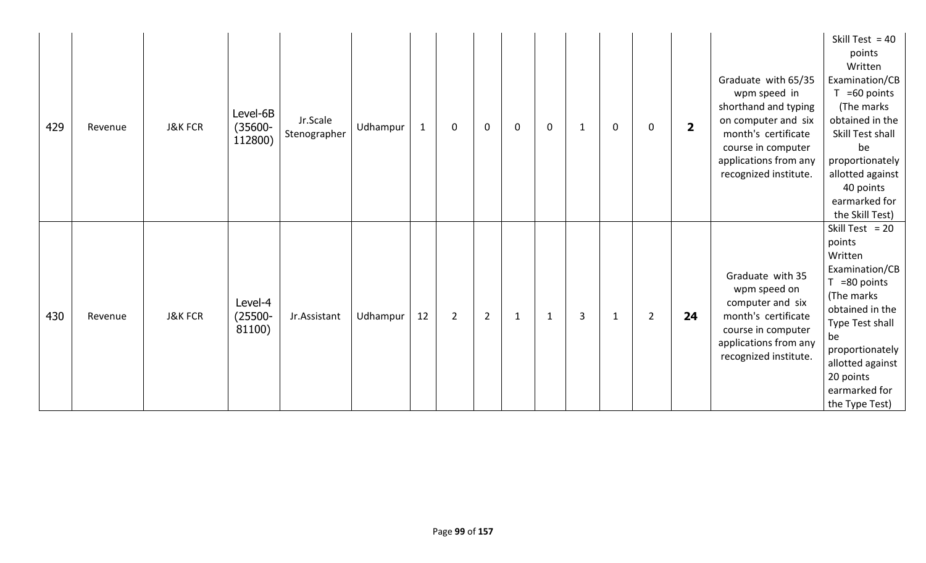| 429 | Revenue | <b>J&amp;K FCR</b> | Level-6B<br>$(35600 -$<br>112800) | Jr.Scale<br>Stenographer | Udhampur | $\mathbf{1}$ | 0              | $\mathbf 0$    | $\mathbf{0}$ | $\mathbf 0$  | -1 | $\mathbf 0$  | 0              | $\overline{\mathbf{2}}$ | Graduate with 65/35<br>wpm speed in<br>shorthand and typing<br>on computer and six<br>month's certificate<br>course in computer<br>applications from any<br>recognized institute. | Skill Test = $40$<br>points<br>Written<br>Examination/CB<br>$T = 60$ points<br>(The marks<br>obtained in the<br>Skill Test shall<br>be<br>proportionately<br>allotted against<br>40 points<br>earmarked for<br>the Skill Test) |
|-----|---------|--------------------|-----------------------------------|--------------------------|----------|--------------|----------------|----------------|--------------|--------------|----|--------------|----------------|-------------------------|-----------------------------------------------------------------------------------------------------------------------------------------------------------------------------------|--------------------------------------------------------------------------------------------------------------------------------------------------------------------------------------------------------------------------------|
| 430 | Revenue | <b>J&amp;K FCR</b> | Level-4<br>$(25500 -$<br>81100)   | Jr.Assistant             | Udhampur | 12           | $\overline{2}$ | $\overline{2}$ | $\mathbf{1}$ | $\mathbf{1}$ | 3  | $\mathbf{1}$ | $\overline{2}$ | 24                      | Graduate with 35<br>wpm speed on<br>computer and six<br>month's certificate<br>course in computer<br>applications from any<br>recognized institute.                               | Skill Test = $20$<br>points<br>Written<br>Examination/CB<br>$T = 80$ points<br>(The marks<br>obtained in the<br>Type Test shall<br>be<br>proportionately<br>allotted against<br>20 points<br>earmarked for<br>the Type Test)   |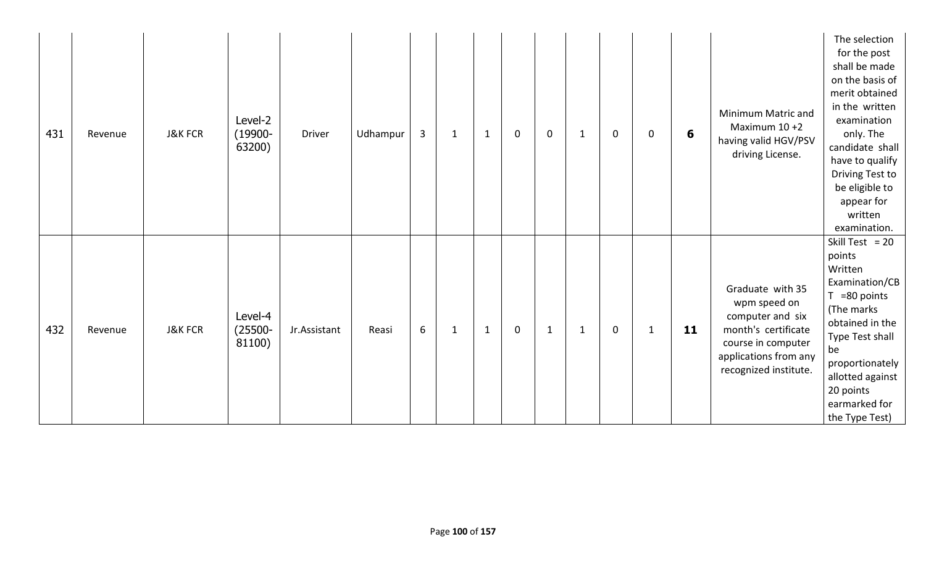| 431 | Revenue | <b>J&amp;K FCR</b> | Level-2<br>$(19900 -$<br>63200) | <b>Driver</b> | Udhampur | $\mathbf{3}$ | $\mathbf{1}$ | $\mathbf{1}$ | $\mathbf 0$ | $\mathbf 0$  | $\mathbf 1$ | $\mathbf 0$ | $\mathbf 0$  | 6  | Minimum Matric and<br>Maximum 10 +2<br>having valid HGV/PSV<br>driving License.                                                                     | The selection<br>for the post<br>shall be made<br>on the basis of<br>merit obtained<br>in the written<br>examination<br>only. The<br>candidate shall<br>have to qualify<br>Driving Test to<br>be eligible to<br>appear for<br>written<br>examination. |
|-----|---------|--------------------|---------------------------------|---------------|----------|--------------|--------------|--------------|-------------|--------------|-------------|-------------|--------------|----|-----------------------------------------------------------------------------------------------------------------------------------------------------|-------------------------------------------------------------------------------------------------------------------------------------------------------------------------------------------------------------------------------------------------------|
| 432 | Revenue | <b>J&amp;K FCR</b> | Level-4<br>$(25500 -$<br>81100) | Jr.Assistant  | Reasi    | 6            | $\mathbf{1}$ | $\mathbf{1}$ | $\mathbf 0$ | $\mathbf{1}$ | 1           | $\mathbf 0$ | $\mathbf{1}$ | 11 | Graduate with 35<br>wpm speed on<br>computer and six<br>month's certificate<br>course in computer<br>applications from any<br>recognized institute. | Skill Test = $20$<br>points<br>Written<br>Examination/CB<br>=80 points<br>T.<br>(The marks)<br>obtained in the<br>Type Test shall<br>be<br>proportionately<br>allotted against<br>20 points<br>earmarked for<br>the Type Test)                        |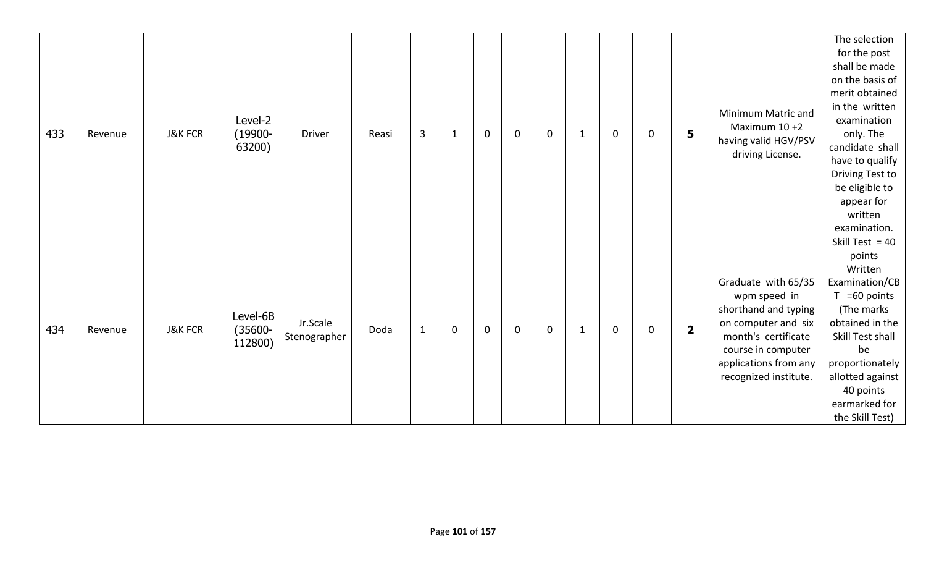| 433 | Revenue | <b>J&amp;K FCR</b> | Level-2<br>$(19900 -$<br>63200)   | <b>Driver</b>            | Reasi | $\overline{3}$ | $\mathbf{1}$ | $\mathbf 0$ | $\mathbf 0$ | $\mathbf 0$ | $\mathbf 1$ | $\mathbf 0$ | 0 | 5                       | Minimum Matric and<br>Maximum $10+2$<br>having valid HGV/PSV<br>driving License.                                                                                                  | The selection<br>for the post<br>shall be made<br>on the basis of<br>merit obtained<br>in the written<br>examination<br>only. The<br>candidate shall<br>have to qualify<br>Driving Test to<br>be eligible to<br>appear for<br>written<br>examination. |
|-----|---------|--------------------|-----------------------------------|--------------------------|-------|----------------|--------------|-------------|-------------|-------------|-------------|-------------|---|-------------------------|-----------------------------------------------------------------------------------------------------------------------------------------------------------------------------------|-------------------------------------------------------------------------------------------------------------------------------------------------------------------------------------------------------------------------------------------------------|
| 434 | Revenue | <b>J&amp;K FCR</b> | Level-6B<br>$(35600 -$<br>112800) | Jr.Scale<br>Stenographer | Doda  | $\mathbf 1$    | $\mathbf 0$  | $\mathbf 0$ | $\mathbf 0$ | $\mathbf 0$ | $\mathbf 1$ | $\mathbf 0$ | 0 | $\overline{\mathbf{2}}$ | Graduate with 65/35<br>wpm speed in<br>shorthand and typing<br>on computer and six<br>month's certificate<br>course in computer<br>applications from any<br>recognized institute. | Skill Test = $40$<br>points<br>Written<br>Examination/CB<br>$T = 60$ points<br>(The marks<br>obtained in the<br>Skill Test shall<br>be<br>proportionately<br>allotted against<br>40 points<br>earmarked for<br>the Skill Test)                        |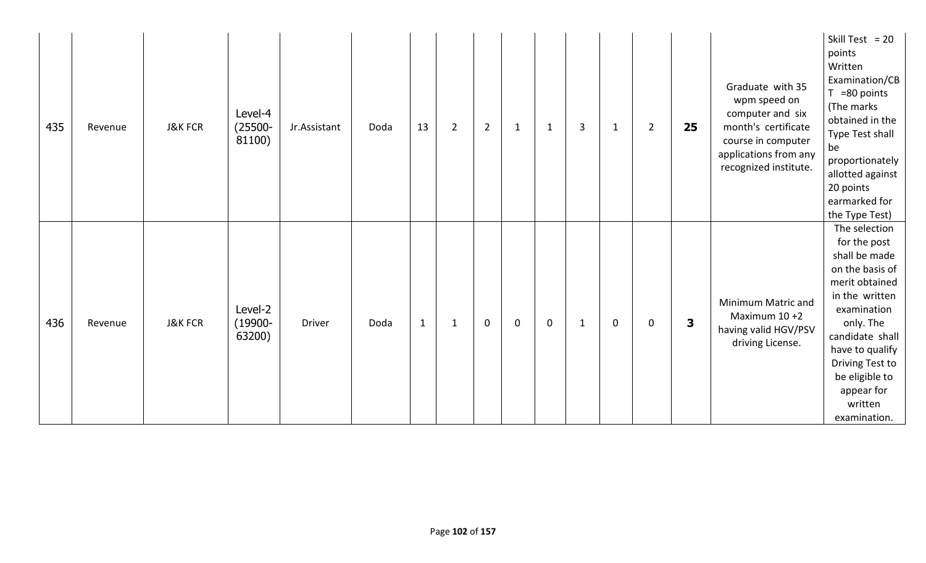| 435 | Revenue | <b>J&amp;K FCR</b> | Level-4<br>$(25500 -$<br>81100) | Jr.Assistant | Doda | 13           | $\overline{2}$ | $\overline{2}$   | $\mathbf{1}$ | $\mathbf{1}$ | 3 | $\mathbf{1}$ | $\overline{2}$ | 25 | Graduate with 35<br>wpm speed on<br>computer and six<br>month's certificate<br>course in computer<br>applications from any<br>recognized institute. | Skill Test = $20$<br>points<br>Written<br>Examination/CB<br>$T = 80$ points<br>(The marks<br>obtained in the<br>Type Test shall<br>be<br>proportionately<br>allotted against<br>20 points<br>earmarked for<br>the Type Test)                          |
|-----|---------|--------------------|---------------------------------|--------------|------|--------------|----------------|------------------|--------------|--------------|---|--------------|----------------|----|-----------------------------------------------------------------------------------------------------------------------------------------------------|-------------------------------------------------------------------------------------------------------------------------------------------------------------------------------------------------------------------------------------------------------|
| 436 | Revenue | <b>J&amp;K FCR</b> | Level-2<br>$(19900 -$<br>63200) | Driver       | Doda | $\mathbf{1}$ | $\mathbf 1$    | $\boldsymbol{0}$ | $\mathbf 0$  | $\mathbf 0$  | 1 | 0            | 0              | 3  | Minimum Matric and<br>Maximum 10 +2<br>having valid HGV/PSV<br>driving License.                                                                     | The selection<br>for the post<br>shall be made<br>on the basis of<br>merit obtained<br>in the written<br>examination<br>only. The<br>candidate shall<br>have to qualify<br>Driving Test to<br>be eligible to<br>appear for<br>written<br>examination. |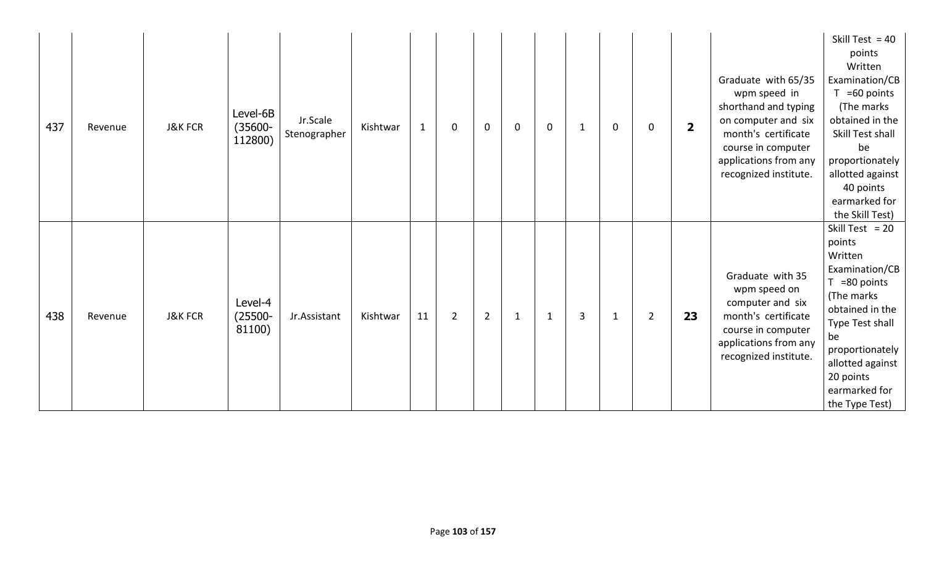| 437 | Revenue | <b>J&amp;K FCR</b> | Level-6B<br>$(35600 -$<br>112800) | Jr.Scale<br>Stenographer | Kishtwar | $\mathbf{1}$ | $\mathbf 0$    | $\mathbf{0}$   | $\mathbf 0$  | $\mathbf 0$  | 1 | $\mathbf 0$  | $\mathbf 0$    | $\overline{2}$ | Graduate with 65/35<br>wpm speed in<br>shorthand and typing<br>on computer and six<br>month's certificate<br>course in computer<br>applications from any<br>recognized institute. | Skill Test = $40$<br>points<br>Written<br>Examination/CB<br>$T = 60$ points<br>(The marks<br>obtained in the<br>Skill Test shall<br>be<br>proportionately<br>allotted against<br>40 points<br>earmarked for<br>the Skill Test) |
|-----|---------|--------------------|-----------------------------------|--------------------------|----------|--------------|----------------|----------------|--------------|--------------|---|--------------|----------------|----------------|-----------------------------------------------------------------------------------------------------------------------------------------------------------------------------------|--------------------------------------------------------------------------------------------------------------------------------------------------------------------------------------------------------------------------------|
| 438 | Revenue | <b>J&amp;K FCR</b> | Level-4<br>$(25500 -$<br>81100)   | Jr.Assistant             | Kishtwar | 11           | $\overline{2}$ | $\overline{2}$ | $\mathbf{1}$ | $\mathbf{1}$ | 3 | $\mathbf{1}$ | $\overline{2}$ | 23             | Graduate with 35<br>wpm speed on<br>computer and six<br>month's certificate<br>course in computer<br>applications from any<br>recognized institute.                               | Skill Test = $20$<br>points<br>Written<br>Examination/CB<br>$T = 80$ points<br>(The marks<br>obtained in the<br>Type Test shall<br>be<br>proportionately<br>allotted against<br>20 points<br>earmarked for<br>the Type Test)   |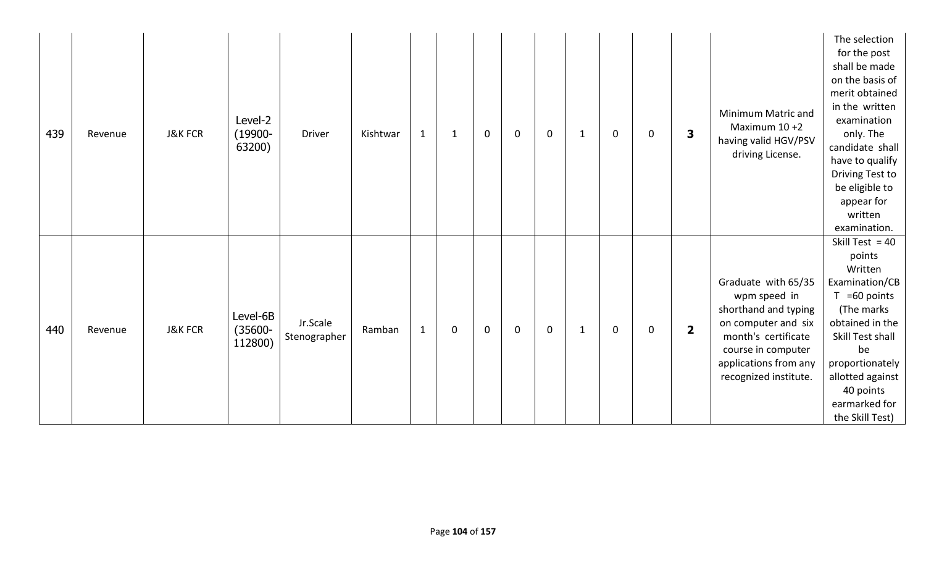| 439 | Revenue | <b>J&amp;K FCR</b> | Level-2<br>$(19900 -$<br>63200)   | <b>Driver</b>            | Kishtwar | $\mathbf{1}$ | $\mathbf{1}$ | $\mathbf 0$ | $\mathbf 0$ | $\mathbf 0$ | $\mathbf 1$ | $\mathbf 0$ | 0 | 3                       | Minimum Matric and<br>Maximum $10+2$<br>having valid HGV/PSV<br>driving License.                                                                                                  | The selection<br>for the post<br>shall be made<br>on the basis of<br>merit obtained<br>in the written<br>examination<br>only. The<br>candidate shall<br>have to qualify<br>Driving Test to<br>be eligible to<br>appear for<br>written<br>examination. |
|-----|---------|--------------------|-----------------------------------|--------------------------|----------|--------------|--------------|-------------|-------------|-------------|-------------|-------------|---|-------------------------|-----------------------------------------------------------------------------------------------------------------------------------------------------------------------------------|-------------------------------------------------------------------------------------------------------------------------------------------------------------------------------------------------------------------------------------------------------|
| 440 | Revenue | <b>J&amp;K FCR</b> | Level-6B<br>$(35600 -$<br>112800) | Jr.Scale<br>Stenographer | Ramban   | $\mathbf{1}$ | $\mathbf 0$  | $\mathbf 0$ | $\mathbf 0$ | $\mathbf 0$ | $\mathbf 1$ | $\mathbf 0$ | 0 | $\overline{\mathbf{2}}$ | Graduate with 65/35<br>wpm speed in<br>shorthand and typing<br>on computer and six<br>month's certificate<br>course in computer<br>applications from any<br>recognized institute. | Skill Test = $40$<br>points<br>Written<br>Examination/CB<br>$T = 60$ points<br>(The marks<br>obtained in the<br>Skill Test shall<br>be<br>proportionately<br>allotted against<br>40 points<br>earmarked for<br>the Skill Test)                        |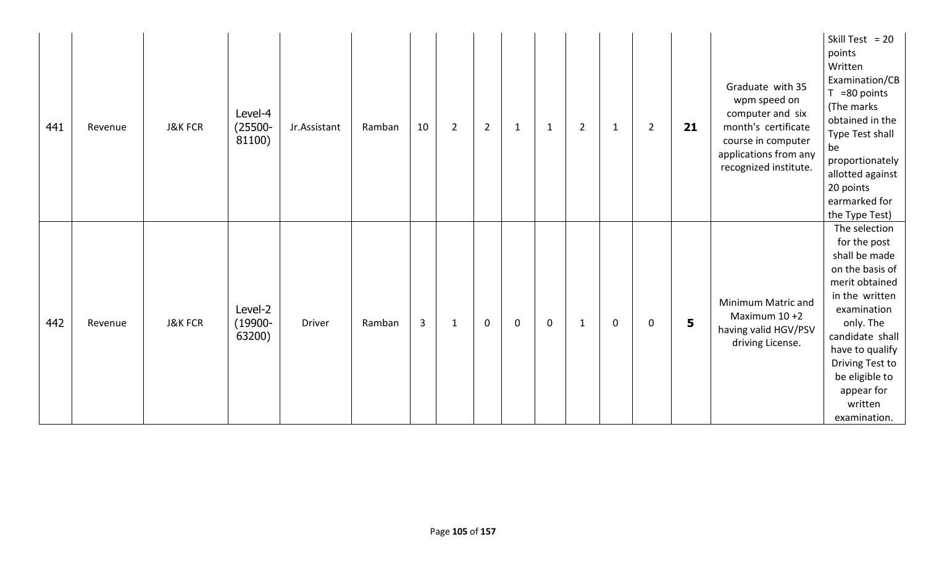| 441 | Revenue | <b>J&amp;K FCR</b> | Level-4<br>$(25500 -$<br>81100) | Jr.Assistant  | Ramban | 10 | $\overline{2}$ | $\overline{2}$ | $\mathbf{1}$ | $\mathbf{1}$ | $\overline{2}$ | $\mathbf{1}$ | $\overline{2}$ | 21 | Graduate with 35<br>wpm speed on<br>computer and six<br>month's certificate<br>course in computer<br>applications from any<br>recognized institute. | Skill Test = $20$<br>points<br>Written<br>Examination/CB<br>$T = 80$ points<br>(The marks<br>obtained in the<br>Type Test shall<br>be<br>proportionately<br>allotted against<br>20 points<br>earmarked for<br>the Type Test)                          |
|-----|---------|--------------------|---------------------------------|---------------|--------|----|----------------|----------------|--------------|--------------|----------------|--------------|----------------|----|-----------------------------------------------------------------------------------------------------------------------------------------------------|-------------------------------------------------------------------------------------------------------------------------------------------------------------------------------------------------------------------------------------------------------|
| 442 | Revenue | <b>J&amp;K FCR</b> | Level-2<br>$(19900 -$<br>63200) | <b>Driver</b> | Ramban | 3  | $\mathbf{1}$   | $\mathbf 0$    | $\mathbf 0$  | $\mathbf 0$  | 1              | $\mathbf 0$  | 0              | 5  | Minimum Matric and<br>Maximum $10+2$<br>having valid HGV/PSV<br>driving License.                                                                    | The selection<br>for the post<br>shall be made<br>on the basis of<br>merit obtained<br>in the written<br>examination<br>only. The<br>candidate shall<br>have to qualify<br>Driving Test to<br>be eligible to<br>appear for<br>written<br>examination. |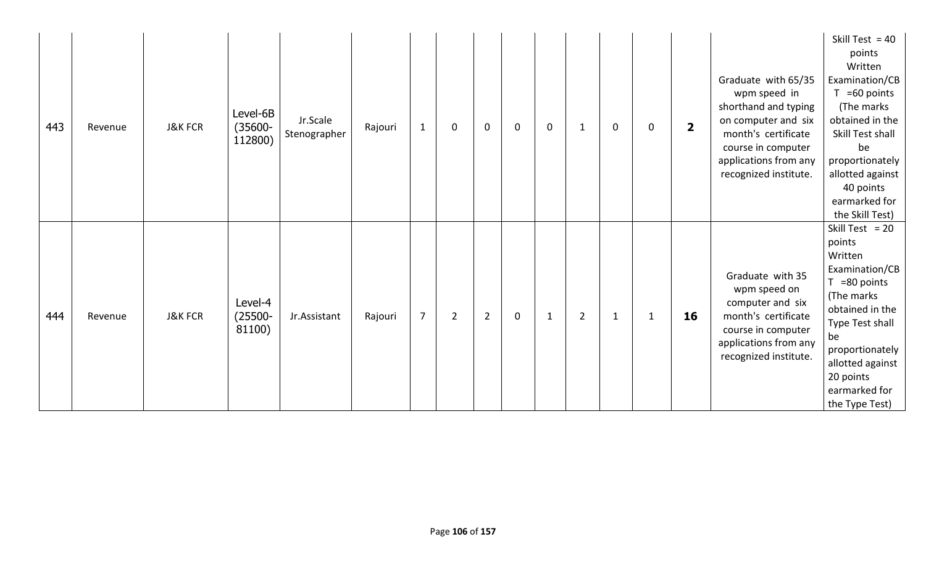| 443 | Revenue | <b>J&amp;K FCR</b> | Level-6B<br>$(35600 -$<br>112800) | Jr.Scale<br>Stenographer | Rajouri | $\mathbf{1}$   | $\mathbf 0$    | $\mathbf{0}$   | $\mathbf 0$ | $\mathbf 0$  | -1             | $\mathbf 0$  | 0            | $\overline{\mathbf{2}}$ | Graduate with 65/35<br>wpm speed in<br>shorthand and typing<br>on computer and six<br>month's certificate<br>course in computer<br>applications from any<br>recognized institute. | Skill Test = $40$<br>points<br>Written<br>Examination/CB<br>$T = 60$ points<br>(The marks<br>obtained in the<br>Skill Test shall<br>be<br>proportionately<br>allotted against<br>40 points<br>earmarked for<br>the Skill Test) |
|-----|---------|--------------------|-----------------------------------|--------------------------|---------|----------------|----------------|----------------|-------------|--------------|----------------|--------------|--------------|-------------------------|-----------------------------------------------------------------------------------------------------------------------------------------------------------------------------------|--------------------------------------------------------------------------------------------------------------------------------------------------------------------------------------------------------------------------------|
| 444 | Revenue | <b>J&amp;K FCR</b> | Level-4<br>$(25500 -$<br>81100)   | Jr.Assistant             | Rajouri | $\overline{7}$ | $\overline{2}$ | $\overline{2}$ | $\mathbf 0$ | $\mathbf{1}$ | $\overline{2}$ | $\mathbf{1}$ | $\mathbf{1}$ | 16                      | Graduate with 35<br>wpm speed on<br>computer and six<br>month's certificate<br>course in computer<br>applications from any<br>recognized institute.                               | Skill Test = $20$<br>points<br>Written<br>Examination/CB<br>$T = 80$ points<br>(The marks<br>obtained in the<br>Type Test shall<br>be<br>proportionately<br>allotted against<br>20 points<br>earmarked for<br>the Type Test)   |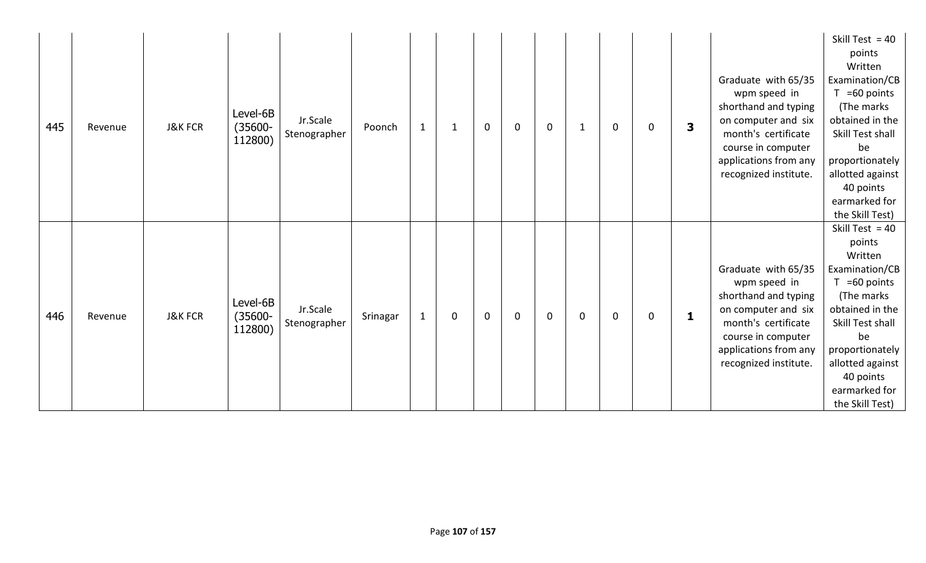| 445 | Revenue | <b>J&amp;K FCR</b> | Level-6B<br>$(35600 -$<br>112800) | Jr.Scale<br>Stenographer | Poonch   | $\mathbf{1}$ | 1           | $\mathbf 0$ | $\mathbf 0$ | $\mathbf 0$ | 1 | $\mathbf 0$ | $\mathbf{0}$ | 3 | Graduate with 65/35<br>wpm speed in<br>shorthand and typing<br>on computer and six<br>month's certificate<br>course in computer<br>applications from any<br>recognized institute. | Skill Test = $40$<br>points<br>Written<br>Examination/CB<br>$T = 60$ points<br>(The marks)<br>obtained in the<br>Skill Test shall<br>be<br>proportionately<br>allotted against<br>40 points<br>earmarked for<br>the Skill Test) |
|-----|---------|--------------------|-----------------------------------|--------------------------|----------|--------------|-------------|-------------|-------------|-------------|---|-------------|--------------|---|-----------------------------------------------------------------------------------------------------------------------------------------------------------------------------------|---------------------------------------------------------------------------------------------------------------------------------------------------------------------------------------------------------------------------------|
| 446 | Revenue | <b>J&amp;K FCR</b> | Level-6B<br>$(35600 -$<br>112800) | Jr.Scale<br>Stenographer | Srinagar | $\mathbf{1}$ | $\mathbf 0$ | $\mathbf 0$ | $\mathbf 0$ | $\mathbf 0$ | 0 | $\mathbf 0$ | 0            | 1 | Graduate with 65/35<br>wpm speed in<br>shorthand and typing<br>on computer and six<br>month's certificate<br>course in computer<br>applications from any<br>recognized institute. | Skill Test = $40$<br>points<br>Written<br>Examination/CB<br>$T = 60$ points<br>(The marks)<br>obtained in the<br>Skill Test shall<br>be<br>proportionately<br>allotted against<br>40 points<br>earmarked for<br>the Skill Test) |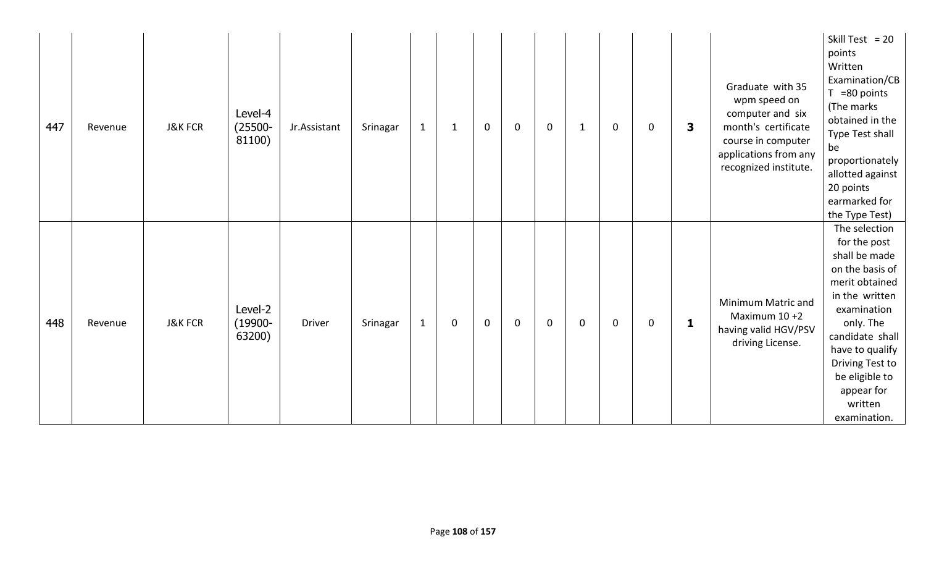| 447 | Revenue | <b>J&amp;K FCR</b> | Level-4<br>$(25500 -$<br>81100) | Jr.Assistant  | Srinagar | $\mathbf{1}$ | $\mathbf{1}$ | $\mathbf 0$ | $\mathbf 0$ | $\mathbf 0$ | 1           | $\mathbf 0$ | 0 | 3 | Graduate with 35<br>wpm speed on<br>computer and six<br>month's certificate<br>course in computer<br>applications from any<br>recognized institute. | Skill Test = $20$<br>points<br>Written<br>Examination/CB<br>$T = 80$ points<br>(The marks<br>obtained in the<br>Type Test shall<br>be<br>proportionately<br>allotted against<br>20 points<br>earmarked for<br>the Type Test)                          |
|-----|---------|--------------------|---------------------------------|---------------|----------|--------------|--------------|-------------|-------------|-------------|-------------|-------------|---|---|-----------------------------------------------------------------------------------------------------------------------------------------------------|-------------------------------------------------------------------------------------------------------------------------------------------------------------------------------------------------------------------------------------------------------|
| 448 | Revenue | <b>J&amp;K FCR</b> | Level-2<br>$(19900 -$<br>63200) | <b>Driver</b> | Srinagar | $\mathbf{1}$ | 0            | $\mathbf 0$ | $\mathbf 0$ | $\mathbf 0$ | $\mathbf 0$ | $\mathbf 0$ | 0 | 1 | Minimum Matric and<br>Maximum $10+2$<br>having valid HGV/PSV<br>driving License.                                                                    | The selection<br>for the post<br>shall be made<br>on the basis of<br>merit obtained<br>in the written<br>examination<br>only. The<br>candidate shall<br>have to qualify<br>Driving Test to<br>be eligible to<br>appear for<br>written<br>examination. |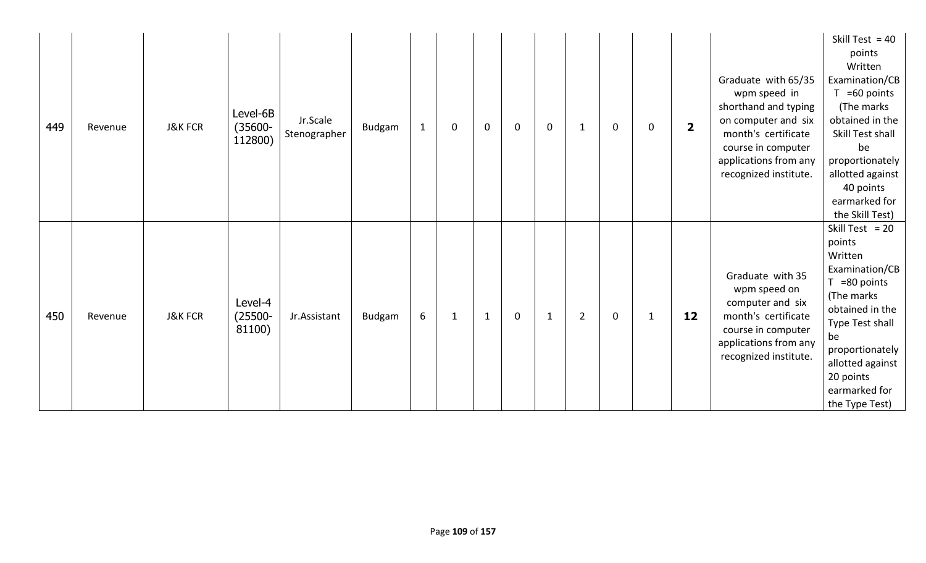| 449 | Revenue | <b>J&amp;K FCR</b> | Level-6B<br>$(35600 -$<br>112800) | Jr.Scale<br>Stenographer | <b>Budgam</b> | $\mathbf{1}$ | $\mathbf 0$ | $\mathbf 0$  | $\mathbf 0$ | $\mathbf 0$  | $\mathbf{1}$   | $\mathbf 0$ | 0 | $\overline{\mathbf{2}}$ | Graduate with 65/35<br>wpm speed in<br>shorthand and typing<br>on computer and six<br>month's certificate<br>course in computer<br>applications from any<br>recognized institute. | Skill Test = $40$<br>points<br>Written<br>Examination/CB<br>$T = 60$ points<br>(The marks<br>obtained in the<br>Skill Test shall<br>be<br>proportionately<br>allotted against<br>40 points<br>earmarked for<br>the Skill Test) |
|-----|---------|--------------------|-----------------------------------|--------------------------|---------------|--------------|-------------|--------------|-------------|--------------|----------------|-------------|---|-------------------------|-----------------------------------------------------------------------------------------------------------------------------------------------------------------------------------|--------------------------------------------------------------------------------------------------------------------------------------------------------------------------------------------------------------------------------|
| 450 | Revenue | <b>J&amp;K FCR</b> | Level-4<br>$(25500 -$<br>81100)   | Jr.Assistant             | Budgam        | 6            | 1           | $\mathbf{1}$ | $\mathbf 0$ | $\mathbf{1}$ | $\overline{2}$ | $\mathbf 0$ | 1 | 12                      | Graduate with 35<br>wpm speed on<br>computer and six<br>month's certificate<br>course in computer<br>applications from any<br>recognized institute.                               | Skill Test = $20$<br>points<br>Written<br>Examination/CB<br>$T = 80$ points<br>(The marks<br>obtained in the<br>Type Test shall<br>be<br>proportionately<br>allotted against<br>20 points<br>earmarked for<br>the Type Test)   |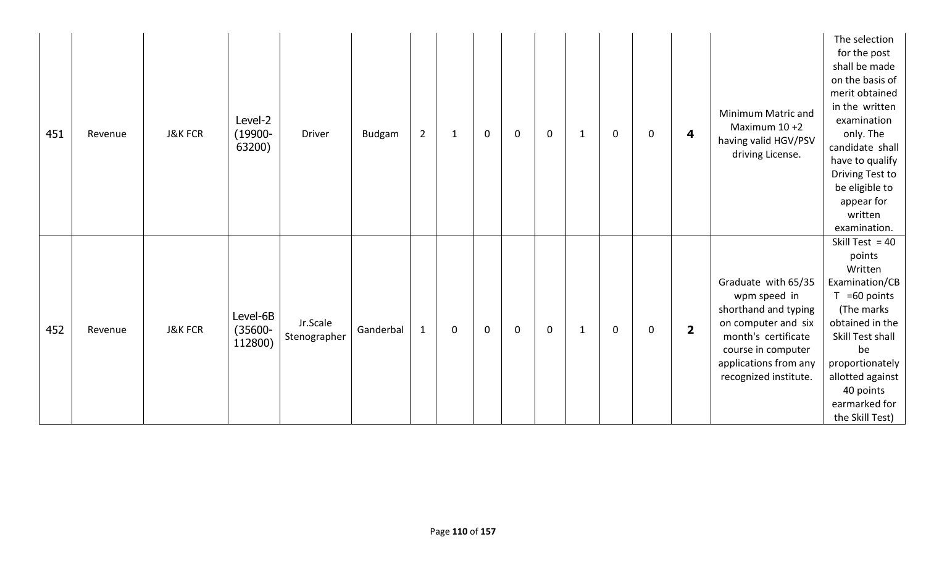| 451 | Revenue | <b>J&amp;K FCR</b> | Level-2<br>$(19900 -$<br>63200)   | <b>Driver</b>            | <b>Budgam</b> | $\overline{2}$ | $\mathbf{1}$ | $\mathbf 0$ | $\mathbf 0$ | $\mathbf 0$ | $\mathbf 1$ | $\mathbf 0$ | 0 | 4                       | Minimum Matric and<br>Maximum $10+2$<br>having valid HGV/PSV<br>driving License.                                                                                                  | The selection<br>for the post<br>shall be made<br>on the basis of<br>merit obtained<br>in the written<br>examination<br>only. The<br>candidate shall<br>have to qualify<br>Driving Test to<br>be eligible to<br>appear for<br>written<br>examination. |
|-----|---------|--------------------|-----------------------------------|--------------------------|---------------|----------------|--------------|-------------|-------------|-------------|-------------|-------------|---|-------------------------|-----------------------------------------------------------------------------------------------------------------------------------------------------------------------------------|-------------------------------------------------------------------------------------------------------------------------------------------------------------------------------------------------------------------------------------------------------|
| 452 | Revenue | <b>J&amp;K FCR</b> | Level-6B<br>$(35600 -$<br>112800) | Jr.Scale<br>Stenographer | Ganderbal     | $\mathbf{1}$   | $\mathbf 0$  | $\mathbf 0$ | $\mathbf 0$ | $\mathbf 0$ | 1           | $\mathbf 0$ | 0 | $\overline{\mathbf{2}}$ | Graduate with 65/35<br>wpm speed in<br>shorthand and typing<br>on computer and six<br>month's certificate<br>course in computer<br>applications from any<br>recognized institute. | Skill Test = $40$<br>points<br>Written<br>Examination/CB<br>$T = 60$ points<br>(The marks<br>obtained in the<br>Skill Test shall<br>be<br>proportionately<br>allotted against<br>40 points<br>earmarked for<br>the Skill Test)                        |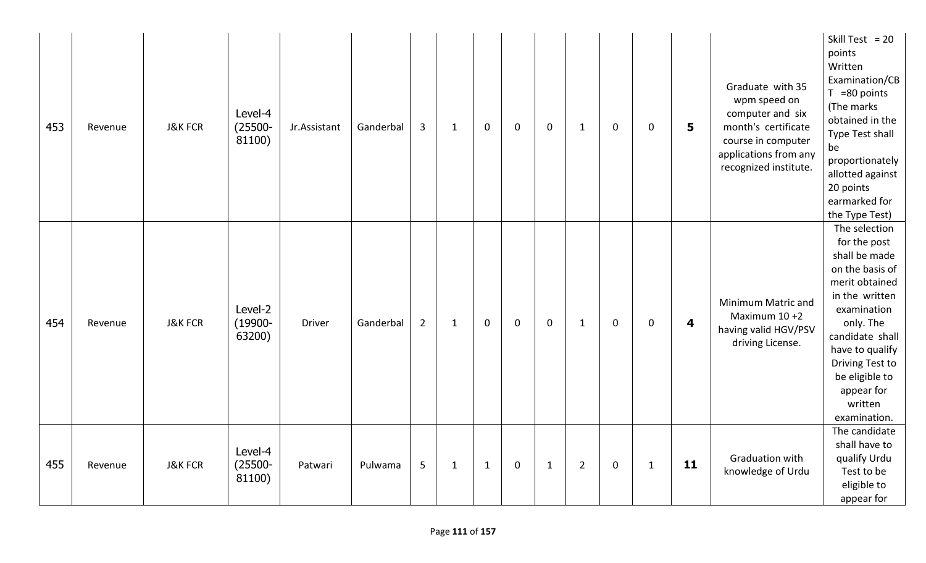| 453 | Revenue | <b>J&amp;K FCR</b> | Level-4<br>$(25500 -$<br>81100) | Jr.Assistant | $\overline{3}$<br>Ganderbal | $\mathbf{1}$ | $\mathbf 0$  | $\mathbf 0$ | $\mathbf 0$  | $\mathbf{1}$   | $\mathbf 0$ | $\mathbf 0$  | 5  | Graduate with 35<br>wpm speed on<br>computer and six<br>month's certificate<br>course in computer<br>applications from any<br>recognized institute. | Skill Test = $20$<br>points<br>Written<br>Examination/CB<br>$T = 80$ points<br>(The marks<br>obtained in the<br>Type Test shall<br>be<br>proportionately<br>allotted against<br>20 points<br>earmarked for<br>the Type Test)                          |
|-----|---------|--------------------|---------------------------------|--------------|-----------------------------|--------------|--------------|-------------|--------------|----------------|-------------|--------------|----|-----------------------------------------------------------------------------------------------------------------------------------------------------|-------------------------------------------------------------------------------------------------------------------------------------------------------------------------------------------------------------------------------------------------------|
| 454 | Revenue | <b>J&amp;K FCR</b> | Level-2<br>$(19900 -$<br>63200) | Driver       | Ganderbal<br>$\overline{2}$ | $\mathbf{1}$ | $\mathbf 0$  | $\mathbf 0$ | $\mathbf 0$  | $\mathbf{1}$   | $\mathbf 0$ | 0            | 4  | Minimum Matric and<br>Maximum $10+2$<br>having valid HGV/PSV<br>driving License.                                                                    | The selection<br>for the post<br>shall be made<br>on the basis of<br>merit obtained<br>in the written<br>examination<br>only. The<br>candidate shall<br>have to qualify<br>Driving Test to<br>be eligible to<br>appear for<br>written<br>examination. |
| 455 | Revenue | <b>J&amp;K FCR</b> | Level-4<br>$(25500 -$<br>81100) | Patwari      | 5<br>Pulwama                | $\mathbf{1}$ | $\mathbf{1}$ | $\mathbf 0$ | $\mathbf{1}$ | $\overline{2}$ | $\mathbf 0$ | $\mathbf{1}$ | 11 | Graduation with<br>knowledge of Urdu                                                                                                                | The candidate<br>shall have to<br>qualify Urdu<br>Test to be<br>eligible to<br>appear for                                                                                                                                                             |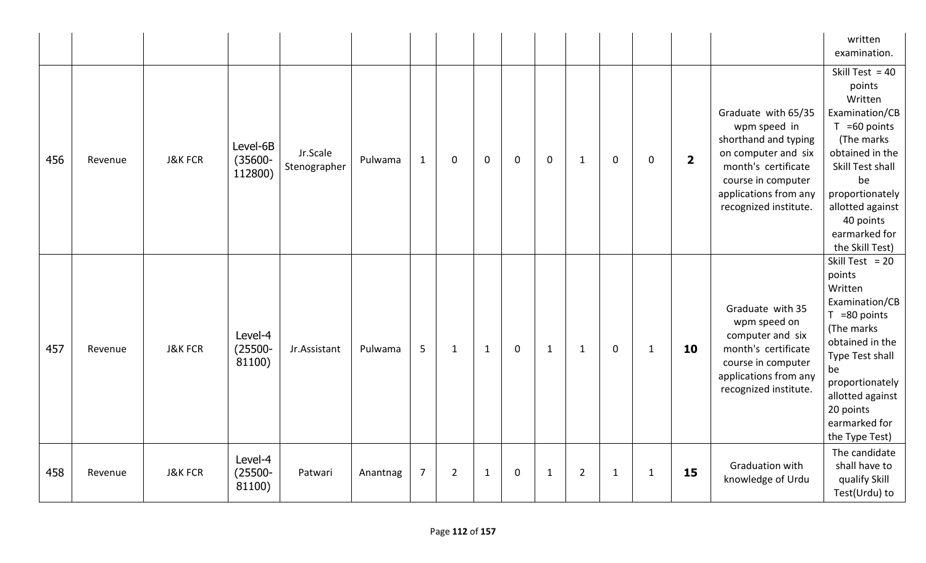|     |         |                    |                                   |                          |          |                |                |              |             |              |                |              |              |                         |                                                                                                                                                                                   | written<br>examination.                                                                                                                                                                                                        |
|-----|---------|--------------------|-----------------------------------|--------------------------|----------|----------------|----------------|--------------|-------------|--------------|----------------|--------------|--------------|-------------------------|-----------------------------------------------------------------------------------------------------------------------------------------------------------------------------------|--------------------------------------------------------------------------------------------------------------------------------------------------------------------------------------------------------------------------------|
| 456 | Revenue | <b>J&amp;K FCR</b> | Level-6B<br>$(35600 -$<br>112800) | Jr.Scale<br>Stenographer | Pulwama  | $\mathbf{1}$   | $\mathbf 0$    | $\mathbf 0$  | $\mathbf 0$ | $\mathbf 0$  | $\mathbf{1}$   | $\mathbf 0$  | $\mathbf 0$  | $\overline{\mathbf{2}}$ | Graduate with 65/35<br>wpm speed in<br>shorthand and typing<br>on computer and six<br>month's certificate<br>course in computer<br>applications from any<br>recognized institute. | Skill Test = $40$<br>points<br>Written<br>Examination/CB<br>$T = 60$ points<br>(The marks<br>obtained in the<br>Skill Test shall<br>be<br>proportionately<br>allotted against<br>40 points<br>earmarked for<br>the Skill Test) |
| 457 | Revenue | <b>J&amp;K FCR</b> | Level-4<br>$(25500 -$<br>81100)   | Jr.Assistant             | Pulwama  | 5              | 1              | 1            | $\mathbf 0$ | $\mathbf 1$  | $\mathbf{1}$   | $\mathbf 0$  | 1            | 10                      | Graduate with 35<br>wpm speed on<br>computer and six<br>month's certificate<br>course in computer<br>applications from any<br>recognized institute.                               | Skill Test = $20$<br>points<br>Written<br>Examination/CB<br>$T = 80$ points<br>(The marks<br>obtained in the<br>Type Test shall<br>be<br>proportionately<br>allotted against<br>20 points<br>earmarked for<br>the Type Test)   |
| 458 | Revenue | <b>J&amp;K FCR</b> | Level-4<br>$(25500 -$<br>81100)   | Patwari                  | Anantnag | $\overline{7}$ | $\overline{2}$ | $\mathbf{1}$ | 0           | $\mathbf{1}$ | $\overline{2}$ | $\mathbf{1}$ | $\mathbf{1}$ | 15                      | Graduation with<br>knowledge of Urdu                                                                                                                                              | The candidate<br>shall have to<br>qualify Skill<br>Test(Urdu) to                                                                                                                                                               |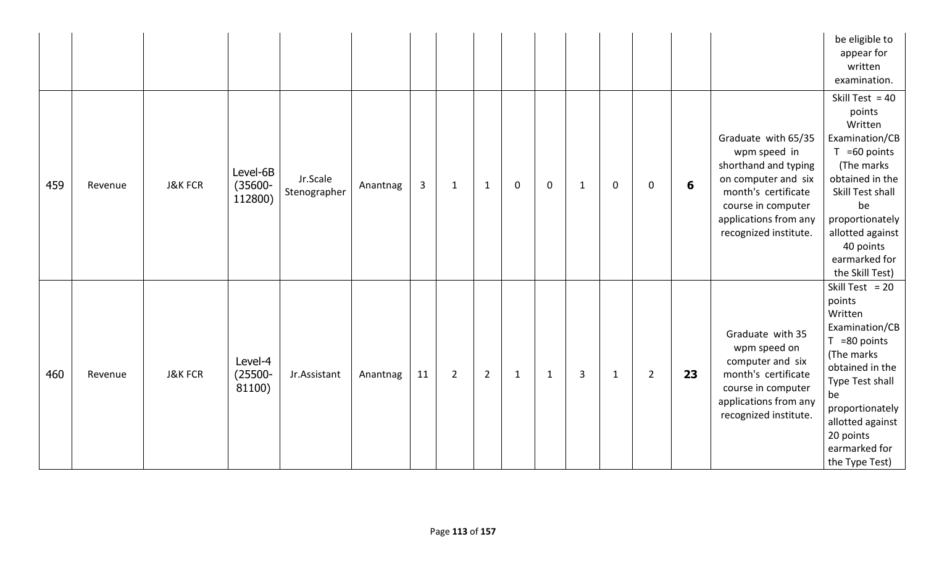|     |         |                    |                                   |                          |          |    |                |                |              |              |   |              |                |    |                                                                                                                                                                                   | be eligible to<br>appear for<br>written<br>examination.                                                                                                                                                                        |
|-----|---------|--------------------|-----------------------------------|--------------------------|----------|----|----------------|----------------|--------------|--------------|---|--------------|----------------|----|-----------------------------------------------------------------------------------------------------------------------------------------------------------------------------------|--------------------------------------------------------------------------------------------------------------------------------------------------------------------------------------------------------------------------------|
| 459 | Revenue | <b>J&amp;K FCR</b> | Level-6B<br>$(35600 -$<br>112800) | Jr.Scale<br>Stenographer | Anantnag | 3  | $\mathbf{1}$   | $\mathbf{1}$   | $\mathbf 0$  | $\mathbf 0$  | 1 | $\mathbf 0$  | 0              | 6  | Graduate with 65/35<br>wpm speed in<br>shorthand and typing<br>on computer and six<br>month's certificate<br>course in computer<br>applications from any<br>recognized institute. | Skill Test = $40$<br>points<br>Written<br>Examination/CB<br>$T = 60$ points<br>(The marks<br>obtained in the<br>Skill Test shall<br>be<br>proportionately<br>allotted against<br>40 points<br>earmarked for<br>the Skill Test) |
| 460 | Revenue | <b>J&amp;K FCR</b> | Level-4<br>$(25500 -$<br>81100)   | Jr.Assistant             | Anantnag | 11 | $\overline{2}$ | $\overline{2}$ | $\mathbf{1}$ | $\mathbf{1}$ | 3 | $\mathbf{1}$ | $\overline{2}$ | 23 | Graduate with 35<br>wpm speed on<br>computer and six<br>month's certificate<br>course in computer<br>applications from any<br>recognized institute.                               | Skill Test = $20$<br>points<br>Written<br>Examination/CB<br>$T = 80$ points<br>(The marks<br>obtained in the<br>Type Test shall<br>be<br>proportionately<br>allotted against<br>20 points<br>earmarked for<br>the Type Test)   |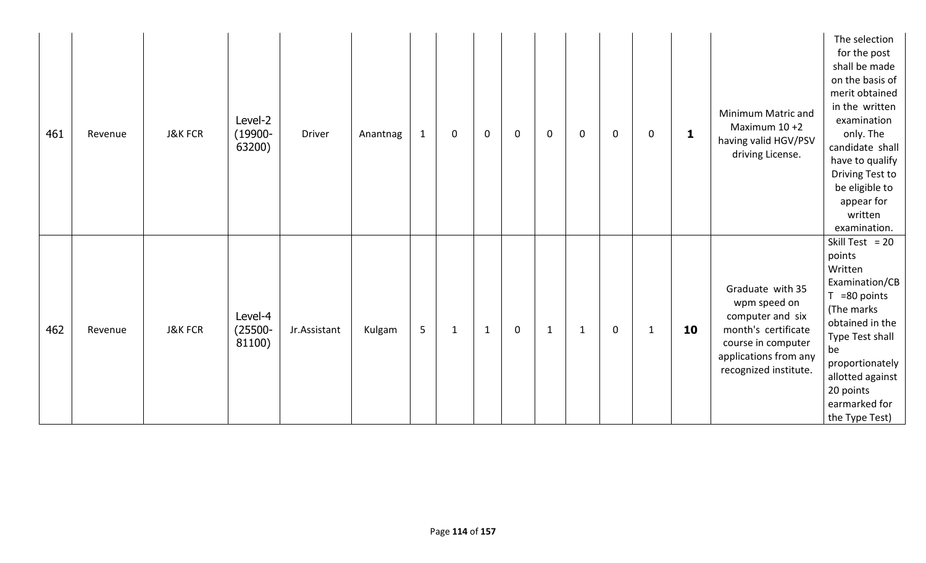| 461 | Revenue | <b>J&amp;K FCR</b> | Level-2<br>$(19900 -$<br>63200) | <b>Driver</b> | Anantnag | $\mathbf{1}$ | 0            | $\mathbf 0$  | $\mathbf 0$ | $\mathbf 0$  | $\mathbf 0$ | $\mathbf 0$ | $\mathbf 0$  | $\mathbf{1}$ | Minimum Matric and<br>Maximum $10+2$<br>having valid HGV/PSV<br>driving License.                                                                    | The selection<br>for the post<br>shall be made<br>on the basis of<br>merit obtained<br>in the written<br>examination<br>only. The<br>candidate shall<br>have to qualify<br>Driving Test to<br>be eligible to<br>appear for<br>written<br>examination. |
|-----|---------|--------------------|---------------------------------|---------------|----------|--------------|--------------|--------------|-------------|--------------|-------------|-------------|--------------|--------------|-----------------------------------------------------------------------------------------------------------------------------------------------------|-------------------------------------------------------------------------------------------------------------------------------------------------------------------------------------------------------------------------------------------------------|
| 462 | Revenue | <b>J&amp;K FCR</b> | Level-4<br>$(25500 -$<br>81100) | Jr.Assistant  | Kulgam   | 5            | $\mathbf{1}$ | $\mathbf{1}$ | $\mathbf 0$ | $\mathbf{1}$ | $\mathbf 1$ | $\mathbf 0$ | $\mathbf{1}$ | 10           | Graduate with 35<br>wpm speed on<br>computer and six<br>month's certificate<br>course in computer<br>applications from any<br>recognized institute. | Skill Test = $20$<br>points<br>Written<br>Examination/CB<br>=80 points<br>T.<br>(The marks<br>obtained in the<br>Type Test shall<br>be<br>proportionately<br>allotted against<br>20 points<br>earmarked for<br>the Type Test)                         |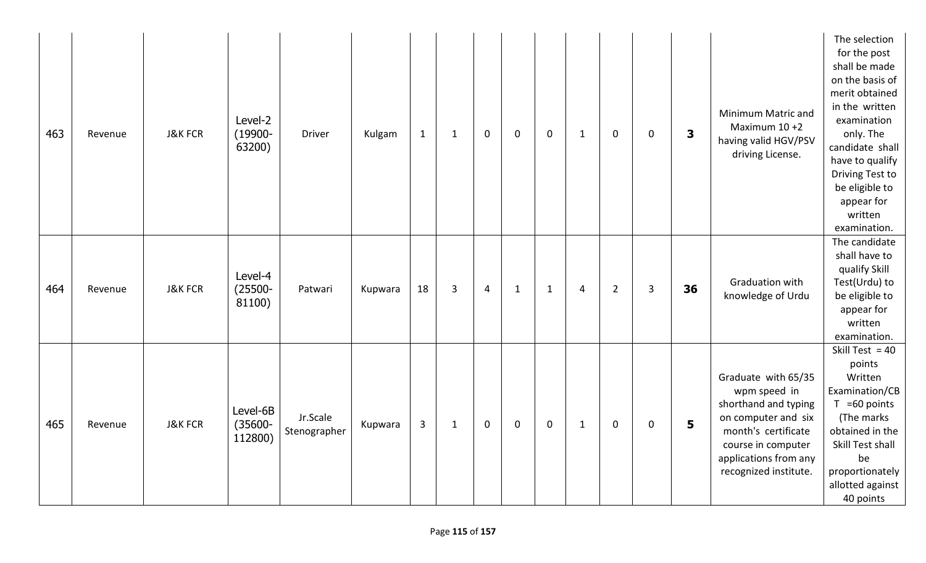| 463 | Revenue | <b>J&amp;K FCR</b> | Level-2<br>$(19900 -$<br>63200)   | <b>Driver</b>            | Kulgam  | $\mathbf 1$  | $\mathbf{1}$   | $\mathbf 0$    | $\mathbf 0$  | $\mathbf 0$  | $\mathbf{1}$ | $\mathbf 0$    | $\mathbf 0$ | 3  | Minimum Matric and<br>Maximum 10 +2<br>having valid HGV/PSV<br>driving License.                                                                                                   | The selection<br>for the post<br>shall be made<br>on the basis of<br>merit obtained<br>in the written<br>examination<br>only. The<br>candidate shall<br>have to qualify<br>Driving Test to<br>be eligible to<br>appear for<br>written<br>examination. |
|-----|---------|--------------------|-----------------------------------|--------------------------|---------|--------------|----------------|----------------|--------------|--------------|--------------|----------------|-------------|----|-----------------------------------------------------------------------------------------------------------------------------------------------------------------------------------|-------------------------------------------------------------------------------------------------------------------------------------------------------------------------------------------------------------------------------------------------------|
| 464 | Revenue | <b>J&amp;K FCR</b> | Level-4<br>$(25500 -$<br>81100)   | Patwari                  | Kupwara | 18           | $\overline{3}$ | $\overline{4}$ | $\mathbf{1}$ | $\mathbf{1}$ | 4            | $\overline{2}$ | 3           | 36 | Graduation with<br>knowledge of Urdu                                                                                                                                              | The candidate<br>shall have to<br>qualify Skill<br>Test(Urdu) to<br>be eligible to<br>appear for<br>written<br>examination.                                                                                                                           |
| 465 | Revenue | <b>J&amp;K FCR</b> | Level-6B<br>$(35600 -$<br>112800) | Jr.Scale<br>Stenographer | Kupwara | $\mathbf{3}$ | $\mathbf{1}$   | $\mathbf 0$    | $\mathbf 0$  | $\mathbf 0$  | $\mathbf 1$  | $\mathbf 0$    | $\mathbf 0$ | 5  | Graduate with 65/35<br>wpm speed in<br>shorthand and typing<br>on computer and six<br>month's certificate<br>course in computer<br>applications from any<br>recognized institute. | Skill Test = $40$<br>points<br>Written<br>Examination/CB<br>$T = 60$ points<br>(The marks<br>obtained in the<br>Skill Test shall<br>be<br>proportionately<br>allotted against<br>40 points                                                            |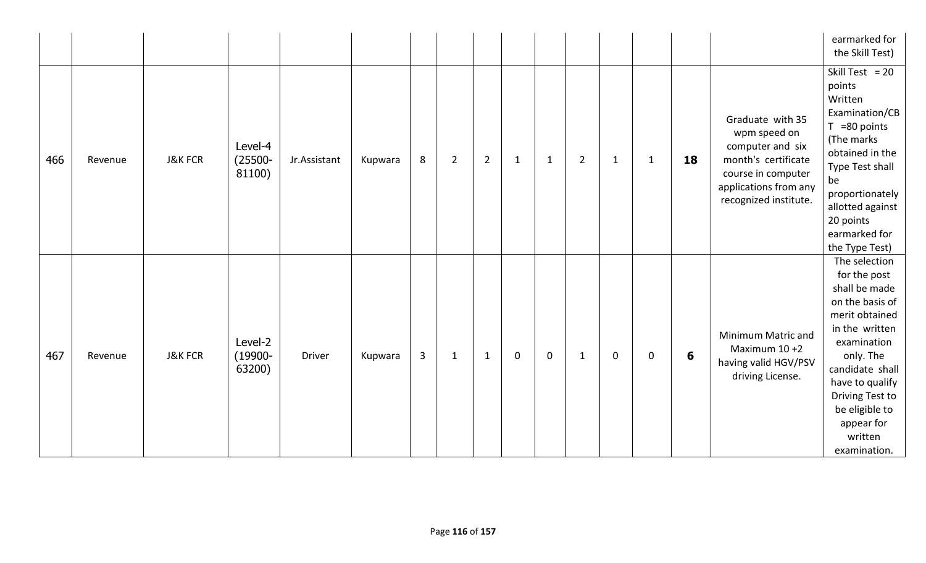|     |         |                    |                                 |              |         |                |                |                |              |              |                |              |              |    |                                                                                                                                                     | earmarked for<br>the Skill Test)                                                                                                                                                                                                                      |
|-----|---------|--------------------|---------------------------------|--------------|---------|----------------|----------------|----------------|--------------|--------------|----------------|--------------|--------------|----|-----------------------------------------------------------------------------------------------------------------------------------------------------|-------------------------------------------------------------------------------------------------------------------------------------------------------------------------------------------------------------------------------------------------------|
| 466 | Revenue | <b>J&amp;K FCR</b> | Level-4<br>$(25500 -$<br>81100) | Jr.Assistant | Kupwara | 8              | $\overline{2}$ | $\overline{2}$ | $\mathbf{1}$ | $\mathbf{1}$ | $\overline{2}$ | $\mathbf{1}$ | $\mathbf{1}$ | 18 | Graduate with 35<br>wpm speed on<br>computer and six<br>month's certificate<br>course in computer<br>applications from any<br>recognized institute. | Skill Test = $20$<br>points<br>Written<br>Examination/CB<br>$T = 80$ points<br>(The marks<br>obtained in the<br>Type Test shall<br>be<br>proportionately<br>allotted against<br>20 points<br>earmarked for<br>the Type Test)                          |
| 467 | Revenue | <b>J&amp;K FCR</b> | Level-2<br>$(19900 -$<br>63200) | Driver       | Kupwara | $\overline{3}$ | $\mathbf{1}$   | $\mathbf{1}$   | $\mathbf 0$  | $\mathbf 0$  | $\mathbf{1}$   | $\mathbf 0$  | $\mathbf 0$  | 6  | Minimum Matric and<br>Maximum 10 +2<br>having valid HGV/PSV<br>driving License.                                                                     | The selection<br>for the post<br>shall be made<br>on the basis of<br>merit obtained<br>in the written<br>examination<br>only. The<br>candidate shall<br>have to qualify<br>Driving Test to<br>be eligible to<br>appear for<br>written<br>examination. |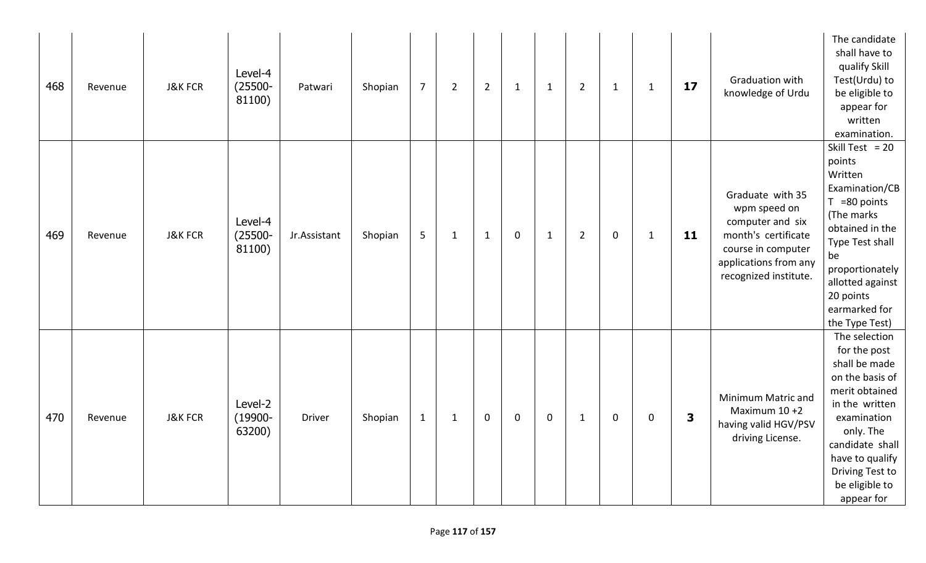| 468 | Revenue | <b>J&amp;K FCR</b> | Level-4<br>$(25500 -$<br>81100) | Patwari      | Shopian | $\overline{7}$ | $\overline{2}$ | $\overline{2}$ | $\mathbf{1}$ | $\mathbf{1}$ | $\overline{2}$ | $\mathbf{1}$ | $\mathbf{1}$ | 17                      | Graduation with<br>knowledge of Urdu                                                                                                                | The candidate<br>shall have to<br>qualify Skill<br>Test(Urdu) to<br>be eligible to<br>appear for<br>written<br>examination.                                                                                                  |
|-----|---------|--------------------|---------------------------------|--------------|---------|----------------|----------------|----------------|--------------|--------------|----------------|--------------|--------------|-------------------------|-----------------------------------------------------------------------------------------------------------------------------------------------------|------------------------------------------------------------------------------------------------------------------------------------------------------------------------------------------------------------------------------|
| 469 | Revenue | <b>J&amp;K FCR</b> | Level-4<br>$(25500 -$<br>81100) | Jr.Assistant | Shopian | 5              | $\mathbf{1}$   | $\mathbf{1}$   | $\mathbf 0$  | $\mathbf{1}$ | $\overline{2}$ | $\mathbf 0$  | $\mathbf{1}$ | 11                      | Graduate with 35<br>wpm speed on<br>computer and six<br>month's certificate<br>course in computer<br>applications from any<br>recognized institute. | Skill Test = $20$<br>points<br>Written<br>Examination/CB<br>$T = 80$ points<br>(The marks<br>obtained in the<br>Type Test shall<br>be<br>proportionately<br>allotted against<br>20 points<br>earmarked for<br>the Type Test) |
| 470 | Revenue | <b>J&amp;K FCR</b> | Level-2<br>$(19900 -$<br>63200) | Driver       | Shopian | $\mathbf{1}$   | $\mathbf{1}$   | $\mathbf 0$    | $\mathbf 0$  | $\mathbf 0$  | $\mathbf{1}$   | $\mathbf 0$  | 0            | $\overline{\mathbf{3}}$ | Minimum Matric and<br>Maximum $10+2$<br>having valid HGV/PSV<br>driving License.                                                                    | The selection<br>for the post<br>shall be made<br>on the basis of<br>merit obtained<br>in the written<br>examination<br>only. The<br>candidate shall<br>have to qualify<br>Driving Test to<br>be eligible to<br>appear for   |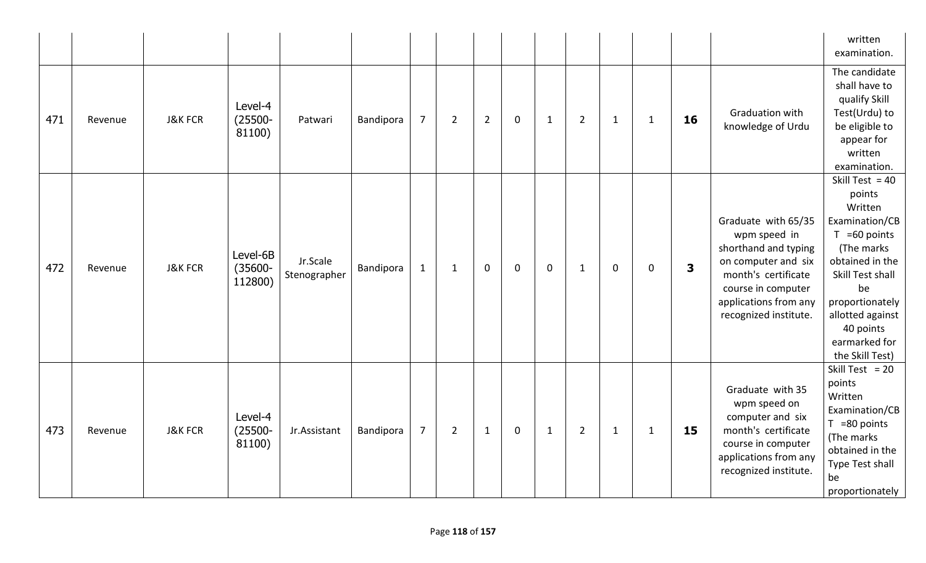|     |         |                    |                                   |                          |           |                |                |                |             |              |                |              |              |                         |                                                                                                                                                                                   | written<br>examination.                                                                                                                                                                                                        |
|-----|---------|--------------------|-----------------------------------|--------------------------|-----------|----------------|----------------|----------------|-------------|--------------|----------------|--------------|--------------|-------------------------|-----------------------------------------------------------------------------------------------------------------------------------------------------------------------------------|--------------------------------------------------------------------------------------------------------------------------------------------------------------------------------------------------------------------------------|
| 471 | Revenue | <b>J&amp;K FCR</b> | Level-4<br>$(25500 -$<br>81100)   | Patwari                  | Bandipora | $\overline{7}$ | $\overline{2}$ | $\overline{2}$ | $\mathbf 0$ | $\mathbf{1}$ | $\overline{2}$ | $\mathbf{1}$ | $\mathbf{1}$ | 16                      | Graduation with<br>knowledge of Urdu                                                                                                                                              | The candidate<br>shall have to<br>qualify Skill<br>Test(Urdu) to<br>be eligible to<br>appear for<br>written<br>examination.                                                                                                    |
| 472 | Revenue | <b>J&amp;K FCR</b> | Level-6B<br>$(35600 -$<br>112800) | Jr.Scale<br>Stenographer | Bandipora | $1\,$          | $\mathbf{1}$   | $\mathbf 0$    | $\mathbf 0$ | $\mathbf 0$  | $\mathbf{1}$   | $\mathbf 0$  | $\mathbf 0$  | $\overline{\mathbf{3}}$ | Graduate with 65/35<br>wpm speed in<br>shorthand and typing<br>on computer and six<br>month's certificate<br>course in computer<br>applications from any<br>recognized institute. | Skill Test = $40$<br>points<br>Written<br>Examination/CB<br>$T = 60$ points<br>(The marks<br>obtained in the<br>Skill Test shall<br>be<br>proportionately<br>allotted against<br>40 points<br>earmarked for<br>the Skill Test) |
| 473 | Revenue | <b>J&amp;K FCR</b> | Level-4<br>$(25500 -$<br>81100)   | Jr.Assistant             | Bandipora | $\overline{7}$ | $\overline{2}$ | $\mathbf{1}$   | $\mathbf 0$ | $\mathbf 1$  | $\overline{2}$ | $\mathbf{1}$ | $\mathbf{1}$ | 15                      | Graduate with 35<br>wpm speed on<br>computer and six<br>month's certificate<br>course in computer<br>applications from any<br>recognized institute.                               | Skill Test = $20$<br>points<br>Written<br>Examination/CB<br>$T = 80$ points<br>(The marks<br>obtained in the<br>Type Test shall<br>be<br>proportionately                                                                       |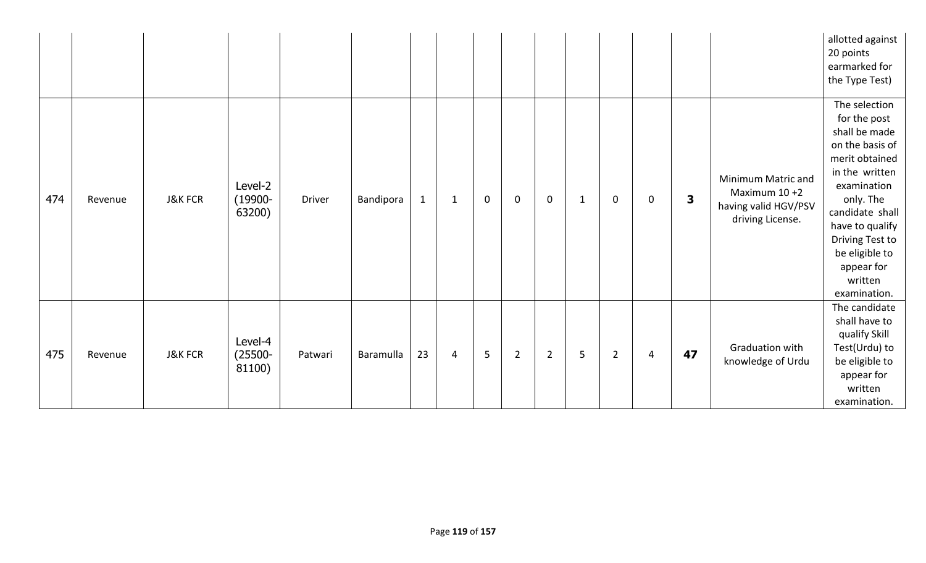|     |         |                    |                                 |         |           |              |                |                |                |                |             |                |             |                         |                                                                                  | allotted against<br>20 points<br>earmarked for<br>the Type Test)                                                                                                                                                                                      |
|-----|---------|--------------------|---------------------------------|---------|-----------|--------------|----------------|----------------|----------------|----------------|-------------|----------------|-------------|-------------------------|----------------------------------------------------------------------------------|-------------------------------------------------------------------------------------------------------------------------------------------------------------------------------------------------------------------------------------------------------|
| 474 | Revenue | <b>J&amp;K FCR</b> | Level-2<br>$(19900 -$<br>63200) | Driver  | Bandipora | $\mathbf{1}$ | $\mathbf 1$    | $\mathbf 0$    | $\mathbf 0$    | $\mathbf 0$    | $\mathbf 1$ | $\mathbf 0$    | $\mathbf 0$ | $\overline{\mathbf{3}}$ | Minimum Matric and<br>Maximum $10+2$<br>having valid HGV/PSV<br>driving License. | The selection<br>for the post<br>shall be made<br>on the basis of<br>merit obtained<br>in the written<br>examination<br>only. The<br>candidate shall<br>have to qualify<br>Driving Test to<br>be eligible to<br>appear for<br>written<br>examination. |
| 475 | Revenue | <b>J&amp;K FCR</b> | Level-4<br>$(25500 -$<br>81100) | Patwari | Baramulla | 23           | $\overline{4}$ | 5 <sup>1</sup> | $\overline{2}$ | $\overline{2}$ | 5           | $\overline{2}$ | 4           | 47                      | Graduation with<br>knowledge of Urdu                                             | The candidate<br>shall have to<br>qualify Skill<br>Test(Urdu) to<br>be eligible to<br>appear for<br>written<br>examination.                                                                                                                           |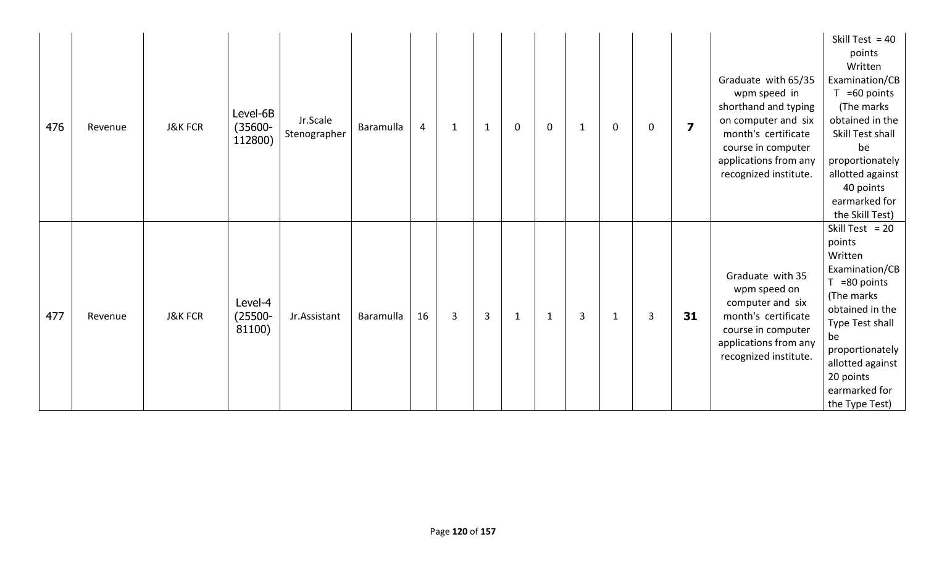| 476 | Revenue | <b>J&amp;K FCR</b> | Level-6B<br>$(35600 -$<br>112800) | Jr.Scale<br>Stenographer | Baramulla | $\overline{4}$ | $\mathbf 1$  | 1 | $\mathbf 0$  | $\mathbf 0$ | -1 | $\mathbf 0$  | 0 | $\overline{\mathbf{z}}$ | Graduate with 65/35<br>wpm speed in<br>shorthand and typing<br>on computer and six<br>month's certificate<br>course in computer<br>applications from any<br>recognized institute. | Skill Test = $40$<br>points<br>Written<br>Examination/CB<br>$T = 60$ points<br>(The marks<br>obtained in the<br>Skill Test shall<br>be<br>proportionately<br>allotted against<br>40 points<br>earmarked for<br>the Skill Test) |
|-----|---------|--------------------|-----------------------------------|--------------------------|-----------|----------------|--------------|---|--------------|-------------|----|--------------|---|-------------------------|-----------------------------------------------------------------------------------------------------------------------------------------------------------------------------------|--------------------------------------------------------------------------------------------------------------------------------------------------------------------------------------------------------------------------------|
| 477 | Revenue | <b>J&amp;K FCR</b> | Level-4<br>$(25500 -$<br>81100)   | Jr.Assistant             | Baramulla | 16             | $\mathbf{3}$ | 3 | $\mathbf{1}$ | $\mathbf 1$ | 3  | $\mathbf{1}$ | 3 | 31                      | Graduate with 35<br>wpm speed on<br>computer and six<br>month's certificate<br>course in computer<br>applications from any<br>recognized institute.                               | Skill Test = $20$<br>points<br>Written<br>Examination/CB<br>$T = 80$ points<br>(The marks<br>obtained in the<br>Type Test shall<br>be<br>proportionately<br>allotted against<br>20 points<br>earmarked for<br>the Type Test)   |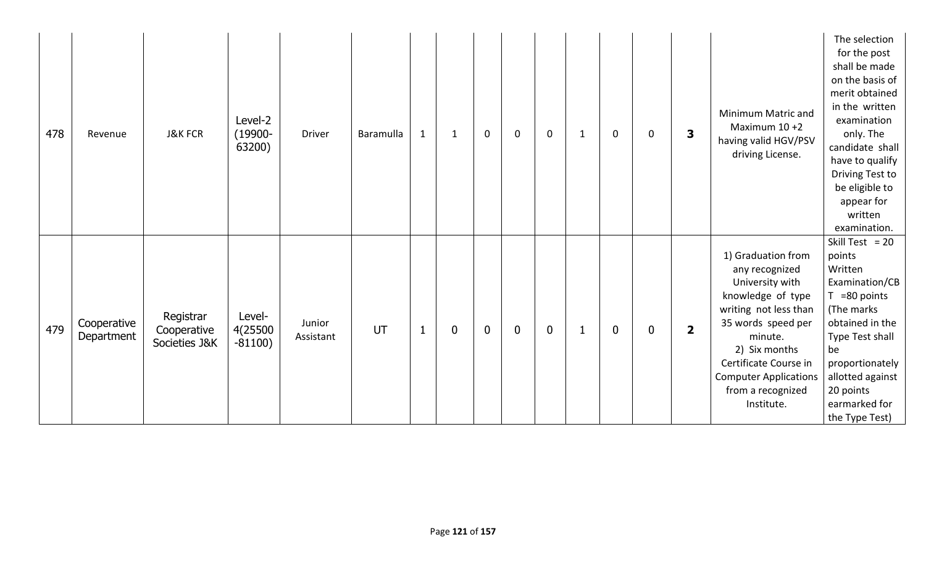| 478 | Revenue                   | <b>J&amp;K FCR</b>                        | Level-2<br>$(19900 -$<br>63200) | <b>Driver</b>       | Baramulla | $\mathbf{1}$ | $\mathbf 1$      | $\mathbf 0$ | $\mathbf 0$ | $\mathsf{O}$ | 1 | $\mathbf 0$ | $\mathbf 0$      | 3                       | Minimum Matric and<br>Maximum $10+2$<br>having valid HGV/PSV<br>driving License.                                                                                                                                                                    | The selection<br>for the post<br>shall be made<br>on the basis of<br>merit obtained<br>in the written<br>examination<br>only. The<br>candidate shall<br>have to qualify<br>Driving Test to<br>be eligible to<br>appear for<br>written<br>examination. |
|-----|---------------------------|-------------------------------------------|---------------------------------|---------------------|-----------|--------------|------------------|-------------|-------------|--------------|---|-------------|------------------|-------------------------|-----------------------------------------------------------------------------------------------------------------------------------------------------------------------------------------------------------------------------------------------------|-------------------------------------------------------------------------------------------------------------------------------------------------------------------------------------------------------------------------------------------------------|
| 479 | Cooperative<br>Department | Registrar<br>Cooperative<br>Societies J&K | Level-<br>4(25500<br>$-81100)$  | Junior<br>Assistant | UT        | $\mathbf{1}$ | $\boldsymbol{0}$ | $\mathbf 0$ | $\mathbf 0$ | $\mathbf 0$  |   | $\mathbf 0$ | $\boldsymbol{0}$ | $\overline{\mathbf{2}}$ | 1) Graduation from<br>any recognized<br>University with<br>knowledge of type<br>writing not less than<br>35 words speed per<br>minute.<br>2) Six months<br>Certificate Course in<br><b>Computer Applications</b><br>from a recognized<br>Institute. | Skill Test = $20$<br>points<br>Written<br>Examination/CB<br>=80 points<br>(The marks<br>obtained in the<br>Type Test shall<br>be<br>proportionately<br>allotted against<br>20 points<br>earmarked for<br>the Type Test)                               |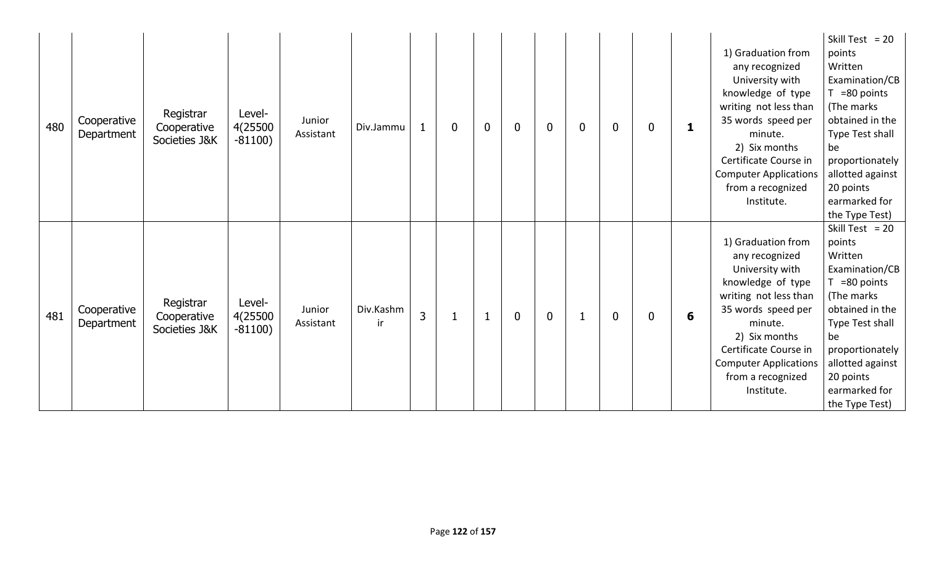| 480 | Cooperative<br>Department | Registrar<br>Cooperative<br>Societies J&K | Level-<br>4(25500<br>$-81100)$ | Junior<br>Assistant | Div.Jammu       | $\mathbf{1}$   | $\overline{0}$ | $\bf{0}$ | $\overline{0}$ | $\mathbf{0}$ | $\overline{0}$ | $\mathbf{0}$ | $\Omega$ |   | 1) Graduation from<br>any recognized<br>University with<br>knowledge of type<br>writing not less than<br>35 words speed per<br>minute.<br>2) Six months<br>Certificate Course in<br><b>Computer Applications</b><br>from a recognized<br>Institute. | Skill Test = $20$<br>points<br>Written<br>Examination/CB<br>$T = 80$ points<br>(The marks)<br>obtained in the<br>Type Test shall<br>be<br>proportionately<br>allotted against<br>20 points<br>earmarked for<br>the Type Test) |
|-----|---------------------------|-------------------------------------------|--------------------------------|---------------------|-----------------|----------------|----------------|----------|----------------|--------------|----------------|--------------|----------|---|-----------------------------------------------------------------------------------------------------------------------------------------------------------------------------------------------------------------------------------------------------|-------------------------------------------------------------------------------------------------------------------------------------------------------------------------------------------------------------------------------|
| 481 | Cooperative<br>Department | Registrar<br>Cooperative<br>Societies J&K | Level-<br>4(25500<br>$-81100)$ | Junior<br>Assistant | Div.Kashm<br>ir | $\overline{3}$ |                |          | $\overline{0}$ | $\mathbf 0$  |                | $\Omega$     | $\Omega$ | 6 | 1) Graduation from<br>any recognized<br>University with<br>knowledge of type<br>writing not less than<br>35 words speed per<br>minute.<br>2) Six months<br>Certificate Course in<br><b>Computer Applications</b><br>from a recognized<br>Institute. | Skill Test = $20$<br>points<br>Written<br>Examination/CB<br>$T = 80$ points<br>(The marks)<br>obtained in the<br>Type Test shall<br>be<br>proportionately<br>allotted against<br>20 points<br>earmarked for<br>the Type Test) |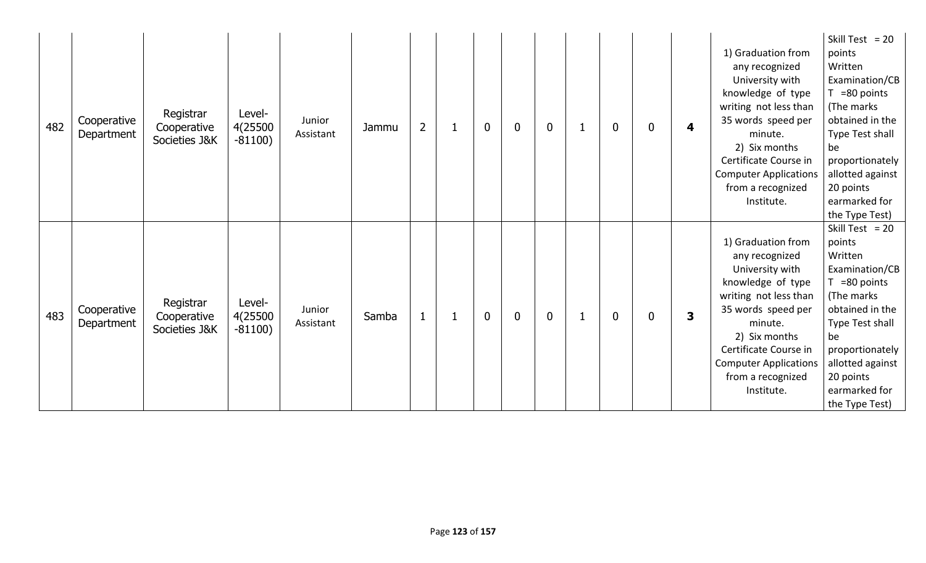| 482 | Cooperative<br>Department | Registrar<br>Cooperative<br>Societies J&K | Level-<br>4(25500<br>$-81100)$ | Junior<br>Assistant | Jammu | $\overline{2}$ | $\mathbf 0$ | $\overline{0}$ | $\mathbf{0}$ | $\mathbf{0}$ | 0        | 4 | 1) Graduation from<br>any recognized<br>University with<br>knowledge of type<br>writing not less than<br>35 words speed per<br>minute.<br>2) Six months<br>Certificate Course in<br><b>Computer Applications</b><br>from a recognized<br>Institute. | Skill Test = $20$<br>points<br>Written<br>Examination/CB<br>$T = 80$ points<br>(The marks)<br>obtained in the<br>Type Test shall<br>be<br>proportionately<br>allotted against<br>20 points<br>earmarked for<br>the Type Test) |
|-----|---------------------------|-------------------------------------------|--------------------------------|---------------------|-------|----------------|-------------|----------------|--------------|--------------|----------|---|-----------------------------------------------------------------------------------------------------------------------------------------------------------------------------------------------------------------------------------------------------|-------------------------------------------------------------------------------------------------------------------------------------------------------------------------------------------------------------------------------|
| 483 | Cooperative<br>Department | Registrar<br>Cooperative<br>Societies J&K | Level-<br>4(25500<br>$-81100)$ | Junior<br>Assistant | Samba | $\mathbf{1}$   | $\mathbf 0$ | $\overline{0}$ | $\mathbf 0$  | $\Omega$     | $\Omega$ | 3 | 1) Graduation from<br>any recognized<br>University with<br>knowledge of type<br>writing not less than<br>35 words speed per<br>minute.<br>2) Six months<br>Certificate Course in<br><b>Computer Applications</b><br>from a recognized<br>Institute. | Skill Test = $20$<br>points<br>Written<br>Examination/CB<br>$T = 80$ points<br>(The marks)<br>obtained in the<br>Type Test shall<br>be<br>proportionately<br>allotted against<br>20 points<br>earmarked for<br>the Type Test) |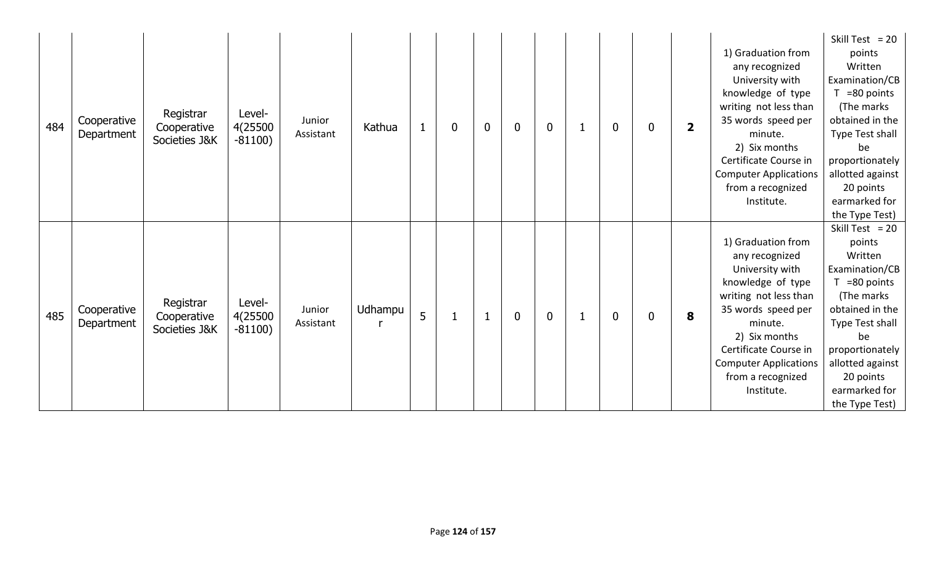| 484 | Cooperative<br>Department | Registrar<br>Cooperative<br>Societies J&K | Level-<br>4(25500<br>$-81100)$ | Junior<br>Assistant | Kathua  |   | $\mathbf 0$ | $\mathbf 0$ | $\mathbf 0$ | $\bf{0}$ | $\mathbf 0$  | 0 | $\overline{\mathbf{2}}$ | 1) Graduation from<br>any recognized<br>University with<br>knowledge of type<br>writing not less than<br>35 words speed per<br>minute.<br>2) Six months<br>Certificate Course in<br><b>Computer Applications</b><br>from a recognized<br>Institute. | Skill Test = $20$<br>points<br>Written<br>Examination/CB<br>$T = 80$ points<br>(The marks<br>obtained in the<br>Type Test shall<br>be<br>proportionately<br>allotted against<br>20 points<br>earmarked for<br>the Type Test)  |
|-----|---------------------------|-------------------------------------------|--------------------------------|---------------------|---------|---|-------------|-------------|-------------|----------|--------------|---|-------------------------|-----------------------------------------------------------------------------------------------------------------------------------------------------------------------------------------------------------------------------------------------------|-------------------------------------------------------------------------------------------------------------------------------------------------------------------------------------------------------------------------------|
| 485 | Cooperative<br>Department | Registrar<br>Cooperative<br>Societies J&K | Level-<br>4(25500<br>$-81100)$ | Junior<br>Assistant | Udhampu | 5 |             |             | $\mathbf 0$ | $\bf{0}$ | $\mathbf{0}$ | 0 | 8                       | 1) Graduation from<br>any recognized<br>University with<br>knowledge of type<br>writing not less than<br>35 words speed per<br>minute.<br>2) Six months<br>Certificate Course in<br><b>Computer Applications</b><br>from a recognized<br>Institute. | Skill Test = $20$<br>points<br>Written<br>Examination/CB<br>$T = 80$ points<br>(The marks)<br>obtained in the<br>Type Test shall<br>be<br>proportionately<br>allotted against<br>20 points<br>earmarked for<br>the Type Test) |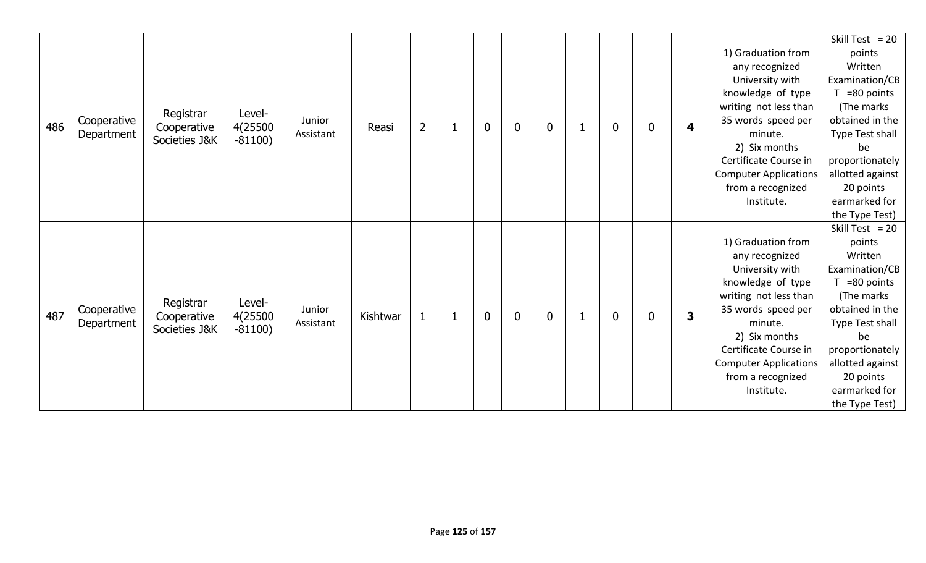| 486 | Cooperative<br>Department | Registrar<br>Cooperative<br>Societies J&K | Level-<br>4(25500<br>$-81100)$ | Junior<br>Assistant | Reasi    | $\overline{2}$ | $\bf{0}$ | $\mathbf 0$ | $\mathbf 0$ | $\mathbf 0$  | 0 | 4 | 1) Graduation from<br>any recognized<br>University with<br>knowledge of type<br>writing not less than<br>35 words speed per<br>minute.<br>2) Six months<br>Certificate Course in<br><b>Computer Applications</b><br>from a recognized<br>Institute. | Skill Test = $20$<br>points<br>Written<br>Examination/CB<br>$T = 80$ points<br>(The marks<br>obtained in the<br>Type Test shall<br>be<br>proportionately<br>allotted against<br>20 points<br>earmarked for<br>the Type Test)  |
|-----|---------------------------|-------------------------------------------|--------------------------------|---------------------|----------|----------------|----------|-------------|-------------|--------------|---|---|-----------------------------------------------------------------------------------------------------------------------------------------------------------------------------------------------------------------------------------------------------|-------------------------------------------------------------------------------------------------------------------------------------------------------------------------------------------------------------------------------|
| 487 | Cooperative<br>Department | Registrar<br>Cooperative<br>Societies J&K | Level-<br>4(25500<br>$-81100)$ | Junior<br>Assistant | Kishtwar | $\mathbf{1}$   | $\bf{0}$ | $\mathbf 0$ | $\mathbf 0$ | $\mathbf{0}$ | 0 | 3 | 1) Graduation from<br>any recognized<br>University with<br>knowledge of type<br>writing not less than<br>35 words speed per<br>minute.<br>2) Six months<br>Certificate Course in<br><b>Computer Applications</b><br>from a recognized<br>Institute. | Skill Test = $20$<br>points<br>Written<br>Examination/CB<br>$T = 80$ points<br>(The marks)<br>obtained in the<br>Type Test shall<br>be<br>proportionately<br>allotted against<br>20 points<br>earmarked for<br>the Type Test) |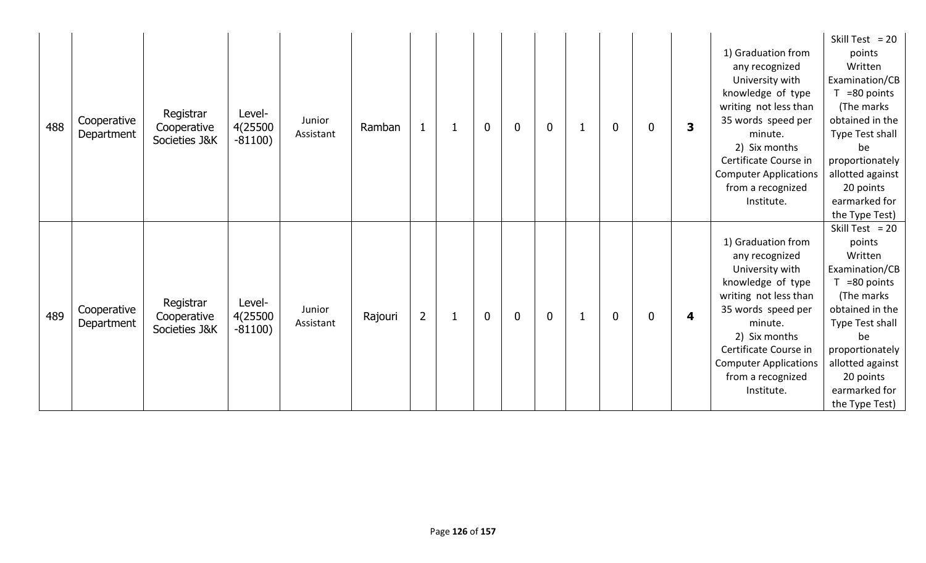| 488 | Cooperative<br>Department | Registrar<br>Cooperative<br>Societies J&K | Level-<br>4(25500<br>$-81100)$ | Junior<br>Assistant | Ramban  |                |   | $\mathbf 0$ | $\mathbf 0$ | $\mathbf 0$ | $\mathbf 0$  | 0 | 3 | 1) Graduation from<br>any recognized<br>University with<br>knowledge of type<br>writing not less than<br>35 words speed per<br>minute.<br>2) Six months<br>Certificate Course in<br><b>Computer Applications</b><br>from a recognized<br>Institute. | Skill Test = $20$<br>points<br>Written<br>Examination/CB<br>=80 points<br>(The marks<br>obtained in the<br>Type Test shall<br>be<br>proportionately<br>allotted against<br>20 points<br>earmarked for<br>the Type Test)       |
|-----|---------------------------|-------------------------------------------|--------------------------------|---------------------|---------|----------------|---|-------------|-------------|-------------|--------------|---|---|-----------------------------------------------------------------------------------------------------------------------------------------------------------------------------------------------------------------------------------------------------|-------------------------------------------------------------------------------------------------------------------------------------------------------------------------------------------------------------------------------|
| 489 | Cooperative<br>Department | Registrar<br>Cooperative<br>Societies J&K | Level-<br>4(25500<br>$-81100)$ | Junior<br>Assistant | Rajouri | $\overline{2}$ | 1 | $\bf{0}$    | $\mathbf 0$ | $\mathbf 0$ | $\mathbf{0}$ | 0 | 4 | 1) Graduation from<br>any recognized<br>University with<br>knowledge of type<br>writing not less than<br>35 words speed per<br>minute.<br>2) Six months<br>Certificate Course in<br><b>Computer Applications</b><br>from a recognized<br>Institute. | Skill Test = $20$<br>points<br>Written<br>Examination/CB<br>$T = 80$ points<br>(The marks)<br>obtained in the<br>Type Test shall<br>be<br>proportionately<br>allotted against<br>20 points<br>earmarked for<br>the Type Test) |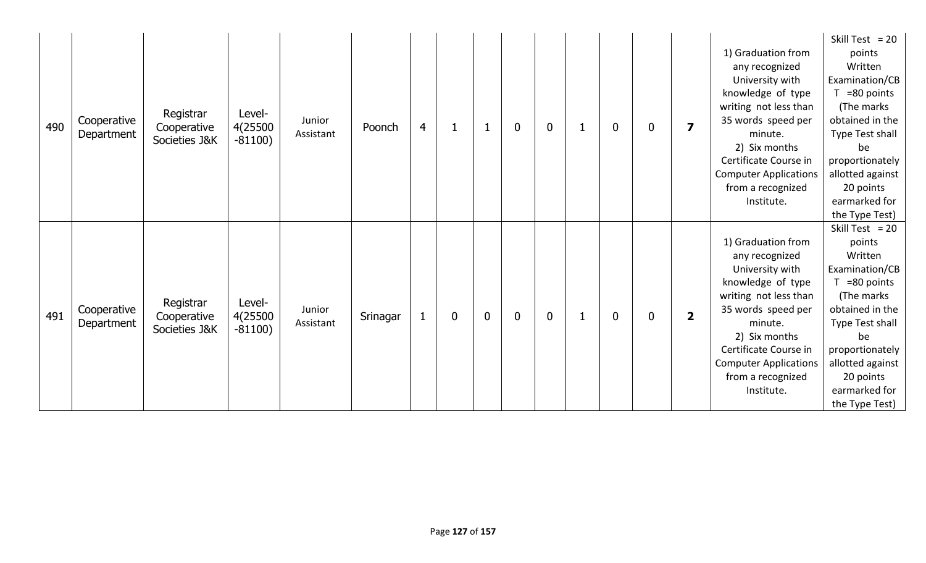| 490 | Cooperative<br>Department | Registrar<br>Cooperative<br>Societies J&K | Level-<br>4(25500<br>$-81100)$ | Junior<br>Assistant | Poonch   | $\overline{4}$ |             |             | $\mathbf 0$ | $\mathbf 0$ | $\mathbf 0$  | $\mathbf 0$ | $\overline{\mathbf{z}}$ | 1) Graduation from<br>any recognized<br>University with<br>knowledge of type<br>writing not less than<br>35 words speed per<br>minute.<br>2) Six months<br>Certificate Course in<br><b>Computer Applications</b><br>from a recognized<br>Institute. | Skill Test = $20$<br>points<br>Written<br>Examination/CB<br>$T = 80$ points<br>(The marks<br>obtained in the<br>Type Test shall<br>be<br>proportionately<br>allotted against<br>20 points<br>earmarked for<br>the Type Test)  |
|-----|---------------------------|-------------------------------------------|--------------------------------|---------------------|----------|----------------|-------------|-------------|-------------|-------------|--------------|-------------|-------------------------|-----------------------------------------------------------------------------------------------------------------------------------------------------------------------------------------------------------------------------------------------------|-------------------------------------------------------------------------------------------------------------------------------------------------------------------------------------------------------------------------------|
| 491 | Cooperative<br>Department | Registrar<br>Cooperative<br>Societies J&K | Level-<br>4(25500<br>$-81100)$ | Junior<br>Assistant | Srinagar | $\mathbf{1}$   | $\mathbf 0$ | $\mathbf 0$ | $\mathbf 0$ | $\mathbf 0$ | $\mathbf{0}$ | 0           | $\overline{\mathbf{2}}$ | 1) Graduation from<br>any recognized<br>University with<br>knowledge of type<br>writing not less than<br>35 words speed per<br>minute.<br>2) Six months<br>Certificate Course in<br><b>Computer Applications</b><br>from a recognized<br>Institute. | Skill Test = $20$<br>points<br>Written<br>Examination/CB<br>$T = 80$ points<br>(The marks)<br>obtained in the<br>Type Test shall<br>be<br>proportionately<br>allotted against<br>20 points<br>earmarked for<br>the Type Test) |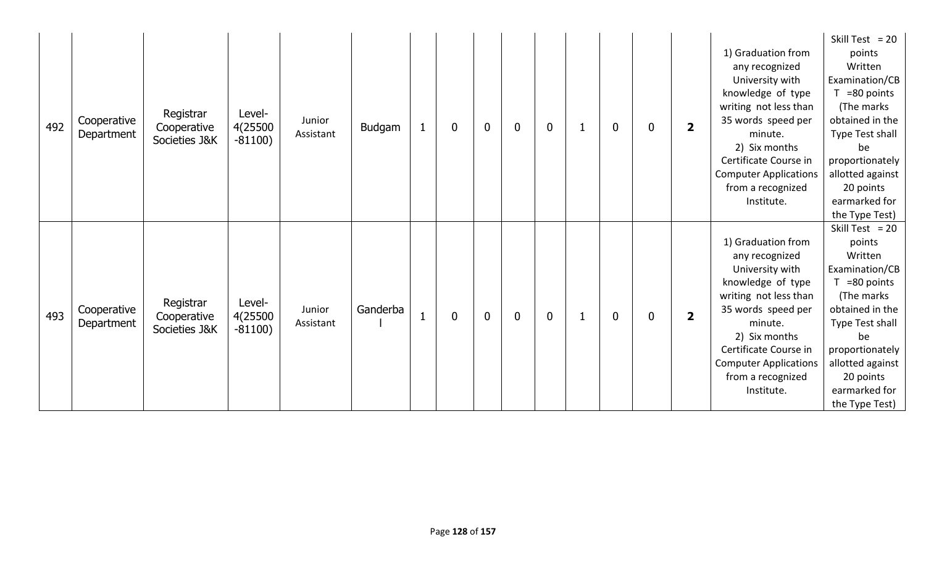| 492 | Cooperative<br>Department | Registrar<br>Cooperative<br>Societies J&K | Level-<br>4(25500<br>$-81100)$ | Junior<br>Assistant | Budgam   | 1            | 0           | $\bf{0}$ | $\overline{0}$ | $\mathbf 0$  | $\mathbf 0$  | 0 | $\overline{\mathbf{2}}$ | 1) Graduation from<br>any recognized<br>University with<br>knowledge of type<br>writing not less than<br>35 words speed per<br>minute.<br>2) Six months<br>Certificate Course in<br><b>Computer Applications</b><br>from a recognized<br>Institute. | Skill Test = $20$<br>points<br>Written<br>Examination/CB<br>=80 points<br>(The marks<br>obtained in the<br>Type Test shall<br>be<br>proportionately<br>allotted against<br>20 points<br>earmarked for<br>the Type Test)       |
|-----|---------------------------|-------------------------------------------|--------------------------------|---------------------|----------|--------------|-------------|----------|----------------|--------------|--------------|---|-------------------------|-----------------------------------------------------------------------------------------------------------------------------------------------------------------------------------------------------------------------------------------------------|-------------------------------------------------------------------------------------------------------------------------------------------------------------------------------------------------------------------------------|
| 493 | Cooperative<br>Department | Registrar<br>Cooperative<br>Societies J&K | Level-<br>4(25500<br>$-81100)$ | Junior<br>Assistant | Ganderba | $\mathbf{1}$ | $\mathbf 0$ | $\bf{0}$ | $\overline{0}$ | $\mathbf{0}$ | $\mathbf{0}$ | 0 | $\overline{\mathbf{2}}$ | 1) Graduation from<br>any recognized<br>University with<br>knowledge of type<br>writing not less than<br>35 words speed per<br>minute.<br>2) Six months<br>Certificate Course in<br><b>Computer Applications</b><br>from a recognized<br>Institute. | Skill Test = $20$<br>points<br>Written<br>Examination/CB<br>$T = 80$ points<br>(The marks)<br>obtained in the<br>Type Test shall<br>be<br>proportionately<br>allotted against<br>20 points<br>earmarked for<br>the Type Test) |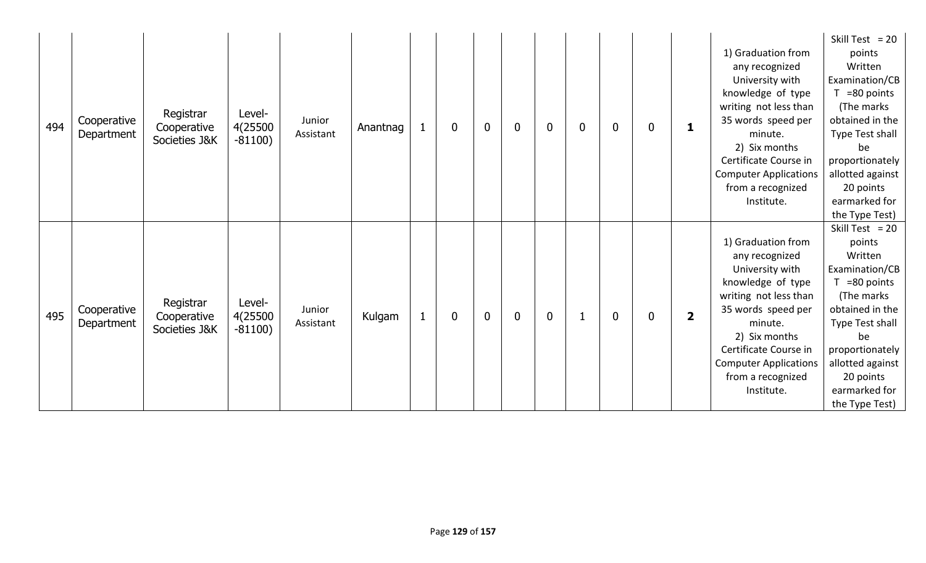| 494 | Cooperative<br>Department | Registrar<br>Cooperative<br>Societies J&K | Level-<br>4(25500<br>$-81100)$ | Junior<br>Assistant | Anantnag | $\mathbf{1}$ | $\bf{0}$    | $\bf{0}$    | $\mathbf 0$ | $\mathbf 0$ | $\boldsymbol{0}$ | $\mathbf 0$  | $\mathbf 0$ | 1                       | 1) Graduation from<br>any recognized<br>University with<br>knowledge of type<br>writing not less than<br>35 words speed per<br>minute.<br>2) Six months<br>Certificate Course in<br><b>Computer Applications</b><br>from a recognized<br>Institute. | Skill Test = $20$<br>points<br>Written<br>Examination/CB<br>$T = 80$ points<br>(The marks<br>obtained in the<br>Type Test shall<br>be<br>proportionately<br>allotted against<br>20 points<br>earmarked for<br>the Type Test)  |
|-----|---------------------------|-------------------------------------------|--------------------------------|---------------------|----------|--------------|-------------|-------------|-------------|-------------|------------------|--------------|-------------|-------------------------|-----------------------------------------------------------------------------------------------------------------------------------------------------------------------------------------------------------------------------------------------------|-------------------------------------------------------------------------------------------------------------------------------------------------------------------------------------------------------------------------------|
| 495 | Cooperative<br>Department | Registrar<br>Cooperative<br>Societies J&K | Level-<br>4(25500<br>$-81100)$ | Junior<br>Assistant | Kulgam   | $\mathbf{1}$ | $\mathbf 0$ | $\mathbf 0$ | $\mathbf 0$ | $\mathbf 0$ |                  | $\mathbf{0}$ | 0           | $\overline{\mathbf{2}}$ | 1) Graduation from<br>any recognized<br>University with<br>knowledge of type<br>writing not less than<br>35 words speed per<br>minute.<br>2) Six months<br>Certificate Course in<br><b>Computer Applications</b><br>from a recognized<br>Institute. | Skill Test = $20$<br>points<br>Written<br>Examination/CB<br>$T = 80$ points<br>(The marks)<br>obtained in the<br>Type Test shall<br>be<br>proportionately<br>allotted against<br>20 points<br>earmarked for<br>the Type Test) |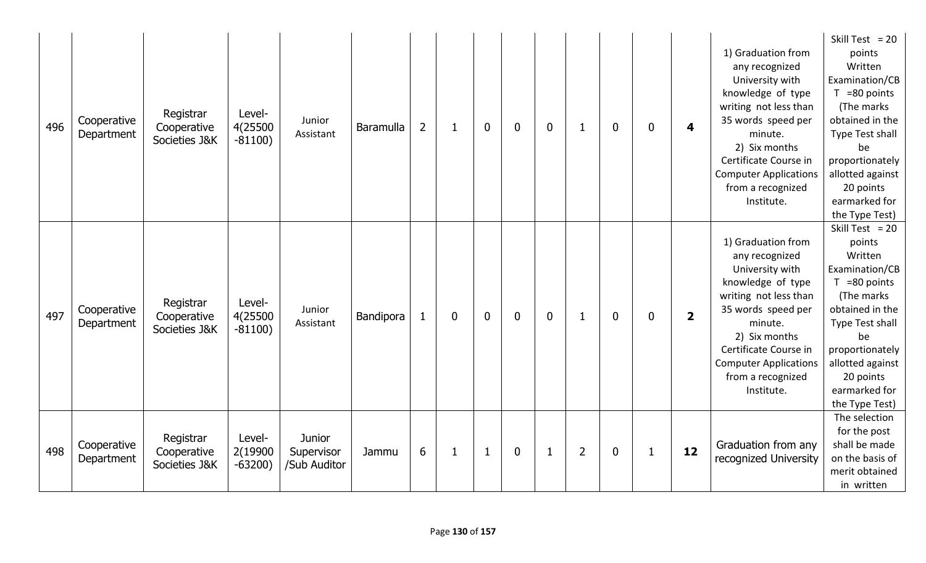| 496 | Cooperative<br>Department | Registrar<br>Cooperative<br>Societies J&K | Level-<br>4(25500<br>$-81100)$ | Junior<br>Assistant                         | <b>Baramulla</b> | $\overline{2}$ | -1           | $\mathbf 0$ | $\mathbf 0$      | $\mathbf 0$  | $\mathbf{1}$   | $\mathbf 0$ | $\mathbf{0}$ | 4                       | 1) Graduation from<br>any recognized<br>University with<br>knowledge of type<br>writing not less than<br>35 words speed per<br>minute.<br>2) Six months<br>Certificate Course in<br><b>Computer Applications</b><br>from a recognized<br>Institute. | Skill Test = $20$<br>points<br>Written<br>Examination/CB<br>$T = 80$ points<br>(The marks<br>obtained in the<br>Type Test shall<br>be<br>proportionately<br>allotted against<br>20 points<br>earmarked for<br>the Type Test) |
|-----|---------------------------|-------------------------------------------|--------------------------------|---------------------------------------------|------------------|----------------|--------------|-------------|------------------|--------------|----------------|-------------|--------------|-------------------------|-----------------------------------------------------------------------------------------------------------------------------------------------------------------------------------------------------------------------------------------------------|------------------------------------------------------------------------------------------------------------------------------------------------------------------------------------------------------------------------------|
| 497 | Cooperative<br>Department | Registrar<br>Cooperative<br>Societies J&K | Level-<br>4(25500<br>$-81100)$ | Junior<br>Assistant                         | Bandipora        | 1              | 0            | $\mathbf 0$ | $\mathbf 0$      | $\mathbf 0$  | $\mathbf 1$    | $\mathbf 0$ | $\mathbf 0$  | $\overline{\mathbf{2}}$ | 1) Graduation from<br>any recognized<br>University with<br>knowledge of type<br>writing not less than<br>35 words speed per<br>minute.<br>2) Six months<br>Certificate Course in<br><b>Computer Applications</b><br>from a recognized<br>Institute. | Skill Test = $20$<br>points<br>Written<br>Examination/CB<br>$T = 80$ points<br>(The marks<br>obtained in the<br>Type Test shall<br>be<br>proportionately<br>allotted against<br>20 points<br>earmarked for<br>the Type Test) |
| 498 | Cooperative<br>Department | Registrar<br>Cooperative<br>Societies J&K | Level-<br>2(19900<br>$-63200)$ | <b>Junior</b><br>Supervisor<br>/Sub Auditor | Jammu            | 6              | $\mathbf{1}$ | $\mathbf 1$ | $\boldsymbol{0}$ | $\mathbf{1}$ | $\overline{2}$ | $\mathbf 0$ | 1            | 12                      | Graduation from any<br>recognized University                                                                                                                                                                                                        | The selection<br>for the post<br>shall be made<br>on the basis of<br>merit obtained<br>in written                                                                                                                            |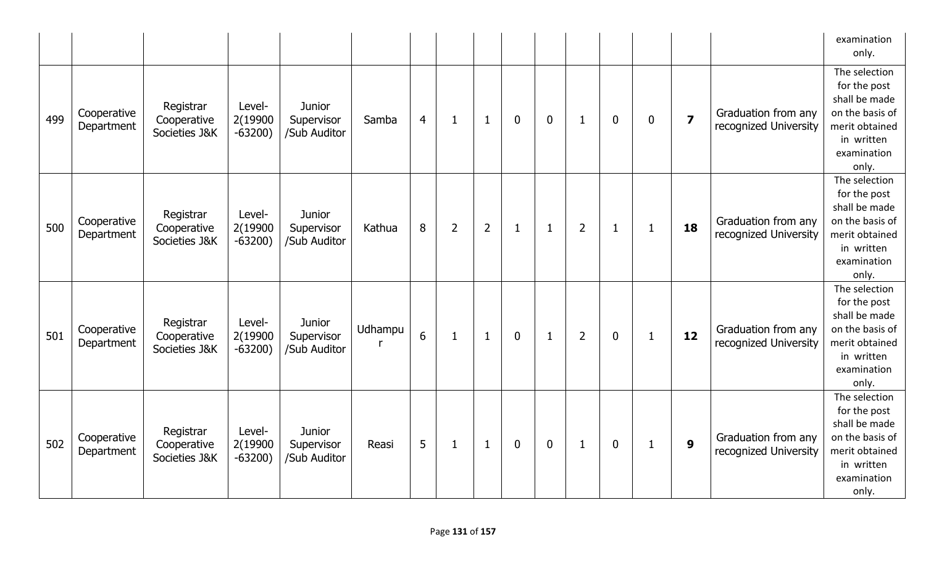|     |                           |                                           |                                |                                             |               |                 |                |                |              |              |                |                |              |                         |                                              | examination<br>only.                                                                                                      |
|-----|---------------------------|-------------------------------------------|--------------------------------|---------------------------------------------|---------------|-----------------|----------------|----------------|--------------|--------------|----------------|----------------|--------------|-------------------------|----------------------------------------------|---------------------------------------------------------------------------------------------------------------------------|
| 499 | Cooperative<br>Department | Registrar<br>Cooperative<br>Societies J&K | Level-<br>2(19900<br>$-63200)$ | <b>Junior</b><br>Supervisor<br>/Sub Auditor | Samba         | $\overline{4}$  | $\mathbf{1}$   | $\mathbf{1}$   | $\mathbf 0$  | $\mathbf 0$  | $\mathbf{1}$   | $\mathbf 0$    | $\mathbf 0$  | $\overline{\mathbf{z}}$ | Graduation from any<br>recognized University | The selection<br>for the post<br>shall be made<br>on the basis of<br>merit obtained<br>in written<br>examination<br>only. |
| 500 | Cooperative<br>Department | Registrar<br>Cooperative<br>Societies J&K | Level-<br>2(19900<br>$-63200)$ | <b>Junior</b><br>Supervisor<br>/Sub Auditor | Kathua        | 8               | $\overline{2}$ | $\overline{2}$ | $\mathbf{1}$ | $\mathbf{1}$ | $\overline{2}$ | $\mathbf{1}$   | 1            | 18                      | Graduation from any<br>recognized University | The selection<br>for the post<br>shall be made<br>on the basis of<br>merit obtained<br>in written<br>examination<br>only. |
| 501 | Cooperative<br>Department | Registrar<br>Cooperative<br>Societies J&K | Level-<br>2(19900<br>$-63200)$ | <b>Junior</b><br>Supervisor<br>/Sub Auditor | Udhampu<br>-r | $6\overline{6}$ | $\mathbf{1}$   | $\mathbf{1}$   | $\mathbf{0}$ | $\mathbf{1}$ | $\overline{2}$ | $\mathbf 0$    | $\mathbf{1}$ | 12                      | Graduation from any<br>recognized University | The selection<br>for the post<br>shall be made<br>on the basis of<br>merit obtained<br>in written<br>examination<br>only. |
| 502 | Cooperative<br>Department | Registrar<br>Cooperative<br>Societies J&K | Level-<br>2(19900<br>$-63200)$ | <b>Junior</b><br>Supervisor<br>/Sub Auditor | Reasi         | 5               | $\mathbf{1}$   | $\mathbf{1}$   | $\mathbf 0$  | $\mathbf{0}$ | $\mathbf{1}$   | $\overline{0}$ | $\mathbf{1}$ | $\boldsymbol{9}$        | Graduation from any<br>recognized University | The selection<br>for the post<br>shall be made<br>on the basis of<br>merit obtained<br>in written<br>examination<br>only. |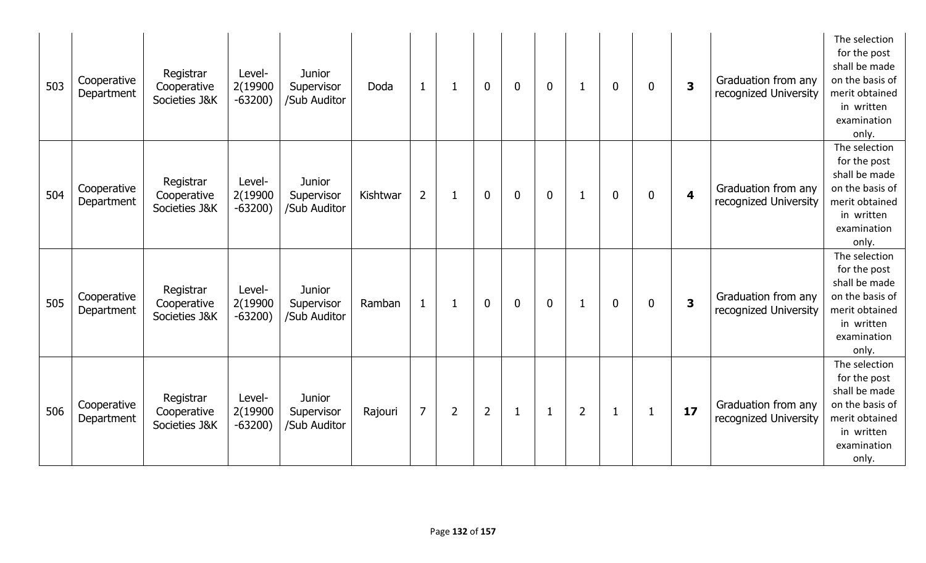| 503 | Cooperative<br>Department | Registrar<br>Cooperative<br>Societies J&K | Level-<br>2(19900<br>$-63200)$ | <b>Junior</b><br>Supervisor<br>/Sub Auditor | Doda     | $\mathbf{1}$   |                | $\mathbf 0$    | $\mathbf 0$    | $\mathbf 0$ | 1              | $\mathbf 0$  | 0              | $\overline{\mathbf{3}}$ | Graduation from any<br>recognized University | The selection<br>for the post<br>shall be made<br>on the basis of<br>merit obtained<br>in written<br>examination<br>only. |
|-----|---------------------------|-------------------------------------------|--------------------------------|---------------------------------------------|----------|----------------|----------------|----------------|----------------|-------------|----------------|--------------|----------------|-------------------------|----------------------------------------------|---------------------------------------------------------------------------------------------------------------------------|
| 504 | Cooperative<br>Department | Registrar<br>Cooperative<br>Societies J&K | Level-<br>2(19900<br>$-63200)$ | <b>Junior</b><br>Supervisor<br>/Sub Auditor | Kishtwar | $\overline{2}$ | $\mathbf 1$    | $\mathbf 0$    | $\mathbf 0$    | $\mathbf 0$ | 1              | $\mathbf{0}$ | 0              | 4                       | Graduation from any<br>recognized University | The selection<br>for the post<br>shall be made<br>on the basis of<br>merit obtained<br>in written<br>examination<br>only. |
| 505 | Cooperative<br>Department | Registrar<br>Cooperative<br>Societies J&K | Level-<br>2(19900<br>$-63200$  | <b>Junior</b><br>Supervisor<br>/Sub Auditor | Ramban   | $\mathbf{1}$   | 1              | $\mathbf{0}$   | $\overline{0}$ | $\mathbf 0$ | 1              | $\mathbf 0$  | $\overline{0}$ | $\overline{\mathbf{3}}$ | Graduation from any<br>recognized University | The selection<br>for the post<br>shall be made<br>on the basis of<br>merit obtained<br>in written<br>examination<br>only. |
| 506 | Cooperative<br>Department | Registrar<br>Cooperative<br>Societies J&K | Level-<br>2(19900<br>$-63200)$ | <b>Junior</b><br>Supervisor<br>/Sub Auditor | Rajouri  | $\overline{7}$ | $\overline{2}$ | $\overline{2}$ | $\mathbf{1}$   | 1           | $\overline{2}$ | 1            |                | 17                      | Graduation from any<br>recognized University | The selection<br>for the post<br>shall be made<br>on the basis of<br>merit obtained<br>in written<br>examination<br>only. |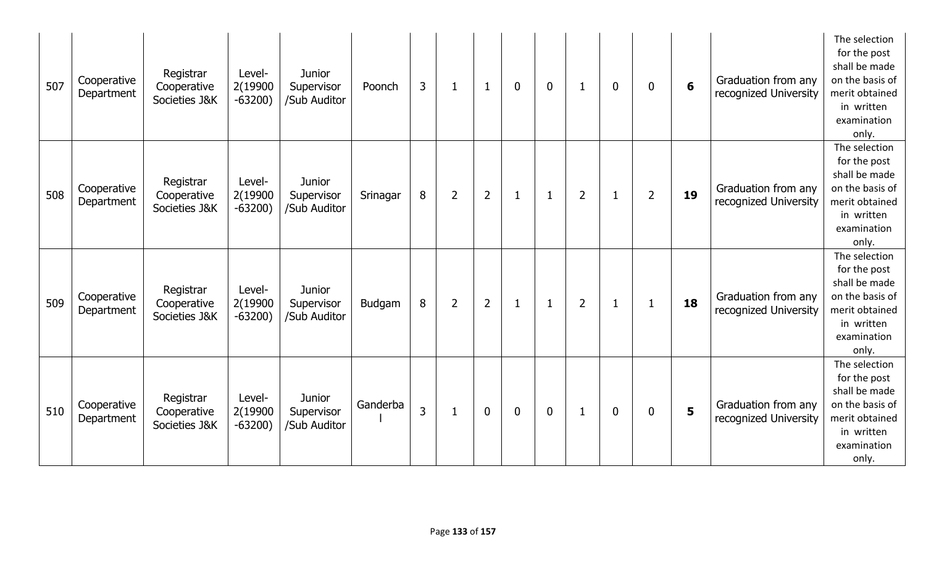| 507 | Cooperative<br>Department | Registrar<br>Cooperative<br>Societies J&K | Level-<br>2(19900<br>$-63200)$ | <b>Junior</b><br>Supervisor<br>/Sub Auditor | Poonch   | 3 | 1              | 1              | $\mathbf 0$  | $\mathbf 0$  |                | $\mathbf{0}$ | $\mathbf{0}$   | $6\phantom{1}6$ | Graduation from any<br>recognized University | The selection<br>for the post<br>shall be made<br>on the basis of<br>merit obtained<br>in written<br>examination<br>only. |
|-----|---------------------------|-------------------------------------------|--------------------------------|---------------------------------------------|----------|---|----------------|----------------|--------------|--------------|----------------|--------------|----------------|-----------------|----------------------------------------------|---------------------------------------------------------------------------------------------------------------------------|
| 508 | Cooperative<br>Department | Registrar<br>Cooperative<br>Societies J&K | Level-<br>2(19900<br>$-63200)$ | <b>Junior</b><br>Supervisor<br>/Sub Auditor | Srinagar | 8 | $\overline{2}$ | $\overline{2}$ | $\mathbf{1}$ | $\mathbf{1}$ | $\overline{2}$ | 1            | $\overline{2}$ | 19              | Graduation from any<br>recognized University | The selection<br>for the post<br>shall be made<br>on the basis of<br>merit obtained<br>in written<br>examination<br>only. |
| 509 | Cooperative<br>Department | Registrar<br>Cooperative<br>Societies J&K | Level-<br>2(19900<br>$-63200)$ | <b>Junior</b><br>Supervisor<br>/Sub Auditor | Budgam   | 8 | $\overline{2}$ | $\overline{2}$ | $\mathbf{1}$ | $\mathbf{1}$ | $\overline{2}$ | 1            |                | 18              | Graduation from any<br>recognized University | The selection<br>for the post<br>shall be made<br>on the basis of<br>merit obtained<br>in written<br>examination<br>only. |
| 510 | Cooperative<br>Department | Registrar<br>Cooperative<br>Societies J&K | Level-<br>2(19900<br>$-63200)$ | <b>Junior</b><br>Supervisor<br>/Sub Auditor | Ganderba | 3 | 1              | $\mathbf 0$    | $\mathbf 0$  | $\mathbf 0$  | 1              | $\mathbf 0$  | $\mathbf{0}$   | 5               | Graduation from any<br>recognized University | The selection<br>for the post<br>shall be made<br>on the basis of<br>merit obtained<br>in written<br>examination<br>only. |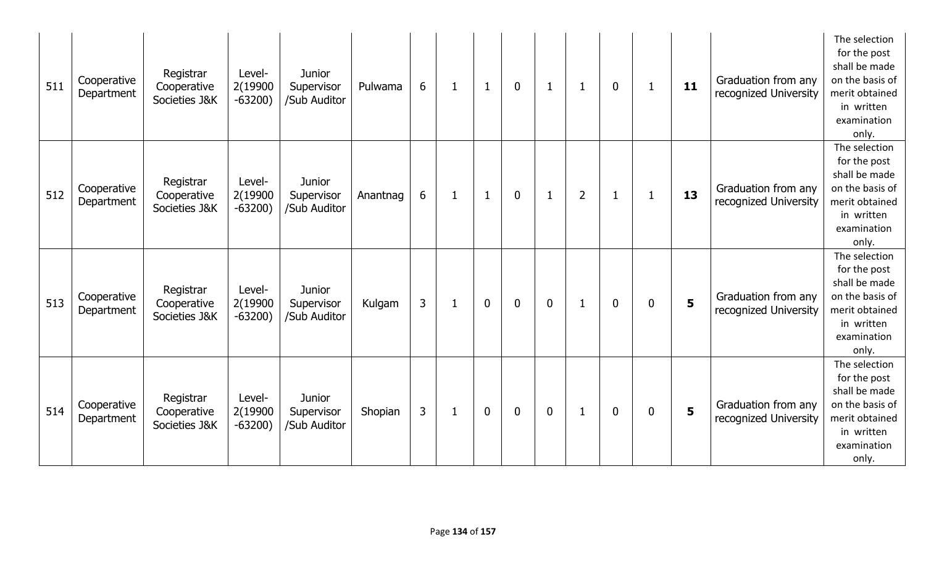| 511 | Cooperative<br>Department | Registrar<br>Cooperative<br>Societies J&K | Level-<br>2(19900<br>$-63200)$ | <b>Junior</b><br>Supervisor<br>/Sub Auditor | Pulwama  | 6              | 1            | $\mathbf{1}$ | $\overline{0}$ | $\mathbf{1}$   | $\mathbf{1}$   | $\overline{0}$ |                | 11                      | Graduation from any<br>recognized University | The selection<br>for the post<br>shall be made<br>on the basis of<br>merit obtained<br>in written<br>examination<br>only. |
|-----|---------------------------|-------------------------------------------|--------------------------------|---------------------------------------------|----------|----------------|--------------|--------------|----------------|----------------|----------------|----------------|----------------|-------------------------|----------------------------------------------|---------------------------------------------------------------------------------------------------------------------------|
| 512 | Cooperative<br>Department | Registrar<br>Cooperative<br>Societies J&K | Level-<br>2(19900<br>$-63200)$ | <b>Junior</b><br>Supervisor<br>/Sub Auditor | Anantnag | 6              | $\mathbf{1}$ | $\mathbf{1}$ | $\mathbf{0}$   | $\mathbf{1}$   | $\overline{2}$ | $\mathbf{1}$   | 1              | 13                      | Graduation from any<br>recognized University | The selection<br>for the post<br>shall be made<br>on the basis of<br>merit obtained<br>in written<br>examination<br>only. |
| 513 | Cooperative<br>Department | Registrar<br>Cooperative<br>Societies J&K | Level-<br>2(19900<br>$-63200)$ | <b>Junior</b><br>Supervisor<br>/Sub Auditor | Kulgam   | $\overline{3}$ | 1            | $\mathbf{0}$ | $\overline{0}$ | $\overline{0}$ | $\mathbf{1}$   | $\mathbf 0$    | $\overline{0}$ | $\overline{\mathbf{5}}$ | Graduation from any<br>recognized University | The selection<br>for the post<br>shall be made<br>on the basis of<br>merit obtained<br>in written<br>examination<br>only. |
| 514 | Cooperative<br>Department | Registrar<br>Cooperative<br>Societies J&K | Level-<br>2(19900<br>$-63200)$ | <b>Junior</b><br>Supervisor<br>/Sub Auditor | Shopian  | 3              | $\mathbf{1}$ | $\mathbf 0$  | $\mathbf 0$    | $\mathbf 0$    | 1              | $\mathbf 0$    | 0              | 5                       | Graduation from any<br>recognized University | The selection<br>for the post<br>shall be made<br>on the basis of<br>merit obtained<br>in written<br>examination<br>only. |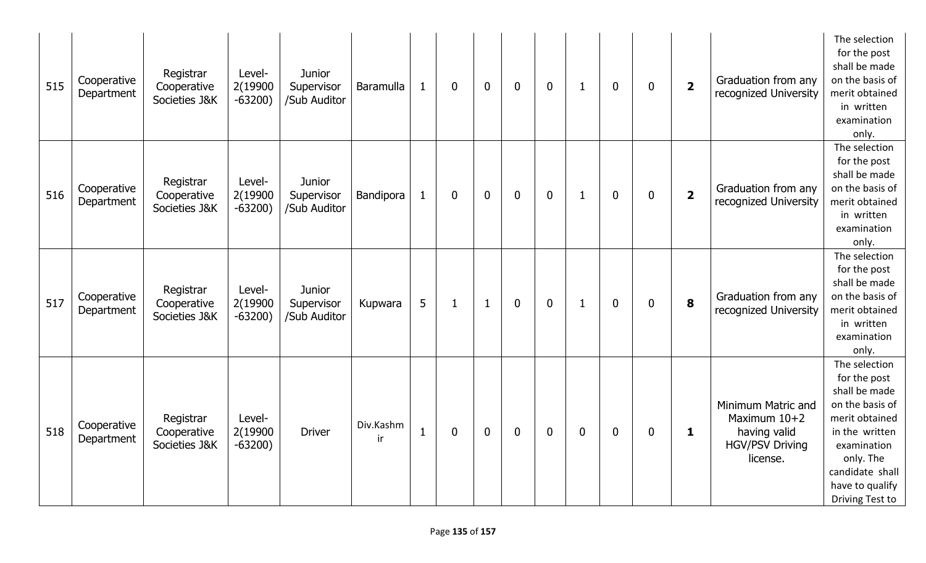| 515 | Cooperative<br>Department | Registrar<br>Cooperative<br>Societies J&K | Level-<br>2(19900<br>$-63200)$ | <b>Junior</b><br>Supervisor<br>/Sub Auditor | Baramulla       | 1            | $\mathbf{0}$ | $\overline{0}$ | $\overline{0}$   | $\mathbf 0$  | $\mathbf 1$  | $\mathbf 0$      | 0            | $\overline{\mathbf{2}}$ | Graduation from any<br>recognized University                                             | The selection<br>for the post<br>shall be made<br>on the basis of<br>merit obtained<br>in written<br>examination<br>only.                                                                  |
|-----|---------------------------|-------------------------------------------|--------------------------------|---------------------------------------------|-----------------|--------------|--------------|----------------|------------------|--------------|--------------|------------------|--------------|-------------------------|------------------------------------------------------------------------------------------|--------------------------------------------------------------------------------------------------------------------------------------------------------------------------------------------|
| 516 | Cooperative<br>Department | Registrar<br>Cooperative<br>Societies J&K | Level-<br>2(19900<br>$-63200)$ | <b>Junior</b><br>Supervisor<br>/Sub Auditor | Bandipora       | $\mathbf{1}$ | $\mathbf 0$  | $\mathbf 0$    | $\boldsymbol{0}$ | $\mathbf 0$  | $\mathbf{1}$ | $\boldsymbol{0}$ | 0            | $\overline{\mathbf{2}}$ | Graduation from any<br>recognized University                                             | The selection<br>for the post<br>shall be made<br>on the basis of<br>merit obtained<br>in written<br>examination<br>only.                                                                  |
| 517 | Cooperative<br>Department | Registrar<br>Cooperative<br>Societies J&K | Level-<br>2(19900<br>$-63200)$ | <b>Junior</b><br>Supervisor<br>/Sub Auditor | Kupwara         | 5            | 1            | $\mathbf{1}$   | $\overline{0}$   | $\mathbf{0}$ | $\mathbf{1}$ | $\mathbf 0$      | 0            | 8                       | Graduation from any<br>recognized University                                             | The selection<br>for the post<br>shall be made<br>on the basis of<br>merit obtained<br>in written<br>examination<br>only.                                                                  |
| 518 | Cooperative<br>Department | Registrar<br>Cooperative<br>Societies J&K | Level-<br>2(19900<br>$-63200)$ | <b>Driver</b>                               | Div.Kashm<br>ir | $\mathbf{1}$ | $\mathbf 0$  | $\mathbf{0}$   | $\overline{0}$   | $\mathbf 0$  | $\mathbf 0$  | $\mathbf 0$      | $\mathbf{0}$ | 1                       | Minimum Matric and<br>Maximum 10+2<br>having valid<br><b>HGV/PSV Driving</b><br>license. | The selection<br>for the post<br>shall be made<br>on the basis of<br>merit obtained<br>in the written<br>examination<br>only. The<br>candidate shall<br>have to qualify<br>Driving Test to |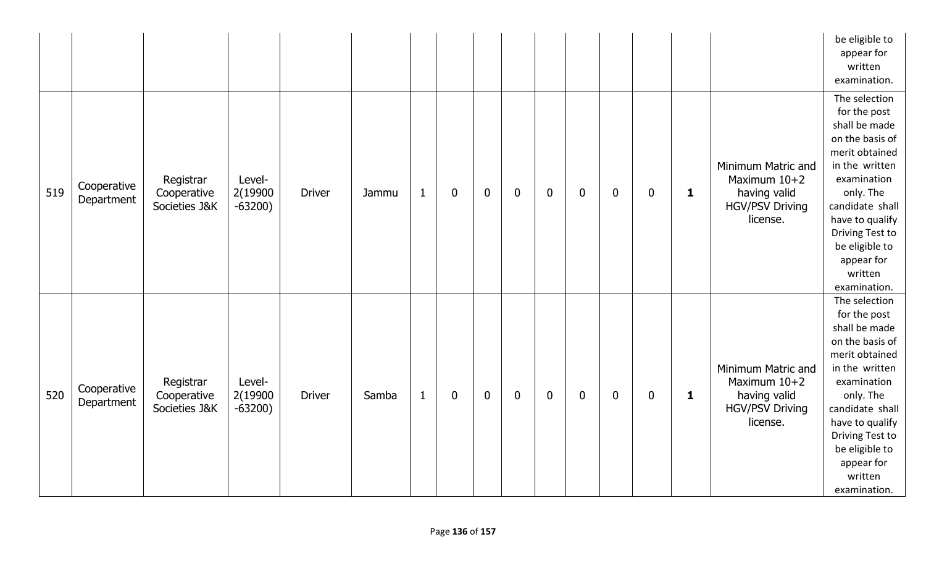|     |                           |                                           |                                |               |       |              |             |             |                  |                  |             |                  |             |              |                                                                                          | be eligible to<br>appear for<br>written<br>examination.                                                                                                                                                                                               |
|-----|---------------------------|-------------------------------------------|--------------------------------|---------------|-------|--------------|-------------|-------------|------------------|------------------|-------------|------------------|-------------|--------------|------------------------------------------------------------------------------------------|-------------------------------------------------------------------------------------------------------------------------------------------------------------------------------------------------------------------------------------------------------|
| 519 | Cooperative<br>Department | Registrar<br>Cooperative<br>Societies J&K | Level-<br>2(19900<br>$-63200)$ | <b>Driver</b> | Jammu | $\mathbf{1}$ | $\mathbf 0$ | $\mathbf 0$ | $\boldsymbol{0}$ | $\bf{0}$         | $\mathbf 0$ | $\mathbf 0$      | $\mathbf 0$ | 1            | Minimum Matric and<br>Maximum 10+2<br>having valid<br><b>HGV/PSV Driving</b><br>license. | The selection<br>for the post<br>shall be made<br>on the basis of<br>merit obtained<br>in the written<br>examination<br>only. The<br>candidate shall<br>have to qualify<br>Driving Test to<br>be eligible to<br>appear for<br>written<br>examination. |
| 520 | Cooperative<br>Department | Registrar<br>Cooperative<br>Societies J&K | Level-<br>2(19900<br>$-63200)$ | <b>Driver</b> | Samba | $\mathbf{1}$ | $\mathbf 0$ | $\mathbf 0$ | $\mathbf 0$      | $\boldsymbol{0}$ | $\mathbf 0$ | $\boldsymbol{0}$ | $\mathbf 0$ | $\mathbf{1}$ | Minimum Matric and<br>Maximum 10+2<br>having valid<br><b>HGV/PSV Driving</b><br>license. | The selection<br>for the post<br>shall be made<br>on the basis of<br>merit obtained<br>in the written<br>examination<br>only. The<br>candidate shall<br>have to qualify<br>Driving Test to<br>be eligible to<br>appear for<br>written<br>examination. |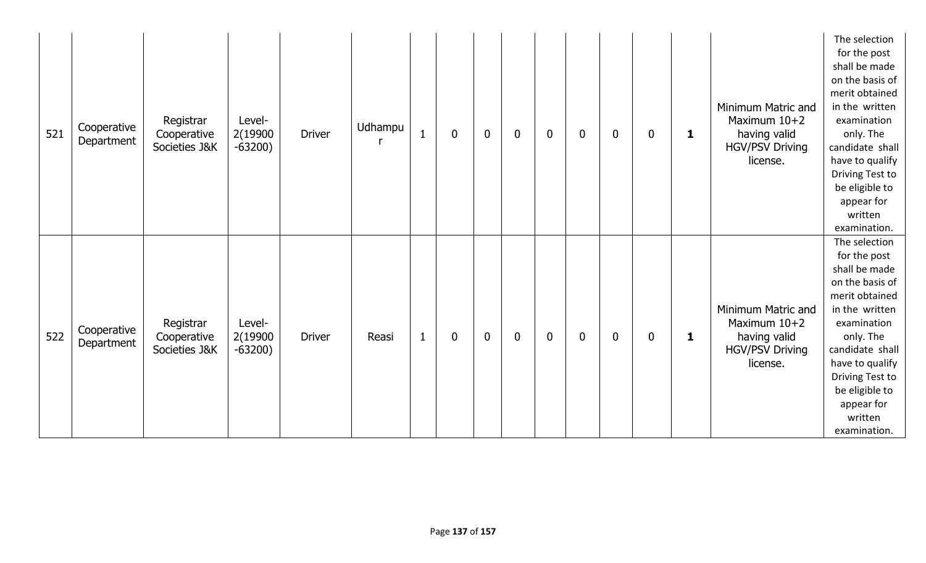| 521 | Cooperative<br>Department | Registrar<br>Cooperative<br>Societies J&K | Level-<br>2(19900<br>$-63200)$ | <b>Driver</b> | Udhampu | $\mathbf{1}$ | $\mathbf 0$ | $\mathbf 0$ | $\mathbf 0$ | $\mathbf 0$ | $\mathbf 0$ | $\mathbf 0$ | $\boldsymbol{0}$ | $\mathbf 1$  | Minimum Matric and<br>Maximum $10+2$<br>having valid<br><b>HGV/PSV Driving</b><br>license. | The selection<br>for the post<br>shall be made<br>on the basis of<br>merit obtained<br>in the written<br>examination<br>only. The<br>candidate shall<br>have to qualify<br>Driving Test to<br>be eligible to<br>appear for<br>written<br>examination. |
|-----|---------------------------|-------------------------------------------|--------------------------------|---------------|---------|--------------|-------------|-------------|-------------|-------------|-------------|-------------|------------------|--------------|--------------------------------------------------------------------------------------------|-------------------------------------------------------------------------------------------------------------------------------------------------------------------------------------------------------------------------------------------------------|
| 522 | Cooperative<br>Department | Registrar<br>Cooperative<br>Societies J&K | Level-<br>2(19900<br>$-63200)$ | <b>Driver</b> | Reasi   | $\mathbf{1}$ | $\mathbf 0$ | $\mathbf 0$ | $\mathbf 0$ | $\mathbf 0$ | $\mathbf 0$ | $\mathbf 0$ | $\mathbf 0$      | $\mathbf{1}$ | Minimum Matric and<br>Maximum 10+2<br>having valid<br><b>HGV/PSV Driving</b><br>license.   | The selection<br>for the post<br>shall be made<br>on the basis of<br>merit obtained<br>in the written<br>examination<br>only. The<br>candidate shall<br>have to qualify<br>Driving Test to<br>be eligible to<br>appear for<br>written<br>examination. |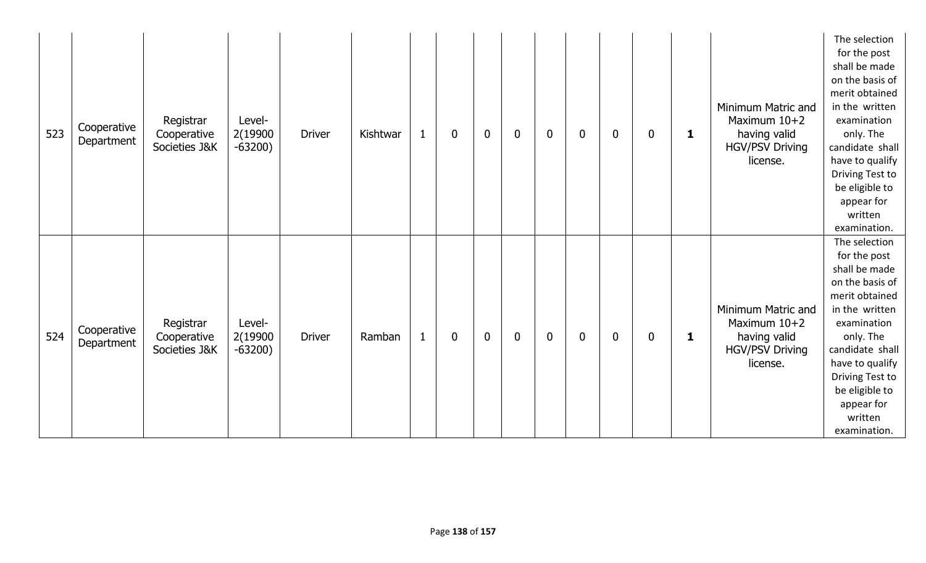| 523 | Cooperative<br>Department | Registrar<br>Cooperative<br>Societies J&K | Level-<br>2(19900<br>$-63200)$ | <b>Driver</b> | Kishtwar | $\mathbf{1}$ | $\mathbf 0$ | $\mathbf 0$ | $\mathbf 0$ | $\mathbf 0$ | $\mathbf 0$ | $\mathbf 0$ | $\boldsymbol{0}$ | $\mathbf 1$  | Minimum Matric and<br>Maximum $10+2$<br>having valid<br><b>HGV/PSV Driving</b><br>license. | The selection<br>for the post<br>shall be made<br>on the basis of<br>merit obtained<br>in the written<br>examination<br>only. The<br>candidate shall<br>have to qualify<br>Driving Test to<br>be eligible to<br>appear for<br>written<br>examination. |
|-----|---------------------------|-------------------------------------------|--------------------------------|---------------|----------|--------------|-------------|-------------|-------------|-------------|-------------|-------------|------------------|--------------|--------------------------------------------------------------------------------------------|-------------------------------------------------------------------------------------------------------------------------------------------------------------------------------------------------------------------------------------------------------|
| 524 | Cooperative<br>Department | Registrar<br>Cooperative<br>Societies J&K | Level-<br>2(19900<br>$-63200)$ | <b>Driver</b> | Ramban   | $\mathbf{1}$ | $\mathbf 0$ | $\mathbf 0$ | $\mathbf 0$ | $\mathbf 0$ | $\mathbf 0$ | $\mathbf 0$ | $\mathbf 0$      | $\mathbf{1}$ | Minimum Matric and<br>Maximum 10+2<br>having valid<br><b>HGV/PSV Driving</b><br>license.   | The selection<br>for the post<br>shall be made<br>on the basis of<br>merit obtained<br>in the written<br>examination<br>only. The<br>candidate shall<br>have to qualify<br>Driving Test to<br>be eligible to<br>appear for<br>written<br>examination. |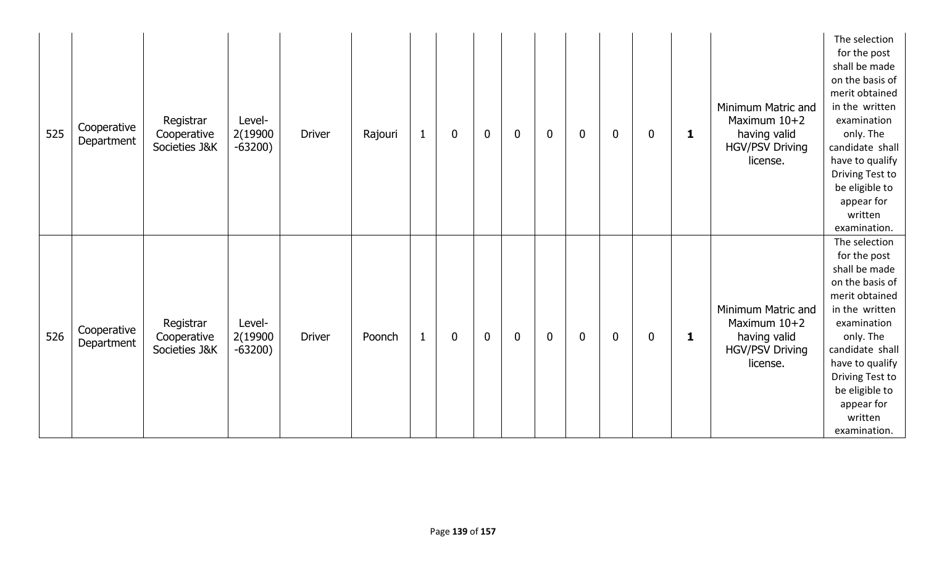| 525 | Cooperative<br>Department | Registrar<br>Cooperative<br>Societies J&K | Level-<br>2(19900<br>$-63200)$ | <b>Driver</b> | Rajouri | $\mathbf{1}$ | $\mathbf 0$ | $\mathbf 0$ | $\mathbf 0$ | $\mathbf 0$ | $\mathbf 0$ | $\mathbf 0$ | $\boldsymbol{0}$ | $\mathbf 1$  | Minimum Matric and<br>Maximum $10+2$<br>having valid<br><b>HGV/PSV Driving</b><br>license. | The selection<br>for the post<br>shall be made<br>on the basis of<br>merit obtained<br>in the written<br>examination<br>only. The<br>candidate shall<br>have to qualify<br>Driving Test to<br>be eligible to<br>appear for<br>written<br>examination. |
|-----|---------------------------|-------------------------------------------|--------------------------------|---------------|---------|--------------|-------------|-------------|-------------|-------------|-------------|-------------|------------------|--------------|--------------------------------------------------------------------------------------------|-------------------------------------------------------------------------------------------------------------------------------------------------------------------------------------------------------------------------------------------------------|
| 526 | Cooperative<br>Department | Registrar<br>Cooperative<br>Societies J&K | Level-<br>2(19900<br>$-63200)$ | <b>Driver</b> | Poonch  | $\mathbf{1}$ | $\mathbf 0$ | $\mathbf 0$ | $\mathbf 0$ | $\mathbf 0$ | $\mathbf 0$ | $\mathbf 0$ | $\mathbf 0$      | $\mathbf{1}$ | Minimum Matric and<br>Maximum 10+2<br>having valid<br><b>HGV/PSV Driving</b><br>license.   | The selection<br>for the post<br>shall be made<br>on the basis of<br>merit obtained<br>in the written<br>examination<br>only. The<br>candidate shall<br>have to qualify<br>Driving Test to<br>be eligible to<br>appear for<br>written<br>examination. |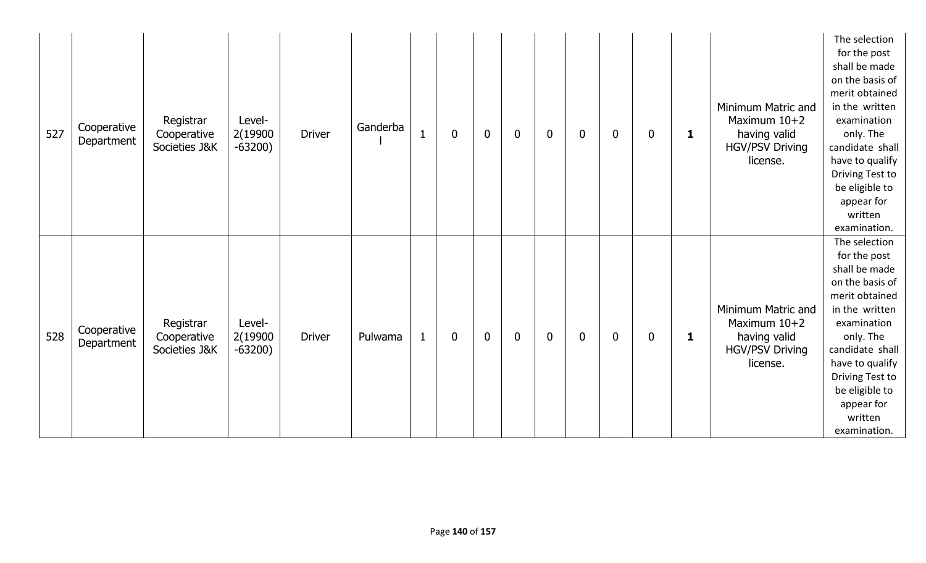| 527 | Cooperative<br>Department | Registrar<br>Cooperative<br>Societies J&K | Level-<br>2(19900<br>$-63200)$ | <b>Driver</b> | Ganderba | $\overline{1}$ | $\mathbf 0$ | $\mathbf 0$ | $\mathbf 0$ | $\mathbf 0$ | $\mathbf 0$ | $\bf{0}$    | $\boldsymbol{0}$ | $\mathbf 1$  | Minimum Matric and<br>Maximum $10+2$<br>having valid<br><b>HGV/PSV Driving</b><br>license. | The selection<br>for the post<br>shall be made<br>on the basis of<br>merit obtained<br>in the written<br>examination<br>only. The<br>candidate shall<br>have to qualify<br>Driving Test to<br>be eligible to<br>appear for<br>written<br>examination. |
|-----|---------------------------|-------------------------------------------|--------------------------------|---------------|----------|----------------|-------------|-------------|-------------|-------------|-------------|-------------|------------------|--------------|--------------------------------------------------------------------------------------------|-------------------------------------------------------------------------------------------------------------------------------------------------------------------------------------------------------------------------------------------------------|
| 528 | Cooperative<br>Department | Registrar<br>Cooperative<br>Societies J&K | Level-<br>2(19900<br>$-63200)$ | <b>Driver</b> | Pulwama  | $\mathbf{1}$   | $\mathbf 0$ | $\mathbf 0$ | $\mathbf 0$ | $\mathbf 0$ | $\mathbf 0$ | $\mathbf 0$ | $\mathbf 0$      | $\mathbf{1}$ | Minimum Matric and<br>Maximum 10+2<br>having valid<br><b>HGV/PSV Driving</b><br>license.   | The selection<br>for the post<br>shall be made<br>on the basis of<br>merit obtained<br>in the written<br>examination<br>only. The<br>candidate shall<br>have to qualify<br>Driving Test to<br>be eligible to<br>appear for<br>written<br>examination. |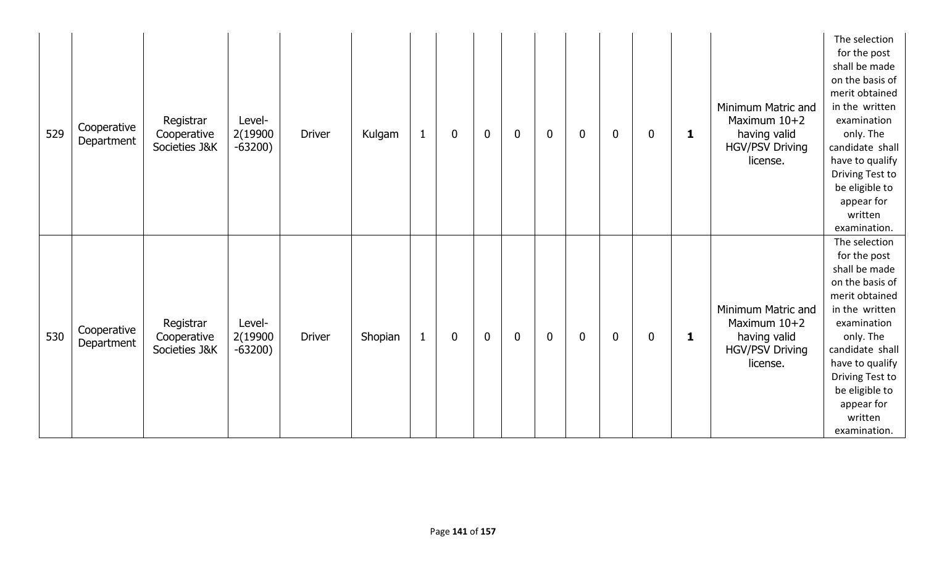| 529 | Cooperative<br>Department | Registrar<br>Cooperative<br>Societies J&K | Level-<br>2(19900<br>$-63200)$ | <b>Driver</b> | Kulgam  | $\mathbf{1}$ | $\mathbf 0$ | $\mathbf 0$ | $\mathbf 0$ | $\mathbf 0$ | $\mathbf 0$ | $\bf{0}$    | $\boldsymbol{0}$ | $\mathbf 1$  | Minimum Matric and<br>Maximum $10+2$<br>having valid<br><b>HGV/PSV Driving</b><br>license. | The selection<br>for the post<br>shall be made<br>on the basis of<br>merit obtained<br>in the written<br>examination<br>only. The<br>candidate shall<br>have to qualify<br>Driving Test to<br>be eligible to<br>appear for<br>written<br>examination. |
|-----|---------------------------|-------------------------------------------|--------------------------------|---------------|---------|--------------|-------------|-------------|-------------|-------------|-------------|-------------|------------------|--------------|--------------------------------------------------------------------------------------------|-------------------------------------------------------------------------------------------------------------------------------------------------------------------------------------------------------------------------------------------------------|
| 530 | Cooperative<br>Department | Registrar<br>Cooperative<br>Societies J&K | Level-<br>2(19900<br>$-63200)$ | <b>Driver</b> | Shopian | $\mathbf{1}$ | $\mathbf 0$ | $\mathbf 0$ | $\mathbf 0$ | $\mathbf 0$ | $\mathbf 0$ | $\mathbf 0$ | $\mathbf 0$      | $\mathbf{1}$ | Minimum Matric and<br>Maximum 10+2<br>having valid<br><b>HGV/PSV Driving</b><br>license.   | The selection<br>for the post<br>shall be made<br>on the basis of<br>merit obtained<br>in the written<br>examination<br>only. The<br>candidate shall<br>have to qualify<br>Driving Test to<br>be eligible to<br>appear for<br>written<br>examination. |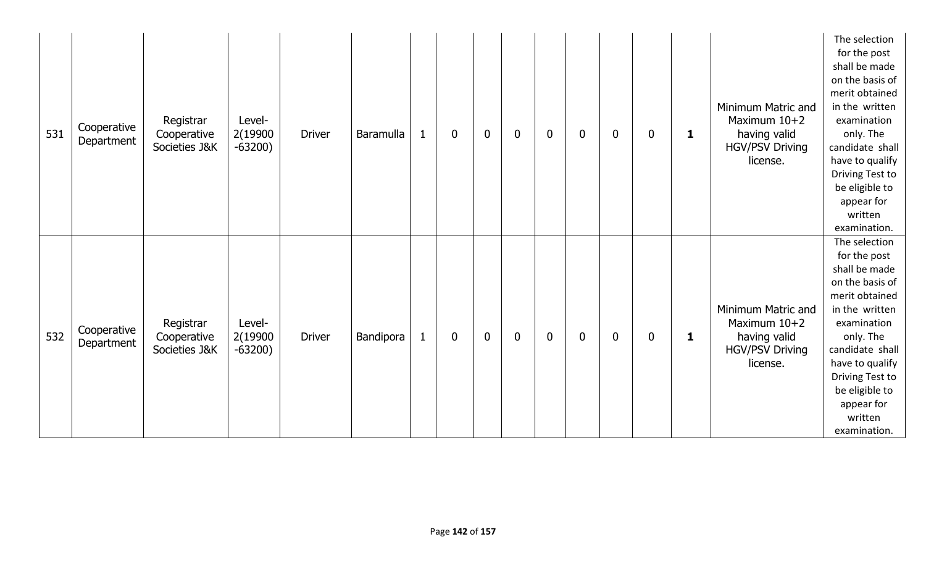| 531 | Cooperative<br>Department | Registrar<br>Cooperative<br>Societies J&K | Level-<br>2(19900<br>$-63200)$ | <b>Driver</b> | Baramulla | $\mathbf 0$<br>$\mathbf 1$  | $\mathbf 0$ | $\mathbf 0$ | $\mathbf 0$ | $\mathbf 0$ | $\bf{0}$    | $\boldsymbol{0}$ | $\mathbf 1$  | Minimum Matric and<br>Maximum $10+2$<br>having valid<br><b>HGV/PSV Driving</b><br>license. | The selection<br>for the post<br>shall be made<br>on the basis of<br>merit obtained<br>in the written<br>examination<br>only. The<br>candidate shall<br>have to qualify<br>Driving Test to<br>be eligible to<br>appear for<br>written<br>examination. |
|-----|---------------------------|-------------------------------------------|--------------------------------|---------------|-----------|-----------------------------|-------------|-------------|-------------|-------------|-------------|------------------|--------------|--------------------------------------------------------------------------------------------|-------------------------------------------------------------------------------------------------------------------------------------------------------------------------------------------------------------------------------------------------------|
| 532 | Cooperative<br>Department | Registrar<br>Cooperative<br>Societies J&K | Level-<br>2(19900<br>$-63200)$ | <b>Driver</b> | Bandipora | $\mathbf{1}$<br>$\mathbf 0$ | $\mathbf 0$ | $\mathbf 0$ | $\mathbf 0$ | $\mathbf 0$ | $\mathbf 0$ | $\mathbf 0$      | $\mathbf{1}$ | Minimum Matric and<br>Maximum 10+2<br>having valid<br><b>HGV/PSV Driving</b><br>license.   | The selection<br>for the post<br>shall be made<br>on the basis of<br>merit obtained<br>in the written<br>examination<br>only. The<br>candidate shall<br>have to qualify<br>Driving Test to<br>be eligible to<br>appear for<br>written<br>examination. |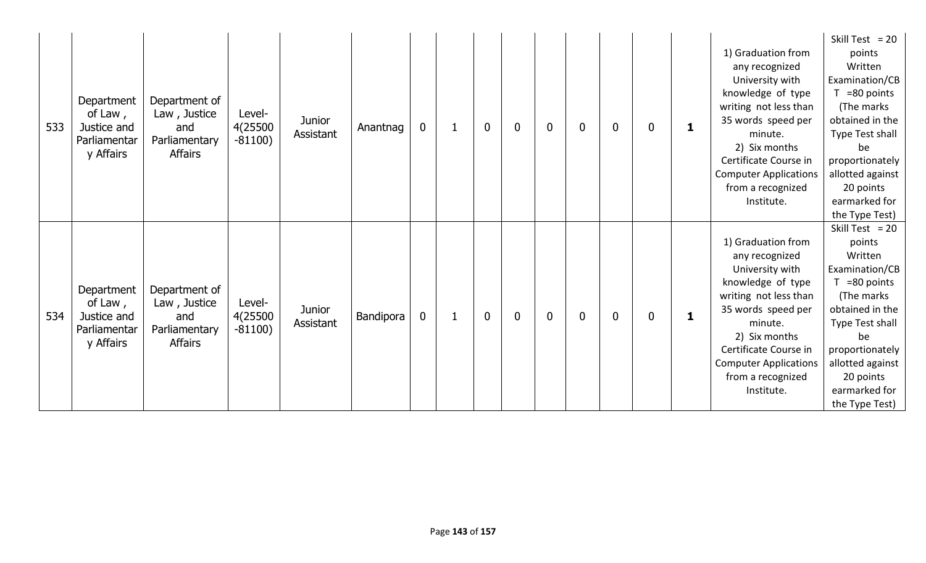| 533 | Department<br>of Law,<br>Justice and<br>Parliamentar<br>y Affairs | Department of<br>Law, Justice<br>and<br>Parliamentary<br><b>Affairs</b> | Level-<br>4(25500<br>$-81100)$ | <b>Junior</b><br>Assistant | Anantnag  | $\mathbf 0$ | $\mathbf{1}$ | $\mathbf 0$ | 0              | $\mathbf 0$ | $\mathbf{0}$ | $\mathbf 0$ | 0 | 1 | 1) Graduation from<br>any recognized<br>University with<br>knowledge of type<br>writing not less than<br>35 words speed per<br>minute.<br>2) Six months<br>Certificate Course in<br><b>Computer Applications</b><br>from a recognized<br>Institute. | Skill Test = $20$<br>points<br>Written<br>Examination/CB<br>$T = 80$ points<br>(The marks<br>obtained in the<br>Type Test shall<br>be<br>proportionately<br>allotted against<br>20 points<br>earmarked for<br>the Type Test)  |
|-----|-------------------------------------------------------------------|-------------------------------------------------------------------------|--------------------------------|----------------------------|-----------|-------------|--------------|-------------|----------------|-------------|--------------|-------------|---|---|-----------------------------------------------------------------------------------------------------------------------------------------------------------------------------------------------------------------------------------------------------|-------------------------------------------------------------------------------------------------------------------------------------------------------------------------------------------------------------------------------|
| 534 | Department<br>of Law,<br>Justice and<br>Parliamentar<br>y Affairs | Department of<br>Law, Justice<br>and<br>Parliamentary<br><b>Affairs</b> | Level-<br>4(25500<br>$-81100)$ | <b>Junior</b><br>Assistant | Bandipora | $\mathbf 0$ | $\mathbf{1}$ | $\mathbf 0$ | $\overline{0}$ | $\mathbf 0$ | $\mathbf{0}$ | $\bf{0}$    | 0 | 1 | 1) Graduation from<br>any recognized<br>University with<br>knowledge of type<br>writing not less than<br>35 words speed per<br>minute.<br>2) Six months<br>Certificate Course in<br><b>Computer Applications</b><br>from a recognized<br>Institute. | Skill Test = $20$<br>points<br>Written<br>Examination/CB<br>$T = 80$ points<br>(The marks)<br>obtained in the<br>Type Test shall<br>be<br>proportionately<br>allotted against<br>20 points<br>earmarked for<br>the Type Test) |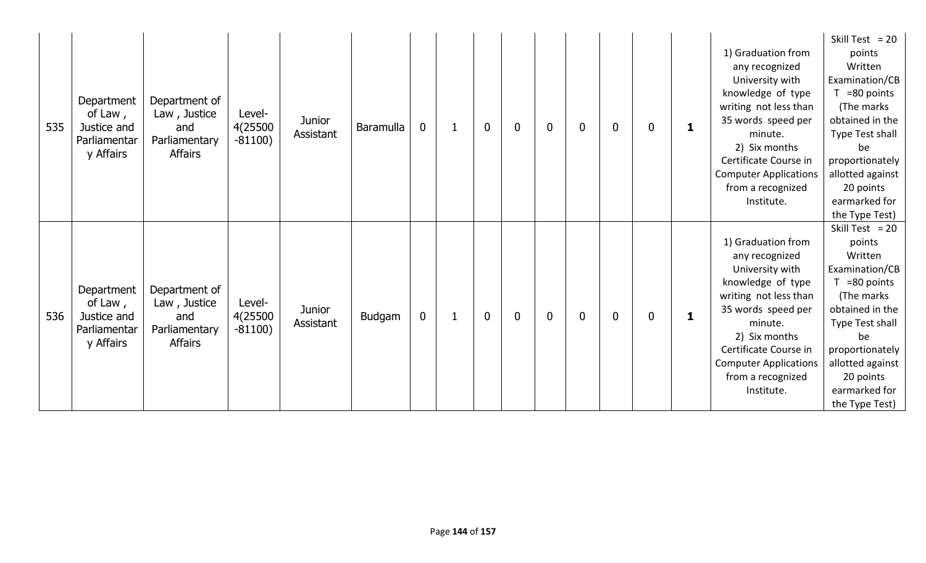| 535 | Department<br>of Law,<br>Justice and<br>Parliamentar<br>y Affairs | Department of<br>Law, Justice<br>and<br>Parliamentary<br><b>Affairs</b> | Level-<br>4(25500<br>$-81100)$ | <b>Junior</b><br>Assistant | Baramulla | $\mathbf 0$ | $\mathbf{1}$ | $\mathbf 0$ | 0              | $\mathbf 0$ | $\mathbf{0}$ | $\mathbf 0$ | 0 | 1 | 1) Graduation from<br>any recognized<br>University with<br>knowledge of type<br>writing not less than<br>35 words speed per<br>minute.<br>2) Six months<br>Certificate Course in<br><b>Computer Applications</b><br>from a recognized<br>Institute. | Skill Test = $20$<br>points<br>Written<br>Examination/CB<br>$T = 80$ points<br>(The marks)<br>obtained in the<br>Type Test shall<br>be<br>proportionately  <br>allotted against<br>20 points<br>earmarked for<br>the Type Test) |
|-----|-------------------------------------------------------------------|-------------------------------------------------------------------------|--------------------------------|----------------------------|-----------|-------------|--------------|-------------|----------------|-------------|--------------|-------------|---|---|-----------------------------------------------------------------------------------------------------------------------------------------------------------------------------------------------------------------------------------------------------|---------------------------------------------------------------------------------------------------------------------------------------------------------------------------------------------------------------------------------|
| 536 | Department<br>of Law,<br>Justice and<br>Parliamentar<br>y Affairs | Department of<br>Law, Justice<br>and<br>Parliamentary<br><b>Affairs</b> | Level-<br>4(25500<br>$-81100)$ | <b>Junior</b><br>Assistant | Budgam    | $\mathbf 0$ | $\mathbf{1}$ | $\mathbf 0$ | $\overline{0}$ | $\mathbf 0$ | 0            | $\bf{0}$    | 0 | 1 | 1) Graduation from<br>any recognized<br>University with<br>knowledge of type<br>writing not less than<br>35 words speed per<br>minute.<br>2) Six months<br>Certificate Course in<br><b>Computer Applications</b><br>from a recognized<br>Institute. | Skill Test = $20$<br>points<br>Written<br>Examination/CB<br>$T = 80$ points<br>(The marks)<br>obtained in the<br>Type Test shall<br>be<br>proportionately<br>allotted against<br>20 points<br>earmarked for<br>the Type Test)   |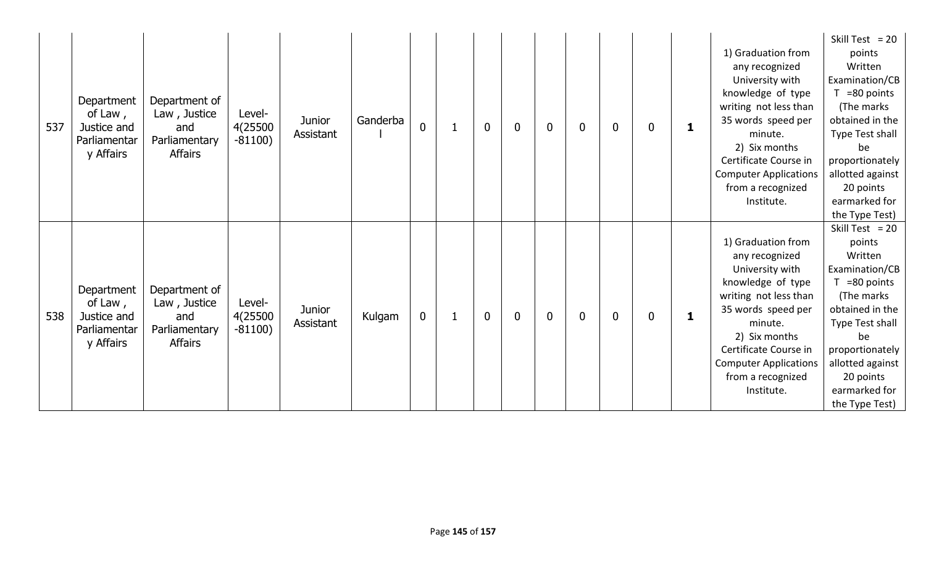| 537 | Department<br>Department of<br>of Law,<br>Law, Justice<br>Justice and<br>and<br>Parliamentary<br>Parliamentar<br>y Affairs<br><b>Affairs</b> | Level-<br>4(25500<br>$-81100)$ | <b>Junior</b><br>Assistant | Ganderba | $\mathbf 0$ |              | $\mathbf 0$  | 0           | $\mathbf 0$ | $\mathbf{0}$ | $\bf{0}$ | 0 | 1 | 1) Graduation from<br>any recognized<br>University with<br>knowledge of type<br>writing not less than<br>35 words speed per<br>minute.<br>2) Six months<br>Certificate Course in<br><b>Computer Applications</b><br>from a recognized<br>Institute. | Skill Test = $20$<br>points<br>Written<br>Examination/CB<br>$T = 80$ points<br>(The marks)<br>obtained in the<br>Type Test shall<br>be<br>proportionately  <br>allotted against<br>20 points<br>earmarked for<br>the Type Test) |
|-----|----------------------------------------------------------------------------------------------------------------------------------------------|--------------------------------|----------------------------|----------|-------------|--------------|--------------|-------------|-------------|--------------|----------|---|---|-----------------------------------------------------------------------------------------------------------------------------------------------------------------------------------------------------------------------------------------------------|---------------------------------------------------------------------------------------------------------------------------------------------------------------------------------------------------------------------------------|
| 538 | Department<br>Department of<br>of Law,<br>Law, Justice<br>Justice and<br>and<br>Parliamentary<br>Parliamentar<br><b>Affairs</b><br>y Affairs | Level-<br>4(25500<br>$-81100)$ | <b>Junior</b><br>Assistant | Kulgam   | $\mathbf 0$ | $\mathbf{1}$ | $\mathbf{0}$ | $\mathbf 0$ | $\mathbf 0$ | $\mathbf{0}$ | $\bf{0}$ | 0 | 1 | 1) Graduation from<br>any recognized<br>University with<br>knowledge of type<br>writing not less than<br>35 words speed per<br>minute.<br>2) Six months<br>Certificate Course in<br><b>Computer Applications</b><br>from a recognized<br>Institute. | Skill Test = $20$<br>points<br>Written<br>Examination/CB<br>$T = 80$ points<br>(The marks)<br>obtained in the<br>Type Test shall<br>be<br>proportionately<br>allotted against<br>20 points<br>earmarked for<br>the Type Test)   |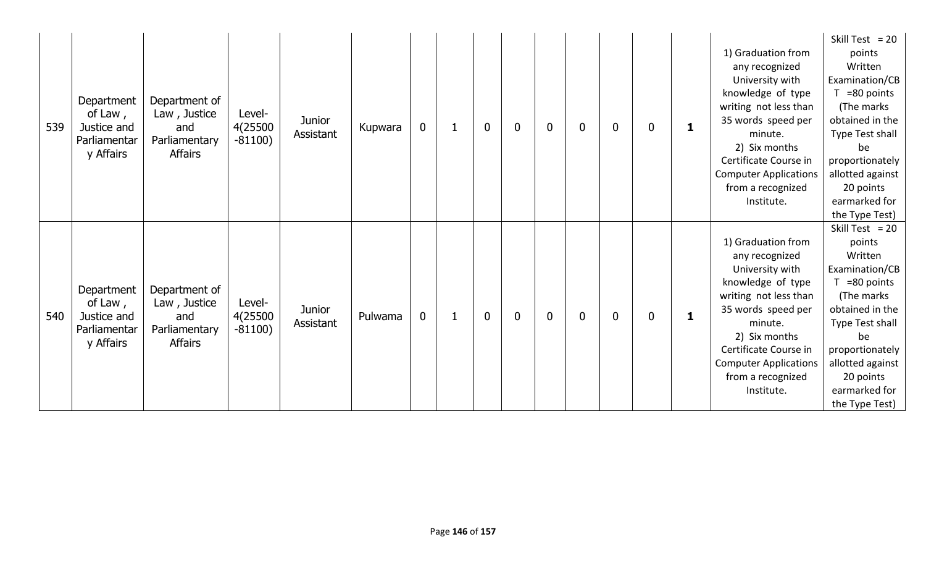| 539 | Department<br>of Law,<br>Justice and<br>Parliamentar<br>y Affairs | Department of<br>Law, Justice<br>and<br>Parliamentary<br><b>Affairs</b> | Level-<br>4(25500<br>$-81100)$ | <b>Junior</b><br>Assistant | Kupwara | $\mathbf 0$ | $\mathbf 1$  | $\mathbf 0$ | 0              | $\mathbf 0$ | $\mathbf{0}$ | $\mathbf 0$ | 0 | 1 | 1) Graduation from<br>any recognized<br>University with<br>knowledge of type<br>writing not less than<br>35 words speed per<br>minute.<br>2) Six months<br>Certificate Course in<br><b>Computer Applications</b><br>from a recognized<br>Institute. | Skill Test = $20$<br>points<br>Written<br>Examination/CB<br>$T = 80$ points<br>(The marks)<br>obtained in the<br>Type Test shall<br>be<br>proportionately  <br>allotted against<br>20 points<br>earmarked for<br>the Type Test) |
|-----|-------------------------------------------------------------------|-------------------------------------------------------------------------|--------------------------------|----------------------------|---------|-------------|--------------|-------------|----------------|-------------|--------------|-------------|---|---|-----------------------------------------------------------------------------------------------------------------------------------------------------------------------------------------------------------------------------------------------------|---------------------------------------------------------------------------------------------------------------------------------------------------------------------------------------------------------------------------------|
| 540 | Department<br>of Law,<br>Justice and<br>Parliamentar<br>y Affairs | Department of<br>Law, Justice<br>and<br>Parliamentary<br><b>Affairs</b> | Level-<br>4(25500<br>$-81100)$ | <b>Junior</b><br>Assistant | Pulwama | $\mathbf 0$ | $\mathbf{1}$ | $\mathbf 0$ | $\overline{0}$ | $\mathbf 0$ | 0            | $\mathbf 0$ | 0 | 1 | 1) Graduation from<br>any recognized<br>University with<br>knowledge of type<br>writing not less than<br>35 words speed per<br>minute.<br>2) Six months<br>Certificate Course in<br><b>Computer Applications</b><br>from a recognized<br>Institute. | Skill Test = $20$<br>points<br>Written<br>Examination/CB<br>$T = 80$ points<br>(The marks)<br>obtained in the<br>Type Test shall<br>be<br>proportionately<br>allotted against<br>20 points<br>earmarked for<br>the Type Test)   |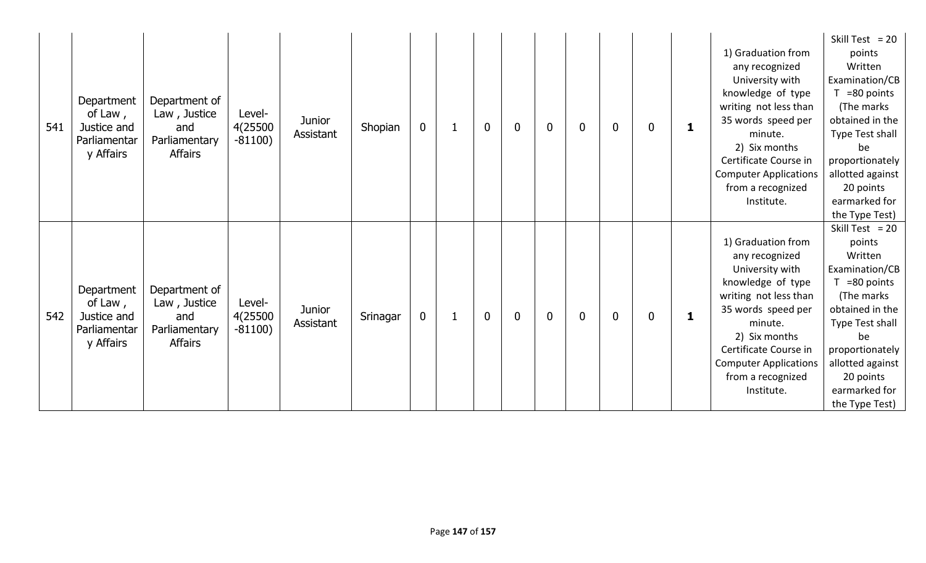| 541 | Department<br>of Law,<br>Justice and<br>Parliamentar<br>y Affairs | Department of<br>Law, Justice<br>and<br>Parliamentary<br><b>Affairs</b> | Level-<br>4(25500<br>$-81100)$ | <b>Junior</b><br>Assistant | Shopian  | $\mathbf 0$ | $\mathbf{1}$ | $\mathbf 0$ | $\mathbf 0$ | $\mathbf 0$ | $\mathbf{0}$ | $\mathbf{0}$ | 0            | 1 | 1) Graduation from<br>any recognized<br>University with<br>knowledge of type<br>writing not less than<br>35 words speed per<br>minute.<br>2) Six months<br>Certificate Course in<br><b>Computer Applications</b><br>from a recognized<br>Institute. | Skill Test = $20$<br>points<br>Written<br>Examination/CB<br>$T = 80$ points<br>(The marks)<br>obtained in the<br>Type Test shall<br>be<br>proportionately<br>allotted against<br>20 points<br>earmarked for<br>the Type Test) |
|-----|-------------------------------------------------------------------|-------------------------------------------------------------------------|--------------------------------|----------------------------|----------|-------------|--------------|-------------|-------------|-------------|--------------|--------------|--------------|---|-----------------------------------------------------------------------------------------------------------------------------------------------------------------------------------------------------------------------------------------------------|-------------------------------------------------------------------------------------------------------------------------------------------------------------------------------------------------------------------------------|
| 542 | Department<br>of Law,<br>Justice and<br>Parliamentar<br>y Affairs | Department of<br>Law, Justice<br>and<br>Parliamentary<br><b>Affairs</b> | Level-<br>4(25500<br>$-81100)$ | <b>Junior</b><br>Assistant | Srinagar | $\mathbf 0$ | 1            | $\mathbf 0$ | $\mathbf 0$ | $\mathbf 0$ | $\mathbf{0}$ | $\mathbf{0}$ | $\mathbf{0}$ | 1 | 1) Graduation from<br>any recognized<br>University with<br>knowledge of type<br>writing not less than<br>35 words speed per<br>minute.<br>2) Six months<br>Certificate Course in<br><b>Computer Applications</b><br>from a recognized<br>Institute. | Skill Test = $20$<br>points<br>Written<br>Examination/CB<br>$T = 80$ points<br>(The marks)<br>obtained in the<br>Type Test shall<br>be<br>proportionately<br>allotted against<br>20 points<br>earmarked for<br>the Type Test) |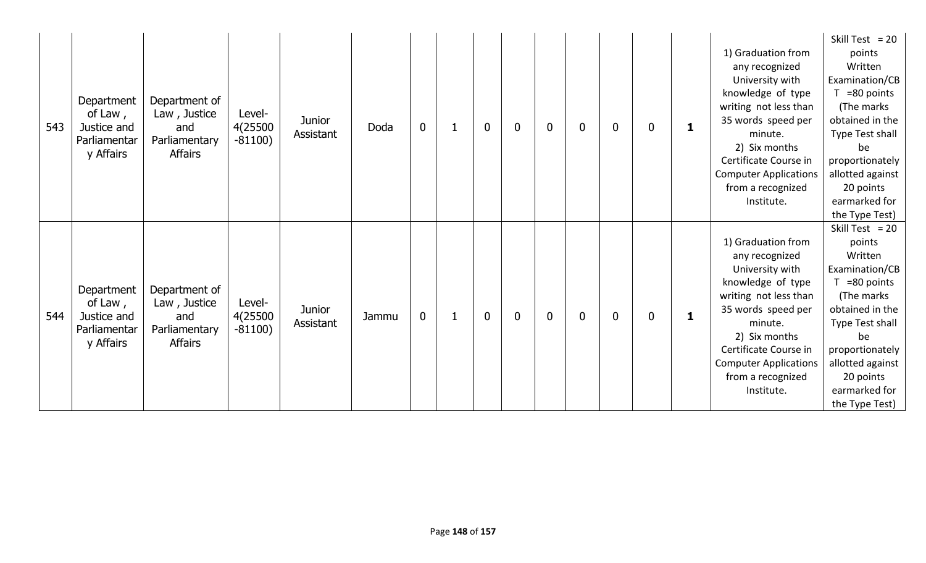| 543 | Department<br>Department of<br>of Law,<br>Law, Justice<br>Justice and<br>and<br>Parliamentary<br>Parliamentar<br>y Affairs<br><b>Affairs</b> | Level-<br>4(25500<br>$-81100)$ | <b>Junior</b><br>Assistant | Doda  | $\mathbf 0$ |              | $\mathbf 0$  | 0           | $\mathbf 0$ | $\mathbf{0}$ | $\bf{0}$ | 0 | 1 | 1) Graduation from<br>any recognized<br>University with<br>knowledge of type<br>writing not less than<br>35 words speed per<br>minute.<br>2) Six months<br>Certificate Course in<br><b>Computer Applications</b><br>from a recognized<br>Institute. | Skill Test = $20$<br>points<br>Written<br>Examination/CB<br>$T = 80$ points<br>(The marks)<br>obtained in the<br>Type Test shall<br>be<br>proportionately  <br>allotted against<br>20 points<br>earmarked for<br>the Type Test) |
|-----|----------------------------------------------------------------------------------------------------------------------------------------------|--------------------------------|----------------------------|-------|-------------|--------------|--------------|-------------|-------------|--------------|----------|---|---|-----------------------------------------------------------------------------------------------------------------------------------------------------------------------------------------------------------------------------------------------------|---------------------------------------------------------------------------------------------------------------------------------------------------------------------------------------------------------------------------------|
| 544 | Department<br>Department of<br>of Law,<br>Law, Justice<br>Justice and<br>and<br>Parliamentary<br>Parliamentar<br><b>Affairs</b><br>y Affairs | Level-<br>4(25500<br>$-81100)$ | <b>Junior</b><br>Assistant | Jammu | $\mathbf 0$ | $\mathbf{1}$ | $\mathbf{0}$ | $\mathbf 0$ | $\mathbf 0$ | $\mathbf{0}$ | $\bf{0}$ | 0 | 1 | 1) Graduation from<br>any recognized<br>University with<br>knowledge of type<br>writing not less than<br>35 words speed per<br>minute.<br>2) Six months<br>Certificate Course in<br><b>Computer Applications</b><br>from a recognized<br>Institute. | Skill Test = $20$<br>points<br>Written<br>Examination/CB<br>$T = 80$ points<br>(The marks)<br>obtained in the<br>Type Test shall<br>be<br>proportionately<br>allotted against<br>20 points<br>earmarked for<br>the Type Test)   |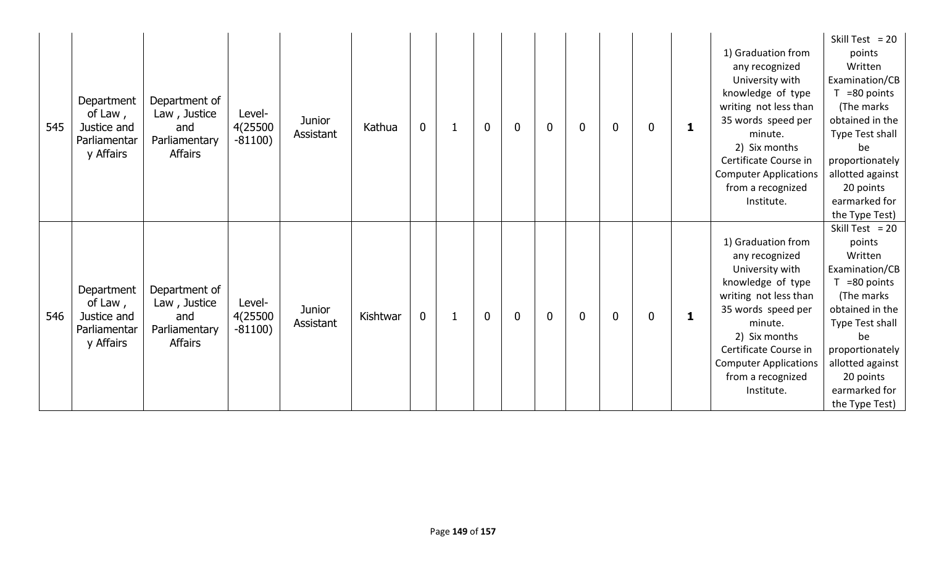| 545 | Department<br>of Law,<br>Justice and<br>Parliamentar<br>y Affairs | Department of<br>Law, Justice<br>and<br>Parliamentary<br><b>Affairs</b> | Level-<br>4(25500<br>$-81100)$ | <b>Junior</b><br>Assistant | Kathua   | $\mathbf 0$ |              | $\mathbf 0$ | 0              | $\mathbf 0$ | $\mathbf{0}$ | $\mathbf 0$ | 0 | 1 | 1) Graduation from<br>any recognized<br>University with<br>knowledge of type<br>writing not less than<br>35 words speed per<br>minute.<br>2) Six months<br>Certificate Course in<br><b>Computer Applications</b><br>from a recognized<br>Institute. | Skill Test = $20$<br>points<br>Written<br>Examination/CB<br>$T = 80$ points<br>(The marks)<br>obtained in the<br>Type Test shall<br>be<br>proportionately  <br>allotted against<br>20 points<br>earmarked for<br>the Type Test) |
|-----|-------------------------------------------------------------------|-------------------------------------------------------------------------|--------------------------------|----------------------------|----------|-------------|--------------|-------------|----------------|-------------|--------------|-------------|---|---|-----------------------------------------------------------------------------------------------------------------------------------------------------------------------------------------------------------------------------------------------------|---------------------------------------------------------------------------------------------------------------------------------------------------------------------------------------------------------------------------------|
| 546 | Department<br>of Law,<br>Justice and<br>Parliamentar<br>y Affairs | Department of<br>Law, Justice<br>and<br>Parliamentary<br><b>Affairs</b> | Level-<br>4(25500<br>$-81100)$ | <b>Junior</b><br>Assistant | Kishtwar | $\mathbf 0$ | $\mathbf{1}$ | $\mathbf 0$ | $\overline{0}$ | $\mathbf 0$ | 0            | $\mathbf 0$ | 0 | 1 | 1) Graduation from<br>any recognized<br>University with<br>knowledge of type<br>writing not less than<br>35 words speed per<br>minute.<br>2) Six months<br>Certificate Course in<br><b>Computer Applications</b><br>from a recognized<br>Institute. | Skill Test = $20$<br>points<br>Written<br>Examination/CB<br>$T = 80$ points<br>(The marks)<br>obtained in the<br>Type Test shall<br>be<br>proportionately<br>allotted against<br>20 points<br>earmarked for<br>the Type Test)   |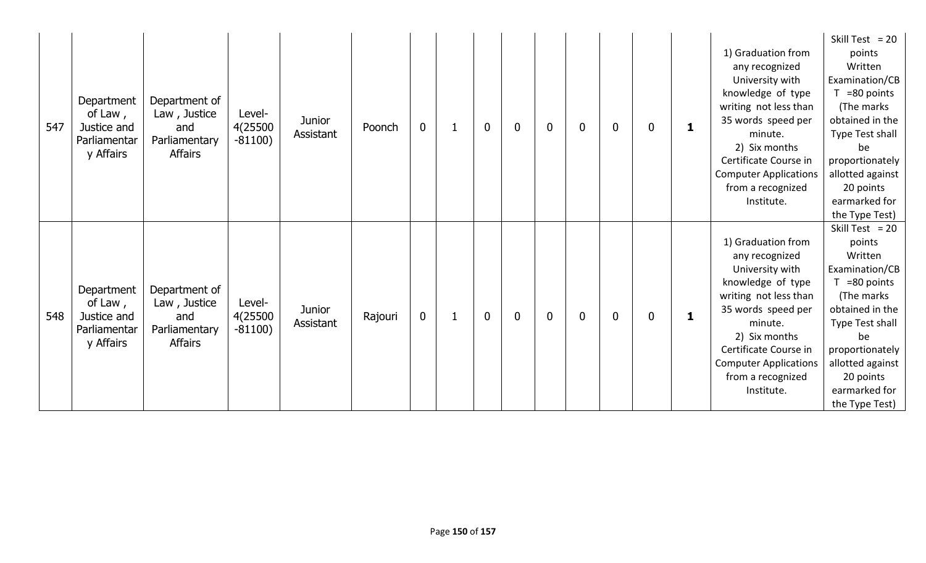| 547 | Department<br>of Law,<br>Justice and<br>Parliamentar<br>y Affairs | Department of<br>Law, Justice<br>Level-<br>4(25500<br>and<br>$-81100)$<br>Parliamentary<br><b>Affairs</b> | <b>Junior</b><br>Assistant | Poonch  | $\mathbf 0$ | 1            | $\mathbf 0$ | 0           | $\bf{0}$    | $\mathbf{0}$ | $\bf{0}$ | 0 | 1 | 1) Graduation from<br>any recognized<br>University with<br>knowledge of type<br>writing not less than<br>35 words speed per<br>minute.<br>2) Six months<br>Certificate Course in<br><b>Computer Applications</b><br>from a recognized<br>Institute. | Skill Test = $20$<br>points<br>Written<br>Examination/CB<br>$T = 80$ points<br>(The marks<br>obtained in the<br>Type Test shall<br>be<br>proportionately<br>allotted against<br>20 points<br>earmarked for<br>the Type Test)  |
|-----|-------------------------------------------------------------------|-----------------------------------------------------------------------------------------------------------|----------------------------|---------|-------------|--------------|-------------|-------------|-------------|--------------|----------|---|---|-----------------------------------------------------------------------------------------------------------------------------------------------------------------------------------------------------------------------------------------------------|-------------------------------------------------------------------------------------------------------------------------------------------------------------------------------------------------------------------------------|
| 548 | Department<br>of Law,<br>Justice and<br>Parliamentar<br>y Affairs | Department of<br>Law, Justice<br>Level-<br>4(25500<br>and<br>$-81100)$<br>Parliamentary<br><b>Affairs</b> | <b>Junior</b><br>Assistant | Rajouri | $\mathbf 0$ | $\mathbf{1}$ | $\mathbf 0$ | $\mathbf 0$ | $\mathbf 0$ | $\mathbf{0}$ | $\bf{0}$ | 0 | 1 | 1) Graduation from<br>any recognized<br>University with<br>knowledge of type<br>writing not less than<br>35 words speed per<br>minute.<br>2) Six months<br>Certificate Course in<br><b>Computer Applications</b><br>from a recognized<br>Institute. | Skill Test = $20$<br>points<br>Written<br>Examination/CB<br>$T = 80$ points<br>(The marks)<br>obtained in the<br>Type Test shall<br>be<br>proportionately<br>allotted against<br>20 points<br>earmarked for<br>the Type Test) |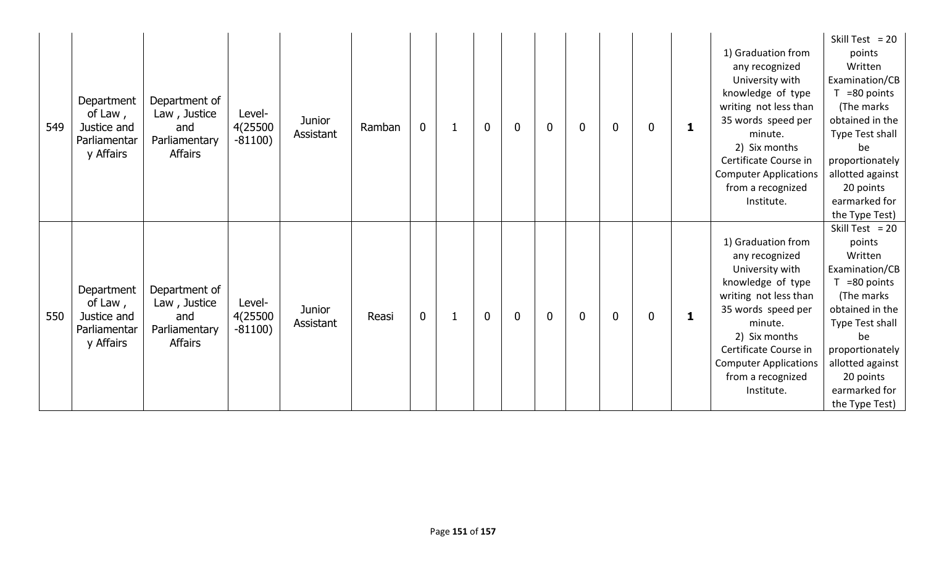| 549 | Department<br>of Law,<br>Justice and<br>Parliamentar<br>y Affairs | Department of<br>Law, Justice<br>and<br>Parliamentary<br><b>Affairs</b> | Level-<br>4(25500<br>$-81100)$ | <b>Junior</b><br>Assistant | Ramban | $\mathbf 0$ |              | $\mathbf 0$ | 0              | $\mathbf 0$ | $\mathbf{0}$ | $\mathbf 0$ | 0 | 1 | 1) Graduation from<br>any recognized<br>University with<br>knowledge of type<br>writing not less than<br>35 words speed per<br>minute.<br>2) Six months<br>Certificate Course in<br><b>Computer Applications</b><br>from a recognized<br>Institute. | Skill Test = $20$<br>points<br>Written<br>Examination/CB<br>$T = 80$ points<br>(The marks)<br>obtained in the<br>Type Test shall<br>be<br>proportionately  <br>allotted against<br>20 points<br>earmarked for<br>the Type Test) |
|-----|-------------------------------------------------------------------|-------------------------------------------------------------------------|--------------------------------|----------------------------|--------|-------------|--------------|-------------|----------------|-------------|--------------|-------------|---|---|-----------------------------------------------------------------------------------------------------------------------------------------------------------------------------------------------------------------------------------------------------|---------------------------------------------------------------------------------------------------------------------------------------------------------------------------------------------------------------------------------|
| 550 | Department<br>of Law,<br>Justice and<br>Parliamentar<br>y Affairs | Department of<br>Law, Justice<br>and<br>Parliamentary<br><b>Affairs</b> | Level-<br>4(25500<br>$-81100)$ | <b>Junior</b><br>Assistant | Reasi  | $\mathbf 0$ | $\mathbf{1}$ | $\mathbf 0$ | $\overline{0}$ | $\mathbf 0$ | 0            | $\mathbf 0$ | 0 | 1 | 1) Graduation from<br>any recognized<br>University with<br>knowledge of type<br>writing not less than<br>35 words speed per<br>minute.<br>2) Six months<br>Certificate Course in<br><b>Computer Applications</b><br>from a recognized<br>Institute. | Skill Test = $20$<br>points<br>Written<br>Examination/CB<br>$T = 80$ points<br>(The marks)<br>obtained in the<br>Type Test shall<br>be<br>proportionately<br>allotted against<br>20 points<br>earmarked for<br>the Type Test)   |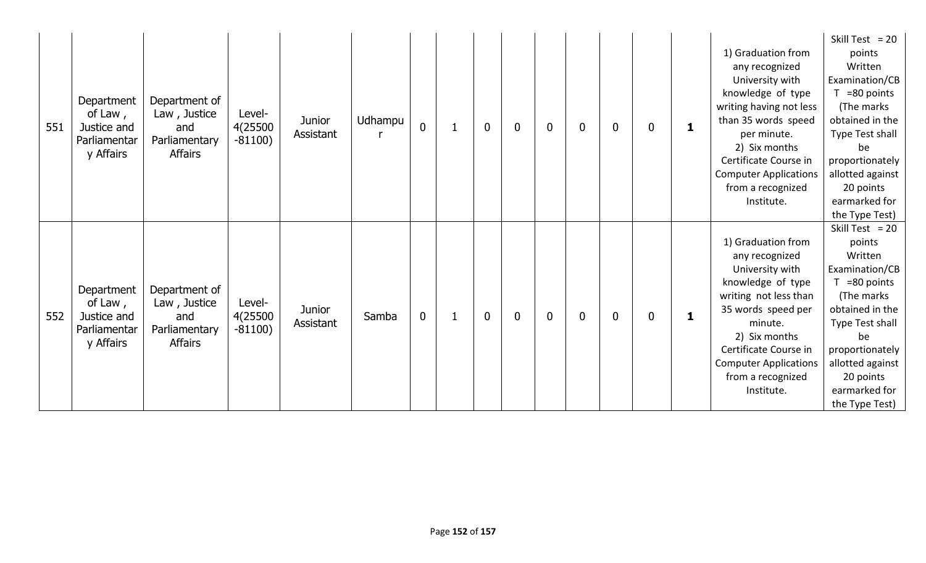| 551 | Department<br>of Law,<br>Justice and<br>Parliamentar<br>y Affairs | Department of<br>Law, Justice<br>and<br>Parliamentary<br><b>Affairs</b> | Level-<br>4(25500<br>$-81100)$ | <b>Junior</b><br>Assistant | Udhampu | $\mathbf 0$ | $\mathbf{1}$ | $\mathbf 0$ | 0              | $\mathbf 0$ | $\mathbf{0}$ | $\mathbf 0$ | 0 | 1 | 1) Graduation from<br>any recognized<br>University with<br>knowledge of type<br>writing having not less<br>than 35 words speed<br>per minute.<br>2) Six months<br>Certificate Course in<br><b>Computer Applications</b><br>from a recognized<br>Institute. | Skill Test = $20$<br>points<br>Written<br>Examination/CB<br>$T = 80$ points<br>(The marks<br>obtained in the<br>Type Test shall<br>be<br>proportionately<br>allotted against<br>20 points<br>earmarked for<br>the Type Test)  |
|-----|-------------------------------------------------------------------|-------------------------------------------------------------------------|--------------------------------|----------------------------|---------|-------------|--------------|-------------|----------------|-------------|--------------|-------------|---|---|------------------------------------------------------------------------------------------------------------------------------------------------------------------------------------------------------------------------------------------------------------|-------------------------------------------------------------------------------------------------------------------------------------------------------------------------------------------------------------------------------|
| 552 | Department<br>of Law,<br>Justice and<br>Parliamentar<br>y Affairs | Department of<br>Law, Justice<br>and<br>Parliamentary<br><b>Affairs</b> | Level-<br>4(25500<br>$-81100)$ | <b>Junior</b><br>Assistant | Samba   | $\mathbf 0$ | $\mathbf{1}$ | $\mathbf 0$ | $\overline{0}$ | $\mathbf 0$ | $\mathbf{0}$ | $\mathbf 0$ | 0 | 1 | 1) Graduation from<br>any recognized<br>University with<br>knowledge of type<br>writing not less than<br>35 words speed per<br>minute.<br>2) Six months<br>Certificate Course in<br><b>Computer Applications</b><br>from a recognized<br>Institute.        | Skill Test = $20$<br>points<br>Written<br>Examination/CB<br>$T = 80$ points<br>(The marks)<br>obtained in the<br>Type Test shall<br>be<br>proportionately<br>allotted against<br>20 points<br>earmarked for<br>the Type Test) |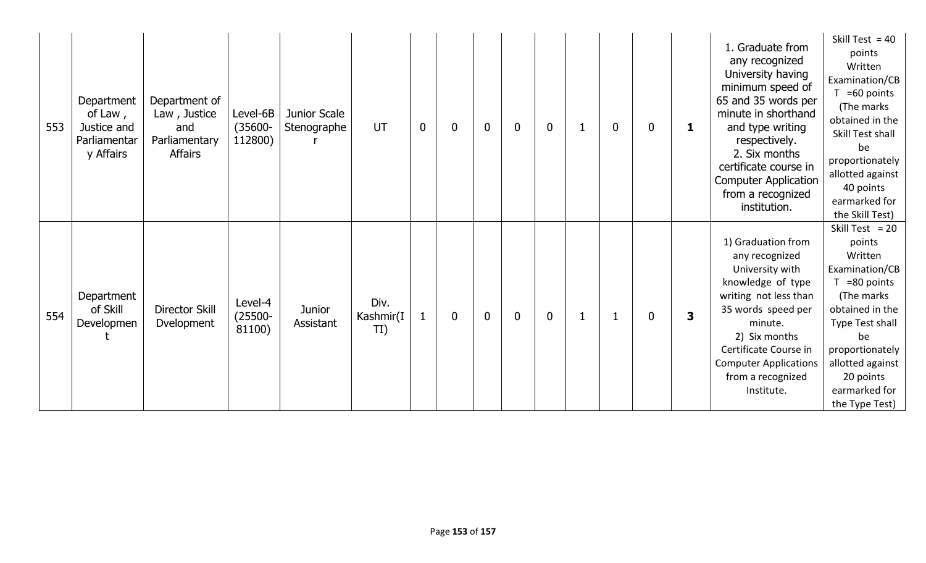| 553 | Department<br>of Law,<br>Justice and<br>Parliamentar<br>y Affairs | Department of<br>Law, Justice<br>and<br>Parliamentary<br><b>Affairs</b> | Level-6B<br>$(35600 -$<br>112800) | Junior Scale<br>Stenographe | UT                       | $\mathbf 0$  | 0 | $\mathbf 0$    | $\mathbf 0$    | $\mathbf 0$ |             | $\mathbf 0$ | 0 | 1 | 1. Graduate from<br>any recognized<br>University having<br>minimum speed of<br>65 and 35 words per<br>minute in shorthand<br>and type writing<br>respectively.<br>2. Six months<br>certificate course in<br><b>Computer Application</b><br>from a recognized<br>institution. | Skill Test = $40$<br>points<br>Written<br>Examination/CB<br>=60 points<br>(The marks<br>obtained in the<br>Skill Test shall<br>be<br>proportionately<br>allotted against<br>40 points<br>earmarked for<br>the Skill Test) |
|-----|-------------------------------------------------------------------|-------------------------------------------------------------------------|-----------------------------------|-----------------------------|--------------------------|--------------|---|----------------|----------------|-------------|-------------|-------------|---|---|------------------------------------------------------------------------------------------------------------------------------------------------------------------------------------------------------------------------------------------------------------------------------|---------------------------------------------------------------------------------------------------------------------------------------------------------------------------------------------------------------------------|
| 554 | Department<br>of Skill<br>Developmen                              | Director Skill<br>Dvelopment                                            | Level-4<br>$(25500 -$<br>81100)   | Junior<br>Assistant         | Div.<br>Kashmir(I<br>TI) | $\mathbf{1}$ | 0 | $\overline{0}$ | $\overline{0}$ | $\mathbf 0$ | $\mathbf 1$ |             | 0 | 3 | 1) Graduation from<br>any recognized<br>University with<br>knowledge of type<br>writing not less than<br>35 words speed per<br>minute.<br>2) Six months<br>Certificate Course in<br><b>Computer Applications</b><br>from a recognized<br>Institute.                          | Skill Test = $20$<br>points<br>Written<br>Examination/CB<br>=80 points<br>(The marks)<br>obtained in the<br>Type Test shall<br>be<br>proportionately<br>allotted against<br>20 points<br>earmarked for<br>the Type Test)  |